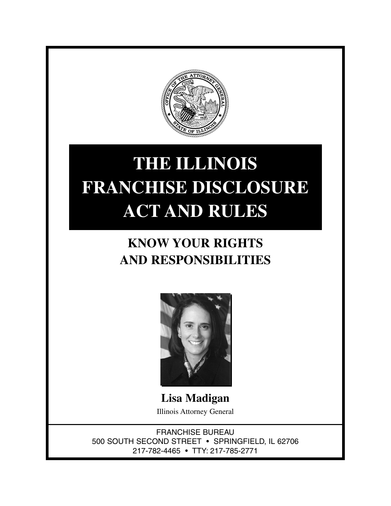

# **THE ILLINOIS FRANCHISE DISCLOSURE ACT AND RULES**

## **KNOW YOUR RIGHTS AND RESPONSIBILITIES**



**Lisa Madigan** Illinois Attorney General

FRANCHISE BUREAU 500 SOUTH SECOND STREET • SPRINGFIELD, IL 62706 217-782-4465 • TTY: 217-785-2771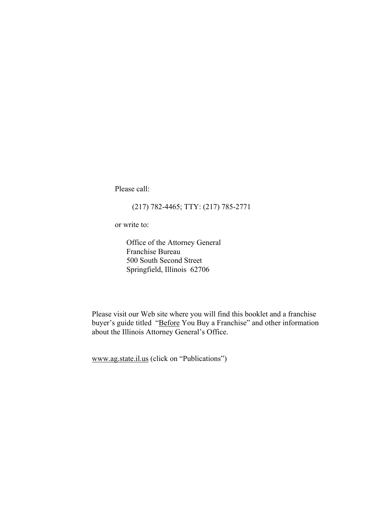Please call:

(217) 782-4465; TTY: (217) 785-2771

or write to:

Office of the Attorney General Franchise Bureau 500 South Second Street Springfield, Illinois 62706

 Please visit our Web site where you will find this booklet and a franchise buyer's guide titled "Before You Buy a Franchise" and other information about the Illinois Attorney General's Office.

www.ag.state.il.us (click on "Publications")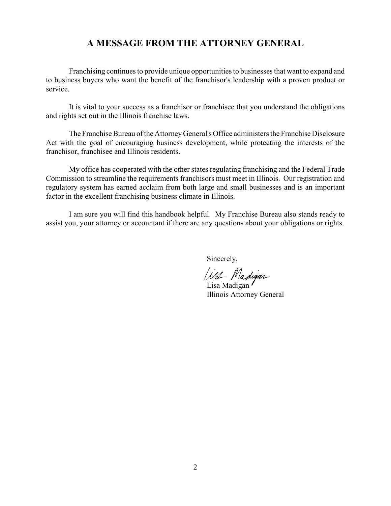### **A MESSAGE FROM THE ATTORNEY GENERAL**

Franchising continues to provide unique opportunities to businesses that want to expand and to business buyers who want the benefit of the franchisor's leadership with a proven product or service.

It is vital to your success as a franchisor or franchisee that you understand the obligations and rights set out in the Illinois franchise laws.

The Franchise Bureau of the Attorney General's Office administers the Franchise Disclosure Act with the goal of encouraging business development, while protecting the interests of the franchisor, franchisee and Illinois residents.

My office has cooperated with the other states regulating franchising and the Federal Trade Commission to streamline the requirements franchisors must meet in Illinois. Our registration and regulatory system has earned acclaim from both large and small businesses and is an important factor in the excellent franchising business climate in Illinois.

I am sure you will find this handbook helpful. My Franchise Bureau also stands ready to assist you, your attorney or accountant if there are any questions about your obligations or rights.

Sincerely,

Lisa Madigan

Illinois Attorney General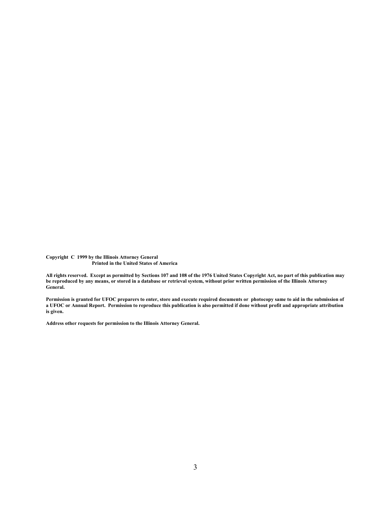**Copyright C 1999 by the Illinois Attorney General Printed in the United States of America**

**All rights reserved. Except as permitted by Sections 107 and 108 of the 1976 United States Copyright Act, no part of this publication may be reproduced by any means, or stored in a database or retrieval system, without prior written permission of the Illinois Attorney General.**

**Permission is granted for UFOC preparers to enter, store and execute required documents or photocopy same to aid in the submission of a UFOC or Annual Report. Permission to reproduce this publication is also permitted if done without profit and appropriate attribution is given.**

**Address other requests for permission to the Illinois Attorney General.**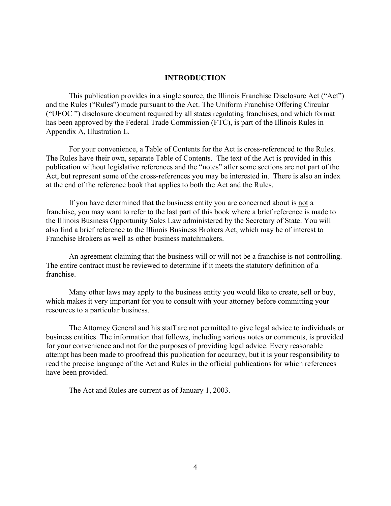#### **INTRODUCTION**

This publication provides in a single source, the Illinois Franchise Disclosure Act ("Act") and the Rules ("Rules") made pursuant to the Act. The Uniform Franchise Offering Circular ("UFOC ") disclosure document required by all states regulating franchises, and which format has been approved by the Federal Trade Commission (FTC), is part of the Illinois Rules in Appendix A, Illustration L.

For your convenience, a Table of Contents for the Act is cross-referenced to the Rules. The Rules have their own, separate Table of Contents. The text of the Act is provided in this publication without legislative references and the "notes" after some sections are not part of the Act, but represent some of the cross-references you may be interested in. There is also an index at the end of the reference book that applies to both the Act and the Rules.

If you have determined that the business entity you are concerned about is not a franchise, you may want to refer to the last part of this book where a brief reference is made to the Illinois Business Opportunity Sales Law administered by the Secretary of State. You will also find a brief reference to the Illinois Business Brokers Act, which may be of interest to Franchise Brokers as well as other business matchmakers.

An agreement claiming that the business will or will not be a franchise is not controlling. The entire contract must be reviewed to determine if it meets the statutory definition of a franchise.

Many other laws may apply to the business entity you would like to create, sell or buy, which makes it very important for you to consult with your attorney before committing your resources to a particular business.

The Attorney General and his staff are not permitted to give legal advice to individuals or business entities. The information that follows, including various notes or comments, is provided for your convenience and not for the purposes of providing legal advice. Every reasonable attempt has been made to proofread this publication for accuracy, but it is your responsibility to read the precise language of the Act and Rules in the official publications for which references have been provided.

The Act and Rules are current as of January 1, 2003.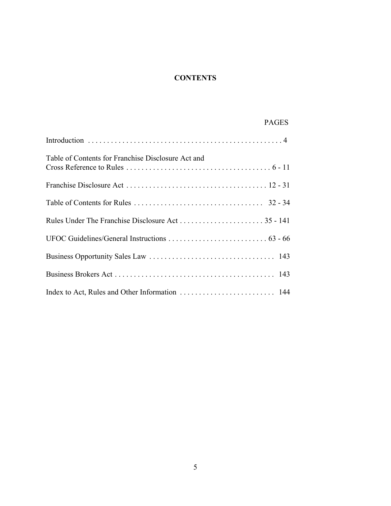### **CONTENTS**

### PAGES

| Table of Contents for Franchise Disclosure Act and |  |
|----------------------------------------------------|--|
|                                                    |  |
|                                                    |  |
|                                                    |  |
|                                                    |  |
|                                                    |  |
|                                                    |  |
|                                                    |  |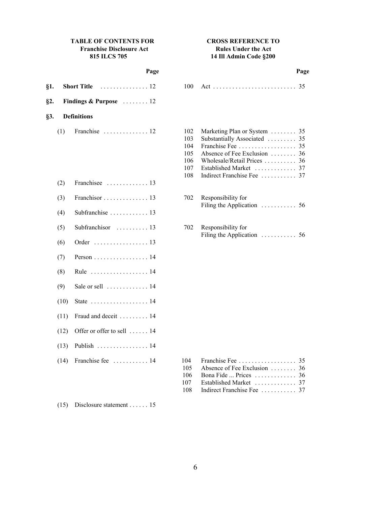#### **TABLE OF CONTENTS FOR CROSS REFERENCE TO Franchise Disclosure Act** Rules Under the Act  **815 ILCS 705 14 Ill Admin Code §200**

#### **Page Page Page 2012**

|  |  |  | 100 |  |  |
|--|--|--|-----|--|--|
|--|--|--|-----|--|--|

- **§2. Findings & Purpose** . . . . . . . . 12
- **§3. Definitions**

| (1)<br>Franchise |  |  |  |  |  |  |  |  |  |  |  |  |  |  | . 12 |  |
|------------------|--|--|--|--|--|--|--|--|--|--|--|--|--|--|------|--|
|------------------|--|--|--|--|--|--|--|--|--|--|--|--|--|--|------|--|

103 Substantially Associated . . . . . . . . . 35 104 Franchise Fee . . . . . . . . . . . . . . . . . . 35 105 Absence of Fee Exclusion . . . . . . . . 36 106 Wholesale/Retail Prices . . . . . . . . . . 36 107 Established Market . . . . . . . . . . . . . 37 108 Indirect Franchise Fee . . . . . . . . . . . 37

102 Marketing Plan or System . . . . . . . . 35

Filing the Application . . . . . . . . . . . 56

| Subfranchisor $\dots \dots \dots 13$ | 702 Responsibility for                              |  |
|--------------------------------------|-----------------------------------------------------|--|
|                                      | Filing the Application $\dots \dots \dots \dots$ 56 |  |

(3) Franchisor . . . . . . . . . . . . . . 13 702 Responsibility for

(2) Franchisee . . . . . . . . . . . . . 13

- (4) Subfranchise . . . . . . . . . . . . 13
- $(5)$  Subfranchisor . . . . . . . . . 13
- (6) Order . . . . . . . . . . . . . . . . . 13
- (7) Person . . . . . . . . . . . . . . . . . 14
- (8) Rule . . . . . . . . . . . . . . . . . . 14
- (9) Sale or sell  $\dots \dots \dots \dots 14$
- (10) State . . . . . . . . . . . . . . . . . . 14
- $(11)$  Fraud and deceit . . . . . . . . . 14
- (12) Offer or offer to sell  $\dots$  . 14
- (13) Publish . . . . . . . . . . . . . . . . 14
- 
- (14) Franchise fee . . . . . . . . . . . 14 104 Franchise Fee . . . . . . . . . . . . . . . . . . 35 105 Absence of Fee Exclusion . . . . . . . . 36 106 Bona Fide ... Prices . . . . . . . . . . . . . 36 107 Established Market . . . . . . . . . . . . 37 108 Indirect Franchise Fee . . . . . . . . . . . 37
- (15) Disclosure statement . . . . . . 15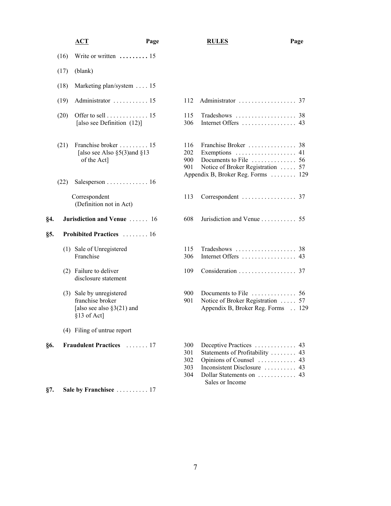|        |      | ACT                                                                                         | Page |                                 | <b>RULES</b>                                                                                                                                    | Page                       |
|--------|------|---------------------------------------------------------------------------------------------|------|---------------------------------|-------------------------------------------------------------------------------------------------------------------------------------------------|----------------------------|
|        | (16) | Write or written $\dots \dots \dots 15$                                                     |      |                                 |                                                                                                                                                 |                            |
|        | (17) | (blank)                                                                                     |      |                                 |                                                                                                                                                 |                            |
|        | (18) | Marketing plan/system  15                                                                   |      |                                 |                                                                                                                                                 |                            |
|        | (19) | Administrator  15                                                                           |      | 112                             |                                                                                                                                                 |                            |
|        | (20) | Offer to sell 15<br>[also see Definition (12)]                                              |      | 115<br>306                      | Internet Offers                                                                                                                                 | 43                         |
|        | (21) | Franchise broker 15<br>[also see Also $\S5(3)$ and $\S13$<br>of the Act]                    |      | 116<br>202<br>900<br>901        | Exemptions<br>Documents to File<br>Notice of Broker Registration<br>Appendix B, Broker Reg. Forms  129                                          | 41<br>56<br>57             |
|        | (22) | Salesperson $\dots \dots \dots \dots \dots 16$                                              |      |                                 |                                                                                                                                                 |                            |
|        |      | Correspondent<br>(Definition not in Act)                                                    |      | 113                             |                                                                                                                                                 |                            |
| §4.    |      | Jurisdiction and Venue  16                                                                  |      | 608                             | Jurisdiction and Venue                                                                                                                          | 55                         |
| $§$ 5. |      | <b>Prohibited Practices</b> 16                                                              |      |                                 |                                                                                                                                                 |                            |
|        |      | (1) Sale of Unregistered<br>Franchise                                                       |      | 115<br>306                      | Tradeshows<br>Internet Offers                                                                                                                   | 38<br>43                   |
|        |      | (2) Failure to deliver<br>disclosure statement                                              |      | 109                             | Consideration 37                                                                                                                                |                            |
|        |      | (3) Sale by unregistered<br>franchise broker<br>[also see also $\S3(21)$ and<br>§13 of Act] |      | 900<br>901                      | Documents to File<br>Notice of Broker Registration<br>Appendix B, Broker Reg. Forms 129                                                         | 56<br>57                   |
|        |      | (4) Filing of untrue report                                                                 |      |                                 |                                                                                                                                                 |                            |
| §6.    |      | <b>Fraudulent Practices</b>                                                                 | . 17 | 300<br>301<br>302<br>303<br>304 | Deceptive Practices<br>Statements of Profitability<br>Opinions of Counsel<br>Inconsistent Disclosure<br>Dollar Statements on<br>Sales or Income | 43<br>43<br>43<br>43<br>43 |
| §7.    |      | Sale by Franchisee  17                                                                      |      |                                 |                                                                                                                                                 |                            |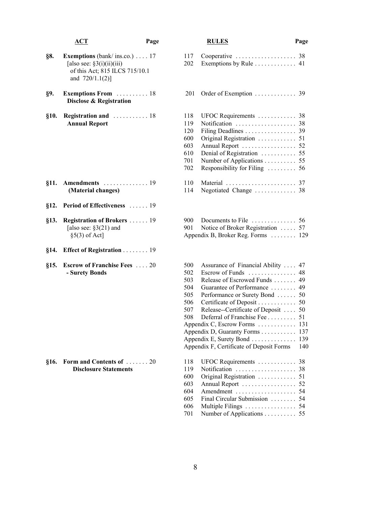|      | ACT                                                                                                                                  | Page |                                                      | <b>RULES</b>                                                                                                                                                                                                                                                                                                                                                                            | Page                                      |
|------|--------------------------------------------------------------------------------------------------------------------------------------|------|------------------------------------------------------|-----------------------------------------------------------------------------------------------------------------------------------------------------------------------------------------------------------------------------------------------------------------------------------------------------------------------------------------------------------------------------------------|-------------------------------------------|
| §8.  | <b>Exemptions</b> (bank/ ins.co.) $\dots$ 17<br>[also see: $\S3(i)(ii)(iii)$<br>of this Act; 815 ILCS 715/10.1<br>and $720/1.1(2)$ ] |      | 117<br>202                                           | Exemptions by Rule 41                                                                                                                                                                                                                                                                                                                                                                   |                                           |
| §9.  | <b>Exemptions From</b> 18<br><b>Disclose &amp; Registration</b>                                                                      |      | 201                                                  | Order of Exemption 39                                                                                                                                                                                                                                                                                                                                                                   |                                           |
| §10. | Registration and  18<br><b>Annual Report</b>                                                                                         |      | 118<br>119<br>120<br>600<br>603<br>610<br>701<br>702 | Filing Deadlines 39<br>Original Registration  51<br>Annual Report  52<br>Number of Applications 55<br>Responsibility for Filing  56                                                                                                                                                                                                                                                     |                                           |
| §11. | Amendments  19<br>(Material changes)                                                                                                 |      | 110<br>114                                           | Negotiated Change  38                                                                                                                                                                                                                                                                                                                                                                   |                                           |
| §12. | Period of Effectiveness  19                                                                                                          |      |                                                      |                                                                                                                                                                                                                                                                                                                                                                                         |                                           |
| §13. | <b>Registration of Brokers</b> 19<br>[also see: $\S3(21)$ and<br>$\S5(3)$ of Act]                                                    |      | 900<br>901                                           | Documents to File $\dots \dots \dots \dots 56$<br>Notice of Broker Registration  57<br>Appendix B, Broker Reg. Forms  129                                                                                                                                                                                                                                                               |                                           |
| §14. | <b>Effect of Registration</b> 19                                                                                                     |      |                                                      |                                                                                                                                                                                                                                                                                                                                                                                         |                                           |
| §15. | <b>Escrow of Franchise Fees</b> 20<br>- Surety Bonds                                                                                 |      | 500<br>502<br>503<br>504<br>505<br>506<br>507<br>508 | Assurance of Financial Ability  47<br>Escrow of Funds<br>Release of Escrowed Funds<br>Guarantee of Performance<br>Performance or Surety Bond  50<br>Certificate of Deposit<br>Release--Certificate of Deposit  50<br>Deferral of Franchise Fee 51<br>Appendix C, Escrow Forms  131<br>Appendix D, Guaranty Forms<br>Appendix E, Surety Bond<br>Appendix F, Certificate of Deposit Forms | 48<br>49<br>49<br>50<br>137<br>139<br>140 |
| §16. | Form and Contents of  20<br><b>Disclosure Statements</b>                                                                             |      | 118<br>119<br>600                                    | UFOC Requirements<br>Original Registration  51                                                                                                                                                                                                                                                                                                                                          | 38                                        |

| <b>RULES</b>                                                                                                                                                                                                                                                          | Page                                                                                                                                 |
|-----------------------------------------------------------------------------------------------------------------------------------------------------------------------------------------------------------------------------------------------------------------------|--------------------------------------------------------------------------------------------------------------------------------------|
| Cooperative<br>Exemptions by Rule 41                                                                                                                                                                                                                                  | 38                                                                                                                                   |
| Order of Exemption                                                                                                                                                                                                                                                    | 39                                                                                                                                   |
| UFOC Requirements<br>Notification<br>Filing Deadlines<br>Original Registration<br>Annual Report<br>Denial of Registration<br>Number of Applications<br>Responsibility for Filing                                                                                      | 38<br>38<br>39<br>51<br>52<br>55<br>55<br>56                                                                                         |
| Material<br>Negotiated Change                                                                                                                                                                                                                                         | 37<br>38                                                                                                                             |
| Documents to File<br>Notice of Broker Registration<br>Appendix B, Broker Reg. Forms                                                                                                                                                                                   | 56<br>57<br>129                                                                                                                      |
| Assurance of Financial Ability<br><b>Escrow of Funds</b><br>Release of Escrowed Funds<br>Guarantee of Performance<br>Performance or Surety Bond<br>Certificate of Deposit<br>Release--Certificate of Deposit<br>Deferral of Franchise Fee<br>Appendix C, Escrow Forms | 47<br>48<br>49<br>49<br>50<br>50<br>50<br>51<br>131<br>137                                                                           |
|                                                                                                                                                                                                                                                                       | $\begin{array}{cccccccccccccc} . & . & . & . & . & . & . & . & . & . & . & . & . & . \end{array}$<br>.<br>Appendix D, Guaranty Forms |

603 Annual Report . . . . . . . . . . . . . . . . . 52 604 Amendment . . . . . . . . . . . . . . . . . . . 54 605 Final Circular Submission . . . . . . . . 54 606 Multiple Filings . . . . . . . . . . . . . . . . 54 701 Number of Applications . . . . . . . . . . 55

#### 8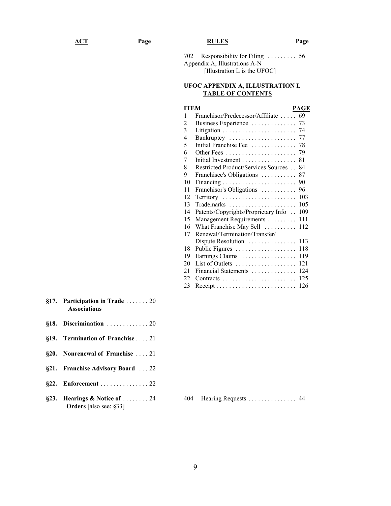702 Responsibility for Filing . . . . . . . . . 56 Appendix A, Illustrations A-N [Illustration L is the UFOC]

#### **UFOC APPENDIX A, ILLUSTRATION L TABLE OF CONTENTS**

| <b>ITEM</b> | PAGE                                                            |
|-------------|-----------------------------------------------------------------|
|             | Franchisor/Predecessor/Affiliate  69                            |
| 2           |                                                                 |
| 3           |                                                                 |
| 4           |                                                                 |
| 5           |                                                                 |
| 6           |                                                                 |
| 7           | Initial Investment 81                                           |
| 8           | Restricted Product/Services Sources 84                          |
| 9           | Franchisee's Obligations  87                                    |
| 10          |                                                                 |
| 11          |                                                                 |
| 12          |                                                                 |
| 13          | Trademarks<br>105                                               |
| 14          | Patents/Copyrights/Proprietary Info 109                         |
| 15          | Management Requirements  111                                    |
| 16          | What Franchise May Sell  112                                    |
| 17          | Renewal/Termination/Transfer/                                   |
|             | Dispute Resolution $\dots \dots \dots \dots \dots 113$          |
| 18          |                                                                 |
| 19          | Earnings Claims  119                                            |
| 20          | List of Outlets $\dots \dots \dots \dots \dots \dots \dots 121$ |
| 21          | Financial Statements  124                                       |
| 22          |                                                                 |
| 23          |                                                                 |

- **§17. Participation in Trade** . . . . . . . 20  **Associations**
- **§18. Discrimination** . . . . . . . . . . . . . 20
- **§19. Termination of Franchise** . . . . 21
- **§20. Nonrenewal of Franchise** . . . . 21
- **§21. Franchise Advisory Board** . . . 22
- **§22. Enforcement** . . . . . . . . . . . . . . . 22
- **§23. Hearings & Notice of** . . . . . . . . 24 404 Hearing Requests . . . . . . . . . . . . . . 44  **Orders** [also see: §33]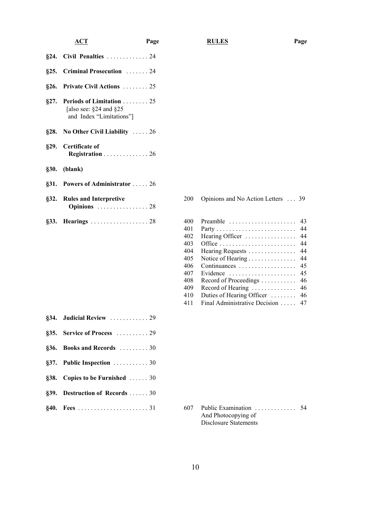|      | <u>ACT</u>                                                                             | Page |                                                                                  | <b>RULES</b>                                                                                                                                                                                                           | Page                                                                 |
|------|----------------------------------------------------------------------------------------|------|----------------------------------------------------------------------------------|------------------------------------------------------------------------------------------------------------------------------------------------------------------------------------------------------------------------|----------------------------------------------------------------------|
| 824. | Civil Penalties  24                                                                    |      |                                                                                  |                                                                                                                                                                                                                        |                                                                      |
| §25. | Criminal Prosecution  24                                                               |      |                                                                                  |                                                                                                                                                                                                                        |                                                                      |
| §26. | Private Civil Actions  25                                                              |      |                                                                                  |                                                                                                                                                                                                                        |                                                                      |
| §27. | Periods of Limitation 25<br>[also see: $\S$ 24 and $\S$ 25<br>and Index "Limitations"] |      |                                                                                  |                                                                                                                                                                                                                        |                                                                      |
| §28. | No Other Civil Liability  26                                                           |      |                                                                                  |                                                                                                                                                                                                                        |                                                                      |
| §29. | Certificate of<br>Registration $\ldots \ldots \ldots \ldots 26$                        |      |                                                                                  |                                                                                                                                                                                                                        |                                                                      |
| §30. | (blank)                                                                                |      |                                                                                  |                                                                                                                                                                                                                        |                                                                      |
| §31. | Powers of Administrator  26                                                            |      |                                                                                  |                                                                                                                                                                                                                        |                                                                      |
| §32. | <b>Rules and Interpretive</b><br>Opinions 28                                           |      | <b>200</b>                                                                       | Opinions and No Action Letters  39                                                                                                                                                                                     |                                                                      |
| §33. | Hearings 28                                                                            |      | 400<br>401<br>402<br>403<br>404<br>405<br>406<br>407<br>408<br>409<br>410<br>411 | Preamble<br>Hearing Officer<br>Office<br>Hearing Requests<br>Notice of Hearing<br>Continuances<br>Evidence<br>Record of Proceedings<br>Record of Hearing<br>Duties of Hearing Officer<br>Final Administrative Decision | 43<br>44<br>44<br>44<br>44<br>44<br>45<br>45<br>46<br>46<br>46<br>47 |
| §34. | Judicial Review  29                                                                    |      |                                                                                  |                                                                                                                                                                                                                        |                                                                      |
| §35. | Service of Process  29                                                                 |      |                                                                                  |                                                                                                                                                                                                                        |                                                                      |
| §36. | <b>Books and Records</b> 30                                                            |      |                                                                                  |                                                                                                                                                                                                                        |                                                                      |
| §37. | Public Inspection  30                                                                  |      |                                                                                  |                                                                                                                                                                                                                        |                                                                      |
| §38. | Copies to be Furnished  30                                                             |      |                                                                                  |                                                                                                                                                                                                                        |                                                                      |
| §39. | Destruction of Records  30                                                             |      |                                                                                  |                                                                                                                                                                                                                        |                                                                      |
| §40. |                                                                                        |      | 607                                                                              | Public Examination<br>And Photocopying of<br><b>Disclosure Statements</b>                                                                                                                                              | 54                                                                   |

10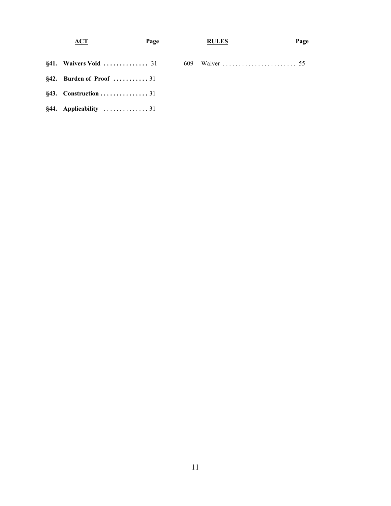| ACT | Page | <b>RULES</b> | Page |
|-----|------|--------------|------|
|     |      |              |      |
|     |      |              |      |
|     |      |              |      |
|     |      |              |      |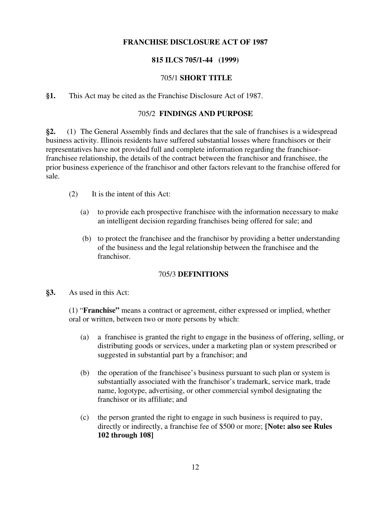#### **FRANCHISE DISCLOSURE ACT OF 1987**

#### **815 ILCS 705/1-44 (1999)**

#### 705/1 **SHORT TITLE**

**§1.** This Act may be cited as the Franchise Disclosure Act of 1987.

#### 705/2 **FINDINGS AND PURPOSE**

**§2.** (1) The General Assembly finds and declares that the sale of franchises is a widespread business activity. Illinois residents have suffered substantial losses where franchisors or their representatives have not provided full and complete information regarding the franchisorfranchisee relationship, the details of the contract between the franchisor and franchisee, the prior business experience of the franchisor and other factors relevant to the franchise offered for sale.

- (2) It is the intent of this Act:
	- (a) to provide each prospective franchisee with the information necessary to make an intelligent decision regarding franchises being offered for sale; and
	- (b) to protect the franchisee and the franchisor by providing a better understanding of the business and the legal relationship between the franchisee and the franchisor.

#### 705/3 **DEFINITIONS**

**§3.** As used in this Act:

(1) "**Franchise"** means a contract or agreement, either expressed or implied, whether oral or written, between two or more persons by which:

- (a) a franchisee is granted the right to engage in the business of offering, selling, or distributing goods or services, under a marketing plan or system prescribed or suggested in substantial part by a franchisor; and
- (b) the operation of the franchisee's business pursuant to such plan or system is substantially associated with the franchisor's trademark, service mark, trade name, logotype, advertising, or other commercial symbol designating the franchisor or its affiliate; and
- (c) the person granted the right to engage in such business is required to pay, directly or indirectly, a franchise fee of \$500 or more; **[Note: also see Rules 102 through 108]**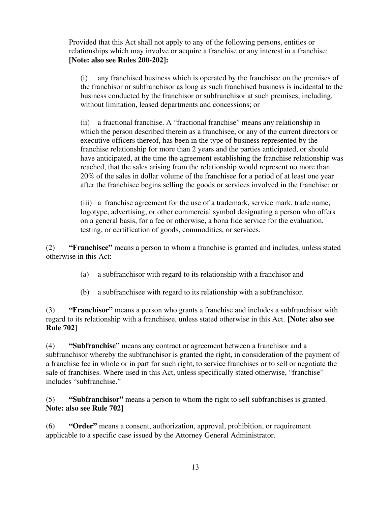Provided that this Act shall not apply to any of the following persons, entities or relationships which may involve or acquire a franchise or any interest in a franchise: **[Note: also see Rules 200-202]:**

 (i) any franchised business which is operated by the franchisee on the premises of the franchisor or subfranchisor as long as such franchised business is incidental to the business conducted by the franchisor or subfranchisor at such premises, including, without limitation, leased departments and concessions; or

 (ii) a fractional franchise. A "fractional franchise" means any relationship in which the person described therein as a franchisee, or any of the current directors or executive officers thereof, has been in the type of business represented by the franchise relationship for more than 2 years and the parties anticipated, or should have anticipated, at the time the agreement establishing the franchise relationship was reached, that the sales arising from the relationship would represent no more than 20% of the sales in dollar volume of the franchisee for a period of at least one year after the franchisee begins selling the goods or services involved in the franchise; or

 (iii) a franchise agreement for the use of a trademark, service mark, trade name, logotype, advertising, or other commercial symbol designating a person who offers on a general basis, for a fee or otherwise, a bona fide service for the evaluation, testing, or certification of goods, commodities, or services.

(2) **"Franchisee"** means a person to whom a franchise is granted and includes, unless stated otherwise in this Act:

- (a) a subfranchisor with regard to its relationship with a franchisor and
- (b) a subfranchisee with regard to its relationship with a subfranchisor.

(3) **"Franchisor"** means a person who grants a franchise and includes a subfranchisor with regard to its relationship with a franchisee, unless stated otherwise in this Act. **[Note: also see Rule 702]**

(4) **"Subfranchise"** means any contract or agreement between a franchisor and a subfranchisor whereby the subfranchisor is granted the right, in consideration of the payment of a franchise fee in whole or in part for such right, to service franchises or to sell or negotiate the sale of franchises. Where used in this Act, unless specifically stated otherwise, "franchise" includes "subfranchise."

(5) **"Subfranchisor"** means a person to whom the right to sell subfranchises is granted. **Note: also see Rule 702]**

(6) **"Order"** means a consent, authorization, approval, prohibition, or requirement applicable to a specific case issued by the Attorney General Administrator.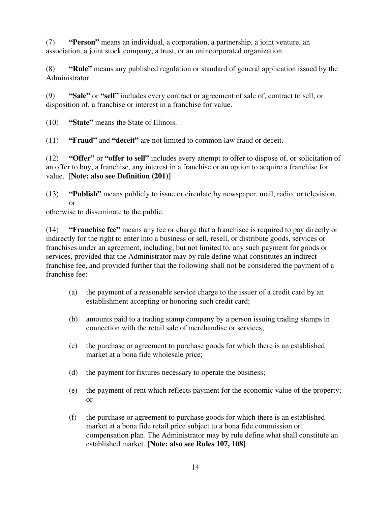(7) **"Person"** means an individual, a corporation, a partnership, a joint venture, an association, a joint stock company, a trust, or an unincorporated organization.

(8) **"Rule"** means any published regulation or standard of general application issued by the Administrator.

(9) **"Sale"** or **"sell"** includes every contract or agreement of sale of, contract to sell, or disposition of, a franchise or interest in a franchise for value.

(10) **"State"** means the State of Illinois.

(11) **"Fraud"** and **"deceit"** are not limited to common law fraud or deceit.

(12) **"Offer"** or **"offer to sell"** includes every attempt to offer to dispose of, or solicitation of an offer to buy, a franchise, any interest in a franchise or an option to acquire a franchise for value. **[Note: also see Definition (201)]**

(13) **"Publish"** means publicly to issue or circulate by newspaper, mail, radio, or television, or

otherwise to disseminate to the public.

(14) **"Franchise fee"** means any fee or charge that a franchisee is required to pay directly or indirectly for the right to enter into a business or sell, resell, or distribute goods, services or franchises under an agreement, including, but not limited to, any such payment for goods or services, provided that the Administrator may by rule define what constitutes an indirect franchise fee, and provided further that the following shall not be considered the payment of a franchise fee:

- (a) the payment of a reasonable service charge to the issuer of a credit card by an establishment accepting or honoring such credit card;
- (b) amounts paid to a trading stamp company by a person issuing trading stamps in connection with the retail sale of merchandise or services;
- (c) the purchase or agreement to purchase goods for which there is an established market at a bona fide wholesale price;
- (d) the payment for fixtures necessary to operate the business;
- (e) the payment of rent which reflects payment for the economic value of the property; or
- (f) the purchase or agreement to purchase goods for which there is an established market at a bona fide retail price subject to a bona fide commission or compensation plan. The Administrator may by rule define what shall constitute an established market. **[Note: also see Rules 107, 108]**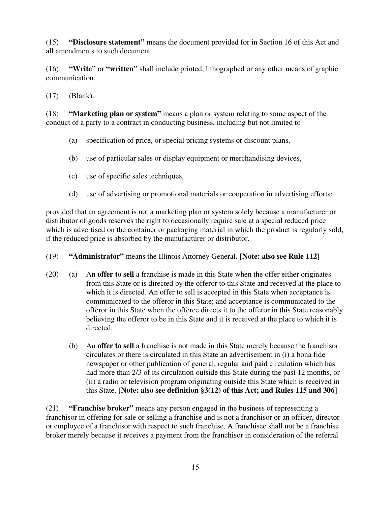(15) **"Disclosure statement"** means the document provided for in Section 16 of this Act and all amendments to such document.

(16) **"Write"** or **"written"** shall include printed, lithographed or any other means of graphic communication.

(17) (Blank).

(18) **"Marketing plan or system"** means a plan or system relating to some aspect of the conduct of a party to a contract in conducting business, including but not limited to

- (a) specification of price, or special pricing systems or discount plans,
- (b) use of particular sales or display equipment or merchandising devices,
- (c) use of specific sales techniques,
- (d) use of advertising or promotional materials or cooperation in advertising efforts;

provided that an agreement is not a marketing plan or system solely because a manufacturer or distributor of goods reserves the right to occasionally require sale at a special reduced price which is advertised on the container or packaging material in which the product is regularly sold, if the reduced price is absorbed by the manufacturer or distributor.

- (19) **"Administrator"** means the Illinois Attorney General. **[Note: also see Rule 112]**
- (20) (a) An **offer to sell** a franchise is made in this State when the offer either originates from this State or is directed by the offeror to this State and received at the place to which it is directed. An offer to sell is accepted in this State when acceptance is communicated to the offeror in this State; and acceptance is communicated to the offeror in this State when the offeree directs it to the offeror in this State reasonably believing the offeror to be in this State and it is received at the place to which it is directed.
	- (b) An **offer to sell** a franchise is not made in this State merely because the franchisor circulates or there is circulated in this State an advertisement in (i) a bona fide newspaper or other publication of general, regular and paid circulation which has had more than 2/3 of its circulation outside this State during the past 12 months, or (ii) a radio or television program originating outside this State which is received in this State. [**Note: also see definition §3(12) of this Act; and Rules 115 and 306]**

(21) **"Franchise broker"** means any person engaged in the business of representing a franchisor in offering for sale or selling a franchise and is not a franchisor or an officer, director or employee of a franchisor with respect to such franchise. A franchisee shall not be a franchise broker merely because it receives a payment from the franchisor in consideration of the referral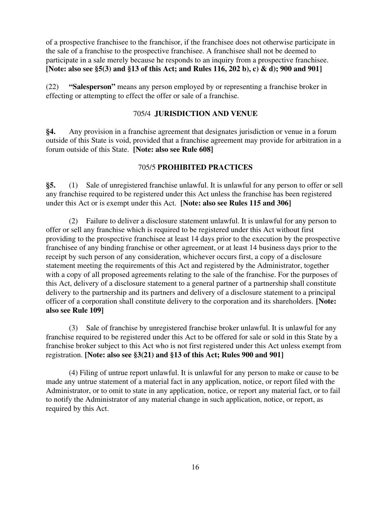of a prospective franchisee to the franchisor, if the franchisee does not otherwise participate in the sale of a franchise to the prospective franchisee. A franchisee shall not be deemed to participate in a sale merely because he responds to an inquiry from a prospective franchisee. **[Note: also see §5(3) and §13 of this Act; and Rules 116, 202 b), c) & d); 900 and 901]**

(22) **"Salesperson"** means any person employed by or representing a franchise broker in effecting or attempting to effect the offer or sale of a franchise.

#### 705/4 **JURISDICTION AND VENUE**

**§4.** Any provision in a franchise agreement that designates jurisdiction or venue in a forum outside of this State is void, provided that a franchise agreement may provide for arbitration in a forum outside of this State. **[Note: also see Rule 608]**

### 705/5 **PROHIBITED PRACTICES**

**§5.** (1) Sale of unregistered franchise unlawful. It is unlawful for any person to offer or sell any franchise required to be registered under this Act unless the franchise has been registered under this Act or is exempt under this Act. **[Note: also see Rules 115 and 306]** 

(2) Failure to deliver a disclosure statement unlawful. It is unlawful for any person to offer or sell any franchise which is required to be registered under this Act without first providing to the prospective franchisee at least 14 days prior to the execution by the prospective franchisee of any binding franchise or other agreement, or at least 14 business days prior to the receipt by such person of any consideration, whichever occurs first, a copy of a disclosure statement meeting the requirements of this Act and registered by the Administrator, together with a copy of all proposed agreements relating to the sale of the franchise. For the purposes of this Act, delivery of a disclosure statement to a general partner of a partnership shall constitute delivery to the partnership and its partners and delivery of a disclosure statement to a principal officer of a corporation shall constitute delivery to the corporation and its shareholders. **[Note: also see Rule 109]**

(3) Sale of franchise by unregistered franchise broker unlawful. It is unlawful for any franchise required to be registered under this Act to be offered for sale or sold in this State by a franchise broker subject to this Act who is not first registered under this Act unless exempt from registration. **[Note: also see §3(21) and §13 of this Act; Rules 900 and 901]**

(4) Filing of untrue report unlawful. It is unlawful for any person to make or cause to be made any untrue statement of a material fact in any application, notice, or report filed with the Administrator, or to omit to state in any application, notice, or report any material fact, or to fail to notify the Administrator of any material change in such application, notice, or report, as required by this Act.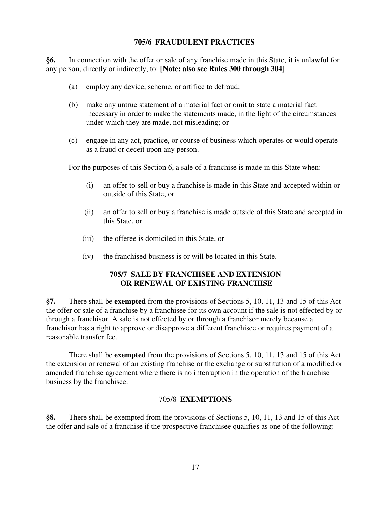#### **705/6 FRAUDULENT PRACTICES**

**§6.** In connection with the offer or sale of any franchise made in this State, it is unlawful for any person, directly or indirectly, to: **[Note: also see Rules 300 through 304]**

- (a) employ any device, scheme, or artifice to defraud;
- (b) make any untrue statement of a material fact or omit to state a material fact necessary in order to make the statements made, in the light of the circumstances under which they are made, not misleading; or
- (c) engage in any act, practice, or course of business which operates or would operate as a fraud or deceit upon any person.

For the purposes of this Section 6, a sale of a franchise is made in this State when:

- (i) an offer to sell or buy a franchise is made in this State and accepted within or outside of this State, or
- (ii) an offer to sell or buy a franchise is made outside of this State and accepted in this State, or
- (iii) the offeree is domiciled in this State, or
- (iv) the franchised business is or will be located in this State.

### **705/7 SALE BY FRANCHISEE AND EXTENSION OR RENEWAL OF EXISTING FRANCHISE**

**§7.** There shall be **exempted** from the provisions of Sections 5, 10, 11, 13 and 15 of this Act the offer or sale of a franchise by a franchisee for its own account if the sale is not effected by or through a franchisor. A sale is not effected by or through a franchisor merely because a franchisor has a right to approve or disapprove a different franchisee or requires payment of a reasonable transfer fee.

There shall be **exempted** from the provisions of Sections 5, 10, 11, 13 and 15 of this Act the extension or renewal of an existing franchise or the exchange or substitution of a modified or amended franchise agreement where there is no interruption in the operation of the franchise business by the franchisee.

#### 705/8 **EXEMPTIONS**

**§8.** There shall be exempted from the provisions of Sections 5, 10, 11, 13 and 15 of this Act the offer and sale of a franchise if the prospective franchisee qualifies as one of the following: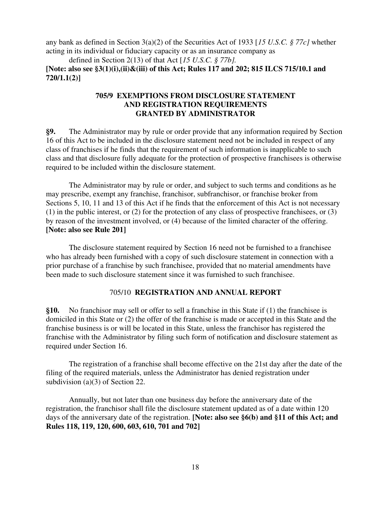any bank as defined in Section 3(a)(2) of the Securities Act of 1933 [*15 U.S.C. § 77c]* whether acting in its individual or fiduciary capacity or as an insurance company as

### defined in Section 2(13) of that Act [*15 U.S.C. § 77b].* **[Note: also see §3(1)(i),(ii)&(iii) of this Act; Rules 117 and 202; 815 ILCS 715/10.1 and 720/1.1(2)]**

#### **705/9 EXEMPTIONS FROM DISCLOSURE STATEMENT AND REGISTRATION REQUIREMENTS GRANTED BY ADMINISTRATOR**

**§9.** The Administrator may by rule or order provide that any information required by Section 16 of this Act to be included in the disclosure statement need not be included in respect of any class of franchises if he finds that the requirement of such information is inapplicable to such class and that disclosure fully adequate for the protection of prospective franchisees is otherwise required to be included within the disclosure statement.

The Administrator may by rule or order, and subject to such terms and conditions as he may prescribe, exempt any franchise, franchisor, subfranchisor, or franchise broker from Sections 5, 10, 11 and 13 of this Act if he finds that the enforcement of this Act is not necessary (1) in the public interest, or (2) for the protection of any class of prospective franchisees, or (3) by reason of the investment involved, or (4) because of the limited character of the offering. **[Note: also see Rule 201]**

The disclosure statement required by Section 16 need not be furnished to a franchisee who has already been furnished with a copy of such disclosure statement in connection with a prior purchase of a franchise by such franchisee, provided that no material amendments have been made to such disclosure statement since it was furnished to such franchisee.

#### 705/10 **REGISTRATION AND ANNUAL REPORT**

**§10.** No franchisor may sell or offer to sell a franchise in this State if (1) the franchisee is domiciled in this State or (2) the offer of the franchise is made or accepted in this State and the franchise business is or will be located in this State, unless the franchisor has registered the franchise with the Administrator by filing such form of notification and disclosure statement as required under Section 16.

The registration of a franchise shall become effective on the 21st day after the date of the filing of the required materials, unless the Administrator has denied registration under subdivision (a)(3) of Section 22.

Annually, but not later than one business day before the anniversary date of the registration, the franchisor shall file the disclosure statement updated as of a date within 120 days of the anniversary date of the registration. **[Note: also see §6(b) and §11 of this Act; and Rules 118, 119, 120, 600, 603, 610, 701 and 702]**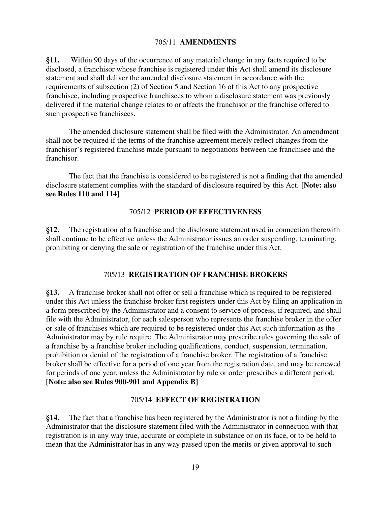#### 705/11 **AMENDMENTS**

**§11.** Within 90 days of the occurrence of any material change in any facts required to be disclosed, a franchisor whose franchise is registered under this Act shall amend its disclosure statement and shall deliver the amended disclosure statement in accordance with the requirements of subsection (2) of Section 5 and Section 16 of this Act to any prospective franchisee, including prospective franchisees to whom a disclosure statement was previously delivered if the material change relates to or affects the franchisor or the franchise offered to such prospective franchisees.

The amended disclosure statement shall be filed with the Administrator. An amendment shall not be required if the terms of the franchise agreement merely reflect changes from the franchisor's registered franchise made pursuant to negotiations between the franchisee and the franchisor.

The fact that the franchise is considered to be registered is not a finding that the amended disclosure statement complies with the standard of disclosure required by this Act. **[Note: also see Rules 110 and 114]**

#### 705/12 **PERIOD OF EFFECTIVENESS**

**§12.** The registration of a franchise and the disclosure statement used in connection therewith shall continue to be effective unless the Administrator issues an order suspending, terminating, prohibiting or denying the sale or registration of the franchise under this Act.

#### 705/13 **REGISTRATION OF FRANCHISE BROKERS**

**§13.** A franchise broker shall not offer or sell a franchise which is required to be registered under this Act unless the franchise broker first registers under this Act by filing an application in a form prescribed by the Administrator and a consent to service of process, if required, and shall file with the Administrator, for each salesperson who represents the franchise broker in the offer or sale of franchises which are required to be registered under this Act such information as the Administrator may by rule require. The Administrator may prescribe rules governing the sale of a franchise by a franchise broker including qualifications, conduct, suspension, termination, prohibition or denial of the registration of a franchise broker. The registration of a franchise broker shall be effective for a period of one year from the registration date, and may be renewed for periods of one year, unless the Administrator by rule or order prescribes a different period. **[Note: also see Rules 900-901 and Appendix B]**

#### 705/14 **EFFECT OF REGISTRATION**

**§14.** The fact that a franchise has been registered by the Administrator is not a finding by the Administrator that the disclosure statement filed with the Administrator in connection with that registration is in any way true, accurate or complete in substance or on its face, or to be held to mean that the Administrator has in any way passed upon the merits or given approval to such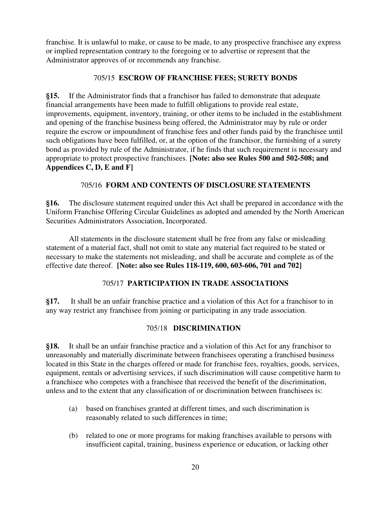franchise. It is unlawful to make, or cause to be made, to any prospective franchisee any express or implied representation contrary to the foregoing or to advertise or represent that the Administrator approves of or recommends any franchise.

#### 705/15 **ESCROW OF FRANCHISE FEES; SURETY BONDS**

**§15.** If the Administrator finds that a franchisor has failed to demonstrate that adequate financial arrangements have been made to fulfill obligations to provide real estate, improvements, equipment, inventory, training, or other items to be included in the establishment and opening of the franchise business being offered, the Administrator may by rule or order require the escrow or impoundment of franchise fees and other funds paid by the franchisee until such obligations have been fulfilled, or, at the option of the franchisor, the furnishing of a surety bond as provided by rule of the Administrator, if he finds that such requirement is necessary and appropriate to protect prospective franchisees. **[Note: also see Rules 500 and 502-508; and Appendices C, D, E and F]** 

#### 705/16 **FORM AND CONTENTS OF DISCLOSURE STATEMENTS**

**§16.** The disclosure statement required under this Act shall be prepared in accordance with the Uniform Franchise Offering Circular Guidelines as adopted and amended by the North American Securities Administrators Association, Incorporated.

All statements in the disclosure statement shall be free from any false or misleading statement of a material fact, shall not omit to state any material fact required to be stated or necessary to make the statements not misleading, and shall be accurate and complete as of the effective date thereof. **[Note: also see Rules 118-119, 600, 603-606, 701 and 702]**

### 705/17 **PARTICIPATION IN TRADE ASSOCIATIONS**

**§17.** It shall be an unfair franchise practice and a violation of this Act for a franchisor to in any way restrict any franchisee from joining or participating in any trade association.

#### 705/18 **DISCRIMINATION**

**§18.** It shall be an unfair franchise practice and a violation of this Act for any franchisor to unreasonably and materially discriminate between franchisees operating a franchised business located in this State in the charges offered or made for franchise fees, royalties, goods, services, equipment, rentals or advertising services, if such discrimination will cause competitive harm to a franchisee who competes with a franchisee that received the benefit of the discrimination, unless and to the extent that any classification of or discrimination between franchisees is:

- (a) based on franchises granted at different times, and such discrimination is reasonably related to such differences in time;
- (b) related to one or more programs for making franchises available to persons with insufficient capital, training, business experience or education, or lacking other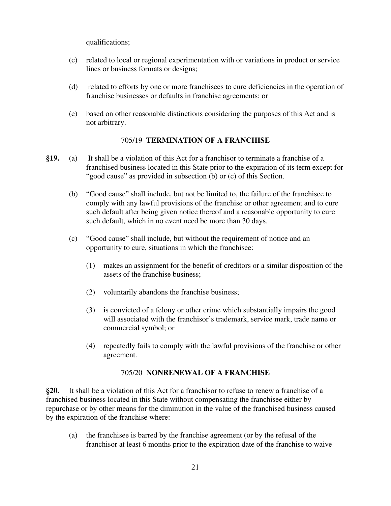qualifications;

- (c) related to local or regional experimentation with or variations in product or service lines or business formats or designs;
- (d) related to efforts by one or more franchisees to cure deficiencies in the operation of franchise businesses or defaults in franchise agreements; or
- (e) based on other reasonable distinctions considering the purposes of this Act and is not arbitrary.

#### 705/19 **TERMINATION OF A FRANCHISE**

- **§19.** (a) It shall be a violation of this Act for a franchisor to terminate a franchise of a franchised business located in this State prior to the expiration of its term except for "good cause" as provided in subsection (b) or (c) of this Section.
	- (b) "Good cause" shall include, but not be limited to, the failure of the franchisee to comply with any lawful provisions of the franchise or other agreement and to cure such default after being given notice thereof and a reasonable opportunity to cure such default, which in no event need be more than 30 days.
	- (c) "Good cause" shall include, but without the requirement of notice and an opportunity to cure, situations in which the franchisee:
		- (1) makes an assignment for the benefit of creditors or a similar disposition of the assets of the franchise business;
		- (2) voluntarily abandons the franchise business;
		- (3) is convicted of a felony or other crime which substantially impairs the good will associated with the franchisor's trademark, service mark, trade name or commercial symbol; or
		- (4) repeatedly fails to comply with the lawful provisions of the franchise or other agreement.

#### 705/20 **NONRENEWAL OF A FRANCHISE**

**§20.** It shall be a violation of this Act for a franchisor to refuse to renew a franchise of a franchised business located in this State without compensating the franchisee either by repurchase or by other means for the diminution in the value of the franchised business caused by the expiration of the franchise where:

(a) the franchisee is barred by the franchise agreement (or by the refusal of the franchisor at least 6 months prior to the expiration date of the franchise to waive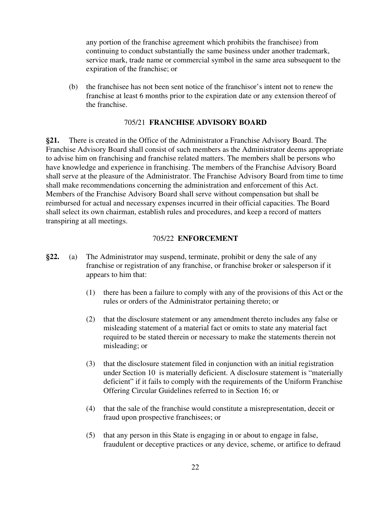any portion of the franchise agreement which prohibits the franchisee) from continuing to conduct substantially the same business under another trademark, service mark, trade name or commercial symbol in the same area subsequent to the expiration of the franchise; or

 (b) the franchisee has not been sent notice of the franchisor's intent not to renew the franchise at least 6 months prior to the expiration date or any extension thereof of the franchise.

#### 705/21 **FRANCHISE ADVISORY BOARD**

**§21.** There is created in the Office of the Administrator a Franchise Advisory Board. The Franchise Advisory Board shall consist of such members as the Administrator deems appropriate to advise him on franchising and franchise related matters. The members shall be persons who have knowledge and experience in franchising. The members of the Franchise Advisory Board shall serve at the pleasure of the Administrator. The Franchise Advisory Board from time to time shall make recommendations concerning the administration and enforcement of this Act. Members of the Franchise Advisory Board shall serve without compensation but shall be reimbursed for actual and necessary expenses incurred in their official capacities. The Board shall select its own chairman, establish rules and procedures, and keep a record of matters transpiring at all meetings.

#### 705/22 **ENFORCEMENT**

- **§22.** (a) The Administrator may suspend, terminate, prohibit or deny the sale of any franchise or registration of any franchise, or franchise broker or salesperson if it appears to him that:
	- (1) there has been a failure to comply with any of the provisions of this Act or the rules or orders of the Administrator pertaining thereto; or
	- (2) that the disclosure statement or any amendment thereto includes any false or misleading statement of a material fact or omits to state any material fact required to be stated therein or necessary to make the statements therein not misleading; or
	- (3) that the disclosure statement filed in conjunction with an initial registration under Section 10 is materially deficient. A disclosure statement is "materially deficient" if it fails to comply with the requirements of the Uniform Franchise Offering Circular Guidelines referred to in Section 16; or
	- (4) that the sale of the franchise would constitute a misrepresentation, deceit or fraud upon prospective franchisees; or
	- (5) that any person in this State is engaging in or about to engage in false, fraudulent or deceptive practices or any device, scheme, or artifice to defraud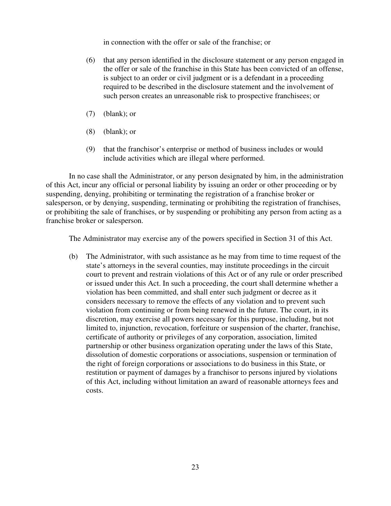in connection with the offer or sale of the franchise; or

- (6) that any person identified in the disclosure statement or any person engaged in the offer or sale of the franchise in this State has been convicted of an offense, is subject to an order or civil judgment or is a defendant in a proceeding required to be described in the disclosure statement and the involvement of such person creates an unreasonable risk to prospective franchisees; or
- (7) (blank); or
- (8) (blank); or
- (9) that the franchisor's enterprise or method of business includes or would include activities which are illegal where performed.

In no case shall the Administrator, or any person designated by him, in the administration of this Act, incur any official or personal liability by issuing an order or other proceeding or by suspending, denying, prohibiting or terminating the registration of a franchise broker or salesperson, or by denying, suspending, terminating or prohibiting the registration of franchises, or prohibiting the sale of franchises, or by suspending or prohibiting any person from acting as a franchise broker or salesperson.

The Administrator may exercise any of the powers specified in Section 31 of this Act.

 (b) The Administrator, with such assistance as he may from time to time request of the state's attorneys in the several counties, may institute proceedings in the circuit court to prevent and restrain violations of this Act or of any rule or order prescribed or issued under this Act. In such a proceeding, the court shall determine whether a violation has been committed, and shall enter such judgment or decree as it considers necessary to remove the effects of any violation and to prevent such violation from continuing or from being renewed in the future. The court, in its discretion, may exercise all powers necessary for this purpose, including, but not limited to, injunction, revocation, forfeiture or suspension of the charter, franchise, certificate of authority or privileges of any corporation, association, limited partnership or other business organization operating under the laws of this State, dissolution of domestic corporations or associations, suspension or termination of the right of foreign corporations or associations to do business in this State, or restitution or payment of damages by a franchisor to persons injured by violations of this Act, including without limitation an award of reasonable attorneys fees and costs.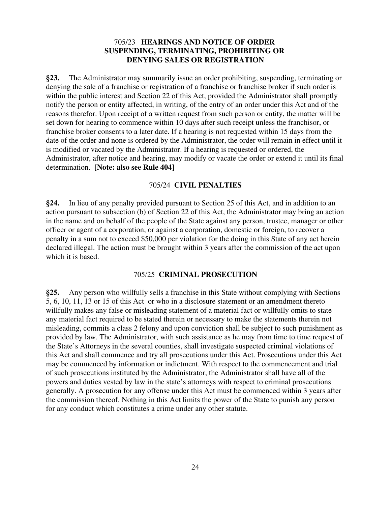#### 705/23 **HEARINGS AND NOTICE OF ORDER SUSPENDING, TERMINATING, PROHIBITING OR DENYING SALES OR REGISTRATION**

**§23.** The Administrator may summarily issue an order prohibiting, suspending, terminating or denying the sale of a franchise or registration of a franchise or franchise broker if such order is within the public interest and Section 22 of this Act, provided the Administrator shall promptly notify the person or entity affected, in writing, of the entry of an order under this Act and of the reasons therefor. Upon receipt of a written request from such person or entity, the matter will be set down for hearing to commence within 10 days after such receipt unless the franchisor, or franchise broker consents to a later date. If a hearing is not requested within 15 days from the date of the order and none is ordered by the Administrator, the order will remain in effect until it is modified or vacated by the Administrator. If a hearing is requested or ordered, the Administrator, after notice and hearing, may modify or vacate the order or extend it until its final determination. **[Note: also see Rule 404]**

#### 705/24 **CIVIL PENALTIES**

**§24.** In lieu of any penalty provided pursuant to Section 25 of this Act, and in addition to an action pursuant to subsection (b) of Section 22 of this Act, the Administrator may bring an action in the name and on behalf of the people of the State against any person, trustee, manager or other officer or agent of a corporation, or against a corporation, domestic or foreign, to recover a penalty in a sum not to exceed \$50,000 per violation for the doing in this State of any act herein declared illegal. The action must be brought within 3 years after the commission of the act upon which it is based.

#### 705/25 **CRIMINAL PROSECUTION**

**§25.** Any person who willfully sells a franchise in this State without complying with Sections 5, 6, 10, 11, 13 or 15 of this Act or who in a disclosure statement or an amendment thereto willfully makes any false or misleading statement of a material fact or willfully omits to state any material fact required to be stated therein or necessary to make the statements therein not misleading, commits a class 2 felony and upon conviction shall be subject to such punishment as provided by law. The Administrator, with such assistance as he may from time to time request of the State's Attorneys in the several counties, shall investigate suspected criminal violations of this Act and shall commence and try all prosecutions under this Act. Prosecutions under this Act may be commenced by information or indictment. With respect to the commencement and trial of such prosecutions instituted by the Administrator, the Administrator shall have all of the powers and duties vested by law in the state's attorneys with respect to criminal prosecutions generally. A prosecution for any offense under this Act must be commenced within 3 years after the commission thereof. Nothing in this Act limits the power of the State to punish any person for any conduct which constitutes a crime under any other statute.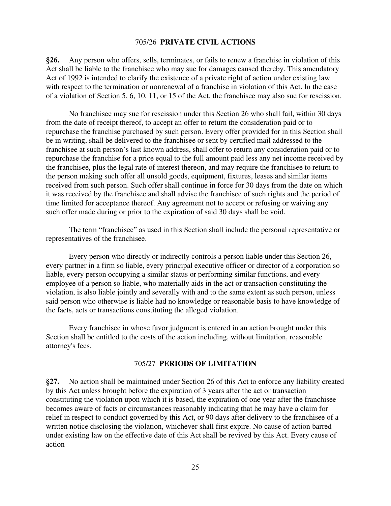#### 705/26 **PRIVATE CIVIL ACTIONS**

**§26.** Any person who offers, sells, terminates, or fails to renew a franchise in violation of this Act shall be liable to the franchisee who may sue for damages caused thereby. This amendatory Act of 1992 is intended to clarify the existence of a private right of action under existing law with respect to the termination or nonrenewal of a franchise in violation of this Act. In the case of a violation of Section 5, 6, 10, 11, or 15 of the Act, the franchisee may also sue for rescission.

No franchisee may sue for rescission under this Section 26 who shall fail, within 30 days from the date of receipt thereof, to accept an offer to return the consideration paid or to repurchase the franchise purchased by such person. Every offer provided for in this Section shall be in writing, shall be delivered to the franchisee or sent by certified mail addressed to the franchisee at such person's last known address, shall offer to return any consideration paid or to repurchase the franchise for a price equal to the full amount paid less any net income received by the franchisee, plus the legal rate of interest thereon, and may require the franchisee to return to the person making such offer all unsold goods, equipment, fixtures, leases and similar items received from such person. Such offer shall continue in force for 30 days from the date on which it was received by the franchisee and shall advise the franchisee of such rights and the period of time limited for acceptance thereof. Any agreement not to accept or refusing or waiving any such offer made during or prior to the expiration of said 30 days shall be void.

The term "franchisee" as used in this Section shall include the personal representative or representatives of the franchisee.

 Every person who directly or indirectly controls a person liable under this Section 26, every partner in a firm so liable, every principal executive officer or director of a corporation so liable, every person occupying a similar status or performing similar functions, and every employee of a person so liable, who materially aids in the act or transaction constituting the violation, is also liable jointly and severally with and to the same extent as such person, unless said person who otherwise is liable had no knowledge or reasonable basis to have knowledge of the facts, acts or transactions constituting the alleged violation.

Every franchisee in whose favor judgment is entered in an action brought under this Section shall be entitled to the costs of the action including, without limitation, reasonable attorney's fees.

#### 705/27 **PERIODS OF LIMITATION**

**§27.** No action shall be maintained under Section 26 of this Act to enforce any liability created by this Act unless brought before the expiration of 3 years after the act or transaction constituting the violation upon which it is based, the expiration of one year after the franchisee becomes aware of facts or circumstances reasonably indicating that he may have a claim for relief in respect to conduct governed by this Act, or 90 days after delivery to the franchisee of a written notice disclosing the violation, whichever shall first expire. No cause of action barred under existing law on the effective date of this Act shall be revived by this Act. Every cause of action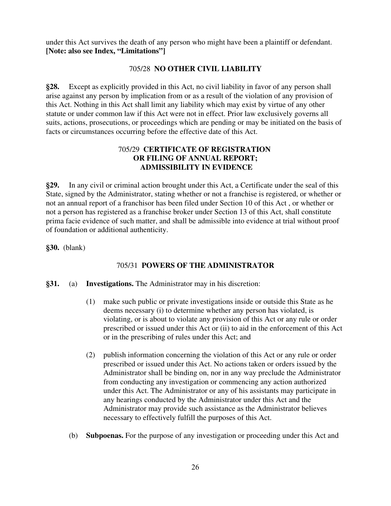under this Act survives the death of any person who might have been a plaintiff or defendant. **[Note: also see Index, "Limitations"]**

#### 705/28 **NO OTHER CIVIL LIABILITY**

**§28.** Except as explicitly provided in this Act, no civil liability in favor of any person shall arise against any person by implication from or as a result of the violation of any provision of this Act. Nothing in this Act shall limit any liability which may exist by virtue of any other statute or under common law if this Act were not in effect. Prior law exclusively governs all suits, actions, prosecutions, or proceedings which are pending or may be initiated on the basis of facts or circumstances occurring before the effective date of this Act.

#### 705/29 **CERTIFICATE OF REGISTRATION OR FILING OF ANNUAL REPORT; ADMISSIBILITY IN EVIDENCE**

**§29.** In any civil or criminal action brought under this Act, a Certificate under the seal of this State, signed by the Administrator, stating whether or not a franchise is registered, or whether or not an annual report of a franchisor has been filed under Section 10 of this Act , or whether or not a person has registered as a franchise broker under Section 13 of this Act, shall constitute prima facie evidence of such matter, and shall be admissible into evidence at trial without proof of foundation or additional authenticity.

**§30.** (blank)

### 705/31 **POWERS OF THE ADMINISTRATOR**

- **§31.** (a) **Investigations.** The Administrator may in his discretion:
	- (1) make such public or private investigations inside or outside this State as he deems necessary (i) to determine whether any person has violated, is violating, or is about to violate any provision of this Act or any rule or order prescribed or issued under this Act or (ii) to aid in the enforcement of this Act or in the prescribing of rules under this Act; and
	- (2) publish information concerning the violation of this Act or any rule or order prescribed or issued under this Act. No actions taken or orders issued by the Administrator shall be binding on, nor in any way preclude the Administrator from conducting any investigation or commencing any action authorized under this Act. The Administrator or any of his assistants may participate in any hearings conducted by the Administrator under this Act and the Administrator may provide such assistance as the Administrator believes necessary to effectively fulfill the purposes of this Act.
	- (b) **Subpoenas.** For the purpose of any investigation or proceeding under this Act and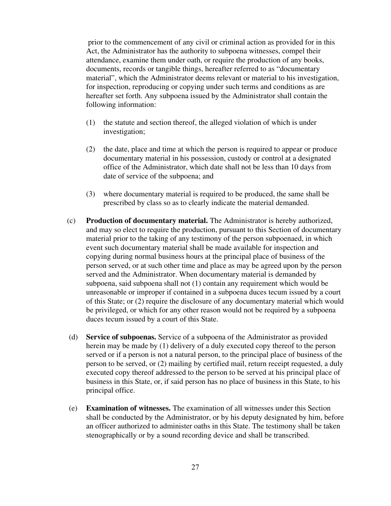prior to the commencement of any civil or criminal action as provided for in this Act, the Administrator has the authority to subpoena witnesses, compel their attendance, examine them under oath, or require the production of any books, documents, records or tangible things, hereafter referred to as "documentary material", which the Administrator deems relevant or material to his investigation, for inspection, reproducing or copying under such terms and conditions as are hereafter set forth. Any subpoena issued by the Administrator shall contain the following information:

- (1) the statute and section thereof, the alleged violation of which is under investigation;
- (2) the date, place and time at which the person is required to appear or produce documentary material in his possession, custody or control at a designated office of the Administrator, which date shall not be less than 10 days from date of service of the subpoena; and
- (3) where documentary material is required to be produced, the same shall be prescribed by class so as to clearly indicate the material demanded.
- (c) **Production of documentary material.** The Administrator is hereby authorized, and may so elect to require the production, pursuant to this Section of documentary material prior to the taking of any testimony of the person subpoenaed, in which event such documentary material shall be made available for inspection and copying during normal business hours at the principal place of business of the person served, or at such other time and place as may be agreed upon by the person served and the Administrator. When documentary material is demanded by subpoena, said subpoena shall not (1) contain any requirement which would be unreasonable or improper if contained in a subpoena duces tecum issued by a court of this State; or (2) require the disclosure of any documentary material which would be privileged, or which for any other reason would not be required by a subpoena duces tecum issued by a court of this State.
- (d) **Service of subpoenas.** Service of a subpoena of the Administrator as provided herein may be made by (1) delivery of a duly executed copy thereof to the person served or if a person is not a natural person, to the principal place of business of the person to be served, or (2) mailing by certified mail, return receipt requested, a duly executed copy thereof addressed to the person to be served at his principal place of business in this State, or, if said person has no place of business in this State, to his principal office.
- (e) **Examination of witnesses.** The examination of all witnesses under this Section shall be conducted by the Administrator, or by his deputy designated by him, before an officer authorized to administer oaths in this State. The testimony shall be taken stenographically or by a sound recording device and shall be transcribed.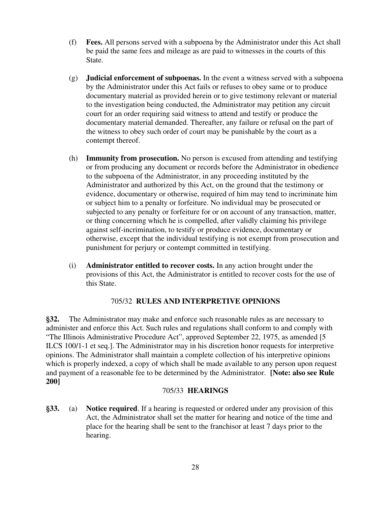- (f) **Fees.** All persons served with a subpoena by the Administrator under this Act shall be paid the same fees and mileage as are paid to witnesses in the courts of this State.
- (g) **Judicial enforcement of subpoenas.** In the event a witness served with a subpoena by the Administrator under this Act fails or refuses to obey same or to produce documentary material as provided herein or to give testimony relevant or material to the investigation being conducted, the Administrator may petition any circuit court for an order requiring said witness to attend and testify or produce the documentary material demanded. Thereafter, any failure or refusal on the part of the witness to obey such order of court may be punishable by the court as a contempt thereof.
- (h) **Immunity from prosecution.** No person is excused from attending and testifying or from producing any document or records before the Administrator in obedience to the subpoena of the Administrator, in any proceeding instituted by the Administrator and authorized by this Act, on the ground that the testimony or evidence, documentary or otherwise, required of him may tend to incriminate him or subject him to a penalty or forfeiture. No individual may be prosecuted or subjected to any penalty or forfeiture for or on account of any transaction, matter, or thing concerning which he is compelled, after validly claiming his privilege against self-incrimination, to testify or produce evidence, documentary or otherwise, except that the individual testifying is not exempt from prosecution and punishment for perjury or contempt committed in testifying.
- (i) **Administrator entitled to recover costs.** In any action brought under the provisions of this Act, the Administrator is entitled to recover costs for the use of this State.

### 705/32 **RULES AND INTERPRETIVE OPINIONS**

**§32.** The Administrator may make and enforce such reasonable rules as are necessary to administer and enforce this Act. Such rules and regulations shall conform to and comply with "The Illinois Administrative Procedure Act", approved September 22, 1975, as amended [5 ILCS 100/1-1 et seq.]. The Administrator may in his discretion honor requests for interpretive opinions. The Administrator shall maintain a complete collection of his interpretive opinions which is properly indexed, a copy of which shall be made available to any person upon request and payment of a reasonable fee to be determined by the Administrator. **[Note: also see Rule 200]** 

#### 705/33 **HEARINGS**

**§33.** (a) **Notice required**. If a hearing is requested or ordered under any provision of this Act, the Administrator shall set the matter for hearing and notice of the time and place for the hearing shall be sent to the franchisor at least 7 days prior to the hearing.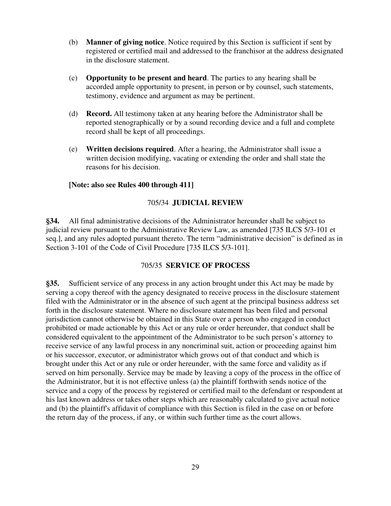- (b) **Manner of giving notice**. Notice required by this Section is sufficient if sent by registered or certified mail and addressed to the franchisor at the address designated in the disclosure statement.
- (c) **Opportunity to be present and heard**. The parties to any hearing shall be accorded ample opportunity to present, in person or by counsel, such statements, testimony, evidence and argument as may be pertinent.
- (d) **Record.** All testimony taken at any hearing before the Administrator shall be reported stenographically or by a sound recording device and a full and complete record shall be kept of all proceedings.
- (e) **Written decisions required**. After a hearing, the Administrator shall issue a written decision modifying, vacating or extending the order and shall state the reasons for his decision.

#### **[Note: also see Rules 400 through 411]**

#### 705/34 **JUDICIAL REVIEW**

**§34.** All final administrative decisions of the Administrator hereunder shall be subject to judicial review pursuant to the Administrative Review Law, as amended [735 ILCS 5/3-101 et seq.], and any rules adopted pursuant thereto. The term "administrative decision" is defined as in Section 3-101 of the Code of Civil Procedure [735 ILCS 5/3-101].

#### 705/35 **SERVICE OF PROCESS**

**§35.** Sufficient service of any process in any action brought under this Act may be made by serving a copy thereof with the agency designated to receive process in the disclosure statement filed with the Administrator or in the absence of such agent at the principal business address set forth in the disclosure statement. Where no disclosure statement has been filed and personal jurisdiction cannot otherwise be obtained in this State over a person who engaged in conduct prohibited or made actionable by this Act or any rule or order hereunder, that conduct shall be considered equivalent to the appointment of the Administrator to be such person's attorney to receive service of any lawful process in any noncriminal suit, action or proceeding against him or his successor, executor, or administrator which grows out of that conduct and which is brought under this Act or any rule or order hereunder, with the same force and validity as if served on him personally. Service may be made by leaving a copy of the process in the office of the Administrator, but it is not effective unless (a) the plaintiff forthwith sends notice of the service and a copy of the process by registered or certified mail to the defendant or respondent at his last known address or takes other steps which are reasonably calculated to give actual notice and (b) the plaintiff's affidavit of compliance with this Section is filed in the case on or before the return day of the process, if any, or within such further time as the court allows.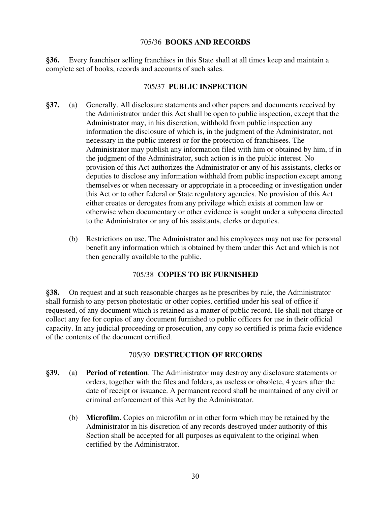#### 705/36 **BOOKS AND RECORDS**

**§36.** Every franchisor selling franchises in this State shall at all times keep and maintain a complete set of books, records and accounts of such sales.

#### 705/37 **PUBLIC INSPECTION**

- **§37.** (a) Generally. All disclosure statements and other papers and documents received by the Administrator under this Act shall be open to public inspection, except that the Administrator may, in his discretion, withhold from public inspection any information the disclosure of which is, in the judgment of the Administrator, not necessary in the public interest or for the protection of franchisees. The Administrator may publish any information filed with him or obtained by him, if in the judgment of the Administrator, such action is in the public interest. No provision of this Act authorizes the Administrator or any of his assistants, clerks or deputies to disclose any information withheld from public inspection except among themselves or when necessary or appropriate in a proceeding or investigation under this Act or to other federal or State regulatory agencies. No provision of this Act either creates or derogates from any privilege which exists at common law or otherwise when documentary or other evidence is sought under a subpoena directed to the Administrator or any of his assistants, clerks or deputies.
	- (b) Restrictions on use. The Administrator and his employees may not use for personal benefit any information which is obtained by them under this Act and which is not then generally available to the public.

### 705/38 **COPIES TO BE FURNISHED**

**§38.** On request and at such reasonable charges as he prescribes by rule, the Administrator shall furnish to any person photostatic or other copies, certified under his seal of office if requested, of any document which is retained as a matter of public record. He shall not charge or collect any fee for copies of any document furnished to public officers for use in their official capacity. In any judicial proceeding or prosecution, any copy so certified is prima facie evidence of the contents of the document certified.

#### 705/39 **DESTRUCTION OF RECORDS**

- **§39.** (a) **Period of retention**. The Administrator may destroy any disclosure statements or orders, together with the files and folders, as useless or obsolete, 4 years after the date of receipt or issuance. A permanent record shall be maintained of any civil or criminal enforcement of this Act by the Administrator.
	- (b) **Microfilm**. Copies on microfilm or in other form which may be retained by the Administrator in his discretion of any records destroyed under authority of this Section shall be accepted for all purposes as equivalent to the original when certified by the Administrator.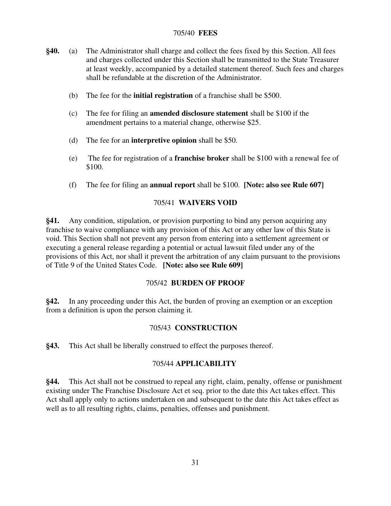#### 705/40 **FEES**

- **§40.** (a) The Administrator shall charge and collect the fees fixed by this Section. All fees and charges collected under this Section shall be transmitted to the State Treasurer at least weekly, accompanied by a detailed statement thereof. Such fees and charges shall be refundable at the discretion of the Administrator.
	- (b) The fee for the **initial registration** of a franchise shall be \$500.
	- (c) The fee for filing an **amended disclosure statement** shall be \$100 if the amendment pertains to a material change, otherwise \$25.
	- (d) The fee for an **interpretive opinion** shall be \$50.
	- (e) The fee for registration of a **franchise broker** shall be \$100 with a renewal fee of \$100.
	- (f) The fee for filing an **annual report** shall be \$100. **[Note: also see Rule 607]**

#### 705/41 **WAIVERS VOID**

**§41.** Any condition, stipulation, or provision purporting to bind any person acquiring any franchise to waive compliance with any provision of this Act or any other law of this State is void. This Section shall not prevent any person from entering into a settlement agreement or executing a general release regarding a potential or actual lawsuit filed under any of the provisions of this Act, nor shall it prevent the arbitration of any claim pursuant to the provisions of Title 9 of the United States Code. **[Note: also see Rule 609]**

#### 705/42 **BURDEN OF PROOF**

**§42.** In any proceeding under this Act, the burden of proving an exemption or an exception from a definition is upon the person claiming it.

#### 705/43 **CONSTRUCTION**

**§43.** This Act shall be liberally construed to effect the purposes thereof.

#### 705/44 **APPLICABILITY**

**§44.** This Act shall not be construed to repeal any right, claim, penalty, offense or punishment existing under The Franchise Disclosure Act et seq. prior to the date this Act takes effect. This Act shall apply only to actions undertaken on and subsequent to the date this Act takes effect as well as to all resulting rights, claims, penalties, offenses and punishment.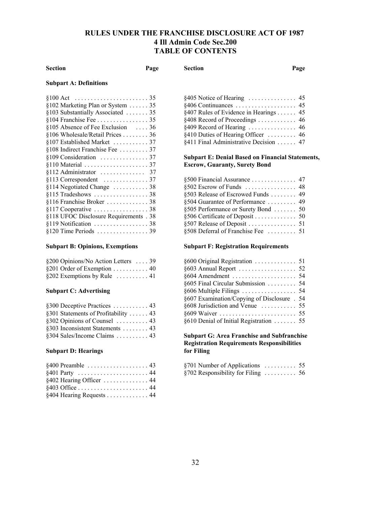#### **RULES UNDER THE FRANCHISE DISCLOSURE ACT OF 1987 4 Ill Admin Code Sec.200 TABLE OF CONTENTS**

| Section |
|---------|
|         |

**Section Page Section Page**

#### **Subpart A: Definitions**

| §102 Marketing Plan or System  35      |  |
|----------------------------------------|--|
| §103 Substantially Associated  35      |  |
| §104 Franchise Fee 35                  |  |
| §105 Absence of Fee Exclusion  36      |  |
| §106 Wholesale/Retail Prices 36        |  |
| §107 Established Market  37            |  |
| §108 Indirect Franchise Fee  37        |  |
|                                        |  |
|                                        |  |
|                                        |  |
|                                        |  |
| §114 Negotiated Change  38             |  |
|                                        |  |
| §116 Franchise Broker  38              |  |
|                                        |  |
| §118 UFOC Disclosure Requirements . 38 |  |
|                                        |  |
| $$120$ Time Periods 39                 |  |

| §200 Opinions/No Action Letters  39               |  |  |  |
|---------------------------------------------------|--|--|--|
| $§201$ Order of Exemption 40                      |  |  |  |
| $\S 202$ Exemptions by Rule $\dots \dots \dots 4$ |  |  |  |

#### **Subpart C: Advertising**

| §300 Deceptive Practices 43                    |                                                  |
|------------------------------------------------|--------------------------------------------------|
| §301 Statements of Profitability  43           |                                                  |
| $§$ 302 Opinions of Counsel $\ldots \ldots$ 43 | §610 Denial of Initial Registration  55          |
| \$303 Inconsistent Statements  43              |                                                  |
|                                                | <b>Subpart G: Area Franchise and Subfranchis</b> |

#### **Subpart D: Hearings for Filing for Filing**

|                             | §701 Number of Application    |
|-----------------------------|-------------------------------|
|                             | §702 Responsibility for Filin |
|                             |                               |
|                             |                               |
| $§$ 404 Hearing Requests 44 |                               |

| §102 Marketing Plan or System  35   |                                           |
|-------------------------------------|-------------------------------------------|
| §103 Substantially Associated  35   | $§$ 407 Rules of Evidence in Hearings  45 |
| $§104$ Franchise Fee 35             | $§$ 408 Record of Proceedings 46          |
| $§105$ Absence of Fee Exclusion  36 |                                           |
| §106 Wholesale/Retail Prices 36     | $§410$ Duties of Hearing Officer  46      |
|                                     | §411 Final Administrative Decision  47    |

#### **Subpart E: Denial Based on Financial Statements,** §110 Material . . . . . . . . . . . . . . . . . . . . 37 **Escrow, Guaranty, Surety Bond**

| §114 Negotiated Change  38             |                                                                                                                                                  |
|----------------------------------------|--------------------------------------------------------------------------------------------------------------------------------------------------|
|                                        |                                                                                                                                                  |
| §116 Franchise Broker  38              |                                                                                                                                                  |
|                                        |                                                                                                                                                  |
| §118 UFOC Disclosure Requirements . 38 |                                                                                                                                                  |
|                                        |                                                                                                                                                  |
|                                        |                                                                                                                                                  |
|                                        | §503 Release of Escrowed Funds 49<br>§505 Performance or Surety Bond  50<br>§506 Certificate of Deposit 50<br>§508 Deferral of Franchise Fee  51 |

#### **Subpart B: Opinions, Exemptions Subpart F: Registration Requirements**

| §200 Opinions/No Action Letters  39                |                                             |
|----------------------------------------------------|---------------------------------------------|
| §201 Order of Exemption $\dots \dots \dots$ 40     |                                             |
| $\S 202$ Exemptions by Rule $\dots \dots \dots 41$ |                                             |
|                                                    | §605 Final Circular Submission  54          |
| <b>Subpart C: Advertising</b>                      |                                             |
|                                                    | §607 Examination/Copying of Disclosure . 54 |
| §300 Deceptive Practices 43                        |                                             |
| §301 Statements of Profitability  43               |                                             |
|                                                    | 8610 Denial of Initial Registration  55     |

### §304 Sales/Income Claims . . . . . . . . . . 43 **Subpart G: Area Franchise and Subfranchise Registration Requirements Responsibilities**

| $§$ 400 Preamble $\ldots \ldots \ldots \ldots \ldots 43$ | §701 Number of Applications $\dots \dots \dots$ 55 |  |
|----------------------------------------------------------|----------------------------------------------------|--|
| §401 Party  44                                           | $\S 702$ Responsibility for Filing  56             |  |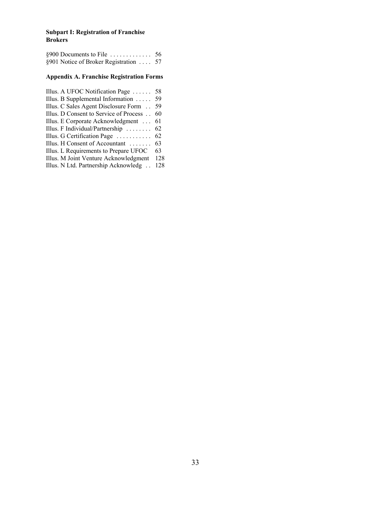#### **Subpart I: Registration of Franchise Brokers**

| $§900$ Documents to File               | 56 |
|----------------------------------------|----|
| §901 Notice of Broker Registration  57 |    |

#### **Appendix A. Franchise Registration Forms**

| Illus. A UFOC Notification Page        | 58  |
|----------------------------------------|-----|
| Illus. B Supplemental Information      | 59  |
| Illus. C Sales Agent Disclosure Form   | 59  |
| Illus. D Consent to Service of Process | 60  |
| Illus. E Corporate Acknowledgment      | 61  |
| Illus. F Individual/Partnership        | 62  |
| Illus. G Certification Page            | 62  |
| Illus. H Consent of Accountant         | 63  |
| Illus. L Requirements to Prepare UFOC  | 63  |
| Illus. M Joint Venture Acknowledgment  | 128 |
| Illus. N Ltd. Partnership Acknowledg   | 128 |
|                                        |     |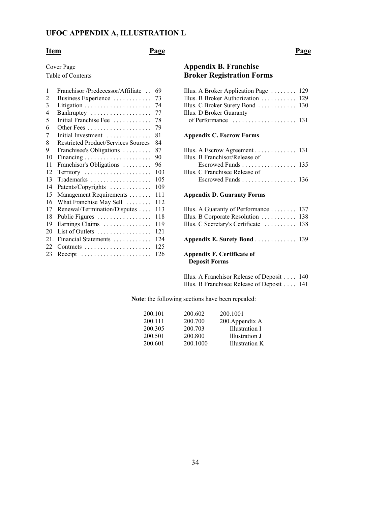#### **UFOC APPENDIX A, ILLUSTRATION L**

#### **Item Page Page**

| $\mathbf{1}$ | Franchisor/Predecessor/Affiliate 69        |      | Illus. A Broker Application Page  129 |  |
|--------------|--------------------------------------------|------|---------------------------------------|--|
| 2            |                                            |      | Illus. B Broker Authorization 129     |  |
| 3            |                                            |      | Illus. C Broker Surety Bond 130       |  |
| 4            |                                            |      | Illus. D Broker Guaranty              |  |
| 5            | Initial Franchise Fee                      | 78   |                                       |  |
| 6            |                                            | 79   |                                       |  |
| 7            | Initial Investment                         | 81   | <b>Appendix C. Escrow Forms</b>       |  |
| 8            | <b>Restricted Product/Services Sources</b> | 84   |                                       |  |
| 9            | Franchisee's Obligations                   | 87   | Illus. A Escrow Agreement 131         |  |
| 10           |                                            | 90   | Illus. B Franchisor/Release of        |  |
| 11           | Franchisor's Obligations                   | 96   | Escrowed Funds 135                    |  |
| 12           | Territory                                  | 103  | Illus. C Franchisee Release of        |  |
| 13           | Trademarks                                 | 105  | Escrowed Funds 136                    |  |
|              | 14 Patents/Copyrights  109                 |      |                                       |  |
|              | 15 Management Requirements  111            |      | <b>Appendix D. Guaranty Forms</b>     |  |
|              | 16 What Franchise May Sell                 | -112 |                                       |  |
|              | 17 Renewal/Termination/Disputes            | 113  | Illus. A Guaranty of Performance 137  |  |
|              | 18 Public Figures                          | 118  | Illus. B Corporate Resolution 138     |  |
|              | 19 Earnings Claims                         | 119  | Illus. C Secretary's Certificate  138 |  |
|              | 20 List of Outlets                         | 121  |                                       |  |
|              | 21. Financial Statements  124              |      | Appendix E. Surety Bond 139           |  |
| 22           |                                            |      |                                       |  |
|              | 23 Receipt  126                            |      | <b>Appendix F. Certificate of</b>     |  |
|              |                                            |      |                                       |  |

#### Cover Page **Appendix B. Franchise** Table of Contents **Broker Registration Forms**

| 1 Franchisor/Predecessor/Affiliate . 69 | Illus. A Broker Application Page  129                   |  |
|-----------------------------------------|---------------------------------------------------------|--|
|                                         | Illus. B Broker Authorization 129                       |  |
|                                         |                                                         |  |
|                                         | Illus. D Broker Guaranty                                |  |
|                                         | of Performance $\ldots \ldots \ldots \ldots \ldots 131$ |  |

#### Appendix C. Escrow Forms

|  | Illus. A Escrow Agreement 131                                     |  |
|--|-------------------------------------------------------------------|--|
|  | Illus. B Franchisor/Release of                                    |  |
|  | $Escrowed$ Funds $\ldots \ldots \ldots \ldots \ldots 135$         |  |
|  | Illus. C Franchisee Release of                                    |  |
|  | Escrowed Funds 136                                                |  |
|  | 9 Franchisee's Obligations  87<br>11 Franchisor's Obligations  96 |  |

#### 1 **Appendix D. Guaranty Forms**

| 17 Renewal/Termination/Disputes  113 | Illus. A Guaranty of Performance $\dots \dots \dots$ 137       |  |
|--------------------------------------|----------------------------------------------------------------|--|
|                                      | Illus. B Corporate Resolution 138                              |  |
|                                      | Illus. C Secretary's Certificate $\dots \dots \dots \dots$ 138 |  |
|                                      |                                                                |  |
| 21. Financial Statements  124        | Appendix E. Surety Bond 139                                    |  |

#### 23 Receipt . . . . . . . . . . . . . . . . . . . . . . 126 **Appendix F. Certificate of Deposit Forms**

Illus. A Franchisor Release of Deposit . . . . 140 Illus. B Franchisee Release of Deposit . . . . 141

**Note**: the following sections have been repealed:

| 200.101 | 200.602  | 200.1001        |
|---------|----------|-----------------|
| 200.111 | 200.700  | 200. Appendix A |
| 200.305 | 200.703  | Illustration I  |
| 200.501 | 200.800  | Illustration J  |
| 200.601 | 200.1000 | Illustration K  |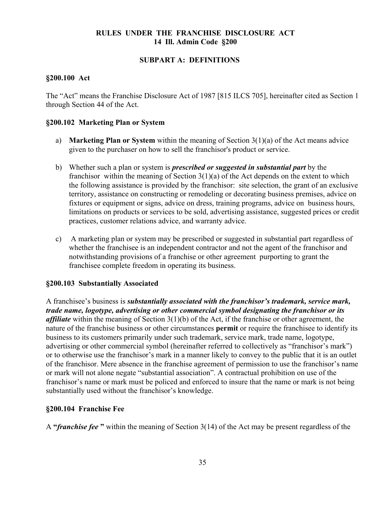### **RULES UNDER THE FRANCHISE DISCLOSURE ACT 14 Ill. Admin Code §200**

### **SUBPART A: DEFINITIONS**

#### **§200.100 Act**

The "Act" means the Franchise Disclosure Act of 1987 [815 ILCS 705], hereinafter cited as Section 1 through Section 44 of the Act.

#### **§200.102 Marketing Plan or System**

- a) **Marketing Plan or System** within the meaning of Section 3(1)(a) of the Act means advice given to the purchaser on how to sell the franchisor's product or service.
- b) Whether such a plan or system is *prescribed or suggested in substantial part* by the franchisor within the meaning of Section 3(1)(a) of the Act depends on the extent to which the following assistance is provided by the franchisor: site selection, the grant of an exclusive territory, assistance on constructing or remodeling or decorating business premises, advice on fixtures or equipment or signs, advice on dress, training programs, advice on business hours, limitations on products or services to be sold, advertising assistance, suggested prices or credit practices, customer relations advice, and warranty advice.
- c) A marketing plan or system may be prescribed or suggested in substantial part regardless of whether the franchisee is an independent contractor and not the agent of the franchisor and notwithstanding provisions of a franchise or other agreement purporting to grant the franchisee complete freedom in operating its business.

### **§200.103 Substantially Associated**

A franchisee's business is *substantially associated with the franchisor's trademark, service mark, trade name, logotype, advertising or other commercial symbol designating the franchisor or its affiliate* within the meaning of Section 3(1)(b) of the Act, if the franchise or other agreement, the nature of the franchise business or other circumstances **permit** or require the franchisee to identify its business to its customers primarily under such trademark, service mark, trade name, logotype, advertising or other commercial symbol (hereinafter referred to collectively as "franchisor's mark") or to otherwise use the franchisor's mark in a manner likely to convey to the public that it is an outlet of the franchisor. Mere absence in the franchise agreement of permission to use the franchisor's name or mark will not alone negate "substantial association". A contractual prohibition on use of the franchisor's name or mark must be policed and enforced to insure that the name or mark is not being substantially used without the franchisor's knowledge.

### **§200.104 Franchise Fee**

A **"***franchise fee* **"** within the meaning of Section 3(14) of the Act may be present regardless of the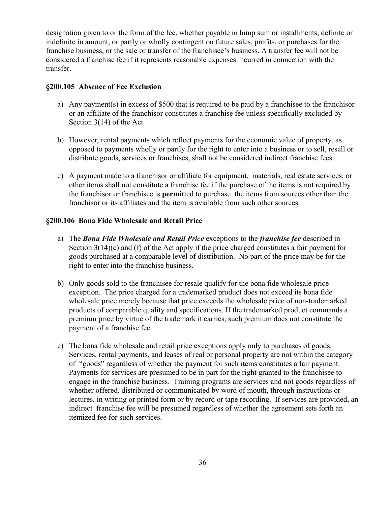designation given to or the form of the fee, whether payable in lump sum or installments, definite or indefinite in amount, or partly or wholly contingent on future sales, profits, or purchases for the franchise business, or the sale or transfer of the franchisee's business. A transfer fee will not be considered a franchise fee if it represents reasonable expenses incurred in connection with the transfer.

#### **§200.105 Absence of Fee Exclusion**

- a) Any payment(s) in excess of \$500 that is required to be paid by a franchisee to the franchisor or an affiliate of the franchisor constitutes a franchise fee unless specifically excluded by Section 3(14) of the Act.
- b) However, rental payments which reflect payments for the economic value of property, as opposed to payments wholly or partly for the right to enter into a business or to sell, resell or distribute goods, services or franchises, shall not be considered indirect franchise fees.
- c) A payment made to a franchisor or affiliate for equipment, materials, real estate services, or other items shall not constitute a franchise fee if the purchase of the items is not required by the franchisor or franchisee is **permit**ted to purchase the items from sources other than the franchisor or its affiliates and the item is available from such other sources.

### **§200.106 Bona Fide Wholesale and Retail Price**

- a) The *Bona Fide Wholesale and Retail Price* exceptions to the *franchise fee* described in Section 3(14)(c) and (f) of the Act apply if the price charged constitutes a fair payment for goods purchased at a comparable level of distribution. No part of the price may be for the right to enter into the franchise business.
- b) Only goods sold to the franchisee for resale qualify for the bona fide wholesale price exception. The price charged for a trademarked product does not exceed its bona fide wholesale price merely because that price exceeds the wholesale price of non-trademarked products of comparable quality and specifications. If the trademarked product commands a premium price by virtue of the trademark it carries, such premium does not constitute the payment of a franchise fee.
- c) The bona fide wholesale and retail price exceptions apply only to purchases of goods. Services, rental payments, and leases of real or personal property are not within the category of "goods" regardless of whether the payment for such items constitutes a fair payment. Payments for services are presumed to be in part for the right granted to the franchisee to engage in the franchise business. Training programs are services and not goods regardless of whether offered, distributed or communicated by word of mouth, through instructions or lectures, in writing or printed form or by record or tape recording. If services are provided, an indirect franchise fee will be presumed regardless of whether the agreement sets forth an itemized fee for such services.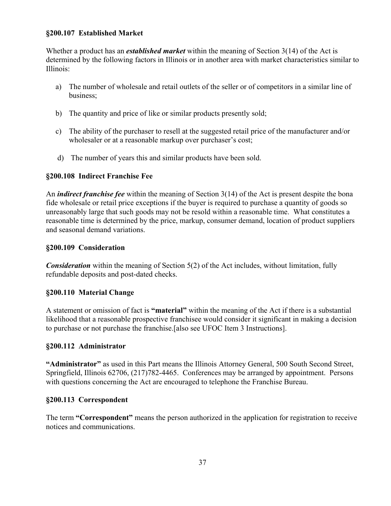## **§200.107 Established Market**

Whether a product has an *established market* within the meaning of Section 3(14) of the Act is determined by the following factors in Illinois or in another area with market characteristics similar to Illinois:

- a) The number of wholesale and retail outlets of the seller or of competitors in a similar line of business;
- b) The quantity and price of like or similar products presently sold;
- c) The ability of the purchaser to resell at the suggested retail price of the manufacturer and/or wholesaler or at a reasonable markup over purchaser's cost;
- d) The number of years this and similar products have been sold.

# **§200.108 Indirect Franchise Fee**

An *indirect franchise fee* within the meaning of Section 3(14) of the Act is present despite the bona fide wholesale or retail price exceptions if the buyer is required to purchase a quantity of goods so unreasonably large that such goods may not be resold within a reasonable time. What constitutes a reasonable time is determined by the price, markup, consumer demand, location of product suppliers and seasonal demand variations.

# **§200.109 Consideration**

*Consideration* within the meaning of Section 5(2) of the Act includes, without limitation, fully refundable deposits and post-dated checks.

# **§200.110 Material Change**

A statement or omission of fact is **"material"** within the meaning of the Act if there is a substantial likelihood that a reasonable prospective franchisee would consider it significant in making a decision to purchase or not purchase the franchise.[also see UFOC Item 3 Instructions].

# **§200.112 Administrator**

**"Administrator"** as used in this Part means the Illinois Attorney General, 500 South Second Street, Springfield, Illinois 62706, (217)782-4465. Conferences may be arranged by appointment. Persons with questions concerning the Act are encouraged to telephone the Franchise Bureau.

# **§200.113 Correspondent**

The term **"Correspondent"** means the person authorized in the application for registration to receive notices and communications.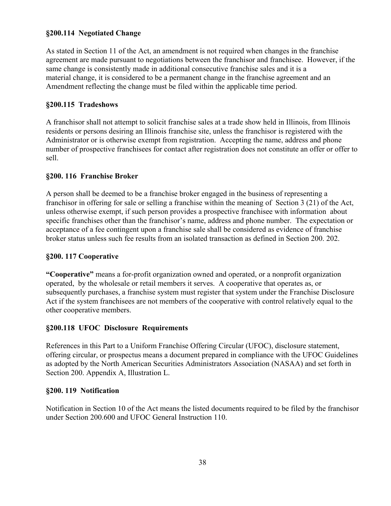## **§200.114 Negotiated Change**

As stated in Section 11 of the Act, an amendment is not required when changes in the franchise agreement are made pursuant to negotiations between the franchisor and franchisee. However, if the same change is consistently made in additional consecutive franchise sales and it is a material change, it is considered to be a permanent change in the franchise agreement and an Amendment reflecting the change must be filed within the applicable time period.

## **§200.115 Tradeshows**

A franchisor shall not attempt to solicit franchise sales at a trade show held in Illinois, from Illinois residents or persons desiring an Illinois franchise site, unless the franchisor is registered with the Administrator or is otherwise exempt from registration. Accepting the name, address and phone number of prospective franchisees for contact after registration does not constitute an offer or offer to sell.

### **§200. 116 Franchise Broker**

A person shall be deemed to be a franchise broker engaged in the business of representing a franchisor in offering for sale or selling a franchise within the meaning of Section 3 (21) of the Act, unless otherwise exempt, if such person provides a prospective franchisee with information about specific franchises other than the franchisor's name, address and phone number. The expectation or acceptance of a fee contingent upon a franchise sale shall be considered as evidence of franchise broker status unless such fee results from an isolated transaction as defined in Section 200. 202.

## **§200. 117 Cooperative**

**"Cooperative"** means a for-profit organization owned and operated, or a nonprofit organization operated, by the wholesale or retail members it serves. A cooperative that operates as, or subsequently purchases, a franchise system must register that system under the Franchise Disclosure Act if the system franchisees are not members of the cooperative with control relatively equal to the other cooperative members.

# **§200.118 UFOC Disclosure Requirements**

References in this Part to a Uniform Franchise Offering Circular (UFOC), disclosure statement, offering circular, or prospectus means a document prepared in compliance with the UFOC Guidelines as adopted by the North American Securities Administrators Association (NASAA) and set forth in Section 200. Appendix A, Illustration L.

#### **§200. 119 Notification**

Notification in Section 10 of the Act means the listed documents required to be filed by the franchisor under Section 200.600 and UFOC General Instruction 110.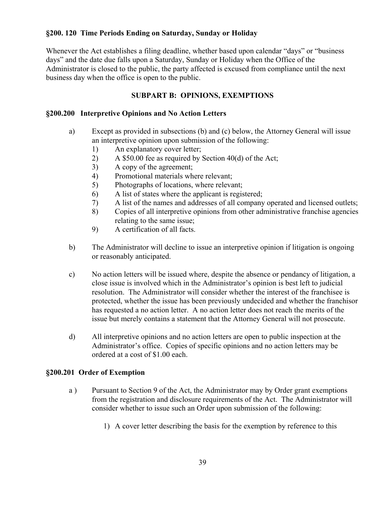## **§200. 120 Time Periods Ending on Saturday, Sunday or Holiday**

Whenever the Act establishes a filing deadline, whether based upon calendar "days" or "business days" and the date due falls upon a Saturday, Sunday or Holiday when the Office of the Administrator is closed to the public, the party affected is excused from compliance until the next business day when the office is open to the public.

## **SUBPART B: OPINIONS, EXEMPTIONS**

#### **§200.200 Interpretive Opinions and No Action Letters**

- a) Except as provided in subsections (b) and (c) below, the Attorney General will issue an interpretive opinion upon submission of the following:
	- 1) An explanatory cover letter;
	- 2) A \$50.00 fee as required by Section 40(d) of the Act;
	- 3) A copy of the agreement;
	- 4) Promotional materials where relevant;
	- 5) Photographs of locations, where relevant;
	- 6) A list of states where the applicant is registered;
	- 7) A list of the names and addresses of all company operated and licensed outlets;
	- 8) Copies of all interpretive opinions from other administrative franchise agencies relating to the same issue;
	- 9) A certification of all facts.
- b) The Administrator will decline to issue an interpretive opinion if litigation is ongoing or reasonably anticipated.
- c) No action letters will be issued where, despite the absence or pendancy of litigation, a close issue is involved which in the Administrator's opinion is best left to judicial resolution. The Administrator will consider whether the interest of the franchisee is protected, whether the issue has been previously undecided and whether the franchisor has requested a no action letter. A no action letter does not reach the merits of the issue but merely contains a statement that the Attorney General will not prosecute.
- d) All interpretive opinions and no action letters are open to public inspection at the Administrator's office. Copies of specific opinions and no action letters may be ordered at a cost of \$1.00 each.

#### **§200.201 Order of Exemption**

- a ) Pursuant to Section 9 of the Act, the Administrator may by Order grant exemptions from the registration and disclosure requirements of the Act. The Administrator will consider whether to issue such an Order upon submission of the following:
	- 1) A cover letter describing the basis for the exemption by reference to this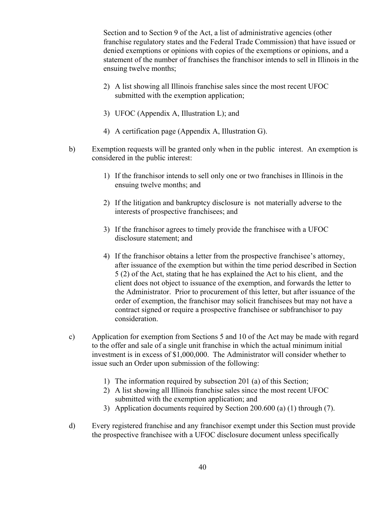Section and to Section 9 of the Act, a list of administrative agencies (other franchise regulatory states and the Federal Trade Commission) that have issued or denied exemptions or opinions with copies of the exemptions or opinions, and a statement of the number of franchises the franchisor intends to sell in Illinois in the ensuing twelve months;

- 2) A list showing all Illinois franchise sales since the most recent UFOC submitted with the exemption application;
- 3) UFOC (Appendix A, Illustration L); and
- 4) A certification page (Appendix A, Illustration G).
- b) Exemption requests will be granted only when in the public interest. An exemption is considered in the public interest:
	- 1) If the franchisor intends to sell only one or two franchises in Illinois in the ensuing twelve months; and
	- 2) If the litigation and bankruptcy disclosure is not materially adverse to the interests of prospective franchisees; and
	- 3) If the franchisor agrees to timely provide the franchisee with a UFOC disclosure statement; and
	- 4) If the franchisor obtains a letter from the prospective franchisee's attorney, after issuance of the exemption but within the time period described in Section 5 (2) of the Act, stating that he has explained the Act to his client, and the client does not object to issuance of the exemption, and forwards the letter to the Administrator. Prior to procurement of this letter, but after issuance of the order of exemption, the franchisor may solicit franchisees but may not have a contract signed or require a prospective franchisee or subfranchisor to pay consideration.
- c) Application for exemption from Sections 5 and 10 of the Act may be made with regard to the offer and sale of a single unit franchise in which the actual minimum initial investment is in excess of \$1,000,000. The Administrator will consider whether to issue such an Order upon submission of the following:
	- 1) The information required by subsection 201 (a) of this Section;
	- 2) A list showing all Illinois franchise sales since the most recent UFOC submitted with the exemption application; and
	- 3) Application documents required by Section 200.600 (a) (1) through (7).
- d) Every registered franchise and any franchisor exempt under this Section must provide the prospective franchisee with a UFOC disclosure document unless specifically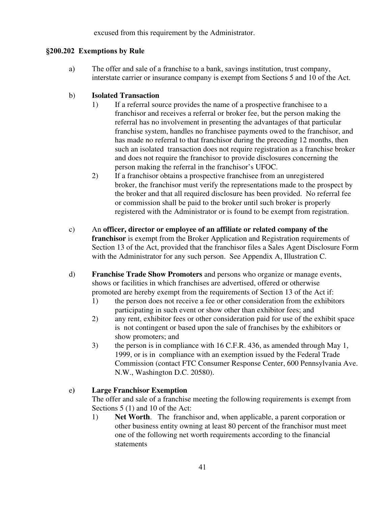excused from this requirement by the Administrator.

## **§200.202 Exemptions by Rule**

a) The offer and sale of a franchise to a bank, savings institution, trust company, interstate carrier or insurance company is exempt from Sections 5 and 10 of the Act.

## b) **Isolated Transaction**

- 1) If a referral source provides the name of a prospective franchisee to a franchisor and receives a referral or broker fee, but the person making the referral has no involvement in presenting the advantages of that particular franchise system, handles no franchisee payments owed to the franchisor, and has made no referral to that franchisor during the preceding 12 months, then such an isolated transaction does not require registration as a franchise broker and does not require the franchisor to provide disclosures concerning the person making the referral in the franchisor's UFOC.
- 2) If a franchisor obtains a prospective franchisee from an unregistered broker, the franchisor must verify the representations made to the prospect by the broker and that all required disclosure has been provided. No referral fee or commission shall be paid to the broker until such broker is properly registered with the Administrator or is found to be exempt from registration.
- c) An **officer, director or employee of an affiliate or related company of the franchisor** is exempt from the Broker Application and Registration requirements of Section 13 of the Act, provided that the franchisor files a Sales Agent Disclosure Form with the Administrator for any such person. See Appendix A, Illustration C.
- d) **Franchise Trade Show Promoters** and persons who organize or manage events, shows or facilities in which franchises are advertised, offered or otherwise promoted are hereby exempt from the requirements of Section 13 of the Act if:
	- 1) the person does not receive a fee or other consideration from the exhibitors participating in such event or show other than exhibitor fees; and
	- 2) any rent, exhibitor fees or other consideration paid for use of the exhibit space is not contingent or based upon the sale of franchises by the exhibitors or show promoters; and
	- 3) the person is in compliance with 16 C.F.R. 436, as amended through May 1, 1999, or is in compliance with an exemption issued by the Federal Trade Commission (contact FTC Consumer Response Center, 600 Pennsylvania Ave. N.W., Washington D.C. 20580).

# e**) Large Franchisor Exemption**

The offer and sale of a franchise meeting the following requirements is exempt from Sections 5 (1) and 10 of the Act:

1) **Net Worth**. The franchisor and, when applicable, a parent corporation or other business entity owning at least 80 percent of the franchisor must meet one of the following net worth requirements according to the financial statements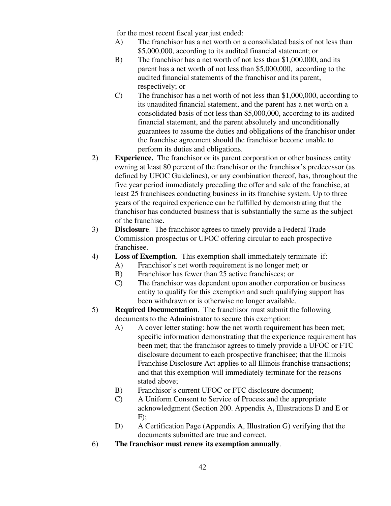for the most recent fiscal year just ended:

- A) The franchisor has a net worth on a consolidated basis of not less than \$5,000,000, according to its audited financial statement; or
- B) The franchisor has a net worth of not less than \$1,000,000, and its parent has a net worth of not less than \$5,000,000, according to the audited financial statements of the franchisor and its parent, respectively; or
- C) The franchisor has a net worth of not less than \$1,000,000, according to its unaudited financial statement, and the parent has a net worth on a consolidated basis of not less than \$5,000,000, according to its audited financial statement, and the parent absolutely and unconditionally guarantees to assume the duties and obligations of the franchisor under the franchise agreement should the franchisor become unable to perform its duties and obligations.
- 2) **Experience.** The franchisor or its parent corporation or other business entity owning at least 80 percent of the franchisor or the franchisor's predecessor (as defined by UFOC Guidelines), or any combination thereof, has, throughout the five year period immediately preceding the offer and sale of the franchise, at least 25 franchisees conducting business in its franchise system. Up to three years of the required experience can be fulfilled by demonstrating that the franchisor has conducted business that is substantially the same as the subject of the franchise.
- 3) **Disclosure**. The franchisor agrees to timely provide a Federal Trade Commission prospectus or UFOC offering circular to each prospective franchisee.
- 4) **Loss of Exemption**. This exemption shall immediately terminate if:
	- A) Franchisor's net worth requirement is no longer met; or
	- B) Franchisor has fewer than 25 active franchisees; or
	- C) The franchisor was dependent upon another corporation or business entity to qualify for this exemption and such qualifying support has been withdrawn or is otherwise no longer available.
- 5) **Required Documentation**. The franchisor must submit the following documents to the Administrator to secure this exemption:
	- A) A cover letter stating: how the net worth requirement has been met; specific information demonstrating that the experience requirement has been met; that the franchisor agrees to timely provide a UFOC or FTC disclosure document to each prospective franchisee; that the Illinois Franchise Disclosure Act applies to all Illinois franchise transactions; and that this exemption will immediately terminate for the reasons stated above;
	- B) Franchisor's current UFOC or FTC disclosure document;
	- C) A Uniform Consent to Service of Process and the appropriate acknowledgment (Section 200. Appendix A, Illustrations D and E or  $F)$ ;
	- D) A Certification Page (Appendix A, Illustration G) verifying that the documents submitted are true and correct.
- 6) **The franchisor must renew its exemption annually**.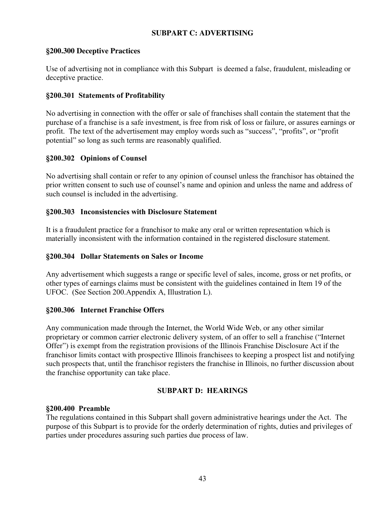# **SUBPART C: ADVERTISING**

## **§200.300 Deceptive Practices**

Use of advertising not in compliance with this Subpart is deemed a false, fraudulent, misleading or deceptive practice.

## **§200.301 Statements of Profitability**

No advertising in connection with the offer or sale of franchises shall contain the statement that the purchase of a franchise is a safe investment, is free from risk of loss or failure, or assures earnings or profit. The text of the advertisement may employ words such as "success", "profits", or "profit potential" so long as such terms are reasonably qualified.

### **§200.302 Opinions of Counsel**

No advertising shall contain or refer to any opinion of counsel unless the franchisor has obtained the prior written consent to such use of counsel's name and opinion and unless the name and address of such counsel is included in the advertising.

### **§200.303 Inconsistencies with Disclosure Statement**

It is a fraudulent practice for a franchisor to make any oral or written representation which is materially inconsistent with the information contained in the registered disclosure statement.

## **§200.304 Dollar Statements on Sales or Income**

Any advertisement which suggests a range or specific level of sales, income, gross or net profits, or other types of earnings claims must be consistent with the guidelines contained in Item 19 of the UFOC. (See Section 200.Appendix A, Illustration L).

#### **§200.306 Internet Franchise Offers**

Any communication made through the Internet, the World Wide Web, or any other similar proprietary or common carrier electronic delivery system, of an offer to sell a franchise ("Internet Offer") is exempt from the registration provisions of the Illinois Franchise Disclosure Act if the franchisor limits contact with prospective Illinois franchisees to keeping a prospect list and notifying such prospects that, until the franchisor registers the franchise in Illinois, no further discussion about the franchise opportunity can take place.

# **SUBPART D: HEARINGS**

#### **§200.400 Preamble**

The regulations contained in this Subpart shall govern administrative hearings under the Act. The purpose of this Subpart is to provide for the orderly determination of rights, duties and privileges of parties under procedures assuring such parties due process of law.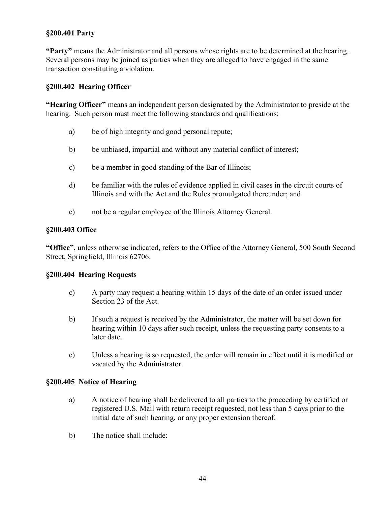# **§200.401 Party**

**"Party"** means the Administrator and all persons whose rights are to be determined at the hearing. Several persons may be joined as parties when they are alleged to have engaged in the same transaction constituting a violation.

## **§200.402 Hearing Officer**

**"Hearing Officer"** means an independent person designated by the Administrator to preside at the hearing. Such person must meet the following standards and qualifications:

- a) be of high integrity and good personal repute;
- b) be unbiased, impartial and without any material conflict of interest;
- c) be a member in good standing of the Bar of Illinois;
- d) be familiar with the rules of evidence applied in civil cases in the circuit courts of Illinois and with the Act and the Rules promulgated thereunder; and
- e) not be a regular employee of the Illinois Attorney General.

#### **§200.403 Office**

**"Office"**, unless otherwise indicated, refers to the Office of the Attorney General, 500 South Second Street, Springfield, Illinois 62706.

#### **§200.404 Hearing Requests**

- c) A party may request a hearing within 15 days of the date of an order issued under Section 23 of the Act.
- b) If such a request is received by the Administrator, the matter will be set down for hearing within 10 days after such receipt, unless the requesting party consents to a later date.
- c) Unless a hearing is so requested, the order will remain in effect until it is modified or vacated by the Administrator.

#### **§200.405 Notice of Hearing**

- a) A notice of hearing shall be delivered to all parties to the proceeding by certified or registered U.S. Mail with return receipt requested, not less than 5 days prior to the initial date of such hearing, or any proper extension thereof.
- b) The notice shall include: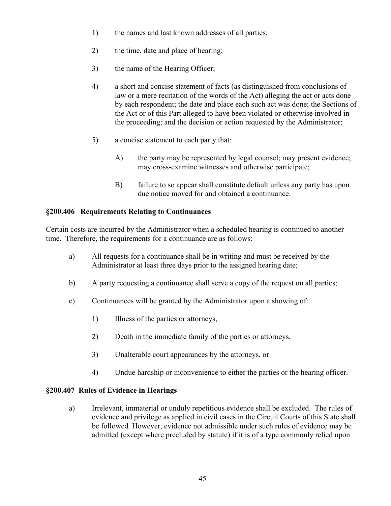- 1) the names and last known addresses of all parties;
- 2) the time, date and place of hearing;
- 3) the name of the Hearing Officer;
- 4) a short and concise statement of facts (as distinguished from conclusions of law or a mere recitation of the words of the Act) alleging the act or acts done by each respondent; the date and place each such act was done; the Sections of the Act or of this Part alleged to have been violated or otherwise involved in the proceeding; and the decision or action requested by the Administrator;
- 5) a concise statement to each party that:
	- A) the party may be represented by legal counsel; may present evidence; may cross-examine witnesses and otherwise participate;
	- B) failure to so appear shall constitute default unless any party has upon due notice moved for and obtained a continuance.

# **§200.406 Requirements Relating to Continuances**

Certain costs are incurred by the Administrator when a scheduled hearing is continued to another time. Therefore, the requirements for a continuance are as follows:

- a) All requests for a continuance shall be in writing and must be received by the Administrator at least three days prior to the assigned hearing date;
- b) A party requesting a continuance shall serve a copy of the request on all parties;
- c) Continuances will be granted by the Administrator upon a showing of:
	- 1) Illness of the parties or attorneys,
	- 2) Death in the immediate family of the parties or attorneys,
	- 3) Unalterable court appearances by the attorneys, or
	- 4) Undue hardship or inconvenience to either the parties or the hearing officer.

# **§200.407 Rules of Evidence in Hearings**

 a) Irrelevant, immaterial or unduly repetitious evidence shall be excluded. The rules of evidence and privilege as applied in civil cases in the Circuit Courts of this State shall be followed. However, evidence not admissible under such rules of evidence may be admitted (except where precluded by statute) if it is of a type commonly relied upon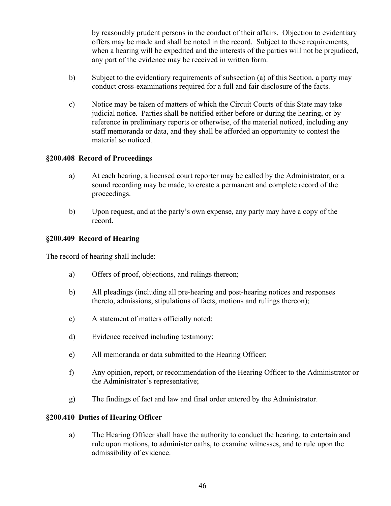by reasonably prudent persons in the conduct of their affairs. Objection to evidentiary offers may be made and shall be noted in the record. Subject to these requirements, when a hearing will be expedited and the interests of the parties will not be prejudiced, any part of the evidence may be received in written form.

- b) Subject to the evidentiary requirements of subsection (a) of this Section, a party may conduct cross-examinations required for a full and fair disclosure of the facts.
- c) Notice may be taken of matters of which the Circuit Courts of this State may take judicial notice. Parties shall be notified either before or during the hearing, or by reference in preliminary reports or otherwise, of the material noticed, including any staff memoranda or data, and they shall be afforded an opportunity to contest the material so noticed.

# **§200.408 Record of Proceedings**

- a) At each hearing, a licensed court reporter may be called by the Administrator, or a sound recording may be made, to create a permanent and complete record of the proceedings.
- b) Upon request, and at the party's own expense, any party may have a copy of the record.

### **§200.409 Record of Hearing**

The record of hearing shall include:

- a) Offers of proof, objections, and rulings thereon;
- b) All pleadings (including all pre-hearing and post-hearing notices and responses thereto, admissions, stipulations of facts, motions and rulings thereon);
- c) A statement of matters officially noted;
- d) Evidence received including testimony;
- e) All memoranda or data submitted to the Hearing Officer;
- f) Any opinion, report, or recommendation of the Hearing Officer to the Administrator or the Administrator's representative;
- g) The findings of fact and law and final order entered by the Administrator.

#### **§200.410 Duties of Hearing Officer**

a) The Hearing Officer shall have the authority to conduct the hearing, to entertain and rule upon motions, to administer oaths, to examine witnesses, and to rule upon the admissibility of evidence.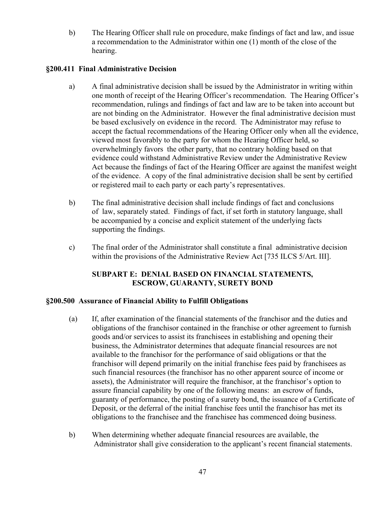b) The Hearing Officer shall rule on procedure, make findings of fact and law, and issue a recommendation to the Administrator within one (1) month of the close of the hearing.

## **§200.411 Final Administrative Decision**

- a) A final administrative decision shall be issued by the Administrator in writing within one month of receipt of the Hearing Officer's recommendation. The Hearing Officer's recommendation, rulings and findings of fact and law are to be taken into account but are not binding on the Administrator. However the final administrative decision must be based exclusively on evidence in the record. The Administrator may refuse to accept the factual recommendations of the Hearing Officer only when all the evidence, viewed most favorably to the party for whom the Hearing Officer held, so overwhelmingly favors the other party, that no contrary holding based on that evidence could withstand Administrative Review under the Administrative Review Act because the findings of fact of the Hearing Officer are against the manifest weight of the evidence. A copy of the final administrative decision shall be sent by certified or registered mail to each party or each party's representatives.
- b) The final administrative decision shall include findings of fact and conclusions of law, separately stated. Findings of fact, if set forth in statutory language, shall be accompanied by a concise and explicit statement of the underlying facts supporting the findings.
- c) The final order of the Administrator shall constitute a final administrative decision within the provisions of the Administrative Review Act [735 ILCS 5/Art. III].

# **SUBPART E: DENIAL BASED ON FINANCIAL STATEMENTS, ESCROW, GUARANTY, SURETY BOND**

#### **§200.500 Assurance of Financial Ability to Fulfill Obligations**

- (a) If, after examination of the financial statements of the franchisor and the duties and obligations of the franchisor contained in the franchise or other agreement to furnish goods and/or services to assist its franchisees in establishing and opening their business, the Administrator determines that adequate financial resources are not available to the franchisor for the performance of said obligations or that the franchisor will depend primarily on the initial franchise fees paid by franchisees as such financial resources (the franchisor has no other apparent source of income or assets), the Administrator will require the franchisor, at the franchisor's option to assure financial capability by one of the following means: an escrow of funds, guaranty of performance, the posting of a surety bond, the issuance of a Certificate of Deposit, or the deferral of the initial franchise fees until the franchisor has met its obligations to the franchisee and the franchisee has commenced doing business.
- b) When determining whether adequate financial resources are available, the Administrator shall give consideration to the applicant's recent financial statements.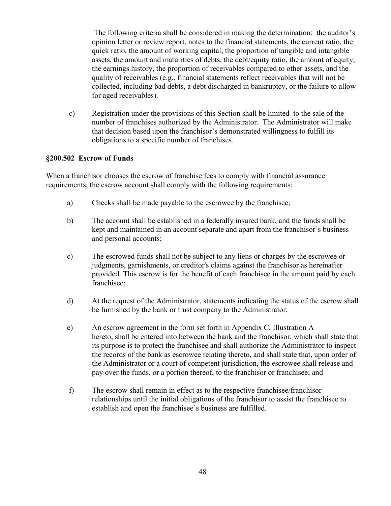The following criteria shall be considered in making the determination: the auditor's opinion letter or review report, notes to the financial statements, the current ratio, the quick ratio, the amount of working capital, the proportion of tangible and intangible assets, the amount and maturities of debts, the debt/equity ratio, the amount of equity, the earnings history, the proportion of receivables compared to other assets, and the quality of receivables (e.g., financial statements reflect receivables that will not be collected, including bad debts, a debt discharged in bankruptcy, or the failure to allow for aged receivables).

 c) Registration under the provisions of this Section shall be limited to the sale of the number of franchises authorized by the Administrator. The Administrator will make that decision based upon the franchisor's demonstrated willingness to fulfill its obligations to a specific number of franchises.

### **§200.502 Escrow of Funds**

When a franchisor chooses the escrow of franchise fees to comply with financial assurance requirements, the escrow account shall comply with the following requirements:

- a) Checks shall be made payable to the escrowee by the franchisee;
- b) The account shall be established in a federally insured bank, and the funds shall be kept and maintained in an account separate and apart from the franchisor's business and personal accounts;
- c) The escrowed funds shall not be subject to any liens or charges by the escrowee or judgments, garnishments, or creditor's claims against the franchisor as hereinafter provided. This escrow is for the benefit of each franchisee in the amount paid by each franchisee;
- d) At the request of the Administrator, statements indicating the status of the escrow shall be furnished by the bank or trust company to the Administrator;
- e) An escrow agreement in the form set forth in Appendix C, Illustration A hereto, shall be entered into between the bank and the franchisor, which shall state that its purpose is to protect the franchisee and shall authorize the Administrator to inspect the records of the bank as escrowee relating thereto, and shall state that, upon order of the Administrator or a court of competent jurisdiction, the escrowee shall release and pay over the funds, or a portion thereof, to the franchisor or franchisee; and
- f) The escrow shall remain in effect as to the respective franchisee/franchisor relationships until the initial obligations of the franchisor to assist the franchisee to establish and open the franchisee's business are fulfilled.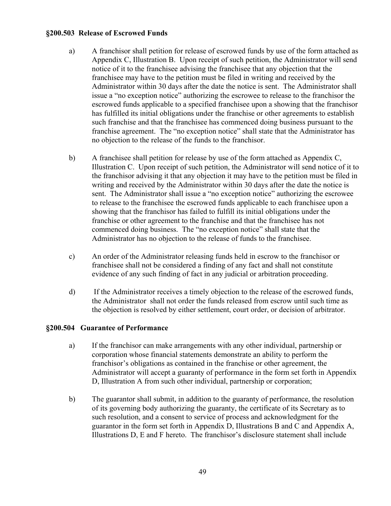### **§200.503 Release of Escrowed Funds**

- a) A franchisor shall petition for release of escrowed funds by use of the form attached as Appendix C, Illustration B. Upon receipt of such petition, the Administrator will send notice of it to the franchisee advising the franchisee that any objection that the franchisee may have to the petition must be filed in writing and received by the Administrator within 30 days after the date the notice is sent. The Administrator shall issue a "no exception notice" authorizing the escrowee to release to the franchisor the escrowed funds applicable to a specified franchisee upon a showing that the franchisor has fulfilled its initial obligations under the franchise or other agreements to establish such franchise and that the franchisee has commenced doing business pursuant to the franchise agreement. The "no exception notice" shall state that the Administrator has no objection to the release of the funds to the franchisor.
- b) A franchisee shall petition for release by use of the form attached as Appendix C, Illustration C. Upon receipt of such petition, the Administrator will send notice of it to the franchisor advising it that any objection it may have to the petition must be filed in writing and received by the Administrator within 30 days after the date the notice is sent. The Administrator shall issue a "no exception notice" authorizing the escrowee to release to the franchisee the escrowed funds applicable to each franchisee upon a showing that the franchisor has failed to fulfill its initial obligations under the franchise or other agreement to the franchise and that the franchisee has not commenced doing business. The "no exception notice" shall state that the Administrator has no objection to the release of funds to the franchisee.
- c) An order of the Administrator releasing funds held in escrow to the franchisor or franchisee shall not be considered a finding of any fact and shall not constitute evidence of any such finding of fact in any judicial or arbitration proceeding.
- d) If the Administrator receives a timely objection to the release of the escrowed funds, the Administrator shall not order the funds released from escrow until such time as the objection is resolved by either settlement, court order, or decision of arbitrator.

#### **§200.504 Guarantee of Performance**

- a) If the franchisor can make arrangements with any other individual, partnership or corporation whose financial statements demonstrate an ability to perform the franchisor's obligations as contained in the franchise or other agreement, the Administrator will accept a guaranty of performance in the form set forth in Appendix D, Illustration A from such other individual, partnership or corporation;
- b) The guarantor shall submit, in addition to the guaranty of performance, the resolution of its governing body authorizing the guaranty, the certificate of its Secretary as to such resolution, and a consent to service of process and acknowledgment for the guarantor in the form set forth in Appendix D, Illustrations B and C and Appendix A, Illustrations D, E and F hereto. The franchisor's disclosure statement shall include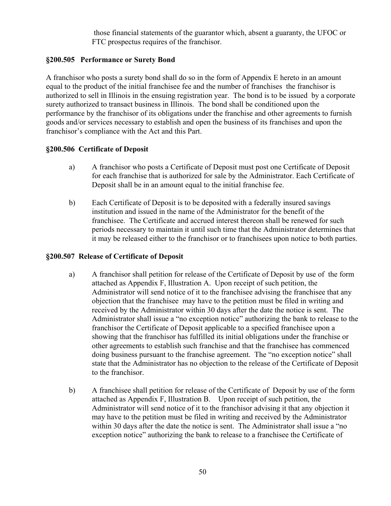those financial statements of the guarantor which, absent a guaranty, the UFOC or FTC prospectus requires of the franchisor.

# **§200.505 Performance or Surety Bond**

A franchisor who posts a surety bond shall do so in the form of Appendix E hereto in an amount equal to the product of the initial franchisee fee and the number of franchises the franchisor is authorized to sell in Illinois in the ensuing registration year. The bond is to be issued by a corporate surety authorized to transact business in Illinois. The bond shall be conditioned upon the performance by the franchisor of its obligations under the franchise and other agreements to furnish goods and/or services necessary to establish and open the business of its franchises and upon the franchisor's compliance with the Act and this Part.

# **§200.506 Certificate of Deposit**

- a) A franchisor who posts a Certificate of Deposit must post one Certificate of Deposit for each franchise that is authorized for sale by the Administrator. Each Certificate of Deposit shall be in an amount equal to the initial franchise fee.
- b) Each Certificate of Deposit is to be deposited with a federally insured savings institution and issued in the name of the Administrator for the benefit of the franchisee. The Certificate and accrued interest thereon shall be renewed for such periods necessary to maintain it until such time that the Administrator determines that it may be released either to the franchisor or to franchisees upon notice to both parties.

## **§200.507 Release of Certificate of Deposit**

- a) A franchisor shall petition for release of the Certificate of Deposit by use of the form attached as Appendix F, Illustration A. Upon receipt of such petition, the Administrator will send notice of it to the franchisee advising the franchisee that any objection that the franchisee may have to the petition must be filed in writing and received by the Administrator within 30 days after the date the notice is sent. The Administrator shall issue a "no exception notice" authorizing the bank to release to the franchisor the Certificate of Deposit applicable to a specified franchisee upon a showing that the franchisor has fulfilled its initial obligations under the franchise or other agreements to establish such franchise and that the franchisee has commenced doing business pursuant to the franchise agreement. The "no exception notice" shall state that the Administrator has no objection to the release of the Certificate of Deposit to the franchisor.
- b) A franchisee shall petition for release of the Certificate of Deposit by use of the form attached as Appendix F, Illustration B. Upon receipt of such petition, the Administrator will send notice of it to the franchisor advising it that any objection it may have to the petition must be filed in writing and received by the Administrator within 30 days after the date the notice is sent. The Administrator shall issue a "no exception notice" authorizing the bank to release to a franchisee the Certificate of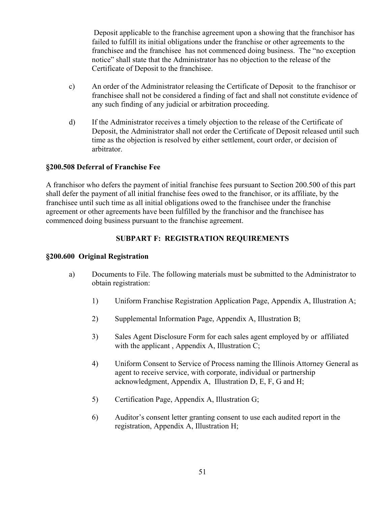Deposit applicable to the franchise agreement upon a showing that the franchisor has failed to fulfill its initial obligations under the franchise or other agreements to the franchisee and the franchisee has not commenced doing business. The "no exception notice" shall state that the Administrator has no objection to the release of the Certificate of Deposit to the franchisee.

- c) An order of the Administrator releasing the Certificate of Deposit to the franchisor or franchisee shall not be considered a finding of fact and shall not constitute evidence of any such finding of any judicial or arbitration proceeding.
- d) If the Administrator receives a timely objection to the release of the Certificate of Deposit, the Administrator shall not order the Certificate of Deposit released until such time as the objection is resolved by either settlement, court order, or decision of arbitrator.

### **§200.508 Deferral of Franchise Fee**

A franchisor who defers the payment of initial franchise fees pursuant to Section 200.500 of this part shall defer the payment of all initial franchise fees owed to the franchisor, or its affiliate, by the franchisee until such time as all initial obligations owed to the franchisee under the franchise agreement or other agreements have been fulfilled by the franchisor and the franchisee has commenced doing business pursuant to the franchise agreement.

# **SUBPART F: REGISTRATION REQUIREMENTS**

## **§200.600 Original Registration**

- a) Documents to File. The following materials must be submitted to the Administrator to obtain registration:
	- 1) Uniform Franchise Registration Application Page, Appendix A, Illustration A;
	- 2) Supplemental Information Page, Appendix A, Illustration B;
	- 3) Sales Agent Disclosure Form for each sales agent employed by or affiliated with the applicant, Appendix A, Illustration C;
	- 4) Uniform Consent to Service of Process naming the Illinois Attorney General as agent to receive service, with corporate, individual or partnership acknowledgment, Appendix A, Illustration D, E, F, G and H;
	- 5) Certification Page, Appendix A, Illustration G;
	- 6) Auditor's consent letter granting consent to use each audited report in the registration, Appendix A, Illustration H;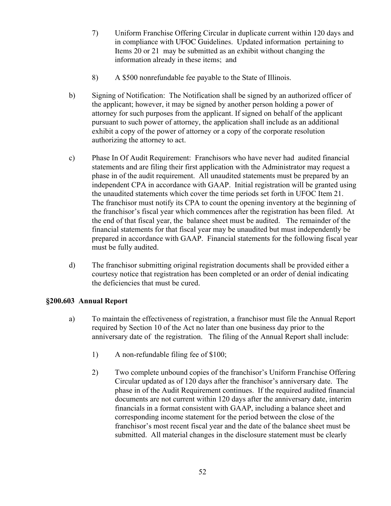- 7) Uniform Franchise Offering Circular in duplicate current within 120 days and in compliance with UFOC Guidelines. Updated information pertaining to Items 20 or 21 may be submitted as an exhibit without changing the information already in these items; and
- 8) A \$500 nonrefundable fee payable to the State of Illinois.
- b) Signing of Notification: The Notification shall be signed by an authorized officer of the applicant; however, it may be signed by another person holding a power of attorney for such purposes from the applicant. If signed on behalf of the applicant pursuant to such power of attorney, the application shall include as an additional exhibit a copy of the power of attorney or a copy of the corporate resolution authorizing the attorney to act.
- c) Phase In Of Audit Requirement: Franchisors who have never had audited financial statements and are filing their first application with the Administrator may request a phase in of the audit requirement. All unaudited statements must be prepared by an independent CPA in accordance with GAAP. Initial registration will be granted using the unaudited statements which cover the time periods set forth in UFOC Item 21. The franchisor must notify its CPA to count the opening inventory at the beginning of the franchisor's fiscal year which commences after the registration has been filed. At the end of that fiscal year, the balance sheet must be audited. The remainder of the financial statements for that fiscal year may be unaudited but must independently be prepared in accordance with GAAP. Financial statements for the following fiscal year must be fully audited.
- d) The franchisor submitting original registration documents shall be provided either a courtesy notice that registration has been completed or an order of denial indicating the deficiencies that must be cured.

# **§200.603 Annual Report**

- a) To maintain the effectiveness of registration, a franchisor must file the Annual Report required by Section 10 of the Act no later than one business day prior to the anniversary date of the registration. The filing of the Annual Report shall include:
	- 1) A non-refundable filing fee of \$100;
	- 2) Two complete unbound copies of the franchisor's Uniform Franchise Offering Circular updated as of 120 days after the franchisor's anniversary date. The phase in of the Audit Requirement continues. If the required audited financial documents are not current within 120 days after the anniversary date, interim financials in a format consistent with GAAP, including a balance sheet and corresponding income statement for the period between the close of the franchisor's most recent fiscal year and the date of the balance sheet must be submitted. All material changes in the disclosure statement must be clearly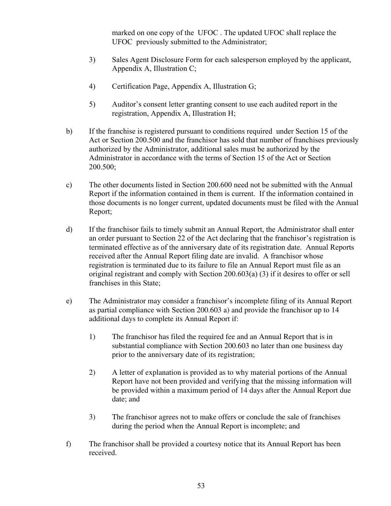marked on one copy of the UFOC . The updated UFOC shall replace the UFOC previously submitted to the Administrator;

- 3) Sales Agent Disclosure Form for each salesperson employed by the applicant, Appendix A, Illustration C;
- 4) Certification Page, Appendix A, Illustration G;
- 5) Auditor's consent letter granting consent to use each audited report in the registration, Appendix A, Illustration H;
- b) If the franchise is registered pursuant to conditions required under Section 15 of the Act or Section 200.500 and the franchisor has sold that number of franchises previously authorized by the Administrator, additional sales must be authorized by the Administrator in accordance with the terms of Section 15 of the Act or Section 200.500;
- c) The other documents listed in Section 200.600 need not be submitted with the Annual Report if the information contained in them is current. If the information contained in those documents is no longer current, updated documents must be filed with the Annual Report;
- d) If the franchisor fails to timely submit an Annual Report, the Administrator shall enter an order pursuant to Section 22 of the Act declaring that the franchisor's registration is terminated effective as of the anniversary date of its registration date. Annual Reports received after the Annual Report filing date are invalid. A franchisor whose registration is terminated due to its failure to file an Annual Report must file as an original registrant and comply with Section 200.603(a) (3) if it desires to offer or sell franchises in this State;
- e) The Administrator may consider a franchisor's incomplete filing of its Annual Report as partial compliance with Section 200.603 a) and provide the franchisor up to 14 additional days to complete its Annual Report if:
	- 1) The franchisor has filed the required fee and an Annual Report that is in substantial compliance with Section 200.603 no later than one business day prior to the anniversary date of its registration;
	- 2) A letter of explanation is provided as to why material portions of the Annual Report have not been provided and verifying that the missing information will be provided within a maximum period of 14 days after the Annual Report due date; and
	- 3) The franchisor agrees not to make offers or conclude the sale of franchises during the period when the Annual Report is incomplete; and
- f) The franchisor shall be provided a courtesy notice that its Annual Report has been received.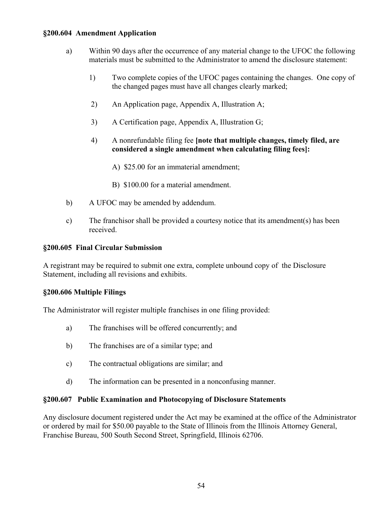### **§200.604 Amendment Application**

- a) Within 90 days after the occurrence of any material change to the UFOC the following materials must be submitted to the Administrator to amend the disclosure statement:
	- 1) Two complete copies of the UFOC pages containing the changes. One copy of the changed pages must have all changes clearly marked;
	- 2) An Application page, Appendix A, Illustration A;
	- 3) A Certification page, Appendix A, Illustration G;
	- 4) A nonrefundable filing fee **[note that multiple changes, timely filed, are considered a single amendment when calculating filing fees]:**
		- A) \$25.00 for an immaterial amendment;
		- B) \$100.00 for a material amendment.
- b) A UFOC may be amended by addendum.
- c) The franchisor shall be provided a courtesy notice that its amendment(s) has been received.

### **§200.605 Final Circular Submission**

A registrant may be required to submit one extra, complete unbound copy of the Disclosure Statement, including all revisions and exhibits.

# **§200.606 Multiple Filings**

The Administrator will register multiple franchises in one filing provided:

- a) The franchises will be offered concurrently; and
- b) The franchises are of a similar type; and
- c) The contractual obligations are similar; and
- d) The information can be presented in a nonconfusing manner.

# **§200.607 Public Examination and Photocopying of Disclosure Statements**

Any disclosure document registered under the Act may be examined at the office of the Administrator or ordered by mail for \$50.00 payable to the State of Illinois from the Illinois Attorney General, Franchise Bureau, 500 South Second Street, Springfield, Illinois 62706.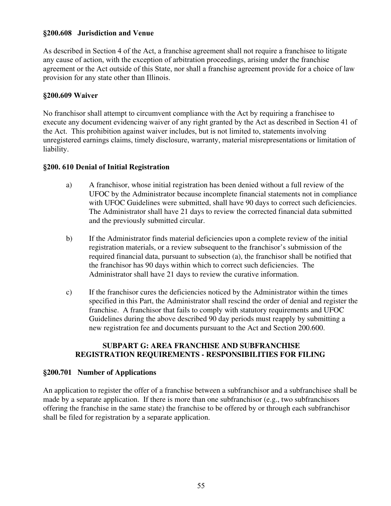## **§200.608 Jurisdiction and Venue**

As described in Section 4 of the Act, a franchise agreement shall not require a franchisee to litigate any cause of action, with the exception of arbitration proceedings, arising under the franchise agreement or the Act outside of this State, nor shall a franchise agreement provide for a choice of law provision for any state other than Illinois.

### **§200.609 Waiver**

No franchisor shall attempt to circumvent compliance with the Act by requiring a franchisee to execute any document evidencing waiver of any right granted by the Act as described in Section 41 of the Act. This prohibition against waiver includes, but is not limited to, statements involving unregistered earnings claims, timely disclosure, warranty, material misrepresentations or limitation of liability.

### **§200. 610 Denial of Initial Registration**

- a) A franchisor, whose initial registration has been denied without a full review of the UFOC by the Administrator because incomplete financial statements not in compliance with UFOC Guidelines were submitted, shall have 90 days to correct such deficiencies. The Administrator shall have 21 days to review the corrected financial data submitted and the previously submitted circular.
- b) If the Administrator finds material deficiencies upon a complete review of the initial registration materials, or a review subsequent to the franchisor's submission of the required financial data, pursuant to subsection (a), the franchisor shall be notified that the franchisor has 90 days within which to correct such deficiencies. The Administrator shall have 21 days to review the curative information.
- c) If the franchisor cures the deficiencies noticed by the Administrator within the times specified in this Part, the Administrator shall rescind the order of denial and register the franchise. A franchisor that fails to comply with statutory requirements and UFOC Guidelines during the above described 90 day periods must reapply by submitting a new registration fee and documents pursuant to the Act and Section 200.600.

### **SUBPART G: AREA FRANCHISE AND SUBFRANCHISE REGISTRATION REQUIREMENTS - RESPONSIBILITIES FOR FILING**

#### **§200.701 Number of Applications**

An application to register the offer of a franchise between a subfranchisor and a subfranchisee shall be made by a separate application. If there is more than one subfranchisor (e.g., two subfranchisors offering the franchise in the same state) the franchise to be offered by or through each subfranchisor shall be filed for registration by a separate application.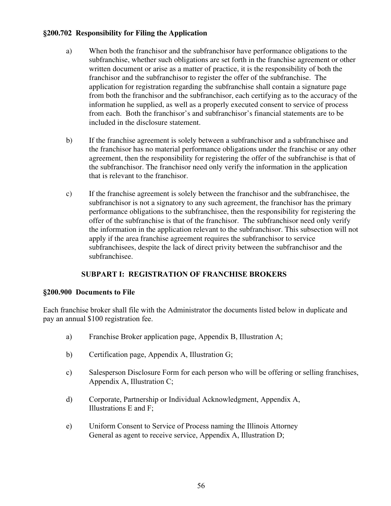# **§200.702 Responsibility for Filing the Application**

- a) When both the franchisor and the subfranchisor have performance obligations to the subfranchise, whether such obligations are set forth in the franchise agreement or other written document or arise as a matter of practice, it is the responsibility of both the franchisor and the subfranchisor to register the offer of the subfranchise. The application for registration regarding the subfranchise shall contain a signature page from both the franchisor and the subfranchisor, each certifying as to the accuracy of the information he supplied, as well as a properly executed consent to service of process from each. Both the franchisor's and subfranchisor's financial statements are to be included in the disclosure statement.
- b) If the franchise agreement is solely between a subfranchisor and a subfranchisee and the franchisor has no material performance obligations under the franchise or any other agreement, then the responsibility for registering the offer of the subfranchise is that of the subfranchisor. The franchisor need only verify the information in the application that is relevant to the franchisor.
- c) If the franchise agreement is solely between the franchisor and the subfranchisee, the subfranchisor is not a signatory to any such agreement, the franchisor has the primary performance obligations to the subfranchisee, then the responsibility for registering the offer of the subfranchise is that of the franchisor. The subfranchisor need only verify the information in the application relevant to the subfranchisor. This subsection will not apply if the area franchise agreement requires the subfranchisor to service subfranchisees, despite the lack of direct privity between the subfranchisor and the subfranchisee.

# **SUBPART I: REGISTRATION OF FRANCHISE BROKERS**

#### **§200.900 Documents to File**

Each franchise broker shall file with the Administrator the documents listed below in duplicate and pay an annual \$100 registration fee.

- a) Franchise Broker application page, Appendix B, Illustration A;
- b) Certification page, Appendix A, Illustration G;
- c) Salesperson Disclosure Form for each person who will be offering or selling franchises, Appendix A, Illustration C;
- d) Corporate, Partnership or Individual Acknowledgment, Appendix A, Illustrations E and F;
- e) Uniform Consent to Service of Process naming the Illinois Attorney General as agent to receive service, Appendix A, Illustration D;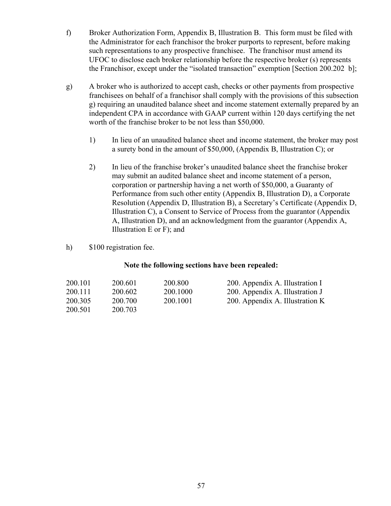- f) Broker Authorization Form, Appendix B, Illustration B. This form must be filed with the Administrator for each franchisor the broker purports to represent, before making such representations to any prospective franchisee. The franchisor must amend its UFOC to disclose each broker relationship before the respective broker (s) represents the Franchisor, except under the "isolated transaction" exemption [Section 200.202 b];
- g) A broker who is authorized to accept cash, checks or other payments from prospective franchisees on behalf of a franchisor shall comply with the provisions of this subsection g) requiring an unaudited balance sheet and income statement externally prepared by an independent CPA in accordance with GAAP current within 120 days certifying the net worth of the franchise broker to be not less than \$50,000.
	- 1) In lieu of an unaudited balance sheet and income statement, the broker may post a surety bond in the amount of \$50,000, (Appendix B, Illustration C); or
	- 2) In lieu of the franchise broker's unaudited balance sheet the franchise broker may submit an audited balance sheet and income statement of a person, corporation or partnership having a net worth of \$50,000, a Guaranty of Performance from such other entity (Appendix B, Illustration D), a Corporate Resolution (Appendix D, Illustration B), a Secretary's Certificate (Appendix D, Illustration C), a Consent to Service of Process from the guarantor (Appendix A, Illustration D), and an acknowledgment from the guarantor (Appendix A, Illustration E or F); and
- h) \$100 registration fee.

#### **Note the following sections have been repealed:**

| 200.101 | 200.601 | 200.800  | 200. Appendix A. Illustration I |
|---------|---------|----------|---------------------------------|
| 200.111 | 200.602 | 200.1000 | 200. Appendix A. Illustration J |
| 200.305 | 200.700 | 200.1001 | 200. Appendix A. Illustration K |
| 200.501 | 200.703 |          |                                 |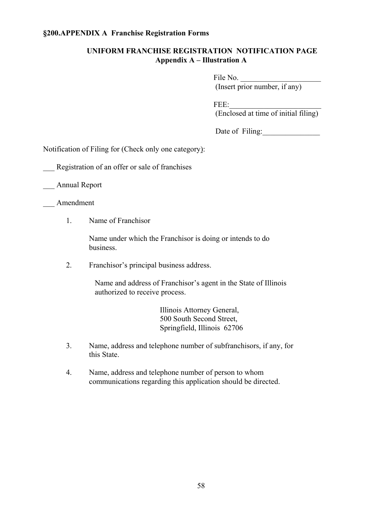## **§200.APPENDIX A Franchise Registration Forms**

# **UNIFORM FRANCHISE REGISTRATION NOTIFICATION PAGE Appendix A – Illustration A**

File No. (Insert prior number, if any)

FEE: (Enclosed at time of initial filing)

Date of Filing:

Notification of Filing for (Check only one category):

Registration of an offer or sale of franchises

\_\_\_ Annual Report

- \_\_\_ Amendment
	- 1. Name of Franchisor

 Name under which the Franchisor is doing or intends to do business.

2. Franchisor's principal business address.

 Name and address of Franchisor's agent in the State of Illinois authorized to receive process.

> Illinois Attorney General, 500 South Second Street, Springfield, Illinois 62706

- 3. Name, address and telephone number of subfranchisors, if any, for this State.
- 4. Name, address and telephone number of person to whom communications regarding this application should be directed.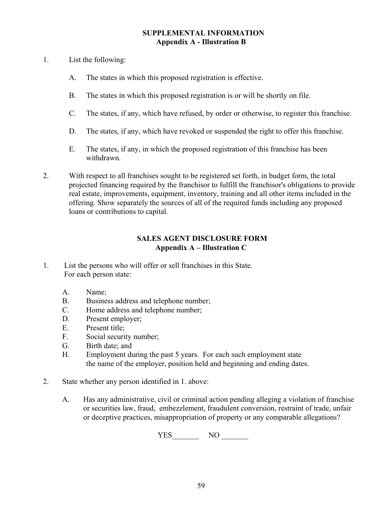# **SUPPLEMENTAL INFORMATION Appendix A - Illustration B**

- 1. List the following:
	- A. The states in which this proposed registration is effective.
	- B. The states in which this proposed registration is or will be shortly on file.
	- C. The states, if any, which have refused, by order or otherwise, to register this franchise.
	- D. The states, if any, which have revoked or suspended the right to offer this franchise.
	- E. The states, if any, in which the proposed registration of this franchise has been withdrawn.
- 2. With respect to all franchises sought to be registered set forth, in budget form, the total projected financing required by the franchisor to fulfill the franchisor's obligations to provide real estate, improvements, equipment, inventory, training and all other items included in the offering. Show separately the sources of all of the required funds including any proposed loans or contributions to capital.

# **SALES AGENT DISCLOSURE FORM Appendix A – Illustration C**

- 1. List the persons who will offer or sell franchises in this State. For each person state:
	- A. Name;
	- B. Business address and telephone number;
	- C. Home address and telephone number;
	- D. Present employer;
	- E. Present title;
	- F. Social security number;
	- G. Birth date; and
	- H. Employment during the past 5 years. For each such employment state the name of the employer, position held and beginning and ending dates.
- 2. State whether any person identified in 1. above:
	- A. Has any administrative, civil or criminal action pending alleging a violation of franchise or securities law, fraud, embezzlement, fraudulent conversion, restraint of trade, unfair or deceptive practices, misappropriation of property or any comparable allegations?

YES\_\_\_\_\_\_\_\_\_\_ NO \_\_\_\_\_\_\_\_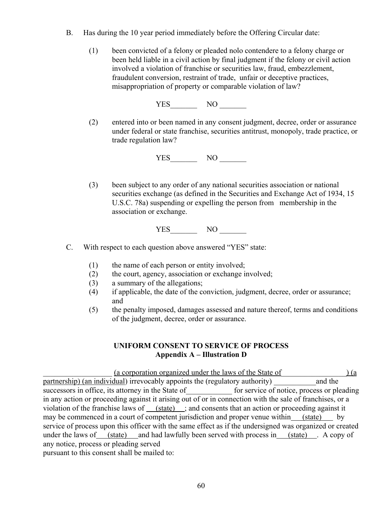- B. Has during the 10 year period immediately before the Offering Circular date:
	- (1) been convicted of a felony or pleaded nolo contendere to a felony charge or been held liable in a civil action by final judgment if the felony or civil action involved a violation of franchise or securities law, fraud, embezzlement, fraudulent conversion, restraint of trade, unfair or deceptive practices, misappropriation of property or comparable violation of law?



 (2) entered into or been named in any consent judgment, decree, order or assurance under federal or state franchise, securities antitrust, monopoly, trade practice, or trade regulation law?

YES\_\_\_\_\_\_\_\_\_\_ NO \_\_\_\_\_\_\_\_

 (3) been subject to any order of any national securities association or national securities exchange (as defined in the Securities and Exchange Act of 1934, 15 U.S.C. 78a) suspending or expelling the person from membership in the association or exchange.

YES NO

- C. With respect to each question above answered "YES" state:
	- (1) the name of each person or entity involved;
	- (2) the court, agency, association or exchange involved;
	- (3) a summary of the allegations;
	- (4) if applicable, the date of the conviction, judgment, decree, order or assurance; and
	- (5) the penalty imposed, damages assessed and nature thereof, terms and conditions of the judgment, decree, order or assurance.

# **UNIFORM CONSENT TO SERVICE OF PROCESS Appendix A – Illustration D**

(a corporation organized under the laws of the State of  $\qquad$  ) (a partnership) (an individual) irrevocably appoints the (regulatory authority) and the successors in office, its attorney in the State of the service of notice, process or pleading in any action or proceeding against it arising out of or in connection with the sale of franchises, or a violation of the franchise laws of  $(state)$ ; and consents that an action or proceeding against it may be commenced in a court of competent jurisdiction and proper venue within (state) by service of process upon this officer with the same effect as if the undersigned was organized or created under the laws of (state) and had lawfully been served with process in (state). A copy of any notice, process or pleading served pursuant to this consent shall be mailed to: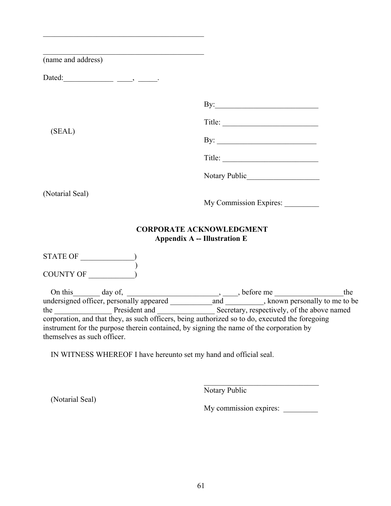| (name and address)                   |                                                                        |
|--------------------------------------|------------------------------------------------------------------------|
| Dated: $\qquad \qquad \qquad \qquad$ |                                                                        |
|                                      | By: $\frac{1}{\sqrt{2\pi}}$                                            |
|                                      | Title:                                                                 |
| (SEAL)                               |                                                                        |
|                                      | Title:                                                                 |
|                                      |                                                                        |
| (Notarial Seal)                      | My Commission Expires:                                                 |
|                                      | <b>CORPORATE ACKNOWLEDGMENT</b><br><b>Appendix A -- Illustration E</b> |
|                                      |                                                                        |
| <b>COUNTY OF</b>                     |                                                                        |

 $\mathcal{L}_\text{max}$  , where  $\mathcal{L}_\text{max}$  and  $\mathcal{L}_\text{max}$  and  $\mathcal{L}_\text{max}$  and  $\mathcal{L}_\text{max}$ 

On this day of, the contract of the contract of the contract of the contract of the contract of the contract of the contract of the contract of the contract of the contract of the contract of the contract of the contract o undersigned officer, personally appeared \_\_\_\_\_\_\_\_\_\_\_\_\_\_\_\_\_\_\_\_\_\_\_\_\_\_\_\_, known personally to me to be the **EXECUTE:** President and **EXECUTE:** Secretary, respectively, of the above named corporation, and that they, as such officers, being authorized so to do, executed the foregoing instrument for the purpose therein contained, by signing the name of the corporation by themselves as such officer.

IN WITNESS WHEREOF I have hereunto set my hand and official seal.

 $\mathcal{L}_\mathcal{L} = \{ \mathcal{L}_\mathcal{L} \mid \mathcal{L}_\mathcal{L} \in \mathcal{L}_\mathcal{L} \}$ 

Notary Public

(Notarial Seal)

My commission expires: \_\_\_\_\_\_\_\_\_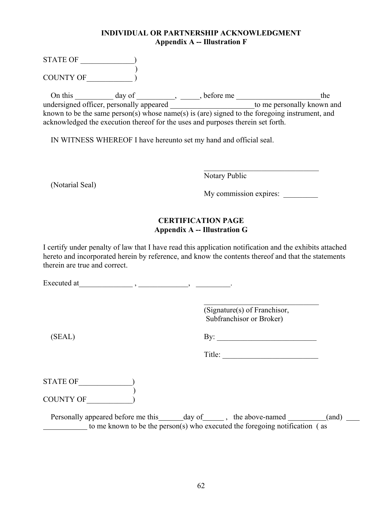# **INDIVIDUAL OR PARTNERSHIP ACKNOWLEDGMENT Appendix A -- Illustration F**

| <b>STATE OF</b> |  |
|-----------------|--|
|                 |  |
| COUNTY OF       |  |

On this day of the state of the state of the state of the state of the state of the state of the state of the state of the state of the state of the state of the state of the state of the state of the state of the state of undersigned officer, personally appeared to me personally known and known to be the same person(s) whose name(s) is (are) signed to the foregoing instrument, and acknowledged the execution thereof for the uses and purposes therein set forth.

 $\mathcal{L}_\mathcal{L} = \{ \mathcal{L}_\mathcal{L} \mid \mathcal{L}_\mathcal{L} \in \mathcal{L}_\mathcal{L} \}$ 

IN WITNESS WHEREOF I have hereunto set my hand and official seal.

Notary Public

(Notarial Seal)

My commission expires: \_\_\_\_\_\_\_\_\_

# **CERTIFICATION PAGE Appendix A -- Illustration G**

I certify under penalty of law that I have read this application notification and the exhibits attached hereto and incorporated herein by reference, and know the contents thereof and that the statements therein are true and correct.

 $\mathcal{L}_\mathcal{L} = \{ \mathcal{L}_\mathcal{L} \mid \mathcal{L}_\mathcal{L} \in \mathcal{L}_\mathcal{L} \}$ 

Executed at\_\_\_\_\_\_\_\_\_\_\_\_\_\_ , \_\_\_\_\_\_\_\_\_\_\_\_\_, \_\_\_\_\_\_\_\_\_.

(Signature(s) of Franchisor, Subfranchisor or Broker)

| $\sim$ $\sim$<br>. . | . .<br>— |
|----------------------|----------|
|----------------------|----------|

Title:

| STATE OF  |  |
|-----------|--|
|           |  |
| COUNTY OF |  |

Personally appeared before me this day of , the above-named (and)  $\qquad$ to me known to be the person(s) who executed the foregoing notification ( as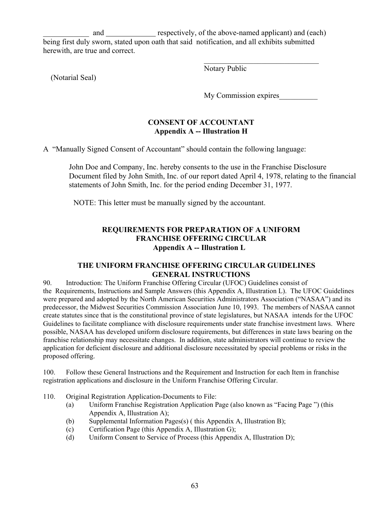and <u>example above-named applicant</u>) and (each) and  $(each)$ being first duly sworn, stated upon oath that said notification, and all exhibits submitted herewith, are true and correct.

Notary Public

(Notarial Seal)

My Commission expires

 $\mathcal{L}_\text{max}$ 

### **CONSENT OF ACCOUNTANT Appendix A -- Illustration H**

A "Manually Signed Consent of Accountant" should contain the following language:

John Doe and Company, Inc. hereby consents to the use in the Franchise Disclosure Document filed by John Smith, Inc. of our report dated April 4, 1978, relating to the financial statements of John Smith, Inc. for the period ending December 31, 1977.

NOTE: This letter must be manually signed by the accountant.

# **REQUIREMENTS FOR PREPARATION OF A UNIFORM FRANCHISE OFFERING CIRCULAR Appendix A -- Illustration L**

### **THE UNIFORM FRANCHISE OFFERING CIRCULAR GUIDELINES GENERAL INSTRUCTIONS**

90. Introduction: The Uniform Franchise Offering Circular (UFOC) Guidelines consist of the Requirements, Instructions and Sample Answers (this Appendix A, Illustration L). The UFOC Guidelines were prepared and adopted by the North American Securities Administrators Association ("NASAA") and its predecessor, the Midwest Securities Commission Association June 10, 1993. The members of NASAA cannot create statutes since that is the constitutional province of state legislatures, but NASAA intends for the UFOC Guidelines to facilitate compliance with disclosure requirements under state franchise investment laws. Where possible, NASAA has developed uniform disclosure requirements, but differences in state laws bearing on the franchise relationship may necessitate changes. In addition, state administrators will continue to review the application for deficient disclosure and additional disclosure necessitated by special problems or risks in the proposed offering.

100. Follow these General Instructions and the Requirement and Instruction for each Item in franchise registration applications and disclosure in the Uniform Franchise Offering Circular.

110. Original Registration Application-Documents to File:

- (a) Uniform Franchise Registration Application Page (also known as "Facing Page ") (this Appendix A, Illustration A);
- (b) Supplemental Information Pages(s) ( this Appendix A, Illustration B);
- (c) Certification Page (this Appendix A, Illustration G);
- (d) Uniform Consent to Service of Process (this Appendix A, Illustration D);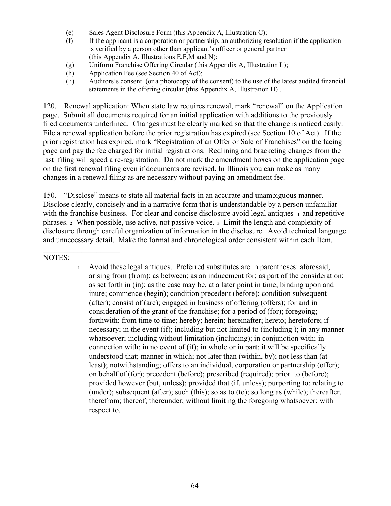- (e) Sales Agent Disclosure Form (this Appendix A, Illustration C);
- (f) If the applicant is a corporation or partnership, an authorizing resolution if the application is verified by a person other than applicant's officer or general partner (this Appendix A, Illustrations E,F,M and N);
- (g) Uniform Franchise Offering Circular (this Appendix A, Illustration L);
- (h) Application Fee (see Section 40 of Act);
- ( i) Auditors's consent (or a photocopy of the consent) to the use of the latest audited financial statements in the offering circular (this Appendix A, Illustration H) .

120. Renewal application: When state law requires renewal, mark "renewal" on the Application page. Submit all documents required for an initial application with additions to the previously filed documents underlined. Changes must be clearly marked so that the change is noticed easily. File a renewal application before the prior registration has expired (see Section 10 of Act). If the prior registration has expired, mark "Registration of an Offer or Sale of Franchises" on the facing page and pay the fee charged for initial registrations. Redlining and bracketing changes from the last filing will speed a re-registration. Do not mark the amendment boxes on the application page on the first renewal filing even if documents are revised. In Illinois you can make as many changes in a renewal filing as are necessary without paying an amendment fee.

150. "Disclose" means to state all material facts in an accurate and unambiguous manner. Disclose clearly, concisely and in a narrative form that is understandable by a person unfamiliar with the franchise business. For clear and concise disclosure avoid legal antiques 1 and repetitive phrases. **2** When possible, use active, not passive voice. **3** Limit the length and complexity of disclosure through careful organization of information in the disclosure. Avoid technical language and unnecessary detail. Make the format and chronological order consistent within each Item.

#### NOTES:

 $\mathcal{L}_\text{max}$ 

<sup>1</sup> Avoid these legal antiques. Preferred substitutes are in parentheses: aforesaid; arising from (from); as between; as an inducement for; as part of the consideration; as set forth in (in); as the case may be, at a later point in time; binding upon and inure; commence (begin); condition precedent (before); condition subsequent (after); consist of (are); engaged in business of offering (offers); for and in consideration of the grant of the franchise; for a period of (for); foregoing; forthwith; from time to time; hereby; herein; hereinafter; hereto; heretofore; if necessary; in the event (if); including but not limited to (including ); in any manner whatsoever; including without limitation (including); in conjunction with; in connection with; in no event of (if); in whole or in part; it will be specifically understood that; manner in which; not later than (within, by); not less than (at least); notwithstanding; offers to an individual, corporation or partnership (offer); on behalf of (for); precedent (before); prescribed (required); prior to (before); provided however (but, unless); provided that (if, unless); purporting to; relating to (under); subsequent (after); such (this); so as to (to); so long as (while); thereafter, therefrom; thereof; thereunder; without limiting the foregoing whatsoever; with respect to.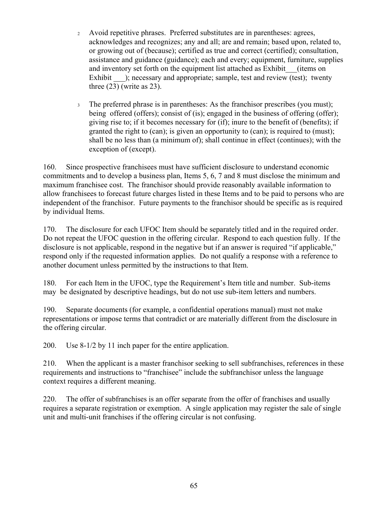- 2 Avoid repetitive phrases. Preferred substitutes are in parentheses: agrees, acknowledges and recognizes; any and all; are and remain; based upon, related to, or growing out of (because); certified as true and correct (certified); consultation, assistance and guidance (guidance); each and every; equipment, furniture, supplies and inventory set forth on the equipment list attached as Exhibit (items on Exhibit  $\blacksquare$ ); necessary and appropriate; sample, test and review (test); twenty three  $(23)$  (write as  $23$ ).
- <sup>3</sup> The preferred phrase is in parentheses: As the franchisor prescribes (you must); being offered (offers); consist of (is); engaged in the business of offering (offer); giving rise to; if it becomes necessary for (if); inure to the benefit of (benefits); if granted the right to (can); is given an opportunity to (can); is required to (must); shall be no less than (a minimum of); shall continue in effect (continues); with the exception of (except).

160. Since prospective franchisees must have sufficient disclosure to understand economic commitments and to develop a business plan, Items 5, 6, 7 and 8 must disclose the minimum and maximum franchisee cost. The franchisor should provide reasonably available information to allow franchisees to forecast future charges listed in these Items and to be paid to persons who are independent of the franchisor. Future payments to the franchisor should be specific as is required by individual Items.

170. The disclosure for each UFOC Item should be separately titled and in the required order. Do not repeat the UFOC question in the offering circular. Respond to each question fully. If the disclosure is not applicable, respond in the negative but if an answer is required "if applicable," respond only if the requested information applies. Do not qualify a response with a reference to another document unless permitted by the instructions to that Item.

180. For each Item in the UFOC, type the Requirement's Item title and number. Sub-items may be designated by descriptive headings, but do not use sub-item letters and numbers.

190. Separate documents (for example, a confidential operations manual) must not make representations or impose terms that contradict or are materially different from the disclosure in the offering circular.

200. Use 8-1/2 by 11 inch paper for the entire application.

210. When the applicant is a master franchisor seeking to sell subfranchises, references in these requirements and instructions to "franchisee" include the subfranchisor unless the language context requires a different meaning.

220. The offer of subfranchises is an offer separate from the offer of franchises and usually requires a separate registration or exemption. A single application may register the sale of single unit and multi-unit franchises if the offering circular is not confusing.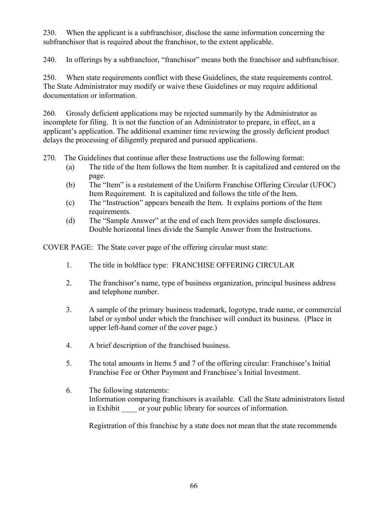230. When the applicant is a subfranchisor, disclose the same information concerning the subfranchisor that is required about the franchisor, to the extent applicable.

240. In offerings by a subfranchior, "franchisor" means both the franchisor and subfranchisor.

250. When state requirements conflict with these Guidelines, the state requirements control. The State Administrator may modify or waive these Guidelines or may require additional documentation or information.

260. Grossly deficient applications may be rejected summarily by the Administrator as incomplete for filing. It is not the function of an Administrator to prepare, in effect, an a applicant's application. The additional examiner time reviewing the grossly deficient product delays the processing of diligently prepared and pursued applications.

270. The Guidelines that continue after these Instructions use the following format:

- (a) The title of the Item follows the Item number. It is capitalized and centered on the page.
- (b) The "Item" is a restatement of the Uniform Franchise Offering Circular (UFOC) Item Requirement. It is capitalized and follows the title of the Item.
- (c) The "Instruction" appears beneath the Item. It explains portions of the Item requirements.
- (d) The "Sample Answer" at the end of each Item provides sample disclosures. Double horizontal lines divide the Sample Answer from the Instructions.

COVER PAGE: The State cover page of the offering circular must state:

- 1. The title in boldface type: FRANCHISE OFFERING CIRCULAR
- 2. The franchisor's name, type of business organization, principal business address and telephone number.
- 3. A sample of the primary business trademark, logotype, trade name, or commercial label or symbol under which the franchisee will conduct its business. (Place in upper left-hand corner of the cover page.)
- 4. A brief description of the franchised business.
- 5. The total amounts in Items 5 and 7 of the offering circular: Franchisee's Initial Franchise Fee or Other Payment and Franchisee's Initial Investment.
- 6. The following statements: Information comparing franchisors is available. Call the State administrators listed in Exhibit or your public library for sources of information.

Registration of this franchise by a state does not mean that the state recommends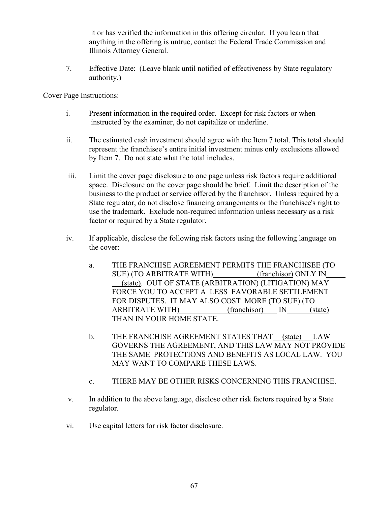it or has verified the information in this offering circular. If you learn that anything in the offering is untrue, contact the Federal Trade Commission and Illinois Attorney General.

 7. Effective Date: (Leave blank until notified of effectiveness by State regulatory authority.)

Cover Page Instructions:

- i. Present information in the required order. Except for risk factors or when instructed by the examiner, do not capitalize or underline.
- ii. The estimated cash investment should agree with the Item 7 total. This total should represent the franchisee's entire initial investment minus only exclusions allowed by Item 7. Do not state what the total includes.
- iii. Limit the cover page disclosure to one page unless risk factors require additional space. Disclosure on the cover page should be brief. Limit the description of the business to the product or service offered by the franchisor. Unless required by a State regulator, do not disclose financing arrangements or the franchisee's right to use the trademark. Exclude non-required information unless necessary as a risk factor or required by a State regulator.
- iv. If applicable, disclose the following risk factors using the following language on the cover:
	- a. THE FRANCHISE AGREEMENT PERMITS THE FRANCHISEE (TO SUE) (TO ARBITRATE WITH) (franchisor) ONLY IN (state). OUT OF STATE (ARBITRATION) (LITIGATION) MAY FORCE YOU TO ACCEPT A LESS FAVORABLE SETTLEMENT FOR DISPUTES. IT MAY ALSO COST MORE (TO SUE) (TO ARBITRATE WITH (franchisor) IN (state) THAN IN YOUR HOME STATE.
	- b. THE FRANCHISE AGREEMENT STATES THAT (state) LAW GOVERNS THE AGREEMENT, AND THIS LAW MAY NOT PROVIDE THE SAME PROTECTIONS AND BENEFITS AS LOCAL LAW. YOU MAY WANT TO COMPARE THESE LAWS.
	- c. THERE MAY BE OTHER RISKS CONCERNING THIS FRANCHISE.
- v. In addition to the above language, disclose other risk factors required by a State regulator.
- vi. Use capital letters for risk factor disclosure.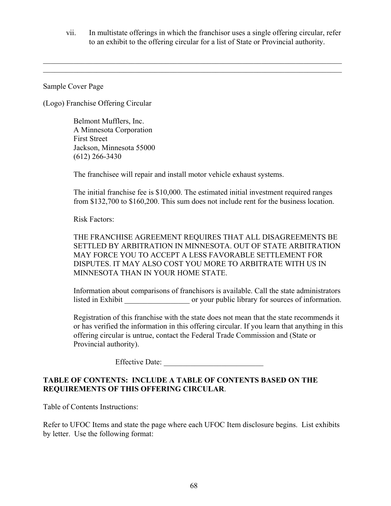vii. In multistate offerings in which the franchisor uses a single offering circular, refer to an exhibit to the offering circular for a list of State or Provincial authority.

 $\mathcal{L}_\mathcal{L} = \{ \mathcal{L}_\mathcal{L} = \{ \mathcal{L}_\mathcal{L} = \{ \mathcal{L}_\mathcal{L} = \{ \mathcal{L}_\mathcal{L} = \{ \mathcal{L}_\mathcal{L} = \{ \mathcal{L}_\mathcal{L} = \{ \mathcal{L}_\mathcal{L} = \{ \mathcal{L}_\mathcal{L} = \{ \mathcal{L}_\mathcal{L} = \{ \mathcal{L}_\mathcal{L} = \{ \mathcal{L}_\mathcal{L} = \{ \mathcal{L}_\mathcal{L} = \{ \mathcal{L}_\mathcal{L} = \{ \mathcal{L}_\mathcal{$  $\mathcal{L}_\mathcal{L} = \mathcal{L}_\mathcal{L} = \mathcal{L}_\mathcal{L} = \mathcal{L}_\mathcal{L} = \mathcal{L}_\mathcal{L} = \mathcal{L}_\mathcal{L} = \mathcal{L}_\mathcal{L} = \mathcal{L}_\mathcal{L} = \mathcal{L}_\mathcal{L} = \mathcal{L}_\mathcal{L} = \mathcal{L}_\mathcal{L} = \mathcal{L}_\mathcal{L} = \mathcal{L}_\mathcal{L} = \mathcal{L}_\mathcal{L} = \mathcal{L}_\mathcal{L} = \mathcal{L}_\mathcal{L} = \mathcal{L}_\mathcal{L}$ 

Sample Cover Page

(Logo) Franchise Offering Circular

Belmont Mufflers, Inc. A Minnesota Corporation First Street Jackson, Minnesota 55000 (612) 266-3430

The franchisee will repair and install motor vehicle exhaust systems.

The initial franchise fee is \$10,000. The estimated initial investment required ranges from \$132,700 to \$160,200. This sum does not include rent for the business location.

Risk Factors:

THE FRANCHISE AGREEMENT REQUIRES THAT ALL DISAGREEMENTS BE SETTLED BY ARBITRATION IN MINNESOTA. OUT OF STATE ARBITRATION MAY FORCE YOU TO ACCEPT A LESS FAVORABLE SETTLEMENT FOR DISPUTES. IT MAY ALSO COST YOU MORE TO ARBITRATE WITH US IN MINNESOTA THAN IN YOUR HOME STATE.

Information about comparisons of franchisors is available. Call the state administrators listed in Exhibit or your public library for sources of information.

Registration of this franchise with the state does not mean that the state recommends it or has verified the information in this offering circular. If you learn that anything in this offering circular is untrue, contact the Federal Trade Commission and (State or Provincial authority).

Effective Date: \_\_\_\_\_\_\_\_\_\_\_\_\_\_\_\_\_\_\_\_\_\_\_\_\_\_

# **TABLE OF CONTENTS: INCLUDE A TABLE OF CONTENTS BASED ON THE REQUIREMENTS OF THIS OFFERING CIRCULAR**.

Table of Contents Instructions:

Refer to UFOC Items and state the page where each UFOC Item disclosure begins. List exhibits by letter. Use the following format: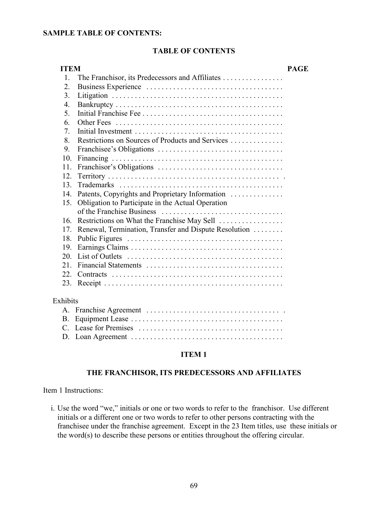#### **SAMPLE TABLE OF CONTENTS:**

### **TABLE OF CONTENTS**

| <b>ITEM</b>      |                                                       | <b>PAGE</b> |
|------------------|-------------------------------------------------------|-------------|
| $\mathbf{1}$ .   | The Franchisor, its Predecessors and Affiliates       |             |
| 2.               |                                                       |             |
| 3.               |                                                       |             |
| $\overline{4}$ . |                                                       |             |
| 5.               |                                                       |             |
| 6.               | Other Fees                                            |             |
| 7 <sub>1</sub>   |                                                       |             |
| 8.               | Restrictions on Sources of Products and Services      |             |
| 9.               |                                                       |             |
| 10.              |                                                       |             |
| 11.              |                                                       |             |
| 12.              |                                                       |             |
| 13.              |                                                       |             |
| 14.              | Patents, Copyrights and Proprietary Information       |             |
| 15.              | Obligation to Participate in the Actual Operation     |             |
|                  |                                                       |             |
| 16               | Restrictions on What the Franchise May Sell           |             |
| 17.              | Renewal, Termination, Transfer and Dispute Resolution |             |
| 18.              |                                                       |             |
| 19.              |                                                       |             |
| 20.              |                                                       |             |
| 21.              |                                                       |             |
| 22.              |                                                       |             |
| 23.              |                                                       |             |
| Exhibits         |                                                       |             |
| $A_{\cdot}$      |                                                       |             |
| B.               |                                                       |             |
| $C_{-}$          |                                                       |             |
|                  |                                                       |             |

# D. Loan Agreement . . . . . . . . . . . . . . . . . . . . . . . . . . . . . . . . . . . . . . . .

# **ITEM 1**

# **THE FRANCHISOR, ITS PREDECESSORS AND AFFILIATES**

Item 1 Instructions:

 i. Use the word "we," initials or one or two words to refer to the franchisor. Use different initials or a different one or two words to refer to other persons contracting with the franchisee under the franchise agreement. Except in the 23 Item titles, use these initials or the word(s) to describe these persons or entities throughout the offering circular.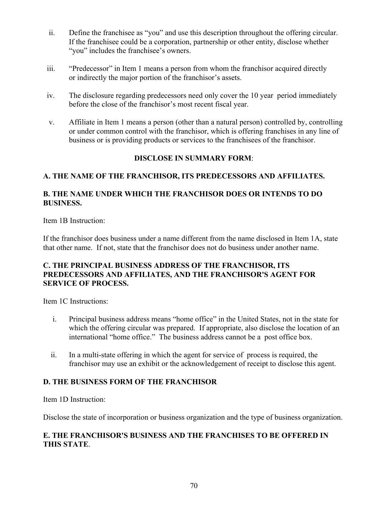- ii. Define the franchisee as "you" and use this description throughout the offering circular. If the franchisee could be a corporation, partnership or other entity, disclose whether "you" includes the franchisee's owners.
- iii. "Predecessor" in Item 1 means a person from whom the franchisor acquired directly or indirectly the major portion of the franchisor's assets.
- iv. The disclosure regarding predecessors need only cover the 10 year period immediately before the close of the franchisor's most recent fiscal year.
- v. Affiliate in Item 1 means a person (other than a natural person) controlled by, controlling or under common control with the franchisor, which is offering franchises in any line of business or is providing products or services to the franchisees of the franchisor.

# **DISCLOSE IN SUMMARY FORM**:

# **A. THE NAME OF THE FRANCHISOR, ITS PREDECESSORS AND AFFILIATES.**

# **B. THE NAME UNDER WHICH THE FRANCHISOR DOES OR INTENDS TO DO BUSINESS.**

Item 1B Instruction:

If the franchisor does business under a name different from the name disclosed in Item 1A, state that other name. If not, state that the franchisor does not do business under another name.

# **C. THE PRINCIPAL BUSINESS ADDRESS OF THE FRANCHISOR, ITS PREDECESSORS AND AFFILIATES, AND THE FRANCHISOR'S AGENT FOR SERVICE OF PROCESS.**

Item 1C Instructions:

- i. Principal business address means "home office" in the United States, not in the state for which the offering circular was prepared. If appropriate, also disclose the location of an international "home office." The business address cannot be a post office box.
- ii. In a multi-state offering in which the agent for service of process is required, the franchisor may use an exhibit or the acknowledgement of receipt to disclose this agent.

# **D. THE BUSINESS FORM OF THE FRANCHISOR**

Item 1D Instruction:

Disclose the state of incorporation or business organization and the type of business organization.

# **E. THE FRANCHISOR'S BUSINESS AND THE FRANCHISES TO BE OFFERED IN THIS STATE**.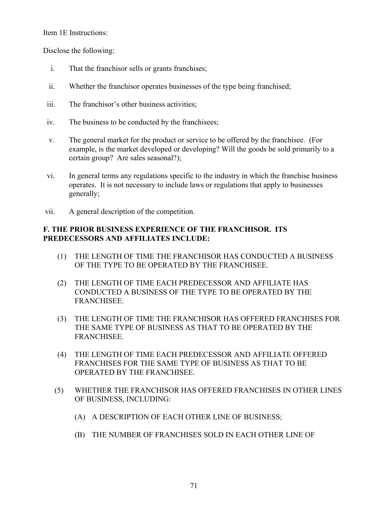Item 1E Instructions:

Disclose the following:

- i. That the franchisor sells or grants franchises;
- ii. Whether the franchisor operates businesses of the type being franchised;
- iii. The franchisor's other business activities;
- iv. The business to be conducted by the franchisees;
- v. The general market for the product or service to be offered by the franchisee. (For example, is the market developed or developing? Will the goods be sold primarily to a certain group? Are sales seasonal?);
- vi. In general terms any regulations specific to the industry in which the franchise business operates. It is not necessary to include laws or regulations that apply to businesses generally;
- vii. A general description of the competition.

# **F. THE PRIOR BUSINESS EXPERIENCE OF THE FRANCHISOR. ITS PREDECESSORS AND AFFILIATES INCLUDE:**

- (1) THE LENGTH OF TIME THE FRANCHISOR HAS CONDUCTED A BUSINESS OF THE TYPE TO BE OPERATED BY THE FRANCHISEE.
- (2) THE LENGTH OF TIME EACH PREDECESSOR AND AFFILIATE HAS CONDUCTED A BUSINESS OF THE TYPE TO BE OPERATED BY THE FRANCHISEE.
- (3) THE LENGTH OF TIME THE FRANCHISOR HAS OFFERED FRANCHISES FOR THE SAME TYPE OF BUSINESS AS THAT TO BE OPERATED BY THE FRANCHISEE.
- (4) THE LENGTH OF TIME EACH PREDECESSOR AND AFFILIATE OFFERED FRANCHISES FOR THE SAME TYPE OF BUSINESS AS THAT TO BE OPERATED BY THE FRANCHISEE.
- (5) WHETHER THE FRANCHISOR HAS OFFERED FRANCHISES IN OTHER LINES OF BUSINESS, INCLUDING:
	- (A) A DESCRIPTION OF EACH OTHER LINE OF BUSINESS;
	- (B) THE NUMBER OF FRANCHISES SOLD IN EACH OTHER LINE OF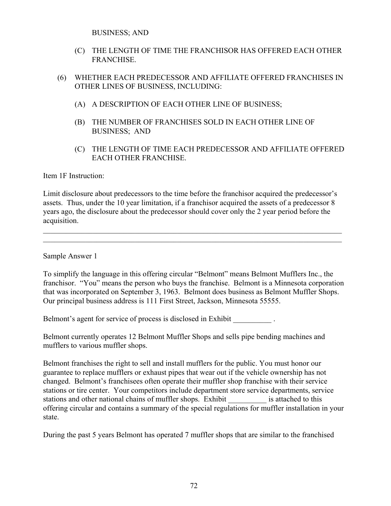BUSINESS; AND

- (C) THE LENGTH OF TIME THE FRANCHISOR HAS OFFERED EACH OTHER **FRANCHISE**
- (6) WHETHER EACH PREDECESSOR AND AFFILIATE OFFERED FRANCHISES IN OTHER LINES OF BUSINESS, INCLUDING:
	- (A) A DESCRIPTION OF EACH OTHER LINE OF BUSINESS;
	- (B) THE NUMBER OF FRANCHISES SOLD IN EACH OTHER LINE OF BUSINESS; AND
	- (C) THE LENGTH OF TIME EACH PREDECESSOR AND AFFILIATE OFFERED EACH OTHER FRANCHISE.

Item 1F Instruction:

Limit disclosure about predecessors to the time before the franchisor acquired the predecessor's assets. Thus, under the 10 year limitation, if a franchisor acquired the assets of a predecessor 8 years ago, the disclosure about the predecessor should cover only the 2 year period before the acquisition.

 $\_$  , and the contribution of the contribution of the contribution of the contribution of  $\mathcal{L}_\text{max}$  $\_$  , and the contribution of the contribution of the contribution of the contribution of  $\mathcal{L}_\text{max}$ 

Sample Answer 1

To simplify the language in this offering circular "Belmont" means Belmont Mufflers Inc., the franchisor. "You" means the person who buys the franchise. Belmont is a Minnesota corporation that was incorporated on September 3, 1963. Belmont does business as Belmont Muffler Shops. Our principal business address is 111 First Street, Jackson, Minnesota 55555.

Belmont's agent for service of process is disclosed in Exhibit

Belmont currently operates 12 Belmont Muffler Shops and sells pipe bending machines and mufflers to various muffler shops.

Belmont franchises the right to sell and install mufflers for the public. You must honor our guarantee to replace mufflers or exhaust pipes that wear out if the vehicle ownership has not changed. Belmont's franchisees often operate their muffler shop franchise with their service stations or tire center. Your competitors include department store service departments, service stations and other national chains of muffler shops. Exhibit is attached to this offering circular and contains a summary of the special regulations for muffler installation in your state.

During the past 5 years Belmont has operated 7 muffler shops that are similar to the franchised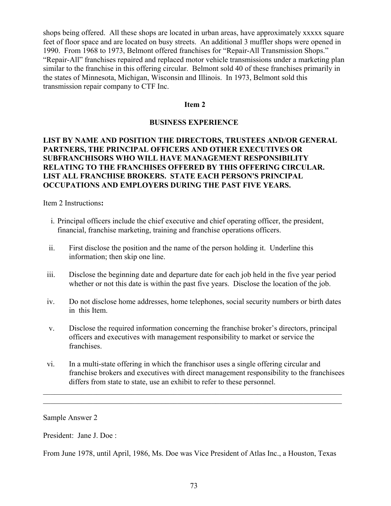shops being offered. All these shops are located in urban areas, have approximately xxxxx square feet of floor space and are located on busy streets. An additional 3 muffler shops were opened in 1990. From 1968 to 1973, Belmont offered franchises for "Repair-All Transmission Shops." "Repair-All" franchises repaired and replaced motor vehicle transmissions under a marketing plan similar to the franchise in this offering circular. Belmont sold 40 of these franchises primarily in the states of Minnesota, Michigan, Wisconsin and Illinois. In 1973, Belmont sold this transmission repair company to CTF Inc.

#### **Item 2**

#### **BUSINESS EXPERIENCE**

# **LIST BY NAME AND POSITION THE DIRECTORS, TRUSTEES AND/OR GENERAL PARTNERS, THE PRINCIPAL OFFICERS AND OTHER EXECUTIVES OR SUBFRANCHISORS WHO WILL HAVE MANAGEMENT RESPONSIBILITY RELATING TO THE FRANCHISES OFFERED BY THIS OFFERING CIRCULAR. LIST ALL FRANCHISE BROKERS. STATE EACH PERSON'S PRINCIPAL OCCUPATIONS AND EMPLOYERS DURING THE PAST FIVE YEARS.**

Item 2 Instructions**:**

- i. Principal officers include the chief executive and chief operating officer, the president, financial, franchise marketing, training and franchise operations officers.
- ii. First disclose the position and the name of the person holding it. Underline this information; then skip one line.
- iii. Disclose the beginning date and departure date for each job held in the five year period whether or not this date is within the past five years. Disclose the location of the job.
- iv. Do not disclose home addresses, home telephones, social security numbers or birth dates in this Item.
- v. Disclose the required information concerning the franchise broker's directors, principal officers and executives with management responsibility to market or service the franchises.
- vi. In a multi-state offering in which the franchisor uses a single offering circular and franchise brokers and executives with direct management responsibility to the franchisees differs from state to state, use an exhibit to refer to these personnel.

 $\_$  , and the contribution of the contribution of the contribution of the contribution of  $\mathcal{L}_\text{max}$  $\mathcal{L}_\mathcal{L} = \{ \mathcal{L}_\mathcal{L} = \{ \mathcal{L}_\mathcal{L} = \{ \mathcal{L}_\mathcal{L} = \{ \mathcal{L}_\mathcal{L} = \{ \mathcal{L}_\mathcal{L} = \{ \mathcal{L}_\mathcal{L} = \{ \mathcal{L}_\mathcal{L} = \{ \mathcal{L}_\mathcal{L} = \{ \mathcal{L}_\mathcal{L} = \{ \mathcal{L}_\mathcal{L} = \{ \mathcal{L}_\mathcal{L} = \{ \mathcal{L}_\mathcal{L} = \{ \mathcal{L}_\mathcal{L} = \{ \mathcal{L}_\mathcal{$ 

Sample Answer 2

President: Jane J. Doe :

From June 1978, until April, 1986, Ms. Doe was Vice President of Atlas Inc., a Houston, Texas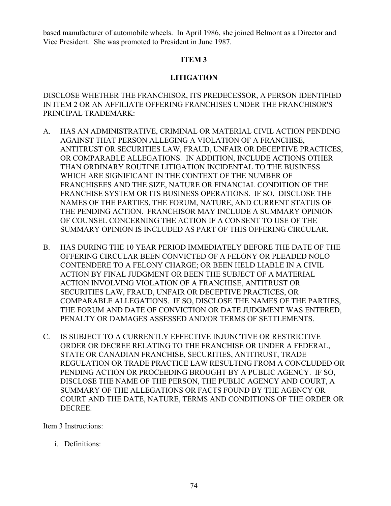based manufacturer of automobile wheels. In April 1986, she joined Belmont as a Director and Vice President. She was promoted to President in June 1987.

## **ITEM 3**

## **LITIGATION**

DISCLOSE WHETHER THE FRANCHISOR, ITS PREDECESSOR, A PERSON IDENTIFIED IN ITEM 2 OR AN AFFILIATE OFFERING FRANCHISES UNDER THE FRANCHISOR'S PRINCIPAL TRADEMARK:

- A. HAS AN ADMINISTRATIVE, CRIMINAL OR MATERIAL CIVIL ACTION PENDING AGAINST THAT PERSON ALLEGING A VIOLATION OF A FRANCHISE, ANTITRUST OR SECURITIES LAW, FRAUD, UNFAIR OR DECEPTIVE PRACTICES, OR COMPARABLE ALLEGATIONS. IN ADDITION, INCLUDE ACTIONS OTHER THAN ORDINARY ROUTINE LITIGATION INCIDENTAL TO THE BUSINESS WHICH ARE SIGNIFICANT IN THE CONTEXT OF THE NUMBER OF FRANCHISEES AND THE SIZE, NATURE OR FINANCIAL CONDITION OF THE FRANCHISE SYSTEM OR ITS BUSINESS OPERATIONS. IF SO, DISCLOSE THE NAMES OF THE PARTIES, THE FORUM, NATURE, AND CURRENT STATUS OF THE PENDING ACTION. FRANCHISOR MAY INCLUDE A SUMMARY OPINION OF COUNSEL CONCERNING THE ACTION IF A CONSENT TO USE OF THE SUMMARY OPINION IS INCLUDED AS PART OF THIS OFFERING CIRCULAR.
- B. HAS DURING THE 10 YEAR PERIOD IMMEDIATELY BEFORE THE DATE OF THE OFFERING CIRCULAR BEEN CONVICTED OF A FELONY OR PLEADED NOLO CONTENDERE TO A FELONY CHARGE; OR BEEN HELD LIABLE IN A CIVIL ACTION BY FINAL JUDGMENT OR BEEN THE SUBJECT OF A MATERIAL ACTION INVOLVING VIOLATION OF A FRANCHISE, ANTITRUST OR SECURITIES LAW, FRAUD, UNFAIR OR DECEPTIVE PRACTICES, OR COMPARABLE ALLEGATIONS. IF SO, DISCLOSE THE NAMES OF THE PARTIES, THE FORUM AND DATE OF CONVICTION OR DATE JUDGMENT WAS ENTERED, PENALTY OR DAMAGES ASSESSED AND/OR TERMS OF SETTLEMENTS.
- C. IS SUBJECT TO A CURRENTLY EFFECTIVE INJUNCTIVE OR RESTRICTIVE ORDER OR DECREE RELATING TO THE FRANCHISE OR UNDER A FEDERAL, STATE OR CANADIAN FRANCHISE, SECURITIES, ANTITRUST, TRADE REGULATION OR TRADE PRACTICE LAW RESULTING FROM A CONCLUDED OR PENDING ACTION OR PROCEEDING BROUGHT BY A PUBLIC AGENCY. IF SO, DISCLOSE THE NAME OF THE PERSON, THE PUBLIC AGENCY AND COURT, A SUMMARY OF THE ALLEGATIONS OR FACTS FOUND BY THE AGENCY OR COURT AND THE DATE, NATURE, TERMS AND CONDITIONS OF THE ORDER OR DECREE.

Item 3 Instructions:

i. Definitions: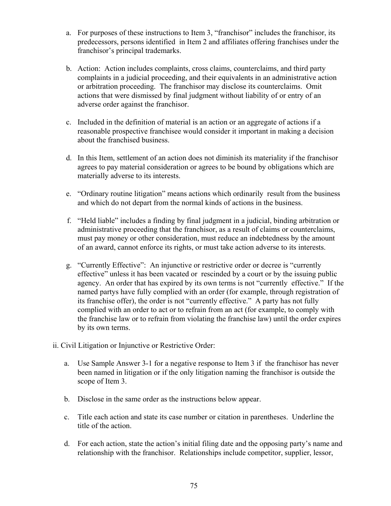- a. For purposes of these instructions to Item 3, "franchisor" includes the franchisor, its predecessors, persons identified in Item 2 and affiliates offering franchises under the franchisor's principal trademarks.
- b. Action: Action includes complaints, cross claims, counterclaims, and third party complaints in a judicial proceeding, and their equivalents in an administrative action or arbitration proceeding. The franchisor may disclose its counterclaims. Omit actions that were dismissed by final judgment without liability of or entry of an adverse order against the franchisor.
- c. Included in the definition of material is an action or an aggregate of actions if a reasonable prospective franchisee would consider it important in making a decision about the franchised business.
- d. In this Item, settlement of an action does not diminish its materiality if the franchisor agrees to pay material consideration or agrees to be bound by obligations which are materially adverse to its interests.
- e. "Ordinary routine litigation" means actions which ordinarily result from the business and which do not depart from the normal kinds of actions in the business.
- f. "Held liable" includes a finding by final judgment in a judicial, binding arbitration or administrative proceeding that the franchisor, as a result of claims or counterclaims, must pay money or other consideration, must reduce an indebtedness by the amount of an award, cannot enforce its rights, or must take action adverse to its interests.
- g. "Currently Effective": An injunctive or restrictive order or decree is "currently effective" unless it has been vacated or rescinded by a court or by the issuing public agency. An order that has expired by its own terms is not "currently effective." If the named partys have fully complied with an order (for example, through registration of its franchise offer), the order is not "currently effective." A party has not fully complied with an order to act or to refrain from an act (for example, to comply with the franchise law or to refrain from violating the franchise law) until the order expires by its own terms.
- ii. Civil Litigation or Injunctive or Restrictive Order:
	- a. Use Sample Answer 3-1 for a negative response to Item 3 if the franchisor has never been named in litigation or if the only litigation naming the franchisor is outside the scope of Item 3.
	- b. Disclose in the same order as the instructions below appear.
	- c. Title each action and state its case number or citation in parentheses. Underline the title of the action.
	- d. For each action, state the action's initial filing date and the opposing party's name and relationship with the franchisor. Relationships include competitor, supplier, lessor,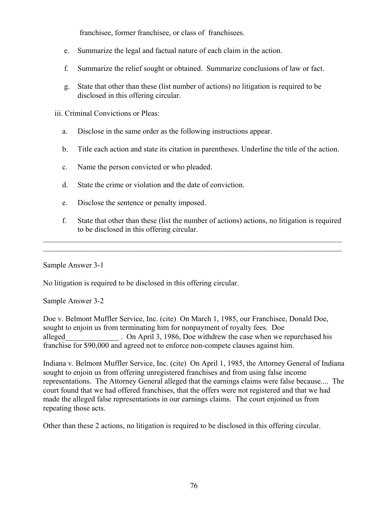franchisee, former franchisee, or class of franchisees.

- e. Summarize the legal and factual nature of each claim in the action.
- f. Summarize the relief sought or obtained. Summarize conclusions of law or fact.
- g. State that other than these (list number of actions) no litigation is required to be disclosed in this offering circular.

iii. Criminal Convictions or Pleas:

- a. Disclose in the same order as the following instructions appear.
- b. Title each action and state its citation in parentheses. Underline the title of the action.
- c. Name the person convicted or who pleaded.
- d. State the crime or violation and the date of conviction.
- e. Disclose the sentence or penalty imposed.
- f. State that other than these (list the number of actions) actions, no litigation is required to be disclosed in this offering circular.

 $\_$  , and the contribution of the contribution of the contribution of the contribution of  $\mathcal{L}_\text{max}$  $\mathcal{L}_\mathcal{L} = \{ \mathcal{L}_\mathcal{L} = \{ \mathcal{L}_\mathcal{L} = \{ \mathcal{L}_\mathcal{L} = \{ \mathcal{L}_\mathcal{L} = \{ \mathcal{L}_\mathcal{L} = \{ \mathcal{L}_\mathcal{L} = \{ \mathcal{L}_\mathcal{L} = \{ \mathcal{L}_\mathcal{L} = \{ \mathcal{L}_\mathcal{L} = \{ \mathcal{L}_\mathcal{L} = \{ \mathcal{L}_\mathcal{L} = \{ \mathcal{L}_\mathcal{L} = \{ \mathcal{L}_\mathcal{L} = \{ \mathcal{L}_\mathcal{$ 

Sample Answer 3-1

No litigation is required to be disclosed in this offering circular.

Sample Answer 3-2

Doe v. Belmont Muffler Service, Inc. (cite) On March 1, 1985, our Franchisee, Donald Doe, sought to enjoin us from terminating him for nonpayment of royalty fees. Doe alleged . On April 3, 1986, Doe withdrew the case when we repurchased his franchise for \$90,000 and agreed not to enforce non-compete clauses against him.

Indiana v. Belmont Muffler Service, Inc. (cite) On April 1, 1985, the Attorney General of Indiana sought to enjoin us from offering unregistered franchises and from using false income representations. The Attorney General alleged that the earnings claims were false because.... The court found that we had offered franchises, that the offers were not registered and that we had made the alleged false representations in our earnings claims. The court enjoined us from repeating those acts.

Other than these 2 actions, no litigation is required to be disclosed in this offering circular.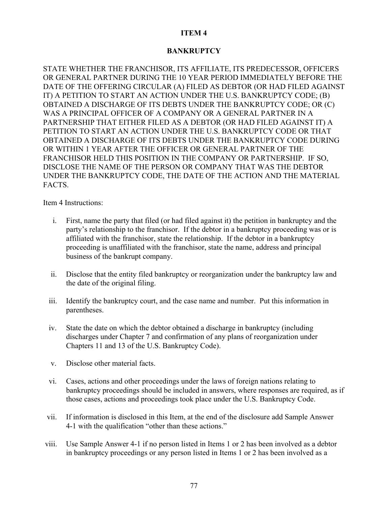## **ITEM 4**

## **BANKRUPTCY**

STATE WHETHER THE FRANCHISOR, ITS AFFILIATE, ITS PREDECESSOR, OFFICERS OR GENERAL PARTNER DURING THE 10 YEAR PERIOD IMMEDIATELY BEFORE THE DATE OF THE OFFERING CIRCULAR (A) FILED AS DEBTOR (OR HAD FILED AGAINST IT) A PETITION TO START AN ACTION UNDER THE U.S. BANKRUPTCY CODE; (B) OBTAINED A DISCHARGE OF ITS DEBTS UNDER THE BANKRUPTCY CODE; OR (C) WAS A PRINCIPAL OFFICER OF A COMPANY OR A GENERAL PARTNER IN A PARTNERSHIP THAT EITHER FILED AS A DEBTOR (OR HAD FILED AGAINST IT) A PETITION TO START AN ACTION UNDER THE U.S. BANKRUPTCY CODE OR THAT OBTAINED A DISCHARGE OF ITS DEBTS UNDER THE BANKRUPTCY CODE DURING OR WITHIN 1 YEAR AFTER THE OFFICER OR GENERAL PARTNER OF THE FRANCHISOR HELD THIS POSITION IN THE COMPANY OR PARTNERSHIP. IF SO, DISCLOSE THE NAME OF THE PERSON OR COMPANY THAT WAS THE DEBTOR UNDER THE BANKRUPTCY CODE, THE DATE OF THE ACTION AND THE MATERIAL **FACTS** 

Item 4 Instructions:

- i. First, name the party that filed (or had filed against it) the petition in bankruptcy and the party's relationship to the franchisor. If the debtor in a bankruptcy proceeding was or is affiliated with the franchisor, state the relationship. If the debtor in a bankruptcy proceeding is unaffiliated with the franchisor, state the name, address and principal business of the bankrupt company.
- ii. Disclose that the entity filed bankruptcy or reorganization under the bankruptcy law and the date of the original filing.
- iii. Identify the bankruptcy court, and the case name and number. Put this information in parentheses.
- iv. State the date on which the debtor obtained a discharge in bankruptcy (including discharges under Chapter 7 and confirmation of any plans of reorganization under Chapters 11 and 13 of the U.S. Bankruptcy Code).
- v. Disclose other material facts.
- vi. Cases, actions and other proceedings under the laws of foreign nations relating to bankruptcy proceedings should be included in answers, where responses are required, as if those cases, actions and proceedings took place under the U.S. Bankruptcy Code.
- vii. If information is disclosed in this Item, at the end of the disclosure add Sample Answer 4-1 with the qualification "other than these actions."
- viii. Use Sample Answer 4-1 if no person listed in Items 1 or 2 has been involved as a debtor in bankruptcy proceedings or any person listed in Items 1 or 2 has been involved as a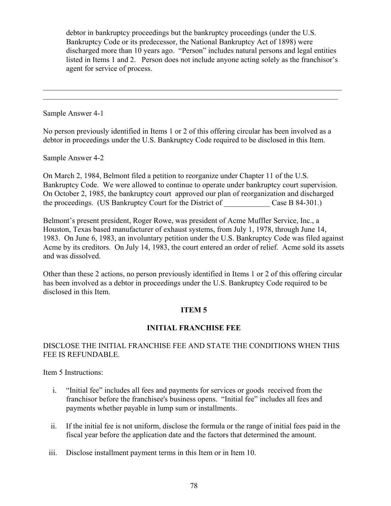debtor in bankruptcy proceedings but the bankruptcy proceedings (under the U.S. Bankruptcy Code or its predecessor, the National Bankruptcy Act of 1898) were discharged more than 10 years ago. "Person" includes natural persons and legal entities listed in Items 1 and 2. Person does not include anyone acting solely as the franchisor's agent for service of process.

Sample Answer 4-1

No person previously identified in Items 1 or 2 of this offering circular has been involved as a debtor in proceedings under the U.S. Bankruptcy Code required to be disclosed in this Item.

 $\mathcal{L}_\mathcal{L} = \{ \mathcal{L}_\mathcal{L} = \{ \mathcal{L}_\mathcal{L} = \{ \mathcal{L}_\mathcal{L} = \{ \mathcal{L}_\mathcal{L} = \{ \mathcal{L}_\mathcal{L} = \{ \mathcal{L}_\mathcal{L} = \{ \mathcal{L}_\mathcal{L} = \{ \mathcal{L}_\mathcal{L} = \{ \mathcal{L}_\mathcal{L} = \{ \mathcal{L}_\mathcal{L} = \{ \mathcal{L}_\mathcal{L} = \{ \mathcal{L}_\mathcal{L} = \{ \mathcal{L}_\mathcal{L} = \{ \mathcal{L}_\mathcal{$  $\mathcal{L}_\mathcal{L} = \{ \mathcal{L}_\mathcal{L} = \{ \mathcal{L}_\mathcal{L} = \{ \mathcal{L}_\mathcal{L} = \{ \mathcal{L}_\mathcal{L} = \{ \mathcal{L}_\mathcal{L} = \{ \mathcal{L}_\mathcal{L} = \{ \mathcal{L}_\mathcal{L} = \{ \mathcal{L}_\mathcal{L} = \{ \mathcal{L}_\mathcal{L} = \{ \mathcal{L}_\mathcal{L} = \{ \mathcal{L}_\mathcal{L} = \{ \mathcal{L}_\mathcal{L} = \{ \mathcal{L}_\mathcal{L} = \{ \mathcal{L}_\mathcal{$ 

Sample Answer 4-2

On March 2, 1984, Belmont filed a petition to reorganize under Chapter 11 of the U.S. Bankruptcy Code. We were allowed to continue to operate under bankruptcy court supervision. On October 2, 1985, the bankruptcy court approved our plan of reorganization and discharged the proceedings. (US Bankruptcy Court for the District of Case B 84-301.)

Belmont's present president, Roger Rowe, was president of Acme Muffler Service, Inc., a Houston, Texas based manufacturer of exhaust systems, from July 1, 1978, through June 14, 1983. On June 6, 1983, an involuntary petition under the U.S. Bankruptcy Code was filed against Acme by its creditors. On July 14, 1983, the court entered an order of relief. Acme sold its assets and was dissolved.

Other than these 2 actions, no person previously identified in Items 1 or 2 of this offering circular has been involved as a debtor in proceedings under the U.S. Bankruptcy Code required to be disclosed in this Item.

# **ITEM 5**

# **INITIAL FRANCHISE FEE**

# DISCLOSE THE INITIAL FRANCHISE FEE AND STATE THE CONDITIONS WHEN THIS FEE IS REFUNDABLE.

Item 5 Instructions:

- i. "Initial fee" includes all fees and payments for services or goods received from the franchisor before the franchisee's business opens. "Initial fee" includes all fees and payments whether payable in lump sum or installments.
- ii. If the initial fee is not uniform, disclose the formula or the range of initial fees paid in the fiscal year before the application date and the factors that determined the amount.
- iii. Disclose installment payment terms in this Item or in Item 10.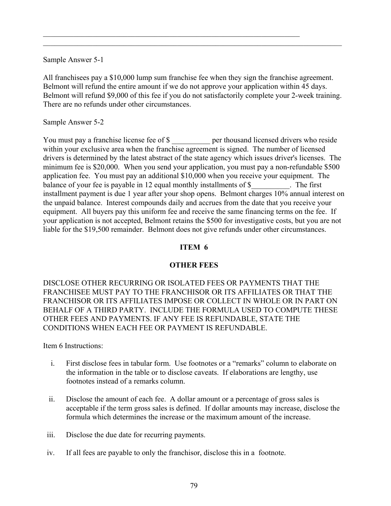Sample Answer 5-1

All franchisees pay a \$10,000 lump sum franchise fee when they sign the franchise agreement. Belmont will refund the entire amount if we do not approve your application within 45 days. Belmont will refund \$9,000 of this fee if you do not satisfactorily complete your 2-week training. There are no refunds under other circumstances.

 $\mathcal{L}_\mathcal{L} = \{ \mathcal{L}_\mathcal{L} = \{ \mathcal{L}_\mathcal{L} = \{ \mathcal{L}_\mathcal{L} = \{ \mathcal{L}_\mathcal{L} = \{ \mathcal{L}_\mathcal{L} = \{ \mathcal{L}_\mathcal{L} = \{ \mathcal{L}_\mathcal{L} = \{ \mathcal{L}_\mathcal{L} = \{ \mathcal{L}_\mathcal{L} = \{ \mathcal{L}_\mathcal{L} = \{ \mathcal{L}_\mathcal{L} = \{ \mathcal{L}_\mathcal{L} = \{ \mathcal{L}_\mathcal{L} = \{ \mathcal{L}_\mathcal{$ 

 $\mathcal{L}_\mathcal{L} = \mathcal{L}_\mathcal{L} = \mathcal{L}_\mathcal{L} = \mathcal{L}_\mathcal{L} = \mathcal{L}_\mathcal{L} = \mathcal{L}_\mathcal{L} = \mathcal{L}_\mathcal{L} = \mathcal{L}_\mathcal{L} = \mathcal{L}_\mathcal{L} = \mathcal{L}_\mathcal{L} = \mathcal{L}_\mathcal{L} = \mathcal{L}_\mathcal{L} = \mathcal{L}_\mathcal{L} = \mathcal{L}_\mathcal{L} = \mathcal{L}_\mathcal{L} = \mathcal{L}_\mathcal{L} = \mathcal{L}_\mathcal{L}$ 

Sample Answer 5-2

You must pay a franchise license fee of \$ \_\_\_\_\_\_\_\_\_ per thousand licensed drivers who reside within your exclusive area when the franchise agreement is signed. The number of licensed drivers is determined by the latest abstract of the state agency which issues driver's licenses. The minimum fee is \$20,000. When you send your application, you must pay a non-refundable \$500 application fee. You must pay an additional \$10,000 when you receive your equipment. The balance of your fee is payable in 12 equal monthly installments of \$. balance of your fee is payable in 12 equal monthly installments of \$ installment payment is due 1 year after your shop opens. Belmont charges 10% annual interest on the unpaid balance. Interest compounds daily and accrues from the date that you receive your equipment. All buyers pay this uniform fee and receive the same financing terms on the fee. If your application is not accepted, Belmont retains the \$500 for investigative costs, but you are not liable for the \$19,500 remainder. Belmont does not give refunds under other circumstances.

# **ITEM 6**

# **OTHER FEES**

DISCLOSE OTHER RECURRING OR ISOLATED FEES OR PAYMENTS THAT THE FRANCHISEE MUST PAY TO THE FRANCHISOR OR ITS AFFILIATES OR THAT THE FRANCHISOR OR ITS AFFILIATES IMPOSE OR COLLECT IN WHOLE OR IN PART ON BEHALF OF A THIRD PARTY. INCLUDE THE FORMULA USED TO COMPUTE THESE OTHER FEES AND PAYMENTS. IF ANY FEE IS REFUNDABLE, STATE THE CONDITIONS WHEN EACH FEE OR PAYMENT IS REFUNDABLE.

Item 6 Instructions:

- i. First disclose fees in tabular form. Use footnotes or a "remarks" column to elaborate on the information in the table or to disclose caveats. If elaborations are lengthy, use footnotes instead of a remarks column.
- ii. Disclose the amount of each fee. A dollar amount or a percentage of gross sales is acceptable if the term gross sales is defined. If dollar amounts may increase, disclose the formula which determines the increase or the maximum amount of the increase.
- iii. Disclose the due date for recurring payments.
- iv. If all fees are payable to only the franchisor, disclose this in a footnote.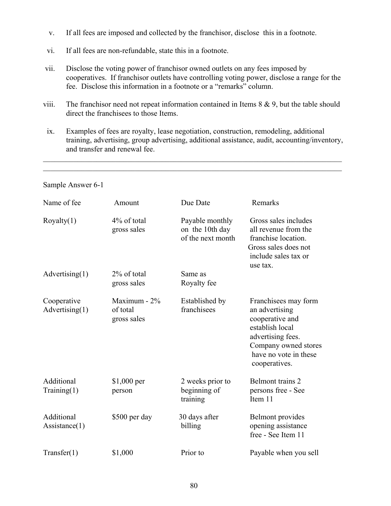- v. If all fees are imposed and collected by the franchisor, disclose this in a footnote.
- vi. If all fees are non-refundable, state this in a footnote.

Sample Answer 6-1

- vii. Disclose the voting power of franchisor owned outlets on any fees imposed by cooperatives. If franchisor outlets have controlling voting power, disclose a range for the fee. Disclose this information in a footnote or a "remarks" column.
- viii. The franchisor need not repeat information contained in Items  $8 \& 9$ , but the table should direct the franchisees to those Items.
- ix. Examples of fees are royalty, lease negotiation, construction, remodeling, additional training, advertising, group advertising, additional assistance, audit, accounting/inventory, and transfer and renewal fee.

 $\mathcal{L}_\mathcal{L} = \{ \mathcal{L}_\mathcal{L} = \{ \mathcal{L}_\mathcal{L} = \{ \mathcal{L}_\mathcal{L} = \{ \mathcal{L}_\mathcal{L} = \{ \mathcal{L}_\mathcal{L} = \{ \mathcal{L}_\mathcal{L} = \{ \mathcal{L}_\mathcal{L} = \{ \mathcal{L}_\mathcal{L} = \{ \mathcal{L}_\mathcal{L} = \{ \mathcal{L}_\mathcal{L} = \{ \mathcal{L}_\mathcal{L} = \{ \mathcal{L}_\mathcal{L} = \{ \mathcal{L}_\mathcal{L} = \{ \mathcal{L}_\mathcal{$  $\mathcal{L}_\mathcal{L} = \{ \mathcal{L}_\mathcal{L} = \{ \mathcal{L}_\mathcal{L} = \{ \mathcal{L}_\mathcal{L} = \{ \mathcal{L}_\mathcal{L} = \{ \mathcal{L}_\mathcal{L} = \{ \mathcal{L}_\mathcal{L} = \{ \mathcal{L}_\mathcal{L} = \{ \mathcal{L}_\mathcal{L} = \{ \mathcal{L}_\mathcal{L} = \{ \mathcal{L}_\mathcal{L} = \{ \mathcal{L}_\mathcal{L} = \{ \mathcal{L}_\mathcal{L} = \{ \mathcal{L}_\mathcal{L} = \{ \mathcal{L}_\mathcal{$ 

| Name of fee                      | Amount                                  | Due Date                                                | Remarks                                                                                                                                                             |
|----------------------------------|-----------------------------------------|---------------------------------------------------------|---------------------------------------------------------------------------------------------------------------------------------------------------------------------|
| Royalty(1)                       | 4% of total<br>gross sales              | Payable monthly<br>on the 10th day<br>of the next month | Gross sales includes<br>all revenue from the<br>franchise location.<br>Gross sales does not<br>include sales tax or<br>use tax.                                     |
| Advertising(1)                   | 2% of total<br>gross sales              | Same as<br>Royalty fee                                  |                                                                                                                                                                     |
| Cooperative<br>Advertising $(1)$ | Maximum - 2%<br>of total<br>gross sales | Established by<br>franchisees                           | Franchisees may form<br>an advertising<br>cooperative and<br>establish local<br>advertising fees.<br>Company owned stores<br>have no vote in these<br>cooperatives. |
| Additional<br>Training(1)        | $$1,000$ per<br>person                  | 2 weeks prior to<br>beginning of<br>training            | Belmont trains 2<br>persons free - See<br>Item 11                                                                                                                   |
| Additional<br>Assistance(1)      | \$500 per day                           | 30 days after<br>billing                                | Belmont provides<br>opening assistance<br>free - See Item 11                                                                                                        |
| Transfer(1)                      | \$1,000                                 | Prior to                                                | Payable when you sell                                                                                                                                               |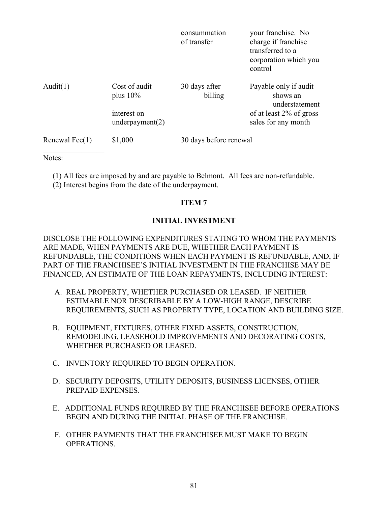|                   |                                | consummation<br>of transfer | your franchise. No<br>charge if franchise<br>transferred to a<br>corporation which you<br>control |
|-------------------|--------------------------------|-----------------------------|---------------------------------------------------------------------------------------------------|
| Audit $(1)$       | Cost of audit<br>plus $10\%$   | 30 days after<br>billing    | Payable only if audit<br>shows an<br>understatement                                               |
|                   | interest on<br>underpayment(2) |                             | of at least 2% of gross<br>sales for any month                                                    |
| Renewal Fee $(1)$ | \$1,000                        | 30 days before renewal      |                                                                                                   |

Notes:

 $\mathcal{L}_\text{max}$  , where  $\mathcal{L}_\text{max}$ 

- (1) All fees are imposed by and are payable to Belmont. All fees are non-refundable.
- (2) Interest begins from the date of the underpayment.

#### **ITEM 7**

#### **INITIAL INVESTMENT**

DISCLOSE THE FOLLOWING EXPENDITURES STATING TO WHOM THE PAYMENTS ARE MADE, WHEN PAYMENTS ARE DUE, WHETHER EACH PAYMENT IS REFUNDABLE, THE CONDITIONS WHEN EACH PAYMENT IS REFUNDABLE, AND, IF PART OF THE FRANCHISEE'S INITIAL INVESTMENT IN THE FRANCHISE MAY BE FINANCED, AN ESTIMATE OF THE LOAN REPAYMENTS, INCLUDING INTEREST:

- A. REAL PROPERTY, WHETHER PURCHASED OR LEASED. IF NEITHER ESTIMABLE NOR DESCRIBABLE BY A LOW-HIGH RANGE, DESCRIBE REQUIREMENTS, SUCH AS PROPERTY TYPE, LOCATION AND BUILDING SIZE.
- B. EQUIPMENT, FIXTURES, OTHER FIXED ASSETS, CONSTRUCTION, REMODELING, LEASEHOLD IMPROVEMENTS AND DECORATING COSTS, WHETHER PURCHASED OR LEASED.
- C. INVENTORY REQUIRED TO BEGIN OPERATION.
- D. SECURITY DEPOSITS, UTILITY DEPOSITS, BUSINESS LICENSES, OTHER PREPAID EXPENSES.
- E. ADDITIONAL FUNDS REQUIRED BY THE FRANCHISEE BEFORE OPERATIONS BEGIN AND DURING THE INITIAL PHASE OF THE FRANCHISE.
- F. OTHER PAYMENTS THAT THE FRANCHISEE MUST MAKE TO BEGIN OPERATIONS.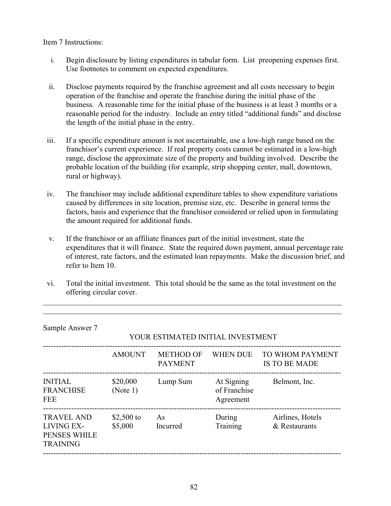Item 7 Instructions:

- i. Begin disclosure by listing expenditures in tabular form. List preopening expenses first. Use footnotes to comment on expected expenditures.
- ii. Disclose payments required by the franchise agreement and all costs necessary to begin operation of the franchise and operate the franchise during the initial phase of the business. A reasonable time for the initial phase of the business is at least 3 months or a reasonable period for the industry. Include an entry titled "additional funds" and disclose the length of the initial phase in the entry.
- iii. If a specific expenditure amount is not ascertainable, use a low-high range based on the franchisor's current experience. If real property costs cannot be estimated in a low-high range, disclose the approximate size of the property and building involved. Describe the probable location of the building (for example, strip shopping center, mall, downtown, rural or highway).
- iv. The franchisor may include additional expenditure tables to show expenditure variations caused by differences in site location, premise size, etc. Describe in general terms the factors, basis and experience that the franchisor considered or relied upon in formulating the amount required for additional funds.
- v. If the franchisor or an affiliate finances part of the initial investment, state the expenditures that it will finance. State the required down payment, annual percentage rate of interest, rate factors, and the estimated loan repayments. Make the discussion brief, and refer to Item 10.
- vi. Total the initial investment. This total should be the same as the total investment on the offering circular cover.

 $\mathcal{L}_\mathcal{L} = \{ \mathcal{L}_\mathcal{L} = \{ \mathcal{L}_\mathcal{L} = \{ \mathcal{L}_\mathcal{L} = \{ \mathcal{L}_\mathcal{L} = \{ \mathcal{L}_\mathcal{L} = \{ \mathcal{L}_\mathcal{L} = \{ \mathcal{L}_\mathcal{L} = \{ \mathcal{L}_\mathcal{L} = \{ \mathcal{L}_\mathcal{L} = \{ \mathcal{L}_\mathcal{L} = \{ \mathcal{L}_\mathcal{L} = \{ \mathcal{L}_\mathcal{L} = \{ \mathcal{L}_\mathcal{L} = \{ \mathcal{L}_\mathcal{$  $\mathcal{L}_\mathcal{L} = \{ \mathcal{L}_\mathcal{L} = \{ \mathcal{L}_\mathcal{L} = \{ \mathcal{L}_\mathcal{L} = \{ \mathcal{L}_\mathcal{L} = \{ \mathcal{L}_\mathcal{L} = \{ \mathcal{L}_\mathcal{L} = \{ \mathcal{L}_\mathcal{L} = \{ \mathcal{L}_\mathcal{L} = \{ \mathcal{L}_\mathcal{L} = \{ \mathcal{L}_\mathcal{L} = \{ \mathcal{L}_\mathcal{L} = \{ \mathcal{L}_\mathcal{L} = \{ \mathcal{L}_\mathcal{L} = \{ \mathcal{L}_\mathcal{$ 

| Sample Answer 7                                                           | YOUR ESTIMATED INITIAL INVESTMENT |                                    |                                         |                                         |  |  |  |  |
|---------------------------------------------------------------------------|-----------------------------------|------------------------------------|-----------------------------------------|-----------------------------------------|--|--|--|--|
|                                                                           | <b>AMOUNT</b>                     | <b>METHOD OF</b><br><b>PAYMENT</b> | <b>WHEN DUE</b>                         | TO WHOM PAYMENT<br><b>IS TO BE MADE</b> |  |  |  |  |
| <b>INITIAL</b><br><b>FRANCHISE</b><br><b>FEE</b>                          | \$20,000<br>(Note 1)              | Lump Sum                           | At Signing<br>of Franchise<br>Agreement | Belmont, Inc.                           |  |  |  |  |
| <b>TRAVEL AND</b><br><b>LIVING EX-</b><br>PENSES WHILE<br><b>TRAINING</b> | \$2,500 to<br>\$5,000             | As<br>Incurred                     | During<br>Training                      | Airlines, Hotels<br>& Restaurants       |  |  |  |  |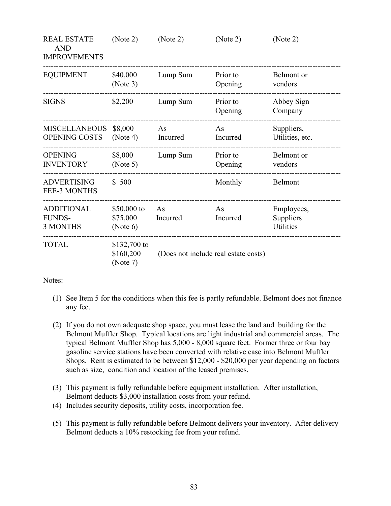| <b>REAL ESTATE</b><br><b>AND</b><br><b>IMPROVEMENTS</b>                               | (Note 2)                               | (Note 2)                             | (Note 2)                         | (Note 2)                             |  |
|---------------------------------------------------------------------------------------|----------------------------------------|--------------------------------------|----------------------------------|--------------------------------------|--|
| <b>EQUIPMENT</b><br>\$40,000<br>(Note 3)                                              |                                        | Lump Sum                             | Prior to<br>Opening              | Belmont or<br>vendors                |  |
| <b>SIGNS</b><br>\$2,200                                                               |                                        | Lump Sum                             | Prior to<br>Opening              | Abbey Sign<br>Company                |  |
| <b>MISCELLANEOUS</b><br><b>OPENING COSTS</b>                                          | \$8,000<br>(Note 4)                    |                                      | As<br>As<br>Incurred<br>Incurred |                                      |  |
| <b>OPENING</b><br><b>INVENTORY</b>                                                    | \$8,000<br>(Note 5)                    | Lump Sum                             | Prior to<br>Opening              | Belmont or<br>vendors                |  |
| <b>ADVERTISING</b><br><b>FEE-3 MONTHS</b>                                             | \$500                                  |                                      | Monthly                          | Belmont                              |  |
| <b>ADDITIONAL</b><br>\$50,000 to<br><b>FUNDS-</b><br>\$75,000<br>3 MONTHS<br>(Note 6) |                                        | As<br>As<br>Incurred<br>Incurred     |                                  | Employees,<br>Suppliers<br>Utilities |  |
| <b>TOTAL</b>                                                                          | $$132,700$ to<br>\$160,200<br>(Note 7) | (Does not include real estate costs) |                                  |                                      |  |

Notes:

- (1) See Item 5 for the conditions when this fee is partly refundable. Belmont does not finance any fee.
- (2) If you do not own adequate shop space, you must lease the land and building for the Belmont Muffler Shop. Typical locations are light industrial and commercial areas. The typical Belmont Muffler Shop has 5,000 - 8,000 square feet. Former three or four bay gasoline service stations have been converted with relative ease into Belmont Muffler Shops. Rent is estimated to be between \$12,000 - \$20,000 per year depending on factors such as size, condition and location of the leased premises.
- (3) This payment is fully refundable before equipment installation. After installation, Belmont deducts \$3,000 installation costs from your refund.
- (4) Includes security deposits, utility costs, incorporation fee.
- (5) This payment is fully refundable before Belmont delivers your inventory. After delivery Belmont deducts a 10% restocking fee from your refund.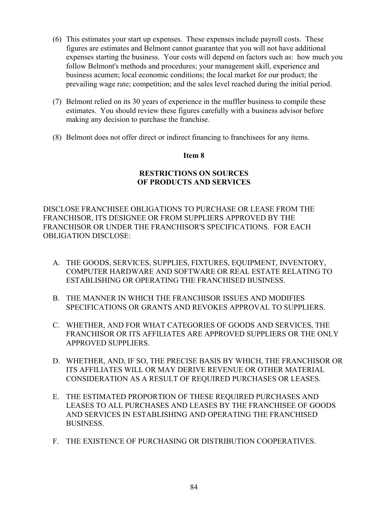- (6) This estimates your start up expenses. These expenses include payroll costs. These figures are estimates and Belmont cannot guarantee that you will not have additional expenses starting the business. Your costs will depend on factors such as: how much you follow Belmont's methods and procedures; your management skill, experience and business acumen; local economic conditions; the local market for our product; the prevailing wage rate; competition; and the sales level reached during the initial period.
- (7) Belmont relied on its 30 years of experience in the muffler business to compile these estimates. You should review these figures carefully with a business advisor before making any decision to purchase the franchise.
- (8) Belmont does not offer direct or indirect financing to franchisees for any items.

#### **Item 8**

# **RESTRICTIONS ON SOURCES OF PRODUCTS AND SERVICES**

DISCLOSE FRANCHISEE OBLIGATIONS TO PURCHASE OR LEASE FROM THE FRANCHISOR, ITS DESIGNEE OR FROM SUPPLIERS APPROVED BY THE FRANCHISOR OR UNDER THE FRANCHISOR'S SPECIFICATIONS. FOR EACH OBLIGATION DISCLOSE:

- A. THE GOODS, SERVICES, SUPPLIES, FIXTURES, EQUIPMENT, INVENTORY, COMPUTER HARDWARE AND SOFTWARE OR REAL ESTATE RELATING TO ESTABLISHING OR OPERATING THE FRANCHISED BUSINESS.
- B. THE MANNER IN WHICH THE FRANCHISOR ISSUES AND MODIFIES SPECIFICATIONS OR GRANTS AND REVOKES APPROVAL TO SUPPLIERS.
- C. WHETHER, AND FOR WHAT CATEGORIES OF GOODS AND SERVICES, THE FRANCHISOR OR ITS AFFILIATES ARE APPROVED SUPPLIERS OR THE ONLY APPROVED SUPPLIERS.
- D. WHETHER, AND, IF SO, THE PRECISE BASIS BY WHICH, THE FRANCHISOR OR ITS AFFILIATES WILL OR MAY DERIVE REVENUE OR OTHER MATERIAL CONSIDERATION AS A RESULT OF REQUIRED PURCHASES OR LEASES.
- E. THE ESTIMATED PROPORTION OF THESE REQUIRED PURCHASES AND LEASES TO ALL PURCHASES AND LEASES BY THE FRANCHISEE OF GOODS AND SERVICES IN ESTABLISHING AND OPERATING THE FRANCHISED **BUSINESS**
- F. THE EXISTENCE OF PURCHASING OR DISTRIBUTION COOPERATIVES.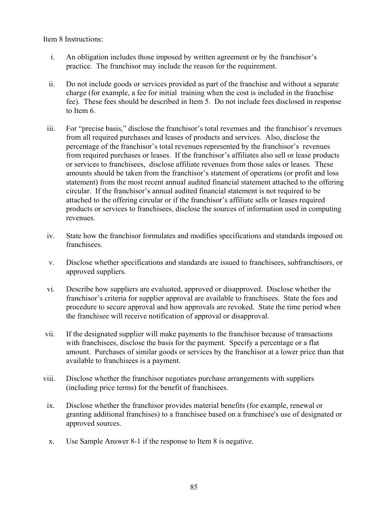Item 8 Instructions:

- i. An obligation includes those imposed by written agreement or by the franchisor's practice. The franchisor may include the reason for the requirement.
- ii. Do not include goods or services provided as part of the franchise and without a separate charge (for example, a fee for initial training when the cost is included in the franchise fee). These fees should be described in Item 5. Do not include fees disclosed in response to Item 6.
- iii. For "precise basis," disclose the franchisor's total revenues and the franchisor's revenues from all required purchases and leases of products and services. Also, disclose the percentage of the franchisor's total revenues represented by the franchisor's revenues from required purchases or leases. If the franchisor's affiliates also sell or lease products or services to franchisees, disclose affiliate revenues from those sales or leases. These amounts should be taken from the franchisor's statement of operations (or profit and loss statement) from the most recent annual audited financial statement attached to the offering circular. If the franchisor's annual audited financial statement is not required to be attached to the offering circular or if the franchisor's affiliate sells or leases required products or services to franchisees, disclose the sources of information used in computing revenues.
- iv. State how the franchisor formulates and modifies specifications and standards imposed on franchisees.
- v. Disclose whether specifications and standards are issued to franchisees, subfranchisors, or approved suppliers.
- vi. Describe how suppliers are evaluated, approved or disapproved. Disclose whether the franchisor's criteria for supplier approval are available to franchisees. State the fees and procedure to secure approval and how approvals are revoked. State the time period when the franchisee will receive notification of approval or disapproval.
- vii. If the designated supplier will make payments to the franchisor because of transactions with franchisees, disclose the basis for the payment. Specify a percentage or a flat amount. Purchases of similar goods or services by the franchisor at a lower price than that available to franchisees is a payment.
- viii. Disclose whether the franchisor negotiates purchase arrangements with suppliers (including price terms) for the benefit of franchisees.
- ix. Disclose whether the franchisor provides material benefits (for example, renewal or granting additional franchises) to a franchisee based on a franchisee's use of designated or approved sources.
- x. Use Sample Answer 8-1 if the response to Item 8 is negative.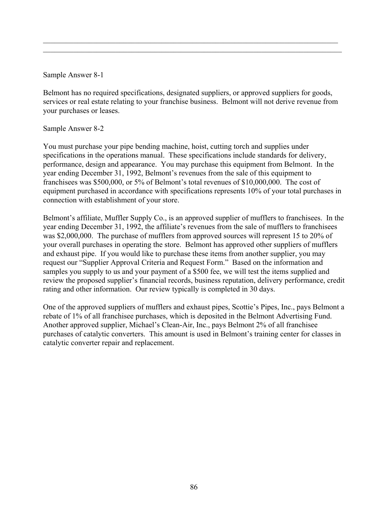Sample Answer 8-1

Belmont has no required specifications, designated suppliers, or approved suppliers for goods, services or real estate relating to your franchise business. Belmont will not derive revenue from your purchases or leases.

 $\mathcal{L}_\mathcal{L} = \{ \mathcal{L}_\mathcal{L} = \{ \mathcal{L}_\mathcal{L} = \{ \mathcal{L}_\mathcal{L} = \{ \mathcal{L}_\mathcal{L} = \{ \mathcal{L}_\mathcal{L} = \{ \mathcal{L}_\mathcal{L} = \{ \mathcal{L}_\mathcal{L} = \{ \mathcal{L}_\mathcal{L} = \{ \mathcal{L}_\mathcal{L} = \{ \mathcal{L}_\mathcal{L} = \{ \mathcal{L}_\mathcal{L} = \{ \mathcal{L}_\mathcal{L} = \{ \mathcal{L}_\mathcal{L} = \{ \mathcal{L}_\mathcal{$  $\mathcal{L}_\mathcal{L} = \{ \mathcal{L}_\mathcal{L} = \{ \mathcal{L}_\mathcal{L} = \{ \mathcal{L}_\mathcal{L} = \{ \mathcal{L}_\mathcal{L} = \{ \mathcal{L}_\mathcal{L} = \{ \mathcal{L}_\mathcal{L} = \{ \mathcal{L}_\mathcal{L} = \{ \mathcal{L}_\mathcal{L} = \{ \mathcal{L}_\mathcal{L} = \{ \mathcal{L}_\mathcal{L} = \{ \mathcal{L}_\mathcal{L} = \{ \mathcal{L}_\mathcal{L} = \{ \mathcal{L}_\mathcal{L} = \{ \mathcal{L}_\mathcal{$ 

## Sample Answer 8-2

You must purchase your pipe bending machine, hoist, cutting torch and supplies under specifications in the operations manual. These specifications include standards for delivery, performance, design and appearance. You may purchase this equipment from Belmont. In the year ending December 31, 1992, Belmont's revenues from the sale of this equipment to franchisees was \$500,000, or 5% of Belmont's total revenues of \$10,000,000. The cost of equipment purchased in accordance with specifications represents 10% of your total purchases in connection with establishment of your store.

Belmont's affiliate, Muffler Supply Co., is an approved supplier of mufflers to franchisees. In the year ending December 31, 1992, the affiliate's revenues from the sale of mufflers to franchisees was \$2,000,000. The purchase of mufflers from approved sources will represent 15 to 20% of your overall purchases in operating the store. Belmont has approved other suppliers of mufflers and exhaust pipe. If you would like to purchase these items from another supplier, you may request our "Supplier Approval Criteria and Request Form." Based on the information and samples you supply to us and your payment of a \$500 fee, we will test the items supplied and review the proposed supplier's financial records, business reputation, delivery performance, credit rating and other information. Our review typically is completed in 30 days.

One of the approved suppliers of mufflers and exhaust pipes, Scottie's Pipes, Inc., pays Belmont a rebate of 1% of all franchisee purchases, which is deposited in the Belmont Advertising Fund. Another approved supplier, Michael's Clean-Air, Inc., pays Belmont 2% of all franchisee purchases of catalytic converters. This amount is used in Belmont's training center for classes in catalytic converter repair and replacement.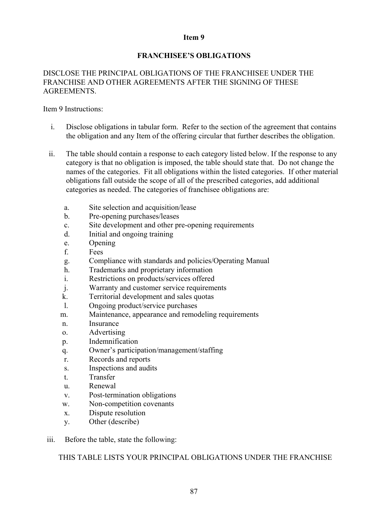#### **Item 9**

## **FRANCHISEE'S OBLIGATIONS**

## DISCLOSE THE PRINCIPAL OBLIGATIONS OF THE FRANCHISEE UNDER THE FRANCHISE AND OTHER AGREEMENTS AFTER THE SIGNING OF THESE AGREEMENTS.

Item 9 Instructions:

- i. Disclose obligations in tabular form. Refer to the section of the agreement that contains the obligation and any Item of the offering circular that further describes the obligation.
- ii. The table should contain a response to each category listed below. If the response to any category is that no obligation is imposed, the table should state that. Do not change the names of the categories. Fit all obligations within the listed categories. If other material obligations fall outside the scope of all of the prescribed categories, add additional categories as needed. The categories of franchisee obligations are:
	- a. Site selection and acquisition/lease
	- b. Pre-opening purchases/leases
	- c. Site development and other pre-opening requirements
	- d. Initial and ongoing training
	- e. Opening
	- f. Fees
	- g. Compliance with standards and policies/Operating Manual
	- h. Trademarks and proprietary information
	- i. Restrictions on products/services offered
	- j. Warranty and customer service requirements
	- k. Territorial development and sales quotas
	- l. Ongoing product/service purchases
	- m. Maintenance, appearance and remodeling requirements
	- n. Insurance
	- o. Advertising
	- p. Indemnification
	- q. Owner's participation/management/staffing
	- r. Records and reports
	- s. Inspections and audits
	- t. Transfer
	- u. Renewal
	- v. Post-termination obligations
	- w. Non-competition covenants
	- x. Dispute resolution
	- y. Other (describe)
- iii. Before the table, state the following:

THIS TABLE LISTS YOUR PRINCIPAL OBLIGATIONS UNDER THE FRANCHISE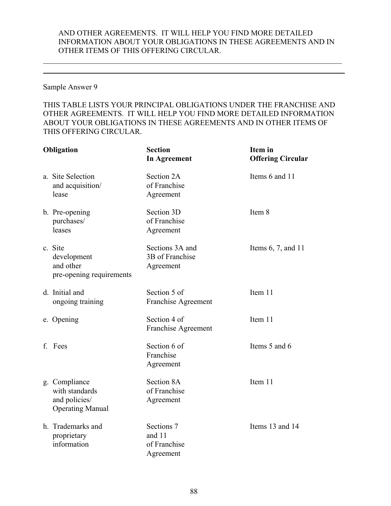## AND OTHER AGREEMENTS. IT WILL HELP YOU FIND MORE DETAILED INFORMATION ABOUT YOUR OBLIGATIONS IN THESE AGREEMENTS AND IN OTHER ITEMS OF THIS OFFERING CIRCULAR.

 $\mathcal{L}_\mathcal{L} = \{ \mathcal{L}_\mathcal{L} = \{ \mathcal{L}_\mathcal{L} = \{ \mathcal{L}_\mathcal{L} = \{ \mathcal{L}_\mathcal{L} = \{ \mathcal{L}_\mathcal{L} = \{ \mathcal{L}_\mathcal{L} = \{ \mathcal{L}_\mathcal{L} = \{ \mathcal{L}_\mathcal{L} = \{ \mathcal{L}_\mathcal{L} = \{ \mathcal{L}_\mathcal{L} = \{ \mathcal{L}_\mathcal{L} = \{ \mathcal{L}_\mathcal{L} = \{ \mathcal{L}_\mathcal{L} = \{ \mathcal{L}_\mathcal{$ 

# Sample Answer 9

THIS TABLE LISTS YOUR PRINCIPAL OBLIGATIONS UNDER THE FRANCHISE AND OTHER AGREEMENTS. IT WILL HELP YOU FIND MORE DETAILED INFORMATION ABOUT YOUR OBLIGATIONS IN THESE AGREEMENTS AND IN OTHER ITEMS OF THIS OFFERING CIRCULAR.

| Obligation                                                                  | <b>Section</b><br>In Agreement                    | Item in<br><b>Offering Circular</b> |  |
|-----------------------------------------------------------------------------|---------------------------------------------------|-------------------------------------|--|
| a. Site Selection<br>and acquisition/<br>lease                              | Section 2A<br>of Franchise<br>Agreement           | Items 6 and 11                      |  |
| b. Pre-opening<br>purchases/<br>leases                                      | Section 3D<br>of Franchise<br>Agreement           | Item 8                              |  |
| c. Site<br>development<br>and other<br>pre-opening requirements             | Sections 3A and<br>3B of Franchise<br>Agreement   | Items $6, 7,$ and $11$              |  |
| d. Initial and<br>ongoing training                                          | Section 5 of<br><b>Franchise Agreement</b>        | Item 11                             |  |
| e. Opening                                                                  | Section 4 of<br>Franchise Agreement               | Item 11                             |  |
| f. Fees                                                                     | Section 6 of<br>Franchise<br>Agreement            | Items 5 and 6                       |  |
| g. Compliance<br>with standards<br>and policies/<br><b>Operating Manual</b> | Section 8A<br>of Franchise<br>Agreement           | Item 11                             |  |
| h. Trademarks and<br>proprietary<br>information                             | Sections 7<br>and 11<br>of Franchise<br>Agreement | Items 13 and 14                     |  |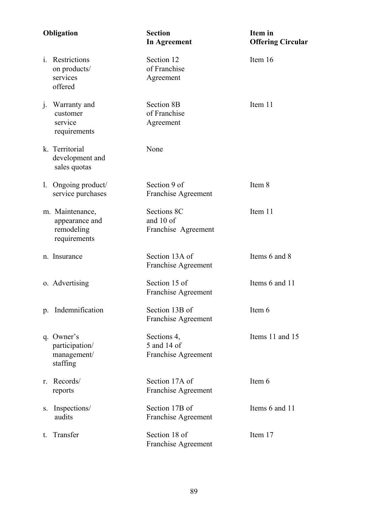|             | Obligation                                                      | <b>Section</b><br><b>In Agreement</b>             | Item in<br><b>Offering Circular</b> |
|-------------|-----------------------------------------------------------------|---------------------------------------------------|-------------------------------------|
|             | i. Restrictions<br>on products/<br>services<br>offered          | Section 12<br>of Franchise<br>Agreement           | Item 16                             |
|             | j. Warranty and<br>customer<br>service<br>requirements          | Section 8B<br>of Franchise<br>Agreement           | Item 11                             |
|             | k. Territorial<br>development and<br>sales quotas               | None                                              |                                     |
| 1.          | Ongoing product/<br>service purchases                           | Section 9 of<br>Franchise Agreement               | Item 8                              |
|             | m. Maintenance,<br>appearance and<br>remodeling<br>requirements | Sections 8C<br>and 10 of<br>Franchise Agreement   | Item 11                             |
|             | n. Insurance                                                    | Section 13A of<br>Franchise Agreement             | Items 6 and 8                       |
|             | o. Advertising                                                  | Section 15 of<br><b>Franchise Agreement</b>       | Items 6 and 11                      |
|             | p. Indemnification                                              | Section 13B of<br><b>Franchise Agreement</b>      | Item 6                              |
|             | q. Owner's<br>participation/<br>management/<br>staffing         | Sections 4,<br>5 and 14 of<br>Franchise Agreement | Items 11 and 15                     |
| $r_{\cdot}$ | Records/<br>reports                                             | Section 17A of<br>Franchise Agreement             | Item 6                              |
|             | s. Inspections/<br>audits                                       | Section 17B of<br><b>Franchise Agreement</b>      | Items 6 and 11                      |
| t.          | Transfer                                                        | Section 18 of<br>Franchise Agreement              | Item 17                             |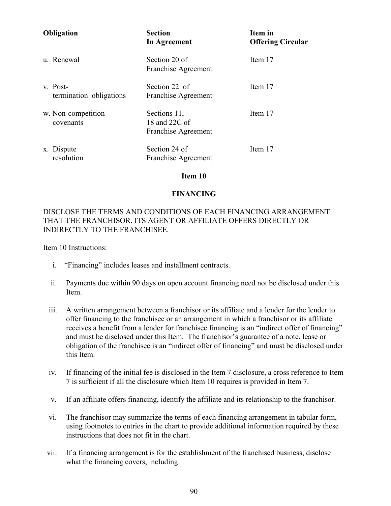| <b>Obligation</b>                   | <b>Section</b><br>In Agreement                       | Item in<br><b>Offering Circular</b> |
|-------------------------------------|------------------------------------------------------|-------------------------------------|
| u. Renewal                          | Section 20 of<br>Franchise Agreement                 | Item 17                             |
| v. Post-<br>termination obligations | Section 22 of<br><b>Franchise Agreement</b>          | Item 17                             |
| w. Non-competition<br>covenants     | Sections 11,<br>18 and 22C of<br>Franchise Agreement | Item 17                             |
| x. Dispute<br>resolution            | Section 24 of<br>Franchise Agreement                 | Item 17                             |

#### **Item 10**

#### **FINANCING**

## DISCLOSE THE TERMS AND CONDITIONS OF EACH FINANCING ARRANGEMENT THAT THE FRANCHISOR, ITS AGENT OR AFFILIATE OFFERS DIRECTLY OR INDIRECTLY TO THE FRANCHISEE.

Item 10 Instructions:

- i. "Financing" includes leases and installment contracts.
- ii. Payments due within 90 days on open account financing need not be disclosed under this Item.
- iii. A written arrangement between a franchisor or its affiliate and a lender for the lender to offer financing to the franchisee or an arrangement in which a franchisor or its affiliate receives a benefit from a lender for franchisee financing is an "indirect offer of financing" and must be disclosed under this Item. The franchisor's guarantee of a note, lease or obligation of the franchisee is an "indirect offer of financing" and must be disclosed under this Item.
- iv. If financing of the initial fee is disclosed in the Item 7 disclosure, a cross reference to Item 7 is sufficient if all the disclosure which Item 10 requires is provided in Item 7.
- v. If an affiliate offers financing, identify the affiliate and its relationship to the franchisor.
- vi. The franchisor may summarize the terms of each financing arrangement in tabular form, using footnotes to entries in the chart to provide additional information required by these instructions that does not fit in the chart.
- vii. If a financing arrangement is for the establishment of the franchised business, disclose what the financing covers, including: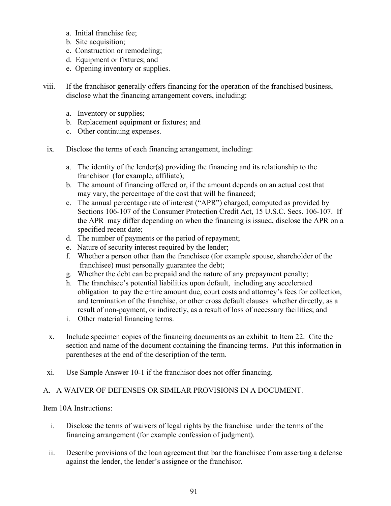- a. Initial franchise fee;
- b. Site acquisition;
- c. Construction or remodeling;
- d. Equipment or fixtures; and
- e. Opening inventory or supplies.

viii. If the franchisor generally offers financing for the operation of the franchised business, disclose what the financing arrangement covers, including:

- a. Inventory or supplies;
- b. Replacement equipment or fixtures; and
- c. Other continuing expenses.
- ix. Disclose the terms of each financing arrangement, including:
	- a. The identity of the lender(s) providing the financing and its relationship to the franchisor (for example, affiliate);
	- b. The amount of financing offered or, if the amount depends on an actual cost that may vary, the percentage of the cost that will be financed;
	- c. The annual percentage rate of interest ("APR") charged, computed as provided by Sections 106-107 of the Consumer Protection Credit Act, 15 U.S.C. Secs. 106-107. If the APR may differ depending on when the financing is issued, disclose the APR on a specified recent date;
	- d. The number of payments or the period of repayment;
	- e. Nature of security interest required by the lender;
	- f. Whether a person other than the franchisee (for example spouse, shareholder of the franchisee) must personally guarantee the debt;
	- g. Whether the debt can be prepaid and the nature of any prepayment penalty;
	- h. The franchisee's potential liabilities upon default, including any accelerated obligation to pay the entire amount due, court costs and attorney's fees for collection, and termination of the franchise, or other cross default clauses whether directly, as a result of non-payment, or indirectly, as a result of loss of necessary facilities; and
	- i. Other material financing terms.
- x. Include specimen copies of the financing documents as an exhibit to Item 22. Cite the section and name of the document containing the financing terms. Put this information in parentheses at the end of the description of the term.
- xi. Use Sample Answer 10-1 if the franchisor does not offer financing.

#### A. A WAIVER OF DEFENSES OR SIMILAR PROVISIONS IN A DOCUMENT.

Item 10A Instructions:

- i. Disclose the terms of waivers of legal rights by the franchise under the terms of the financing arrangement (for example confession of judgment).
- ii. Describe provisions of the loan agreement that bar the franchisee from asserting a defense against the lender, the lender's assignee or the franchisor.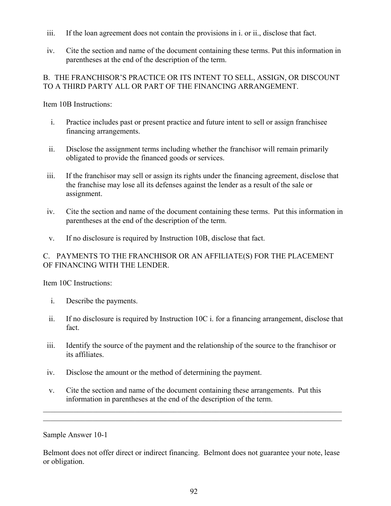- iii. If the loan agreement does not contain the provisions in i. or ii., disclose that fact.
- iv. Cite the section and name of the document containing these terms. Put this information in parentheses at the end of the description of the term.

# B. THE FRANCHISOR'S PRACTICE OR ITS INTENT TO SELL, ASSIGN, OR DISCOUNT TO A THIRD PARTY ALL OR PART OF THE FINANCING ARRANGEMENT.

Item 10B Instructions:

- i. Practice includes past or present practice and future intent to sell or assign franchisee financing arrangements.
- ii. Disclose the assignment terms including whether the franchisor will remain primarily obligated to provide the financed goods or services.
- iii. If the franchisor may sell or assign its rights under the financing agreement, disclose that the franchise may lose all its defenses against the lender as a result of the sale or assignment.
- iv. Cite the section and name of the document containing these terms. Put this information in parentheses at the end of the description of the term.
- v. If no disclosure is required by Instruction 10B, disclose that fact.

# C. PAYMENTS TO THE FRANCHISOR OR AN AFFILIATE(S) FOR THE PLACEMENT OF FINANCING WITH THE LENDER.

Item 10C Instructions:

- i. Describe the payments.
- ii. If no disclosure is required by Instruction 10C i. for a financing arrangement, disclose that fact.
- iii. Identify the source of the payment and the relationship of the source to the franchisor or its affiliates.
- iv. Disclose the amount or the method of determining the payment.
- v. Cite the section and name of the document containing these arrangements. Put this information in parentheses at the end of the description of the term.

 $\mathcal{L}_\mathcal{L} = \{ \mathcal{L}_\mathcal{L} = \{ \mathcal{L}_\mathcal{L} = \{ \mathcal{L}_\mathcal{L} = \{ \mathcal{L}_\mathcal{L} = \{ \mathcal{L}_\mathcal{L} = \{ \mathcal{L}_\mathcal{L} = \{ \mathcal{L}_\mathcal{L} = \{ \mathcal{L}_\mathcal{L} = \{ \mathcal{L}_\mathcal{L} = \{ \mathcal{L}_\mathcal{L} = \{ \mathcal{L}_\mathcal{L} = \{ \mathcal{L}_\mathcal{L} = \{ \mathcal{L}_\mathcal{L} = \{ \mathcal{L}_\mathcal{$  $\mathcal{L}_\mathcal{L} = \{ \mathcal{L}_\mathcal{L} = \{ \mathcal{L}_\mathcal{L} = \{ \mathcal{L}_\mathcal{L} = \{ \mathcal{L}_\mathcal{L} = \{ \mathcal{L}_\mathcal{L} = \{ \mathcal{L}_\mathcal{L} = \{ \mathcal{L}_\mathcal{L} = \{ \mathcal{L}_\mathcal{L} = \{ \mathcal{L}_\mathcal{L} = \{ \mathcal{L}_\mathcal{L} = \{ \mathcal{L}_\mathcal{L} = \{ \mathcal{L}_\mathcal{L} = \{ \mathcal{L}_\mathcal{L} = \{ \mathcal{L}_\mathcal{$ 

Sample Answer 10-1

Belmont does not offer direct or indirect financing. Belmont does not guarantee your note, lease or obligation.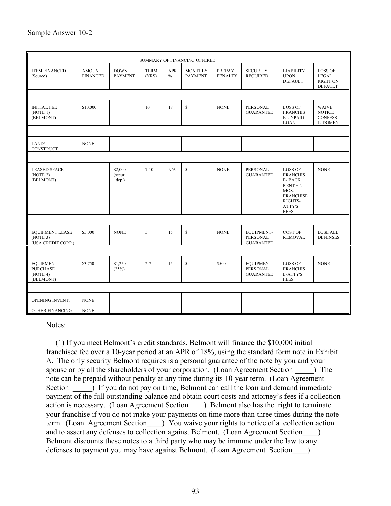| SUMMARY OF FINANCING OFFERED                                 |                                  |                               |                      |                    |                                  |                                 |                                                          |                                                                                                                                  |                                                                    |
|--------------------------------------------------------------|----------------------------------|-------------------------------|----------------------|--------------------|----------------------------------|---------------------------------|----------------------------------------------------------|----------------------------------------------------------------------------------------------------------------------------------|--------------------------------------------------------------------|
| <b>ITEM FINANCED</b><br>(Source)                             | <b>AMOUNT</b><br><b>FINANCED</b> | <b>DOWN</b><br><b>PAYMENT</b> | <b>TERM</b><br>(YRS) | <b>APR</b><br>$\%$ | <b>MONTHLY</b><br><b>PAYMENT</b> | <b>PREPAY</b><br><b>PENALTY</b> | <b>SECURITY</b><br><b>REQUIRED</b>                       | <b>LIABILITY</b><br><b>UPON</b><br><b>DEFAULT</b>                                                                                | <b>LOSS OF</b><br>LEGAL<br><b>RIGHT ON</b><br><b>DEFAULT</b>       |
|                                                              |                                  |                               |                      |                    |                                  |                                 |                                                          |                                                                                                                                  |                                                                    |
| <b>INITIAL FEE</b><br>(NOTE 1)<br>(BELMONT)                  | \$10,000                         |                               | 10                   | 18                 | $\mathbf S$                      | <b>NONE</b>                     | PERSONAL<br><b>GUARANTEE</b>                             | <b>LOSS OF</b><br><b>FRANCHIS</b><br><b>E-UNPAID</b><br><b>LOAN</b>                                                              | <b>WAIVE</b><br><b>NOTICE</b><br><b>CONFESS</b><br><b>JUDGMENT</b> |
|                                                              |                                  |                               |                      |                    |                                  |                                 |                                                          |                                                                                                                                  |                                                                    |
| LAND/<br><b>CONSTRUCT</b>                                    | <b>NONE</b>                      |                               |                      |                    |                                  |                                 |                                                          |                                                                                                                                  |                                                                    |
|                                                              |                                  |                               |                      |                    |                                  |                                 |                                                          |                                                                                                                                  |                                                                    |
| <b>LEASED SPACE</b><br>(NOTE 2)<br>(BELMONT)                 |                                  | \$2,000<br>(secur.<br>dep.)   | $7 - 10$             | N/A                | $\mathbf S$                      | <b>NONE</b>                     | <b>PERSONAL</b><br><b>GUARANTEE</b>                      | <b>LOSS OF</b><br><b>FRANCHIS</b><br>E-BACK<br>$RENT + 2$<br>MOS.<br><b>FRANCHISE</b><br>RIGHTS-<br><b>ATTY'S</b><br><b>FEES</b> | <b>NONE</b>                                                        |
|                                                              |                                  |                               |                      |                    |                                  |                                 |                                                          |                                                                                                                                  |                                                                    |
| <b>EQUIPMENT LEASE</b><br>(NOTE 3)<br>(USA CREDIT CORP.)     | \$5,000                          | <b>NONE</b>                   | 5                    | 15                 | $\mathbb S$                      | <b>NONE</b>                     | EQUIPMENT-<br><b>PERSONAL</b><br><b>GUARANTEE</b>        | <b>COST OF</b><br><b>REMOVAL</b>                                                                                                 | <b>LOSE ALL</b><br><b>DEFENSES</b>                                 |
|                                                              |                                  |                               |                      |                    |                                  |                                 |                                                          |                                                                                                                                  |                                                                    |
| <b>EQUIPMENT</b><br><b>PURCHASE</b><br>(NOTE 4)<br>(BELMONT) | \$3,750                          | \$1,250<br>(25%)              | $2 - 7$              | 15                 | $\mathsf S$                      | \$500                           | <b>EQUIPMENT-</b><br><b>PERSONAL</b><br><b>GUARANTEE</b> | <b>LOSS OF</b><br><b>FRANCHIS</b><br>E-ATTY'S<br><b>FEES</b>                                                                     | <b>NONE</b>                                                        |
|                                                              |                                  |                               |                      |                    |                                  |                                 |                                                          |                                                                                                                                  |                                                                    |
| OPENING INVENT.                                              | <b>NONE</b>                      |                               |                      |                    |                                  |                                 |                                                          |                                                                                                                                  |                                                                    |
| OTHER FINANCING                                              | <b>NONE</b>                      |                               |                      |                    |                                  |                                 |                                                          |                                                                                                                                  |                                                                    |

Notes:

 (1) If you meet Belmont's credit standards, Belmont will finance the \$10,000 initial franchisee fee over a 10-year period at an APR of 18%, using the standard form note in Exhibit A. The only security Belmont requires is a personal guarantee of the note by you and your spouse or by all the shareholders of your corporation. (Loan Agreement Section ) The note can be prepaid without penalty at any time during its 10-year term. (Loan Agreement Section  $\qquad$  ) If you do not pay on time, Belmont can call the loan and demand immediate payment of the full outstanding balance and obtain court costs and attorney's fees if a collection action is necessary. (Loan Agreement Section\_\_\_\_) Belmont also has the right to terminate your franchise if you do not make your payments on time more than three times during the note term. (Loan Agreement Section\_\_\_\_) You waive your rights to notice of a collection action and to assert any defenses to collection against Belmont. (Loan Agreement Section  $\qquad$  ) Belmont discounts these notes to a third party who may be immune under the law to any defenses to payment you may have against Belmont. (Loan Agreement Section\_\_\_\_)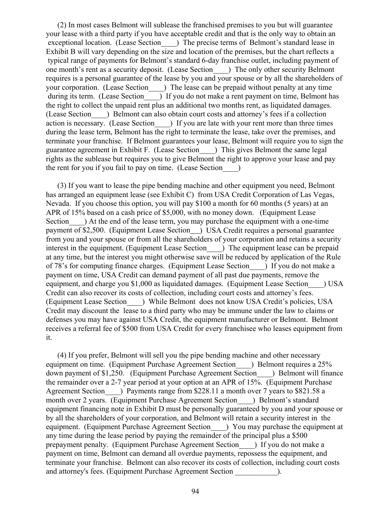(2) In most cases Belmont will sublease the franchised premises to you but will guarantee your lease with a third party if you have acceptable credit and that is the only way to obtain an exceptional location. (Lease Section ) The precise terms of Belmont's standard lease in Exhibit B will vary depending on the size and location of the premises, but the chart reflects a typical range of payments for Belmont's standard 6-day franchise outlet, including payment of one month's rent as a security deposit. (Lease Section\_\_\_\_) The only other security Belmont requires is a personal guarantee of the lease by you and your spouse or by all the shareholders of your corporation. (Lease Section ) The lease can be prepaid without penalty at any time during its term. (Lease Section ) If you do not make a rent payment on time, Belmont has the right to collect the unpaid rent plus an additional two months rent, as liquidated damages. (Lease Section\_\_\_\_) Belmont can also obtain court costs and attorney's fees if a collection action is necessary. (Lease Section) If you are late with your rent more than three times during the lease term, Belmont has the right to terminate the lease, take over the premises, and terminate your franchise. If Belmont guarantees your lease, Belmont will require you to sign the guarantee agreement in Exhibit F. (Lease Section\_\_\_\_) This gives Belmont the same legal rights as the sublease but requires you to give Belmont the right to approve your lease and pay the rent for you if you fail to pay on time. (Lease Section\_\_\_\_)

(3) If you want to lease the pipe bending machine and other equipment you need, Belmont has arranged an equipment lease (see Exhibit C) from USA Credit Corporation of Las Vegas, Nevada. If you choose this option, you will pay \$100 a month for 60 months (5 years) at an APR of 15% based on a cash price of \$5,000, with no money down. (Equipment Lease Section  $\blacksquare$ ) At the end of the lease term, you may purchase the equipment with a one-time payment of \$2,500. (Equipment Lease Section ) USA Credit requires a personal guarantee from you and your spouse or from all the shareholders of your corporation and retains a security interest in the equipment. (Equipment Lease Section ) The equipment lease can be prepaid at any time, but the interest you might otherwise save will be reduced by application of the Rule of 78's for computing finance charges. (Equipment Lease Section\_\_\_\_) If you do not make a payment on time, USA Credit can demand payment of all past due payments, remove the equipment, and charge you \$1,000 as liquidated damages. (Equipment Lease Section ) USA Credit can also recover its costs of collection, including court costs and attorney's fees. (Equipment Lease Section\_\_\_\_) While Belmont does not know USA Credit's policies, USA Credit may discount the lease to a third party who may be immune under the law to claims or defenses you may have against USA Credit, the equipment manufacturer or Belmont. Belmont receives a referral fee of \$500 from USA Credit for every franchisee who leases equipment from it.

(4) If you prefer, Belmont will sell you the pipe bending machine and other necessary equipment on time. (Equipment Purchase Agreement Section) Belmont requires a 25% down payment of \$1,250. (Equipment Purchase Agreement Section\_\_\_\_) Belmont will finance the remainder over a 2-7 year period at your option at an APR of 15%. (Equipment Purchase Agreement Section ) Payments range from \$228.11 a month over 7 years to \$821.58 a month over 2 years. (Equipment Purchase Agreement Section ) Belmont's standard equipment financing note in Exhibit D must be personally guaranteed by you and your spouse or by all the shareholders of your corporation, and Belmont will retain a security interest in the equipment. (Equipment Purchase Agreement Section ) You may purchase the equipment at any time during the lease period by paying the remainder of the principal plus a \$500 prepayment penalty. (Equipment Purchase Agreement Section\_\_\_\_) If you do not make a payment on time, Belmont can demand all overdue payments, repossess the equipment, and terminate your franchise. Belmont can also recover its costs of collection, including court costs and attorney's fees. (Equipment Purchase Agreement Section  $\qquad \qquad$ ).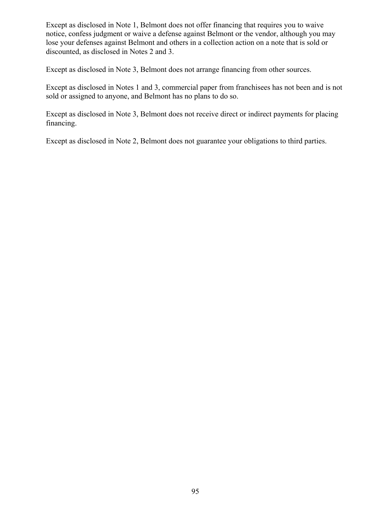Except as disclosed in Note 1, Belmont does not offer financing that requires you to waive notice, confess judgment or waive a defense against Belmont or the vendor, although you may lose your defenses against Belmont and others in a collection action on a note that is sold or discounted, as disclosed in Notes 2 and 3.

Except as disclosed in Note 3, Belmont does not arrange financing from other sources.

Except as disclosed in Notes 1 and 3, commercial paper from franchisees has not been and is not sold or assigned to anyone, and Belmont has no plans to do so.

Except as disclosed in Note 3, Belmont does not receive direct or indirect payments for placing financing.

Except as disclosed in Note 2, Belmont does not guarantee your obligations to third parties.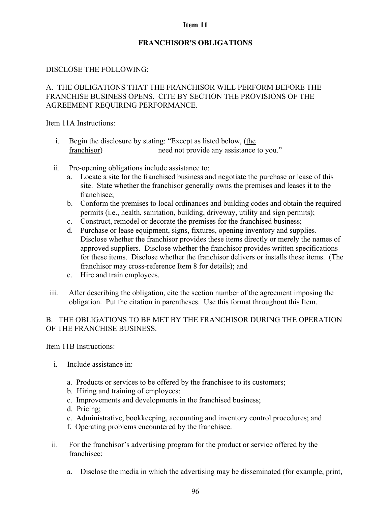### **Item 11**

# **FRANCHISOR'S OBLIGATIONS**

## DISCLOSE THE FOLLOWING:

## A. THE OBLIGATIONS THAT THE FRANCHISOR WILL PERFORM BEFORE THE FRANCHISE BUSINESS OPENS. CITE BY SECTION THE PROVISIONS OF THE AGREEMENT REQUIRING PERFORMANCE.

#### Item 11A Instructions:

- i. Begin the disclosure by stating: "Except as listed below, (the franchisor) ened not provide any assistance to you."
- ii. Pre-opening obligations include assistance to:
	- a. Locate a site for the franchised business and negotiate the purchase or lease of this site. State whether the franchisor generally owns the premises and leases it to the franchisee;
	- b. Conform the premises to local ordinances and building codes and obtain the required permits (i.e., health, sanitation, building, driveway, utility and sign permits);
	- c. Construct, remodel or decorate the premises for the franchised business;
	- d. Purchase or lease equipment, signs, fixtures, opening inventory and supplies. Disclose whether the franchisor provides these items directly or merely the names of approved suppliers. Disclose whether the franchisor provides written specifications for these items. Disclose whether the franchisor delivers or installs these items. (The franchisor may cross-reference Item 8 for details); and
	- e. Hire and train employees.
- iii. After describing the obligation, cite the section number of the agreement imposing the obligation. Put the citation in parentheses. Use this format throughout this Item.

# B. THE OBLIGATIONS TO BE MET BY THE FRANCHISOR DURING THE OPERATION OF THE FRANCHISE BUSINESS.

Item 11B Instructions:

- i. Include assistance in:
	- a. Products or services to be offered by the franchisee to its customers;
	- b. Hiring and training of employees;
	- c. Improvements and developments in the franchised business;
	- d. Pricing;
	- e. Administrative, bookkeeping, accounting and inventory control procedures; and
	- f. Operating problems encountered by the franchisee.
- ii. For the franchisor's advertising program for the product or service offered by the franchisee:
	- a. Disclose the media in which the advertising may be disseminated (for example, print,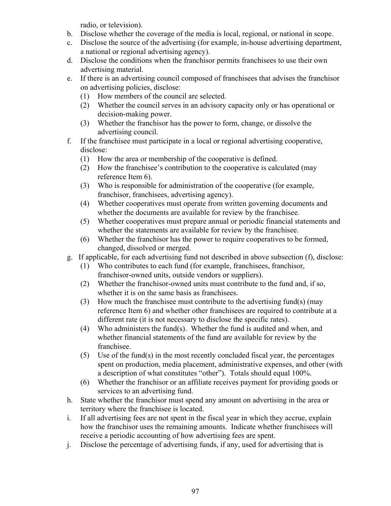radio, or television).

- b. Disclose whether the coverage of the media is local, regional, or national in scope.
- c. Disclose the source of the advertising (for example, in-house advertising department, a national or regional advertising agency).
- d. Disclose the conditions when the franchisor permits franchisees to use their own advertising material.
- e. If there is an advertising council composed of franchisees that advises the franchisor on advertising policies, disclose:
	- (1) How members of the council are selected.
	- (2) Whether the council serves in an advisory capacity only or has operational or decision-making power.
	- (3) Whether the franchisor has the power to form, change, or dissolve the advertising council.
- f. If the franchisee must participate in a local or regional advertising cooperative, disclose:
	- (1) How the area or membership of the cooperative is defined.
	- (2) How the franchisee's contribution to the cooperative is calculated (may reference Item 6).
	- (3) Who is responsible for administration of the cooperative (for example, franchisor, franchisees, advertising agency).
	- (4) Whether cooperatives must operate from written governing documents and whether the documents are available for review by the franchisee.
	- (5) Whether cooperatives must prepare annual or periodic financial statements and whether the statements are available for review by the franchisee.
	- (6) Whether the franchisor has the power to require cooperatives to be formed, changed, dissolved or merged.
- g. If applicable, for each advertising fund not described in above subsection (f), disclose:
	- (1) Who contributes to each fund (for example, franchisees, franchisor, franchisor-owned units, outside vendors or suppliers).
	- (2) Whether the franchisor-owned units must contribute to the fund and, if so, whether it is on the same basis as franchisees.
	- (3) How much the franchisee must contribute to the advertising fund(s) (may reference Item 6) and whether other franchisees are required to contribute at a different rate (it is not necessary to disclose the specific rates).
	- (4) Who administers the fund(s). Whether the fund is audited and when, and whether financial statements of the fund are available for review by the franchisee.
	- (5) Use of the fund(s) in the most recently concluded fiscal year, the percentages spent on production, media placement, administrative expenses, and other (with a description of what constitutes "other"). Totals should equal 100%.
	- (6) Whether the franchisor or an affiliate receives payment for providing goods or services to an advertising fund.
- h. State whether the franchisor must spend any amount on advertising in the area or territory where the franchisee is located.
- i. If all advertising fees are not spent in the fiscal year in which they accrue, explain how the franchisor uses the remaining amounts. Indicate whether franchisees will receive a periodic accounting of how advertising fees are spent.
- j. Disclose the percentage of advertising funds, if any, used for advertising that is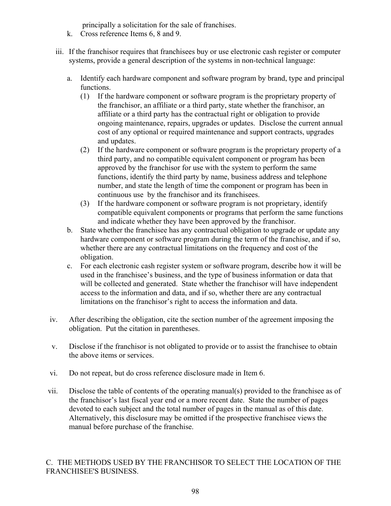principally a solicitation for the sale of franchises.

- k. Cross reference Items 6, 8 and 9.
- iii. If the franchisor requires that franchisees buy or use electronic cash register or computer systems, provide a general description of the systems in non-technical language:
	- a. Identify each hardware component and software program by brand, type and principal functions.
		- (1) If the hardware component or software program is the proprietary property of the franchisor, an affiliate or a third party, state whether the franchisor, an affiliate or a third party has the contractual right or obligation to provide ongoing maintenance, repairs, upgrades or updates. Disclose the current annual cost of any optional or required maintenance and support contracts, upgrades and updates.
		- (2) If the hardware component or software program is the proprietary property of a third party, and no compatible equivalent component or program has been approved by the franchisor for use with the system to perform the same functions, identify the third party by name, business address and telephone number, and state the length of time the component or program has been in continuous use by the franchisor and its franchisees.
		- (3) If the hardware component or software program is not proprietary, identify compatible equivalent components or programs that perform the same functions and indicate whether they have been approved by the franchisor.
	- b. State whether the franchisee has any contractual obligation to upgrade or update any hardware component or software program during the term of the franchise, and if so, whether there are any contractual limitations on the frequency and cost of the obligation.
	- c. For each electronic cash register system or software program, describe how it will be used in the franchisee's business, and the type of business information or data that will be collected and generated. State whether the franchisor will have independent access to the information and data, and if so, whether there are any contractual limitations on the franchisor's right to access the information and data.
- iv. After describing the obligation, cite the section number of the agreement imposing the obligation. Put the citation in parentheses.
- v. Disclose if the franchisor is not obligated to provide or to assist the franchisee to obtain the above items or services.
- vi. Do not repeat, but do cross reference disclosure made in Item 6.
- vii. Disclose the table of contents of the operating manual(s) provided to the franchisee as of the franchisor's last fiscal year end or a more recent date. State the number of pages devoted to each subject and the total number of pages in the manual as of this date. Alternatively, this disclosure may be omitted if the prospective franchisee views the manual before purchase of the franchise.

# C. THE METHODS USED BY THE FRANCHISOR TO SELECT THE LOCATION OF THE FRANCHISEE'S BUSINESS.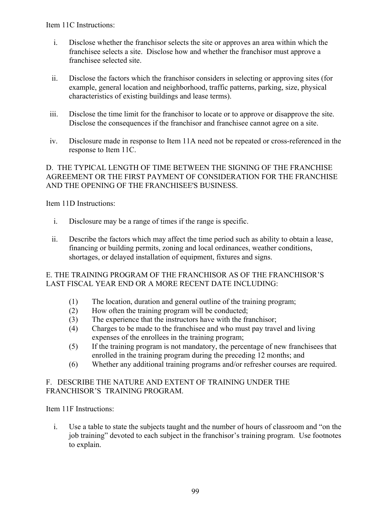Item 11C Instructions:

- i. Disclose whether the franchisor selects the site or approves an area within which the franchisee selects a site. Disclose how and whether the franchisor must approve a franchisee selected site.
- ii. Disclose the factors which the franchisor considers in selecting or approving sites (for example, general location and neighborhood, traffic patterns, parking, size, physical characteristics of existing buildings and lease terms).
- iii. Disclose the time limit for the franchisor to locate or to approve or disapprove the site. Disclose the consequences if the franchisor and franchisee cannot agree on a site.
- iv. Disclosure made in response to Item 11A need not be repeated or cross-referenced in the response to Item 11C.

# D. THE TYPICAL LENGTH OF TIME BETWEEN THE SIGNING OF THE FRANCHISE AGREEMENT OR THE FIRST PAYMENT OF CONSIDERATION FOR THE FRANCHISE AND THE OPENING OF THE FRANCHISEE'S BUSINESS.

Item 11D Instructions:

- i. Disclosure may be a range of times if the range is specific.
- ii. Describe the factors which may affect the time period such as ability to obtain a lease, financing or building permits, zoning and local ordinances, weather conditions, shortages, or delayed installation of equipment, fixtures and signs.

# E. THE TRAINING PROGRAM OF THE FRANCHISOR AS OF THE FRANCHISOR'S LAST FISCAL YEAR END OR A MORE RECENT DATE INCLUDING:

- (1) The location, duration and general outline of the training program;
- (2) How often the training program will be conducted;
- (3) The experience that the instructors have with the franchisor;
- (4) Charges to be made to the franchisee and who must pay travel and living expenses of the enrollees in the training program;
- (5) If the training program is not mandatory, the percentage of new franchisees that enrolled in the training program during the preceding 12 months; and
- (6) Whether any additional training programs and/or refresher courses are required.

## F. DESCRIBE THE NATURE AND EXTENT OF TRAINING UNDER THE FRANCHISOR'S TRAINING PROGRAM.

Item 11F Instructions:

 i. Use a table to state the subjects taught and the number of hours of classroom and "on the job training" devoted to each subject in the franchisor's training program. Use footnotes to explain.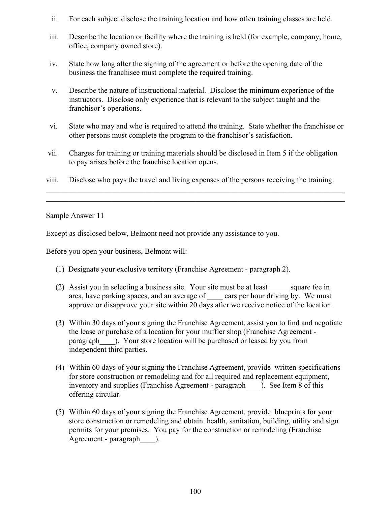- ii. For each subject disclose the training location and how often training classes are held.
- iii. Describe the location or facility where the training is held (for example, company, home, office, company owned store).
- iv. State how long after the signing of the agreement or before the opening date of the business the franchisee must complete the required training.
- v. Describe the nature of instructional material. Disclose the minimum experience of the instructors. Disclose only experience that is relevant to the subject taught and the franchisor's operations.
- vi. State who may and who is required to attend the training. State whether the franchisee or other persons must complete the program to the franchisor's satisfaction.
- vii. Charges for training or training materials should be disclosed in Item 5 if the obligation to pay arises before the franchise location opens.
- viii. Disclose who pays the travel and living expenses of the persons receiving the training.

 $\mathcal{L}_\mathcal{L} = \{ \mathcal{L}_\mathcal{L} = \{ \mathcal{L}_\mathcal{L} = \{ \mathcal{L}_\mathcal{L} = \{ \mathcal{L}_\mathcal{L} = \{ \mathcal{L}_\mathcal{L} = \{ \mathcal{L}_\mathcal{L} = \{ \mathcal{L}_\mathcal{L} = \{ \mathcal{L}_\mathcal{L} = \{ \mathcal{L}_\mathcal{L} = \{ \mathcal{L}_\mathcal{L} = \{ \mathcal{L}_\mathcal{L} = \{ \mathcal{L}_\mathcal{L} = \{ \mathcal{L}_\mathcal{L} = \{ \mathcal{L}_\mathcal{$  $\mathcal{L}_\mathcal{L} = \{ \mathcal{L}_\mathcal{L} = \{ \mathcal{L}_\mathcal{L} = \{ \mathcal{L}_\mathcal{L} = \{ \mathcal{L}_\mathcal{L} = \{ \mathcal{L}_\mathcal{L} = \{ \mathcal{L}_\mathcal{L} = \{ \mathcal{L}_\mathcal{L} = \{ \mathcal{L}_\mathcal{L} = \{ \mathcal{L}_\mathcal{L} = \{ \mathcal{L}_\mathcal{L} = \{ \mathcal{L}_\mathcal{L} = \{ \mathcal{L}_\mathcal{L} = \{ \mathcal{L}_\mathcal{L} = \{ \mathcal{L}_\mathcal{$ 

Sample Answer 11

Except as disclosed below, Belmont need not provide any assistance to you.

Before you open your business, Belmont will:

- (1) Designate your exclusive territory (Franchise Agreement paragraph 2).
- (2) Assist you in selecting a business site. Your site must be at least \_\_\_\_\_ square fee in area, have parking spaces, and an average of cars per hour driving by. We must approve or disapprove your site within 20 days after we receive notice of the location.
- (3) Within 30 days of your signing the Franchise Agreement, assist you to find and negotiate the lease or purchase of a location for your muffler shop (Franchise Agreement paragraph (b). Your store location will be purchased or leased by you from independent third parties.
- (4) Within 60 days of your signing the Franchise Agreement, provide written specifications for store construction or remodeling and for all required and replacement equipment, inventory and supplies (Franchise Agreement - paragraph ). See Item 8 of this offering circular.
- (5) Within 60 days of your signing the Franchise Agreement, provide blueprints for your store construction or remodeling and obtain health, sanitation, building, utility and sign permits for your premises. You pay for the construction or remodeling (Franchise Agreement - paragraph\_\_\_\_).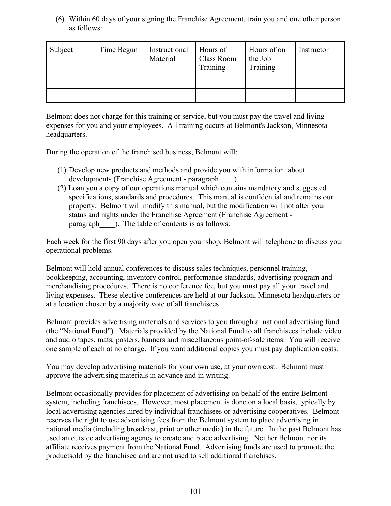(6) Within 60 days of your signing the Franchise Agreement, train you and one other person as follows:

| Subject | Time Begun | Instructional<br>Material | Hours of<br>Class Room<br>Training | Hours of on<br>the Job<br>Training | Instructor |
|---------|------------|---------------------------|------------------------------------|------------------------------------|------------|
|         |            |                           |                                    |                                    |            |
|         |            |                           |                                    |                                    |            |

Belmont does not charge for this training or service, but you must pay the travel and living expenses for you and your employees. All training occurs at Belmont's Jackson, Minnesota headquarters.

During the operation of the franchised business, Belmont will:

- (1) Develop new products and methods and provide you with information about developments (Franchise Agreement - paragraph\_\_\_\_).
- (2) Loan you a copy of our operations manual which contains mandatory and suggested specifications, standards and procedures. This manual is confidential and remains our property. Belmont will modify this manual, but the modification will not alter your status and rights under the Franchise Agreement (Franchise Agreement paragraph  $\qquad$ ). The table of contents is as follows:

Each week for the first 90 days after you open your shop, Belmont will telephone to discuss your operational problems.

Belmont will hold annual conferences to discuss sales techniques, personnel training, bookkeeping, accounting, inventory control, performance standards, advertising program and merchandising procedures. There is no conference fee, but you must pay all your travel and living expenses. These elective conferences are held at our Jackson, Minnesota headquarters or at a location chosen by a majority vote of all franchisees.

Belmont provides advertising materials and services to you through a national advertising fund (the "National Fund"). Materials provided by the National Fund to all franchisees include video and audio tapes, mats, posters, banners and miscellaneous point-of-sale items. You will receive one sample of each at no charge. If you want additional copies you must pay duplication costs.

You may develop advertising materials for your own use, at your own cost. Belmont must approve the advertising materials in advance and in writing.

Belmont occasionally provides for placement of advertising on behalf of the entire Belmont system, including franchisees. However, most placement is done on a local basis, typically by local advertising agencies hired by individual franchisees or advertising cooperatives. Belmont reserves the right to use advertising fees from the Belmont system to place advertising in national media (including broadcast, print or other media) in the future. In the past Belmont has used an outside advertising agency to create and place advertising. Neither Belmont nor its affiliate receives payment from the National Fund. Advertising funds are used to promote the productsold by the franchisee and are not used to sell additional franchises.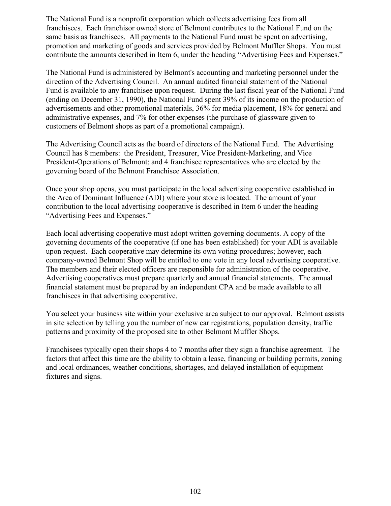The National Fund is a nonprofit corporation which collects advertising fees from all franchisees. Each franchisor owned store of Belmont contributes to the National Fund on the same basis as franchisees. All payments to the National Fund must be spent on advertising, promotion and marketing of goods and services provided by Belmont Muffler Shops. You must contribute the amounts described in Item 6, under the heading "Advertising Fees and Expenses."

The National Fund is administered by Belmont's accounting and marketing personnel under the direction of the Advertising Council. An annual audited financial statement of the National Fund is available to any franchisee upon request. During the last fiscal year of the National Fund (ending on December 31, 1990), the National Fund spent 39% of its income on the production of advertisements and other promotional materials, 36% for media placement, 18% for general and administrative expenses, and 7% for other expenses (the purchase of glassware given to customers of Belmont shops as part of a promotional campaign).

The Advertising Council acts as the board of directors of the National Fund. The Advertising Council has 8 members: the President, Treasurer, Vice President-Marketing, and Vice President-Operations of Belmont; and 4 franchisee representatives who are elected by the governing board of the Belmont Franchisee Association.

Once your shop opens, you must participate in the local advertising cooperative established in the Area of Dominant Influence (ADI) where your store is located. The amount of your contribution to the local advertising cooperative is described in Item 6 under the heading "Advertising Fees and Expenses."

Each local advertising cooperative must adopt written governing documents. A copy of the governing documents of the cooperative (if one has been established) for your ADI is available upon request. Each cooperative may determine its own voting procedures; however, each company-owned Belmont Shop will be entitled to one vote in any local advertising cooperative. The members and their elected officers are responsible for administration of the cooperative. Advertising cooperatives must prepare quarterly and annual financial statements. The annual financial statement must be prepared by an independent CPA and be made available to all franchisees in that advertising cooperative.

You select your business site within your exclusive area subject to our approval. Belmont assists in site selection by telling you the number of new car registrations, population density, traffic patterns and proximity of the proposed site to other Belmont Muffler Shops.

Franchisees typically open their shops 4 to 7 months after they sign a franchise agreement. The factors that affect this time are the ability to obtain a lease, financing or building permits, zoning and local ordinances, weather conditions, shortages, and delayed installation of equipment fixtures and signs.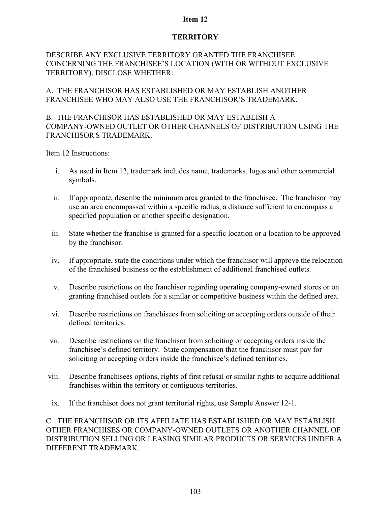### **Item 12**

# **TERRITORY**

# DESCRIBE ANY EXCLUSIVE TERRITORY GRANTED THE FRANCHISEE. CONCERNING THE FRANCHISEE'S LOCATION (WITH OR WITHOUT EXCLUSIVE TERRITORY), DISCLOSE WHETHER:

A. THE FRANCHISOR HAS ESTABLISHED OR MAY ESTABLISH ANOTHER FRANCHISEE WHO MAY ALSO USE THE FRANCHISOR'S TRADEMARK.

# B. THE FRANCHISOR HAS ESTABLISHED OR MAY ESTABLISH A COMPANY-OWNED OUTLET OR OTHER CHANNELS OF DISTRIBUTION USING THE FRANCHISOR'S TRADEMARK.

Item 12 Instructions:

- i. As used in Item 12, trademark includes name, trademarks, logos and other commercial symbols.
- ii. If appropriate, describe the minimum area granted to the franchisee. The franchisor may use an area encompassed within a specific radius, a distance sufficient to encompass a specified population or another specific designation.
- iii. State whether the franchise is granted for a specific location or a location to be approved by the franchisor.
- iv. If appropriate, state the conditions under which the franchisor will approve the relocation of the franchised business or the establishment of additional franchised outlets.
- v. Describe restrictions on the franchisor regarding operating company-owned stores or on granting franchised outlets for a similar or competitive business within the defined area.
- vi. Describe restrictions on franchisees from soliciting or accepting orders outside of their defined territories.
- vii. Describe restrictions on the franchisor from soliciting or accepting orders inside the franchisee's defined territory. State compensation that the franchisor must pay for soliciting or accepting orders inside the franchisee's defined territories.
- viii. Describe franchisees options, rights of first refusal or similar rights to acquire additional franchises within the territory or contiguous territories.
- ix. If the franchisor does not grant territorial rights, use Sample Answer 12-1.

C. THE FRANCHISOR OR ITS AFFILIATE HAS ESTABLISHED OR MAY ESTABLISH OTHER FRANCHISES OR COMPANY-OWNED OUTLETS OR ANOTHER CHANNEL OF DISTRIBUTION SELLING OR LEASING SIMILAR PRODUCTS OR SERVICES UNDER A DIFFERENT TRADEMARK.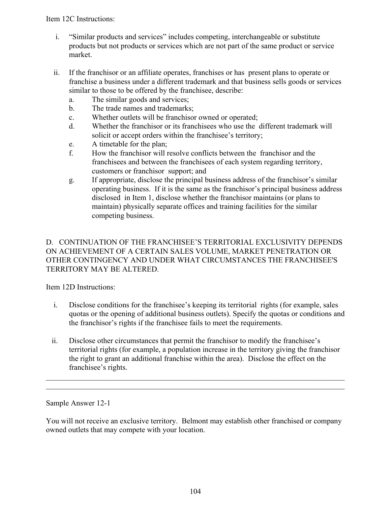Item 12C Instructions:

- i. "Similar products and services" includes competing, interchangeable or substitute products but not products or services which are not part of the same product or service market.
- ii. If the franchisor or an affiliate operates, franchises or has present plans to operate or franchise a business under a different trademark and that business sells goods or services similar to those to be offered by the franchisee, describe:
	- a. The similar goods and services;
	- b. The trade names and trademarks;
	- c. Whether outlets will be franchisor owned or operated;
	- d. Whether the franchisor or its franchisees who use the different trademark will solicit or accept orders within the franchisee's territory;
	- e. A timetable for the plan;
	- f. How the franchisor will resolve conflicts between the franchisor and the franchisees and between the franchisees of each system regarding territory, customers or franchisor support; and
	- g. If appropriate, disclose the principal business address of the franchisor's similar operating business. If it is the same as the franchisor's principal business address disclosed in Item 1, disclose whether the franchisor maintains (or plans to maintain) physically separate offices and training facilities for the similar competing business.

# D. CONTINUATION OF THE FRANCHISEE'S TERRITORIAL EXCLUSIVITY DEPENDS ON ACHIEVEMENT OF A CERTAIN SALES VOLUME, MARKET PENETRATION OR OTHER CONTINGENCY AND UNDER WHAT CIRCUMSTANCES THE FRANCHISEE'S TERRITORY MAY BE ALTERED.

Item 12D Instructions:

- i. Disclose conditions for the franchisee's keeping its territorial rights (for example, sales quotas or the opening of additional business outlets). Specify the quotas or conditions and the franchisor's rights if the franchisee fails to meet the requirements.
- ii. Disclose other circumstances that permit the franchisor to modify the franchisee's territorial rights (for example, a population increase in the territory giving the franchisor the right to grant an additional franchise within the area). Disclose the effect on the franchisee's rights.

 $\mathcal{L}_\mathcal{L} = \{ \mathcal{L}_\mathcal{L} = \{ \mathcal{L}_\mathcal{L} = \{ \mathcal{L}_\mathcal{L} = \{ \mathcal{L}_\mathcal{L} = \{ \mathcal{L}_\mathcal{L} = \{ \mathcal{L}_\mathcal{L} = \{ \mathcal{L}_\mathcal{L} = \{ \mathcal{L}_\mathcal{L} = \{ \mathcal{L}_\mathcal{L} = \{ \mathcal{L}_\mathcal{L} = \{ \mathcal{L}_\mathcal{L} = \{ \mathcal{L}_\mathcal{L} = \{ \mathcal{L}_\mathcal{L} = \{ \mathcal{L}_\mathcal{$  $\mathcal{L}_\mathcal{L} = \{ \mathcal{L}_\mathcal{L} = \{ \mathcal{L}_\mathcal{L} = \{ \mathcal{L}_\mathcal{L} = \{ \mathcal{L}_\mathcal{L} = \{ \mathcal{L}_\mathcal{L} = \{ \mathcal{L}_\mathcal{L} = \{ \mathcal{L}_\mathcal{L} = \{ \mathcal{L}_\mathcal{L} = \{ \mathcal{L}_\mathcal{L} = \{ \mathcal{L}_\mathcal{L} = \{ \mathcal{L}_\mathcal{L} = \{ \mathcal{L}_\mathcal{L} = \{ \mathcal{L}_\mathcal{L} = \{ \mathcal{L}_\mathcal{$ 

Sample Answer 12-1

You will not receive an exclusive territory. Belmont may establish other franchised or company owned outlets that may compete with your location.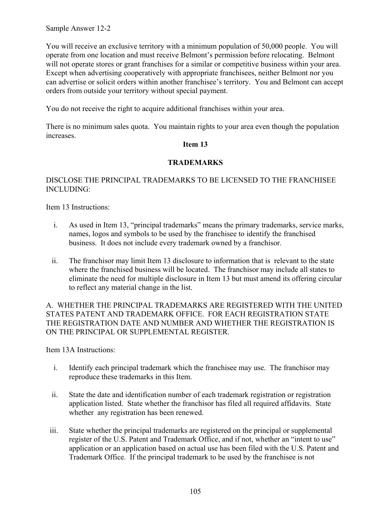Sample Answer 12-2

You will receive an exclusive territory with a minimum population of 50,000 people. You will operate from one location and must receive Belmont's permission before relocating. Belmont will not operate stores or grant franchises for a similar or competitive business within your area. Except when advertising cooperatively with appropriate franchisees, neither Belmont nor you can advertise or solicit orders within another franchisee's territory. You and Belmont can accept orders from outside your territory without special payment.

You do not receive the right to acquire additional franchises within your area.

There is no minimum sales quota. You maintain rights to your area even though the population increases.

### **Item 13**

# **TRADEMARKS**

# DISCLOSE THE PRINCIPAL TRADEMARKS TO BE LICENSED TO THE FRANCHISEE INCLUDING:

Item 13 Instructions:

- i. As used in Item 13, "principal trademarks" means the primary trademarks, service marks, names, logos and symbols to be used by the franchisee to identify the franchised business. It does not include every trademark owned by a franchisor.
- ii. The franchisor may limit Item 13 disclosure to information that is relevant to the state where the franchised business will be located. The franchisor may include all states to eliminate the need for multiple disclosure in Item 13 but must amend its offering circular to reflect any material change in the list.

A. WHETHER THE PRINCIPAL TRADEMARKS ARE REGISTERED WITH THE UNITED STATES PATENT AND TRADEMARK OFFICE. FOR EACH REGISTRATION STATE THE REGISTRATION DATE AND NUMBER AND WHETHER THE REGISTRATION IS ON THE PRINCIPAL OR SUPPLEMENTAL REGISTER.

Item 13A Instructions:

- i. Identify each principal trademark which the franchisee may use. The franchisor may reproduce these trademarks in this Item.
- ii. State the date and identification number of each trademark registration or registration application listed. State whether the franchisor has filed all required affidavits. State whether any registration has been renewed.
- iii. State whether the principal trademarks are registered on the principal or supplemental register of the U.S. Patent and Trademark Office, and if not, whether an "intent to use" application or an application based on actual use has been filed with the U.S. Patent and Trademark Office. If the principal trademark to be used by the franchisee is not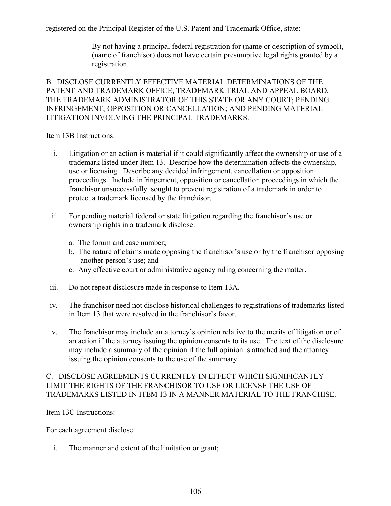registered on the Principal Register of the U.S. Patent and Trademark Office, state:

By not having a principal federal registration for (name or description of symbol), (name of franchisor) does not have certain presumptive legal rights granted by a registration.

B. DISCLOSE CURRENTLY EFFECTIVE MATERIAL DETERMINATIONS OF THE PATENT AND TRADEMARK OFFICE, TRADEMARK TRIAL AND APPEAL BOARD, THE TRADEMARK ADMINISTRATOR OF THIS STATE OR ANY COURT; PENDING INFRINGEMENT, OPPOSITION OR CANCELLATION; AND PENDING MATERIAL LITIGATION INVOLVING THE PRINCIPAL TRADEMARKS.

Item 13B Instructions:

- i. Litigation or an action is material if it could significantly affect the ownership or use of a trademark listed under Item 13. Describe how the determination affects the ownership, use or licensing. Describe any decided infringement, cancellation or opposition proceedings. Include infringement, opposition or cancellation proceedings in which the franchisor unsuccessfully sought to prevent registration of a trademark in order to protect a trademark licensed by the franchisor.
- ii. For pending material federal or state litigation regarding the franchisor's use or ownership rights in a trademark disclose:
	- a. The forum and case number;
	- b. The nature of claims made opposing the franchisor's use or by the franchisor opposing another person's use; and
	- c. Any effective court or administrative agency ruling concerning the matter.
- iii. Do not repeat disclosure made in response to Item 13A.
- iv. The franchisor need not disclose historical challenges to registrations of trademarks listed in Item 13 that were resolved in the franchisor's favor.
- v. The franchisor may include an attorney's opinion relative to the merits of litigation or of an action if the attorney issuing the opinion consents to its use. The text of the disclosure may include a summary of the opinion if the full opinion is attached and the attorney issuing the opinion consents to the use of the summary.

# C. DISCLOSE AGREEMENTS CURRENTLY IN EFFECT WHICH SIGNIFICANTLY LIMIT THE RIGHTS OF THE FRANCHISOR TO USE OR LICENSE THE USE OF TRADEMARKS LISTED IN ITEM 13 IN A MANNER MATERIAL TO THE FRANCHISE.

Item 13C Instructions:

For each agreement disclose:

i. The manner and extent of the limitation or grant;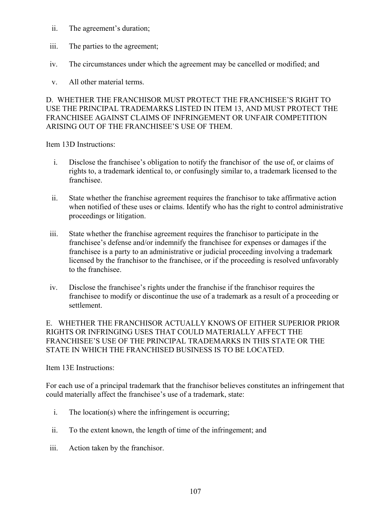- ii. The agreement's duration;
- iii. The parties to the agreement;
- iv. The circumstances under which the agreement may be cancelled or modified; and
- v. All other material terms.

D. WHETHER THE FRANCHISOR MUST PROTECT THE FRANCHISEE'S RIGHT TO USE THE PRINCIPAL TRADEMARKS LISTED IN ITEM 13, AND MUST PROTECT THE FRANCHISEE AGAINST CLAIMS OF INFRINGEMENT OR UNFAIR COMPETITION ARISING OUT OF THE FRANCHISEE'S USE OF THEM.

Item 13D Instructions:

- i. Disclose the franchisee's obligation to notify the franchisor of the use of, or claims of rights to, a trademark identical to, or confusingly similar to, a trademark licensed to the franchisee.
- ii. State whether the franchise agreement requires the franchisor to take affirmative action when notified of these uses or claims. Identify who has the right to control administrative proceedings or litigation.
- iii. State whether the franchise agreement requires the franchisor to participate in the franchisee's defense and/or indemnify the franchisee for expenses or damages if the franchisee is a party to an administrative or judicial proceeding involving a trademark licensed by the franchisor to the franchisee, or if the proceeding is resolved unfavorably to the franchisee.
- iv. Disclose the franchisee's rights under the franchise if the franchisor requires the franchisee to modify or discontinue the use of a trademark as a result of a proceeding or settlement.

E. WHETHER THE FRANCHISOR ACTUALLY KNOWS OF EITHER SUPERIOR PRIOR RIGHTS OR INFRINGING USES THAT COULD MATERIALLY AFFECT THE FRANCHISEE'S USE OF THE PRINCIPAL TRADEMARKS IN THIS STATE OR THE STATE IN WHICH THE FRANCHISED BUSINESS IS TO BE LOCATED.

Item 13E Instructions:

For each use of a principal trademark that the franchisor believes constitutes an infringement that could materially affect the franchisee's use of a trademark, state:

- i. The location(s) where the infringement is occurring;
- ii. To the extent known, the length of time of the infringement; and
- iii. Action taken by the franchisor.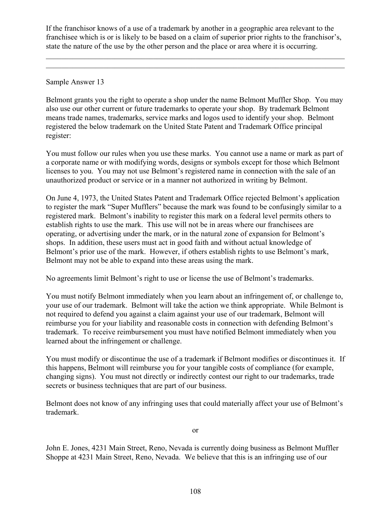If the franchisor knows of a use of a trademark by another in a geographic area relevant to the franchisee which is or is likely to be based on a claim of superior prior rights to the franchisor's, state the nature of the use by the other person and the place or area where it is occurring.

 $\mathcal{L}_\mathcal{L} = \{ \mathcal{L}_\mathcal{L} = \{ \mathcal{L}_\mathcal{L} = \{ \mathcal{L}_\mathcal{L} = \{ \mathcal{L}_\mathcal{L} = \{ \mathcal{L}_\mathcal{L} = \{ \mathcal{L}_\mathcal{L} = \{ \mathcal{L}_\mathcal{L} = \{ \mathcal{L}_\mathcal{L} = \{ \mathcal{L}_\mathcal{L} = \{ \mathcal{L}_\mathcal{L} = \{ \mathcal{L}_\mathcal{L} = \{ \mathcal{L}_\mathcal{L} = \{ \mathcal{L}_\mathcal{L} = \{ \mathcal{L}_\mathcal{$  $\mathcal{L}_\mathcal{L} = \{ \mathcal{L}_\mathcal{L} = \{ \mathcal{L}_\mathcal{L} = \{ \mathcal{L}_\mathcal{L} = \{ \mathcal{L}_\mathcal{L} = \{ \mathcal{L}_\mathcal{L} = \{ \mathcal{L}_\mathcal{L} = \{ \mathcal{L}_\mathcal{L} = \{ \mathcal{L}_\mathcal{L} = \{ \mathcal{L}_\mathcal{L} = \{ \mathcal{L}_\mathcal{L} = \{ \mathcal{L}_\mathcal{L} = \{ \mathcal{L}_\mathcal{L} = \{ \mathcal{L}_\mathcal{L} = \{ \mathcal{L}_\mathcal{$ 

Sample Answer 13

Belmont grants you the right to operate a shop under the name Belmont Muffler Shop. You may also use our other current or future trademarks to operate your shop. By trademark Belmont means trade names, trademarks, service marks and logos used to identify your shop. Belmont registered the below trademark on the United State Patent and Trademark Office principal register:

You must follow our rules when you use these marks. You cannot use a name or mark as part of a corporate name or with modifying words, designs or symbols except for those which Belmont licenses to you. You may not use Belmont's registered name in connection with the sale of an unauthorized product or service or in a manner not authorized in writing by Belmont.

On June 4, 1973, the United States Patent and Trademark Office rejected Belmont's application to register the mark "Super Mufflers" because the mark was found to be confusingly similar to a registered mark. Belmont's inability to register this mark on a federal level permits others to establish rights to use the mark. This use will not be in areas where our franchisees are operating, or advertising under the mark, or in the natural zone of expansion for Belmont's shops. In addition, these users must act in good faith and without actual knowledge of Belmont's prior use of the mark. However, if others establish rights to use Belmont's mark, Belmont may not be able to expand into these areas using the mark.

No agreements limit Belmont's right to use or license the use of Belmont's trademarks.

You must notify Belmont immediately when you learn about an infringement of, or challenge to, your use of our trademark. Belmont will take the action we think appropriate. While Belmont is not required to defend you against a claim against your use of our trademark, Belmont will reimburse you for your liability and reasonable costs in connection with defending Belmont's trademark. To receive reimbursement you must have notified Belmont immediately when you learned about the infringement or challenge.

You must modify or discontinue the use of a trademark if Belmont modifies or discontinues it. If this happens, Belmont will reimburse you for your tangible costs of compliance (for example, changing signs). You must not directly or indirectly contest our right to our trademarks, trade secrets or business techniques that are part of our business.

Belmont does not know of any infringing uses that could materially affect your use of Belmont's trademark.

or

John E. Jones, 4231 Main Street, Reno, Nevada is currently doing business as Belmont Muffler Shoppe at 4231 Main Street, Reno, Nevada. We believe that this is an infringing use of our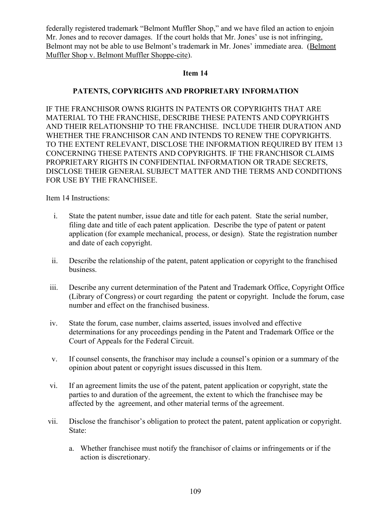federally registered trademark "Belmont Muffler Shop," and we have filed an action to enjoin Mr. Jones and to recover damages. If the court holds that Mr. Jones' use is not infringing, Belmont may not be able to use Belmont's trademark in Mr. Jones' immediate area. (Belmont Muffler Shop v. Belmont Muffler Shoppe-cite).

#### **Item 14**

#### **PATENTS, COPYRIGHTS AND PROPRIETARY INFORMATION**

IF THE FRANCHISOR OWNS RIGHTS IN PATENTS OR COPYRIGHTS THAT ARE MATERIAL TO THE FRANCHISE, DESCRIBE THESE PATENTS AND COPYRIGHTS AND THEIR RELATIONSHIP TO THE FRANCHISE. INCLUDE THEIR DURATION AND WHETHER THE FRANCHISOR CAN AND INTENDS TO RENEW THE COPYRIGHTS. TO THE EXTENT RELEVANT, DISCLOSE THE INFORMATION REQUIRED BY ITEM 13 CONCERNING THESE PATENTS AND COPYRIGHTS. IF THE FRANCHISOR CLAIMS PROPRIETARY RIGHTS IN CONFIDENTIAL INFORMATION OR TRADE SECRETS, DISCLOSE THEIR GENERAL SUBJECT MATTER AND THE TERMS AND CONDITIONS FOR USE BY THE FRANCHISEE.

Item 14 Instructions:

- i. State the patent number, issue date and title for each patent. State the serial number, filing date and title of each patent application. Describe the type of patent or patent application (for example mechanical, process, or design). State the registration number and date of each copyright.
- ii. Describe the relationship of the patent, patent application or copyright to the franchised business.
- iii. Describe any current determination of the Patent and Trademark Office, Copyright Office (Library of Congress) or court regarding the patent or copyright. Include the forum, case number and effect on the franchised business.
- iv. State the forum, case number, claims asserted, issues involved and effective determinations for any proceedings pending in the Patent and Trademark Office or the Court of Appeals for the Federal Circuit.
- v. If counsel consents, the franchisor may include a counsel's opinion or a summary of the opinion about patent or copyright issues discussed in this Item.
- vi. If an agreement limits the use of the patent, patent application or copyright, state the parties to and duration of the agreement, the extent to which the franchisee may be affected by the agreement, and other material terms of the agreement.
- vii. Disclose the franchisor's obligation to protect the patent, patent application or copyright. State:
	- a. Whether franchisee must notify the franchisor of claims or infringements or if the action is discretionary.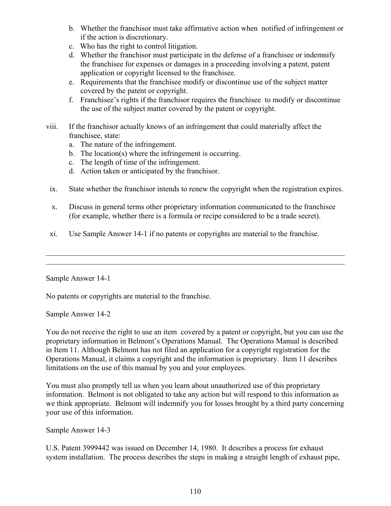- b. Whether the franchisor must take affirmative action when notified of infringement or if the action is discretionary.
- c. Who has the right to control litigation.
- d. Whether the franchisor must participate in the defense of a franchisee or indemnify the franchisee for expenses or damages in a proceeding involving a patent, patent application or copyright licensed to the franchisee.
- e. Requirements that the franchisee modify or discontinue use of the subject matter covered by the patent or copyright.
- f. Franchisee's rights if the franchisor requires the franchisee to modify or discontinue the use of the subject matter covered by the patent or copyright.
- viii. If the franchisor actually knows of an infringement that could materially affect the franchisee, state:
	- a. The nature of the infringement.
	- b. The location(s) where the infringement is occurring.
	- c. The length of time of the infringement.
	- d. Action taken or anticipated by the franchisor.
- ix. State whether the franchisor intends to renew the copyright when the registration expires.
- x. Discuss in general terms other proprietary information communicated to the franchisee (for example, whether there is a formula or recipe considered to be a trade secret).

 $\mathcal{L}_\mathcal{L} = \{ \mathcal{L}_\mathcal{L} = \{ \mathcal{L}_\mathcal{L} = \{ \mathcal{L}_\mathcal{L} = \{ \mathcal{L}_\mathcal{L} = \{ \mathcal{L}_\mathcal{L} = \{ \mathcal{L}_\mathcal{L} = \{ \mathcal{L}_\mathcal{L} = \{ \mathcal{L}_\mathcal{L} = \{ \mathcal{L}_\mathcal{L} = \{ \mathcal{L}_\mathcal{L} = \{ \mathcal{L}_\mathcal{L} = \{ \mathcal{L}_\mathcal{L} = \{ \mathcal{L}_\mathcal{L} = \{ \mathcal{L}_\mathcal{$  $\mathcal{L}_\mathcal{L} = \{ \mathcal{L}_\mathcal{L} = \{ \mathcal{L}_\mathcal{L} = \{ \mathcal{L}_\mathcal{L} = \{ \mathcal{L}_\mathcal{L} = \{ \mathcal{L}_\mathcal{L} = \{ \mathcal{L}_\mathcal{L} = \{ \mathcal{L}_\mathcal{L} = \{ \mathcal{L}_\mathcal{L} = \{ \mathcal{L}_\mathcal{L} = \{ \mathcal{L}_\mathcal{L} = \{ \mathcal{L}_\mathcal{L} = \{ \mathcal{L}_\mathcal{L} = \{ \mathcal{L}_\mathcal{L} = \{ \mathcal{L}_\mathcal{$ 

xi. Use Sample Answer 14-1 if no patents or copyrights are material to the franchise.

#### Sample Answer 14-1

No patents or copyrights are material to the franchise.

Sample Answer 14-2

You do not receive the right to use an item covered by a patent or copyright, but you can use the proprietary information in Belmont's Operations Manual. The Operations Manual is described in Item 11. Although Belmont has not filed an application for a copyright registration for the Operations Manual, it claims a copyright and the information is proprietary. Item 11 describes limitations on the use of this manual by you and your employees.

You must also promptly tell us when you learn about unauthorized use of this proprietary information. Belmont is not obligated to take any action but will respond to this information as we think appropriate. Belmont will indemnify you for losses brought by a third party concerning your use of this information.

Sample Answer 14-3

U.S. Patent 3999442 was issued on December 14, 1980. It describes a process for exhaust system installation. The process describes the steps in making a straight length of exhaust pipe,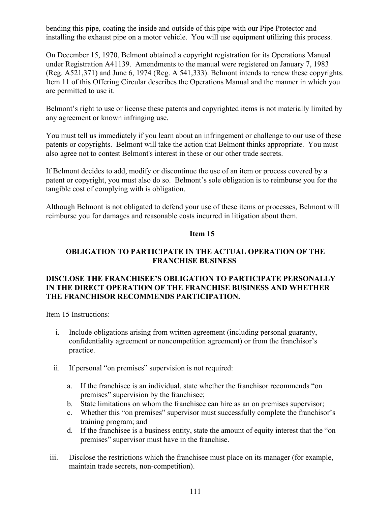bending this pipe, coating the inside and outside of this pipe with our Pipe Protector and installing the exhaust pipe on a motor vehicle. You will use equipment utilizing this process.

On December 15, 1970, Belmont obtained a copyright registration for its Operations Manual under Registration A41139. Amendments to the manual were registered on January 7, 1983 (Reg. A521,371) and June 6, 1974 (Reg. A 541,333). Belmont intends to renew these copyrights. Item 11 of this Offering Circular describes the Operations Manual and the manner in which you are permitted to use it.

Belmont's right to use or license these patents and copyrighted items is not materially limited by any agreement or known infringing use.

You must tell us immediately if you learn about an infringement or challenge to our use of these patents or copyrights. Belmont will take the action that Belmont thinks appropriate. You must also agree not to contest Belmont's interest in these or our other trade secrets.

If Belmont decides to add, modify or discontinue the use of an item or process covered by a patent or copyright, you must also do so. Belmont's sole obligation is to reimburse you for the tangible cost of complying with is obligation.

Although Belmont is not obligated to defend your use of these items or processes, Belmont will reimburse you for damages and reasonable costs incurred in litigation about them.

#### **Item 15**

## **OBLIGATION TO PARTICIPATE IN THE ACTUAL OPERATION OF THE FRANCHISE BUSINESS**

#### **DISCLOSE THE FRANCHISEE'S OBLIGATION TO PARTICIPATE PERSONALLY IN THE DIRECT OPERATION OF THE FRANCHISE BUSINESS AND WHETHER THE FRANCHISOR RECOMMENDS PARTICIPATION.**

Item 15 Instructions:

- i. Include obligations arising from written agreement (including personal guaranty, confidentiality agreement or noncompetition agreement) or from the franchisor's practice.
- ii. If personal "on premises" supervision is not required:
	- a. If the franchisee is an individual, state whether the franchisor recommends "on premises" supervision by the franchisee;
	- b. State limitations on whom the franchisee can hire as an on premises supervisor;
	- c. Whether this "on premises" supervisor must successfully complete the franchisor's training program; and
	- d. If the franchisee is a business entity, state the amount of equity interest that the "on premises" supervisor must have in the franchise.
- iii. Disclose the restrictions which the franchisee must place on its manager (for example, maintain trade secrets, non-competition).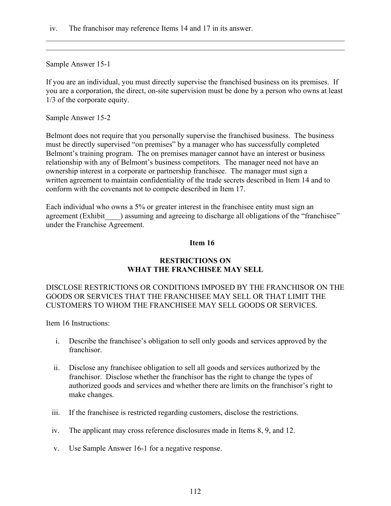iv. The franchisor may reference Items 14 and 17 in its answer.

Sample Answer 15-1

If you are an individual, you must directly supervise the franchised business on its premises. If you are a corporation, the direct, on-site supervision must be done by a person who owns at least 1/3 of the corporate equity.

 $\mathcal{L}_\mathcal{L} = \{ \mathcal{L}_\mathcal{L} = \{ \mathcal{L}_\mathcal{L} = \{ \mathcal{L}_\mathcal{L} = \{ \mathcal{L}_\mathcal{L} = \{ \mathcal{L}_\mathcal{L} = \{ \mathcal{L}_\mathcal{L} = \{ \mathcal{L}_\mathcal{L} = \{ \mathcal{L}_\mathcal{L} = \{ \mathcal{L}_\mathcal{L} = \{ \mathcal{L}_\mathcal{L} = \{ \mathcal{L}_\mathcal{L} = \{ \mathcal{L}_\mathcal{L} = \{ \mathcal{L}_\mathcal{L} = \{ \mathcal{L}_\mathcal{$  $\mathcal{L}_\mathcal{L} = \{ \mathcal{L}_\mathcal{L} = \{ \mathcal{L}_\mathcal{L} = \{ \mathcal{L}_\mathcal{L} = \{ \mathcal{L}_\mathcal{L} = \{ \mathcal{L}_\mathcal{L} = \{ \mathcal{L}_\mathcal{L} = \{ \mathcal{L}_\mathcal{L} = \{ \mathcal{L}_\mathcal{L} = \{ \mathcal{L}_\mathcal{L} = \{ \mathcal{L}_\mathcal{L} = \{ \mathcal{L}_\mathcal{L} = \{ \mathcal{L}_\mathcal{L} = \{ \mathcal{L}_\mathcal{L} = \{ \mathcal{L}_\mathcal{$ 

Sample Answer 15-2

Belmont does not require that you personally supervise the franchised business. The business must be directly supervised "on premises" by a manager who has successfully completed Belmont's training program. The on premises manager cannot have an interest or business relationship with any of Belmont's business competitors. The manager need not have an ownership interest in a corporate or partnership franchisee. The manager must sign a written agreement to maintain confidentiality of the trade secrets described in Item 14 and to conform with the covenants not to compete described in Item 17.

Each individual who owns a 5% or greater interest in the franchisee entity must sign an agreement (Exhibit ) assuming and agreeing to discharge all obligations of the "franchisee" under the Franchise Agreement.

#### **Item 16**

## **RESTRICTIONS ON WHAT THE FRANCHISEE MAY SELL**

## DISCLOSE RESTRICTIONS OR CONDITIONS IMPOSED BY THE FRANCHISOR ON THE GOODS OR SERVICES THAT THE FRANCHISEE MAY SELL OR THAT LIMIT THE CUSTOMERS TO WHOM THE FRANCHISEE MAY SELL GOODS OR SERVICES.

Item 16 Instructions:

- i. Describe the franchisee's obligation to sell only goods and services approved by the franchisor.
- ii. Disclose any franchisee obligation to sell all goods and services authorized by the franchisor. Disclose whether the franchisor has the right to change the types of authorized goods and services and whether there are limits on the franchisor's right to make changes.
- iii. If the franchisee is restricted regarding customers, disclose the restrictions.
- iv. The applicant may cross reference disclosures made in Items 8, 9, and 12.
- v. Use Sample Answer 16-1 for a negative response.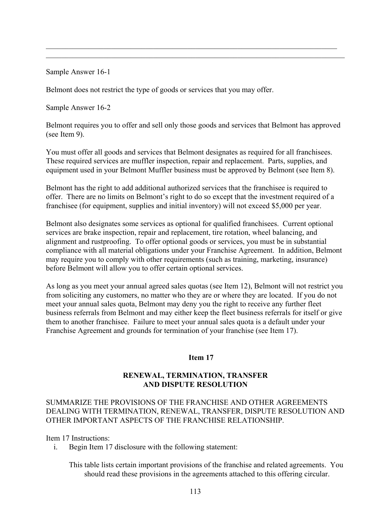Sample Answer 16-1

Belmont does not restrict the type of goods or services that you may offer.

Sample Answer 16-2

Belmont requires you to offer and sell only those goods and services that Belmont has approved (see Item 9).

 $\mathcal{L}_\text{max}$  , and the contribution of the contribution of the contribution of the contribution of the contribution of the contribution of the contribution of the contribution of the contribution of the contribution of t  $\mathcal{L}_\mathcal{L} = \{ \mathcal{L}_\mathcal{L} = \{ \mathcal{L}_\mathcal{L} = \{ \mathcal{L}_\mathcal{L} = \{ \mathcal{L}_\mathcal{L} = \{ \mathcal{L}_\mathcal{L} = \{ \mathcal{L}_\mathcal{L} = \{ \mathcal{L}_\mathcal{L} = \{ \mathcal{L}_\mathcal{L} = \{ \mathcal{L}_\mathcal{L} = \{ \mathcal{L}_\mathcal{L} = \{ \mathcal{L}_\mathcal{L} = \{ \mathcal{L}_\mathcal{L} = \{ \mathcal{L}_\mathcal{L} = \{ \mathcal{L}_\mathcal{$ 

You must offer all goods and services that Belmont designates as required for all franchisees. These required services are muffler inspection, repair and replacement. Parts, supplies, and equipment used in your Belmont Muffler business must be approved by Belmont (see Item 8).

Belmont has the right to add additional authorized services that the franchisee is required to offer. There are no limits on Belmont's right to do so except that the investment required of a franchisee (for equipment, supplies and initial inventory) will not exceed \$5,000 per year.

Belmont also designates some services as optional for qualified franchisees. Current optional services are brake inspection, repair and replacement, tire rotation, wheel balancing, and alignment and rustproofing. To offer optional goods or services, you must be in substantial compliance with all material obligations under your Franchise Agreement. In addition, Belmont may require you to comply with other requirements (such as training, marketing, insurance) before Belmont will allow you to offer certain optional services.

As long as you meet your annual agreed sales quotas (see Item 12), Belmont will not restrict you from soliciting any customers, no matter who they are or where they are located. If you do not meet your annual sales quota, Belmont may deny you the right to receive any further fleet business referrals from Belmont and may either keep the fleet business referrals for itself or give them to another franchisee. Failure to meet your annual sales quota is a default under your Franchise Agreement and grounds for termination of your franchise (see Item 17).

## **Item 17**

# **RENEWAL, TERMINATION, TRANSFER AND DISPUTE RESOLUTION**

## SUMMARIZE THE PROVISIONS OF THE FRANCHISE AND OTHER AGREEMENTS DEALING WITH TERMINATION, RENEWAL, TRANSFER, DISPUTE RESOLUTION AND OTHER IMPORTANT ASPECTS OF THE FRANCHISE RELATIONSHIP.

Item 17 Instructions:

i. Begin Item 17 disclosure with the following statement:

 This table lists certain important provisions of the franchise and related agreements. You should read these provisions in the agreements attached to this offering circular.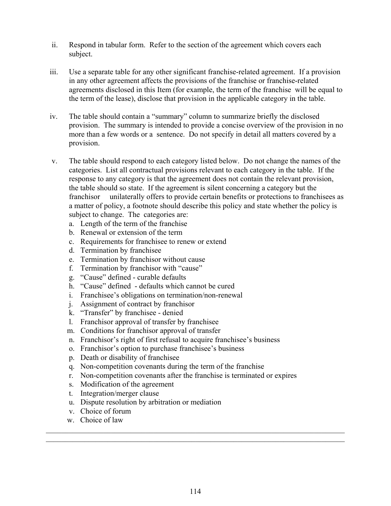- ii. Respond in tabular form. Refer to the section of the agreement which covers each subject.
- iii. Use a separate table for any other significant franchise-related agreement. If a provision in any other agreement affects the provisions of the franchise or franchise-related agreements disclosed in this Item (for example, the term of the franchise will be equal to the term of the lease), disclose that provision in the applicable category in the table.
- iv. The table should contain a "summary" column to summarize briefly the disclosed provision. The summary is intended to provide a concise overview of the provision in no more than a few words or a sentence. Do not specify in detail all matters covered by a provision.
- v. The table should respond to each category listed below. Do not change the names of the categories. List all contractual provisions relevant to each category in the table. If the response to any category is that the agreement does not contain the relevant provision, the table should so state. If the agreement is silent concerning a category but the franchisor unilaterally offers to provide certain benefits or protections to franchisees as a matter of policy, a footnote should describe this policy and state whether the policy is subject to change. The categories are:
	- a. Length of the term of the franchise
	- b. Renewal or extension of the term
	- c. Requirements for franchisee to renew or extend
	- d. Termination by franchisee
	- e. Termination by franchisor without cause
	- f. Termination by franchisor with "cause"
	- g. "Cause" defined curable defaults
	- h. "Cause" defined defaults which cannot be cured
	- i. Franchisee's obligations on termination/non-renewal
	- j. Assignment of contract by franchisor
	- k. "Transfer" by franchisee denied
	- l. Franchisor approval of transfer by franchisee
	- m. Conditions for franchisor approval of transfer
	- n. Franchisor's right of first refusal to acquire franchisee's business
	- o. Franchisor's option to purchase franchisee's business
	- p. Death or disability of franchisee
	- q. Non-competition covenants during the term of the franchise
	- r. Non-competition covenants after the franchise is terminated or expires
	- s. Modification of the agreement
	- t. Integration/merger clause
	- u. Dispute resolution by arbitration or mediation
	- v. Choice of forum
	- w. Choice of law

 $\mathcal{L}_\mathcal{L} = \{ \mathcal{L}_\mathcal{L} = \{ \mathcal{L}_\mathcal{L} = \{ \mathcal{L}_\mathcal{L} = \{ \mathcal{L}_\mathcal{L} = \{ \mathcal{L}_\mathcal{L} = \{ \mathcal{L}_\mathcal{L} = \{ \mathcal{L}_\mathcal{L} = \{ \mathcal{L}_\mathcal{L} = \{ \mathcal{L}_\mathcal{L} = \{ \mathcal{L}_\mathcal{L} = \{ \mathcal{L}_\mathcal{L} = \{ \mathcal{L}_\mathcal{L} = \{ \mathcal{L}_\mathcal{L} = \{ \mathcal{L}_\mathcal{$  $\mathcal{L}_\mathcal{L} = \{ \mathcal{L}_\mathcal{L} = \{ \mathcal{L}_\mathcal{L} = \{ \mathcal{L}_\mathcal{L} = \{ \mathcal{L}_\mathcal{L} = \{ \mathcal{L}_\mathcal{L} = \{ \mathcal{L}_\mathcal{L} = \{ \mathcal{L}_\mathcal{L} = \{ \mathcal{L}_\mathcal{L} = \{ \mathcal{L}_\mathcal{L} = \{ \mathcal{L}_\mathcal{L} = \{ \mathcal{L}_\mathcal{L} = \{ \mathcal{L}_\mathcal{L} = \{ \mathcal{L}_\mathcal{L} = \{ \mathcal{L}_\mathcal{$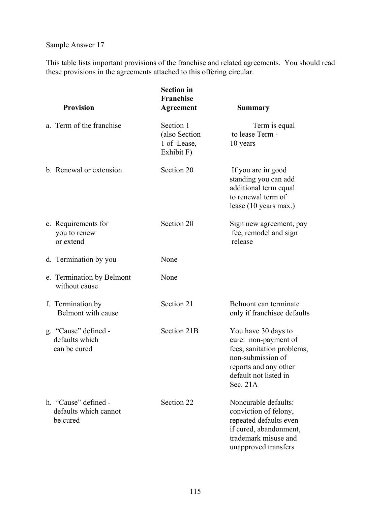Sample Answer 17

This table lists important provisions of the franchise and related agreements. You should read these provisions in the agreements attached to this offering circular.

| <b>Provision</b>                                          | <b>Section</b> in<br><b>Franchise</b><br><b>Agreement</b> | <b>Summary</b>                                                                                                                                               |
|-----------------------------------------------------------|-----------------------------------------------------------|--------------------------------------------------------------------------------------------------------------------------------------------------------------|
| a. Term of the franchise                                  | Section 1<br>(also Section<br>1 of Lease,<br>Exhibit F)   | Term is equal<br>to lease Term -<br>10 years                                                                                                                 |
| b. Renewal or extension                                   | Section 20                                                | If you are in good<br>standing you can add<br>additional term equal<br>to renewal term of<br>lease (10 years max.)                                           |
| c. Requirements for<br>you to renew<br>or extend          | Section 20                                                | Sign new agreement, pay<br>fee, remodel and sign<br>release                                                                                                  |
| d. Termination by you                                     | None                                                      |                                                                                                                                                              |
| e. Termination by Belmont<br>without cause                | None                                                      |                                                                                                                                                              |
| f. Termination by<br>Belmont with cause                   | Section 21                                                | Belmont can terminate<br>only if franchisee defaults                                                                                                         |
| g. "Cause" defined -<br>defaults which<br>can be cured    | Section 21B                                               | You have 30 days to<br>cure: non-payment of<br>fees, sanitation problems,<br>non-submission of<br>reports and any other<br>default not listed in<br>Sec. 21A |
| h. "Cause" defined -<br>defaults which cannot<br>be cured | Section 22                                                | Noncurable defaults:<br>conviction of felony,<br>repeated defaults even<br>if cured, abandonment,<br>trademark misuse and<br>unapproved transfers            |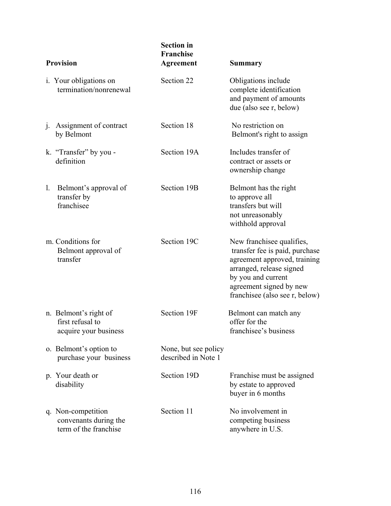|                | <b>Provision</b>                                                     | <b>Section in</b><br><b>Franchise</b><br><b>Agreement</b> | Summary                                                                                                                                                                                                    |
|----------------|----------------------------------------------------------------------|-----------------------------------------------------------|------------------------------------------------------------------------------------------------------------------------------------------------------------------------------------------------------------|
|                | i. Your obligations on<br>termination/nonrenewal                     | Section 22                                                | Obligations include<br>complete identification<br>and payment of amounts<br>due (also see r, below)                                                                                                        |
| $\mathbf{i}$ . | Assignment of contract<br>by Belmont                                 | Section 18                                                | No restriction on<br>Belmont's right to assign                                                                                                                                                             |
|                | k. "Transfer" by you -<br>definition                                 | Section 19A                                               | Includes transfer of<br>contract or assets or<br>ownership change                                                                                                                                          |
| 1.             | Belmont's approval of<br>transfer by<br>franchisee                   | Section 19B                                               | Belmont has the right<br>to approve all<br>transfers but will<br>not unreasonably<br>withhold approval                                                                                                     |
|                | m. Conditions for<br>Belmont approval of<br>transfer                 | Section 19C                                               | New franchisee qualifies,<br>transfer fee is paid, purchase<br>agreement approved, training<br>arranged, release signed<br>by you and current<br>agreement signed by new<br>franchisee (also see r, below) |
|                | n. Belmont's right of<br>first refusal to<br>acquire your business   | Section 19F                                               | Belmont can match any<br>offer for the<br>franchisee's business                                                                                                                                            |
|                | o. Belmont's option to<br>purchase your business                     | None, but see policy<br>described in Note 1               |                                                                                                                                                                                                            |
|                | p. Your death or<br>disability                                       | Section 19D                                               | Franchise must be assigned<br>by estate to approved<br>buyer in 6 months                                                                                                                                   |
|                | q. Non-competition<br>convenants during the<br>term of the franchise | Section 11                                                | No involvement in<br>competing business<br>anywhere in U.S.                                                                                                                                                |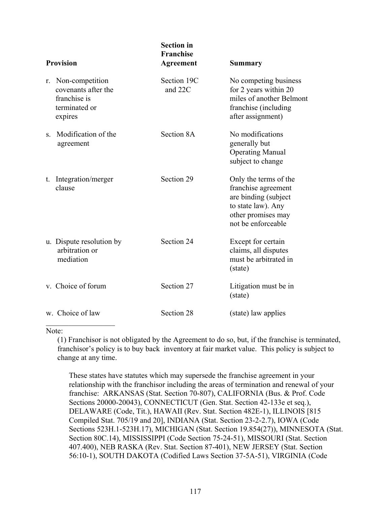|    | <b>Provision</b>                                                                      | <b>Section in</b><br><b>Franchise</b><br><b>Agreement</b> | <b>Summary</b>                                                                                                                         |
|----|---------------------------------------------------------------------------------------|-----------------------------------------------------------|----------------------------------------------------------------------------------------------------------------------------------------|
|    | r. Non-competition<br>covenants after the<br>franchise is<br>terminated or<br>expires | Section 19C<br>and 22C                                    | No competing business<br>for 2 years within 20<br>miles of another Belmont<br>franchise (including<br>after assignment)                |
| S. | Modification of the<br>agreement                                                      | Section 8A                                                | No modifications<br>generally but<br><b>Operating Manual</b><br>subject to change                                                      |
|    | t. Integration/merger<br>clause                                                       | Section 29                                                | Only the terms of the<br>franchise agreement<br>are binding (subject<br>to state law). Any<br>other promises may<br>not be enforceable |
|    | u. Dispute resolution by<br>arbitration or<br>mediation                               | Section 24                                                | Except for certain<br>claims, all disputes<br>must be arbitrated in<br>(state)                                                         |
|    | v. Choice of forum                                                                    | Section 27                                                | Litigation must be in<br>(state)                                                                                                       |
|    | w. Choice of law                                                                      | Section 28                                                | (state) law applies                                                                                                                    |

Note:

 (1) Franchisor is not obligated by the Agreement to do so, but, if the franchise is terminated, franchisor's policy is to buy back inventory at fair market value. This policy is subject to change at any time.

 These states have statutes which may supersede the franchise agreement in your relationship with the franchisor including the areas of termination and renewal of your franchise: ARKANSAS (Stat. Section 70-807), CALIFORNIA (Bus. & Prof. Code Sections 20000-20043), CONNECTICUT (Gen. Stat. Section 42-133e et seq.), DELAWARE (Code, Tit.), HAWAII (Rev. Stat. Section 482E-1), ILLINOIS [815 Compiled Stat. 705/19 and 20], INDIANA (Stat. Section 23-2-2.7), IOWA (Code Sections 523H.1-523H.17), MICHIGAN (Stat. Section 19.854(27)), MINNESOTA (Stat. Section 80C.14), MISSISSIPPI (Code Section 75-24-51), MISSOURI (Stat. Section 407.400), NEB RASKA (Rev. Stat. Section 87-401), NEW JERSEY (Stat. Section 56:10-1), SOUTH DAKOTA (Codified Laws Section 37-5A-51), VIRGINIA (Code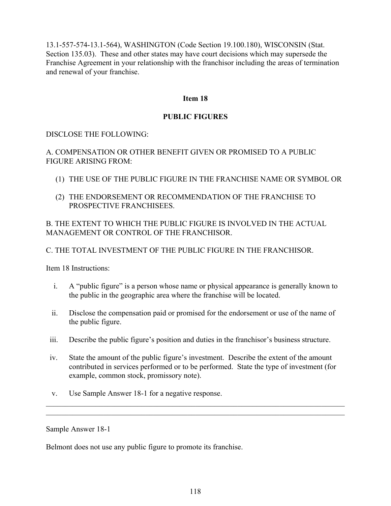13.1-557-574-13.1-564), WASHINGTON (Code Section 19.100.180), WISCONSIN (Stat. Section 135.03). These and other states may have court decisions which may supersede the Franchise Agreement in your relationship with the franchisor including the areas of termination and renewal of your franchise.

#### **Item 18**

## **PUBLIC FIGURES**

DISCLOSE THE FOLLOWING:

A. COMPENSATION OR OTHER BENEFIT GIVEN OR PROMISED TO A PUBLIC FIGURE ARISING FROM:

- (1) THE USE OF THE PUBLIC FIGURE IN THE FRANCHISE NAME OR SYMBOL OR
- (2) THE ENDORSEMENT OR RECOMMENDATION OF THE FRANCHISE TO PROSPECTIVE FRANCHISEES.

B. THE EXTENT TO WHICH THE PUBLIC FIGURE IS INVOLVED IN THE ACTUAL MANAGEMENT OR CONTROL OF THE FRANCHISOR.

#### C. THE TOTAL INVESTMENT OF THE PUBLIC FIGURE IN THE FRANCHISOR.

Item 18 Instructions:

- i. A "public figure" is a person whose name or physical appearance is generally known to the public in the geographic area where the franchise will be located.
- ii. Disclose the compensation paid or promised for the endorsement or use of the name of the public figure.
- iii. Describe the public figure's position and duties in the franchisor's business structure.
- iv. State the amount of the public figure's investment. Describe the extent of the amount contributed in services performed or to be performed. State the type of investment (for example, common stock, promissory note).

 $\mathcal{L}_\mathcal{L} = \{ \mathcal{L}_\mathcal{L} = \{ \mathcal{L}_\mathcal{L} = \{ \mathcal{L}_\mathcal{L} = \{ \mathcal{L}_\mathcal{L} = \{ \mathcal{L}_\mathcal{L} = \{ \mathcal{L}_\mathcal{L} = \{ \mathcal{L}_\mathcal{L} = \{ \mathcal{L}_\mathcal{L} = \{ \mathcal{L}_\mathcal{L} = \{ \mathcal{L}_\mathcal{L} = \{ \mathcal{L}_\mathcal{L} = \{ \mathcal{L}_\mathcal{L} = \{ \mathcal{L}_\mathcal{L} = \{ \mathcal{L}_\mathcal{$  $\mathcal{L}_\mathcal{L} = \{ \mathcal{L}_\mathcal{L} = \{ \mathcal{L}_\mathcal{L} = \{ \mathcal{L}_\mathcal{L} = \{ \mathcal{L}_\mathcal{L} = \{ \mathcal{L}_\mathcal{L} = \{ \mathcal{L}_\mathcal{L} = \{ \mathcal{L}_\mathcal{L} = \{ \mathcal{L}_\mathcal{L} = \{ \mathcal{L}_\mathcal{L} = \{ \mathcal{L}_\mathcal{L} = \{ \mathcal{L}_\mathcal{L} = \{ \mathcal{L}_\mathcal{L} = \{ \mathcal{L}_\mathcal{L} = \{ \mathcal{L}_\mathcal{$ 

v. Use Sample Answer 18-1 for a negative response.

#### Sample Answer 18-1

Belmont does not use any public figure to promote its franchise.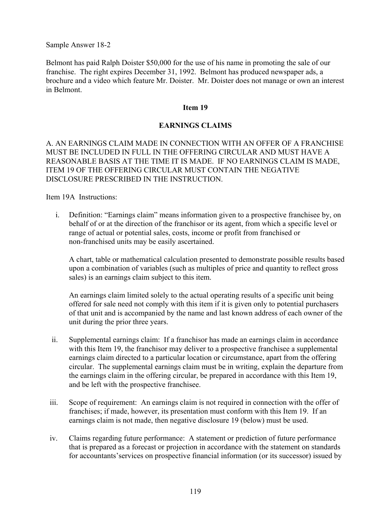Sample Answer 18-2

Belmont has paid Ralph Doister \$50,000 for the use of his name in promoting the sale of our franchise. The right expires December 31, 1992. Belmont has produced newspaper ads, a brochure and a video which feature Mr. Doister. Mr. Doister does not manage or own an interest in Belmont.

#### **Item 19**

#### **EARNINGS CLAIMS**

A. AN EARNINGS CLAIM MADE IN CONNECTION WITH AN OFFER OF A FRANCHISE MUST BE INCLUDED IN FULL IN THE OFFERING CIRCULAR AND MUST HAVE A REASONABLE BASIS AT THE TIME IT IS MADE. IF NO EARNINGS CLAIM IS MADE, ITEM 19 OF THE OFFERING CIRCULAR MUST CONTAIN THE NEGATIVE DISCLOSURE PRESCRIBED IN THE INSTRUCTION.

Item 19A Instructions:

 i. Definition: "Earnings claim" means information given to a prospective franchisee by, on behalf of or at the direction of the franchisor or its agent, from which a specific level or range of actual or potential sales, costs, income or profit from franchised or non-franchised units may be easily ascertained.

 A chart, table or mathematical calculation presented to demonstrate possible results based upon a combination of variables (such as multiples of price and quantity to reflect gross sales) is an earnings claim subject to this item.

An earnings claim limited solely to the actual operating results of a specific unit being offered for sale need not comply with this item if it is given only to potential purchasers of that unit and is accompanied by the name and last known address of each owner of the unit during the prior three years.

- ii. Supplemental earnings claim: If a franchisor has made an earnings claim in accordance with this Item 19, the franchisor may deliver to a prospective franchisee a supplemental earnings claim directed to a particular location or circumstance, apart from the offering circular. The supplemental earnings claim must be in writing, explain the departure from the earnings claim in the offering circular, be prepared in accordance with this Item 19, and be left with the prospective franchisee.
- iii. Scope of requirement: An earnings claim is not required in connection with the offer of franchises; if made, however, its presentation must conform with this Item 19. If an earnings claim is not made, then negative disclosure 19 (below) must be used.
- iv. Claims regarding future performance: A statement or prediction of future performance that is prepared as a forecast or projection in accordance with the statement on standards for accountants'services on prospective financial information (or its successor) issued by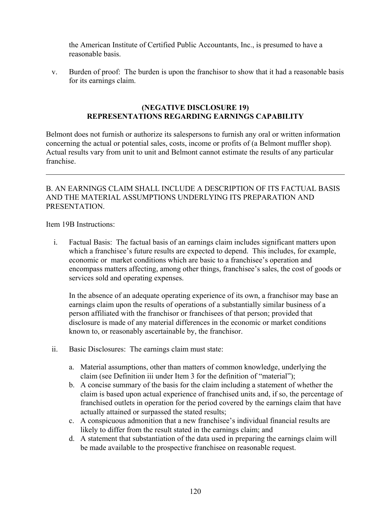the American Institute of Certified Public Accountants, Inc., is presumed to have a reasonable basis.

 v. Burden of proof: The burden is upon the franchisor to show that it had a reasonable basis for its earnings claim.

#### **(NEGATIVE DISCLOSURE 19) REPRESENTATIONS REGARDING EARNINGS CAPABILITY**

Belmont does not furnish or authorize its salespersons to furnish any oral or written information concerning the actual or potential sales, costs, income or profits of (a Belmont muffler shop). Actual results vary from unit to unit and Belmont cannot estimate the results of any particular franchise.

#### B. AN EARNINGS CLAIM SHALL INCLUDE A DESCRIPTION OF ITS FACTUAL BASIS AND THE MATERIAL ASSUMPTIONS UNDERLYING ITS PREPARATION AND **PRESENTATION**

Item 19B Instructions:

 i. Factual Basis: The factual basis of an earnings claim includes significant matters upon which a franchisee's future results are expected to depend. This includes, for example, economic or market conditions which are basic to a franchisee's operation and encompass matters affecting, among other things, franchisee's sales, the cost of goods or services sold and operating expenses.

In the absence of an adequate operating experience of its own, a franchisor may base an earnings claim upon the results of operations of a substantially similar business of a person affiliated with the franchisor or franchisees of that person; provided that disclosure is made of any material differences in the economic or market conditions known to, or reasonably ascertainable by, the franchisor.

- ii. Basic Disclosures: The earnings claim must state:
	- a. Material assumptions, other than matters of common knowledge, underlying the claim (see Definition iii under Item 3 for the definition of "material");
	- b. A concise summary of the basis for the claim including a statement of whether the claim is based upon actual experience of franchised units and, if so, the percentage of franchised outlets in operation for the period covered by the earnings claim that have actually attained or surpassed the stated results;
	- c. A conspicuous admonition that a new franchisee's individual financial results are likely to differ from the result stated in the earnings claim; and
	- d. A statement that substantiation of the data used in preparing the earnings claim will be made available to the prospective franchisee on reasonable request.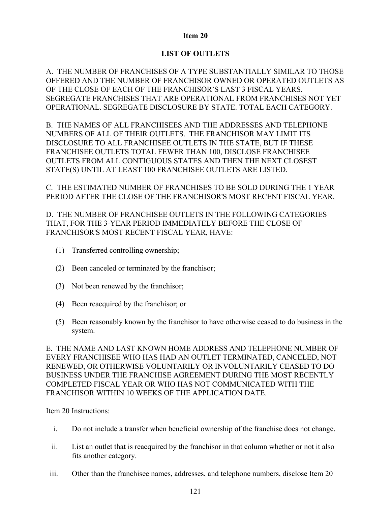#### **Item 20**

# **LIST OF OUTLETS**

A. THE NUMBER OF FRANCHISES OF A TYPE SUBSTANTIALLY SIMILAR TO THOSE OFFERED AND THE NUMBER OF FRANCHISOR OWNED OR OPERATED OUTLETS AS OF THE CLOSE OF EACH OF THE FRANCHISOR'S LAST 3 FISCAL YEARS. SEGREGATE FRANCHISES THAT ARE OPERATIONAL FROM FRANCHISES NOT YET OPERATIONAL. SEGREGATE DISCLOSURE BY STATE. TOTAL EACH CATEGORY.

B. THE NAMES OF ALL FRANCHISEES AND THE ADDRESSES AND TELEPHONE NUMBERS OF ALL OF THEIR OUTLETS. THE FRANCHISOR MAY LIMIT ITS DISCLOSURE TO ALL FRANCHISEE OUTLETS IN THE STATE, BUT IF THESE FRANCHISEE OUTLETS TOTAL FEWER THAN 100, DISCLOSE FRANCHISEE OUTLETS FROM ALL CONTIGUOUS STATES AND THEN THE NEXT CLOSEST STATE(S) UNTIL AT LEAST 100 FRANCHISEE OUTLETS ARE LISTED.

C. THE ESTIMATED NUMBER OF FRANCHISES TO BE SOLD DURING THE 1 YEAR PERIOD AFTER THE CLOSE OF THE FRANCHISOR'S MOST RECENT FISCAL YEAR.

D. THE NUMBER OF FRANCHISEE OUTLETS IN THE FOLLOWING CATEGORIES THAT, FOR THE 3-YEAR PERIOD IMMEDIATELY BEFORE THE CLOSE OF FRANCHISOR'S MOST RECENT FISCAL YEAR, HAVE:

- (1) Transferred controlling ownership;
- (2) Been canceled or terminated by the franchisor;
- (3) Not been renewed by the franchisor;
- (4) Been reacquired by the franchisor; or
- (5) Been reasonably known by the franchisor to have otherwise ceased to do business in the system.

E. THE NAME AND LAST KNOWN HOME ADDRESS AND TELEPHONE NUMBER OF EVERY FRANCHISEE WHO HAS HAD AN OUTLET TERMINATED, CANCELED, NOT RENEWED, OR OTHERWISE VOLUNTARILY OR INVOLUNTARILY CEASED TO DO BUSINESS UNDER THE FRANCHISE AGREEMENT DURING THE MOST RECENTLY COMPLETED FISCAL YEAR OR WHO HAS NOT COMMUNICATED WITH THE FRANCHISOR WITHIN 10 WEEKS OF THE APPLICATION DATE.

Item 20 Instructions:

- i. Do not include a transfer when beneficial ownership of the franchise does not change.
- ii. List an outlet that is reacquired by the franchisor in that column whether or not it also fits another category.
- iii. Other than the franchisee names, addresses, and telephone numbers, disclose Item 20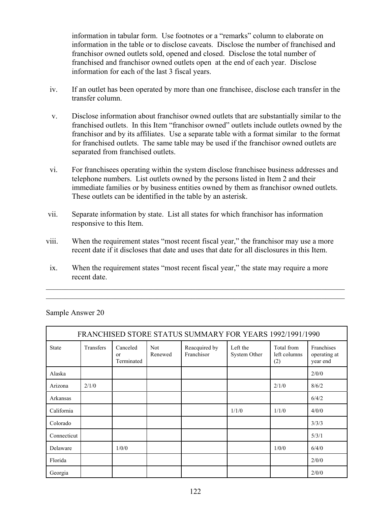information in tabular form. Use footnotes or a "remarks" column to elaborate on information in the table or to disclose caveats. Disclose the number of franchised and franchisor owned outlets sold, opened and closed. Disclose the total number of franchised and franchisor owned outlets open at the end of each year. Disclose information for each of the last 3 fiscal years.

- iv. If an outlet has been operated by more than one franchisee, disclose each transfer in the transfer column.
- v. Disclose information about franchisor owned outlets that are substantially similar to the franchised outlets. In this Item "franchisor owned" outlets include outlets owned by the franchisor and by its affiliates. Use a separate table with a format similar to the format for franchised outlets. The same table may be used if the franchisor owned outlets are separated from franchised outlets.
- vi. For franchisees operating within the system disclose franchisee business addresses and telephone numbers. List outlets owned by the persons listed in Item 2 and their immediate families or by business entities owned by them as franchisor owned outlets. These outlets can be identified in the table by an asterisk.
- vii. Separate information by state. List all states for which franchisor has information responsive to this Item.
- viii. When the requirement states "most recent fiscal year," the franchisor may use a more recent date if it discloses that date and uses that date for all disclosures in this Item.
- ix. When the requirement states "most recent fiscal year," the state may require a more recent date.

 $\mathcal{L}_\mathcal{L} = \{ \mathcal{L}_\mathcal{L} = \{ \mathcal{L}_\mathcal{L} = \{ \mathcal{L}_\mathcal{L} = \{ \mathcal{L}_\mathcal{L} = \{ \mathcal{L}_\mathcal{L} = \{ \mathcal{L}_\mathcal{L} = \{ \mathcal{L}_\mathcal{L} = \{ \mathcal{L}_\mathcal{L} = \{ \mathcal{L}_\mathcal{L} = \{ \mathcal{L}_\mathcal{L} = \{ \mathcal{L}_\mathcal{L} = \{ \mathcal{L}_\mathcal{L} = \{ \mathcal{L}_\mathcal{L} = \{ \mathcal{L}_\mathcal{$  $\mathcal{L}_\mathcal{L} = \{ \mathcal{L}_\mathcal{L} = \{ \mathcal{L}_\mathcal{L} = \{ \mathcal{L}_\mathcal{L} = \{ \mathcal{L}_\mathcal{L} = \{ \mathcal{L}_\mathcal{L} = \{ \mathcal{L}_\mathcal{L} = \{ \mathcal{L}_\mathcal{L} = \{ \mathcal{L}_\mathcal{L} = \{ \mathcal{L}_\mathcal{L} = \{ \mathcal{L}_\mathcal{L} = \{ \mathcal{L}_\mathcal{L} = \{ \mathcal{L}_\mathcal{L} = \{ \mathcal{L}_\mathcal{L} = \{ \mathcal{L}_\mathcal{$ 

Sample Answer 20

|              |           |                                         |                       | FRANCHISED STORE STATUS SUMMARY FOR YEARS 1992/1991/1990 |                          |                                   |                                        |
|--------------|-----------|-----------------------------------------|-----------------------|----------------------------------------------------------|--------------------------|-----------------------------------|----------------------------------------|
| <b>State</b> | Transfers | Canceled<br><sub>or</sub><br>Terminated | <b>Not</b><br>Renewed | Reacquired by<br>Franchisor                              | Left the<br>System Other | Total from<br>left columns<br>(2) | Franchises<br>operating at<br>year end |
| Alaska       |           |                                         |                       |                                                          |                          |                                   | 2/0/0                                  |
| Arizona      | 2/1/0     |                                         |                       |                                                          |                          | 2/1/0                             | 8/6/2                                  |
| Arkansas     |           |                                         |                       |                                                          |                          |                                   | 6/4/2                                  |
| California   |           |                                         |                       |                                                          | 1/1/0                    | 1/1/0                             | 4/0/0                                  |
| Colorado     |           |                                         |                       |                                                          |                          |                                   | 3/3/3                                  |
| Connecticut  |           |                                         |                       |                                                          |                          |                                   | 5/3/1                                  |
| Delaware     |           | 1/0/0                                   |                       |                                                          |                          | 1/0/0                             | 6/4/0                                  |
| Florida      |           |                                         |                       |                                                          |                          |                                   | 2/0/0                                  |
| Georgia      |           |                                         |                       |                                                          |                          |                                   | 2/0/0                                  |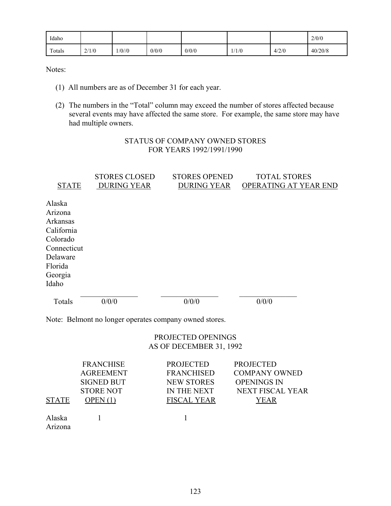| Idaho  |                   |       |       |       |       |       | 2/0/0   |
|--------|-------------------|-------|-------|-------|-------|-------|---------|
| Totals | 2/1/0<br><u>_</u> | 1/0/0 | 0/0/0 | 0/0/0 | 1/1/0 | 4/2/0 | 40/20/8 |

Notes:

- (1) All numbers are as of December 31 for each year.
- (2) The numbers in the "Total" column may exceed the number of stores affected because several events may have affected the same store. For example, the same store may have had multiple owners.

## STATUS OF COMPANY OWNED STORES FOR YEARS 1992/1991/1990

|                                                                                                                   | <b>STORES CLOSED</b> | <b>STORES OPENED</b> | <b>TOTAL STORES</b>   |
|-------------------------------------------------------------------------------------------------------------------|----------------------|----------------------|-----------------------|
| <b>STATE</b>                                                                                                      | <b>DURING YEAR</b>   | <b>DURING YEAR</b>   | OPERATING AT YEAR END |
| Alaska<br>Arizona<br>Arkansas<br>California<br>Colorado<br>Connecticut<br>Delaware<br>Florida<br>Georgia<br>Idaho |                      |                      |                       |
| Totals                                                                                                            | 0/0/0                | 0/0/0                | 0/0/0                 |

Note: Belmont no longer operates company owned stores.

#### PROJECTED OPENINGS AS OF DECEMBER 31, 1992

|                   | <b>FRANCHISE</b>  | <b>PROJECTED</b>   | <b>PROJECTED</b>        |
|-------------------|-------------------|--------------------|-------------------------|
|                   | <b>AGREEMENT</b>  | <b>FRANCHISED</b>  | <b>COMPANY OWNED</b>    |
|                   | <b>SIGNED BUT</b> | <b>NEW STORES</b>  | <b>OPENINGS IN</b>      |
|                   | <b>STORE NOT</b>  | IN THE NEXT        | <b>NEXT FISCAL YEAR</b> |
| <b>STATE</b>      | OPEN $(1)$        | <b>FISCAL YEAR</b> | YEAR                    |
| Alaska<br>Arizona |                   |                    |                         |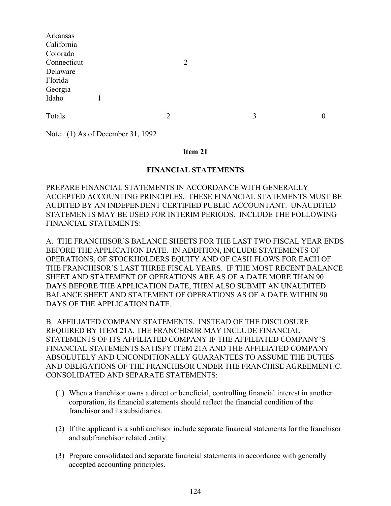| Arkansas    |                |   |                  |
|-------------|----------------|---|------------------|
| California  |                |   |                  |
| Colorado    |                |   |                  |
| Connecticut | $\overline{2}$ |   |                  |
| Delaware    |                |   |                  |
| Florida     |                |   |                  |
| Georgia     |                |   |                  |
| Idaho       |                |   |                  |
|             |                |   |                  |
| Totals      | 2              | 3 | $\boldsymbol{0}$ |
|             |                |   |                  |

Note: (1) As of December 31, 1992

**Item 21**

#### **FINANCIAL STATEMENTS**

PREPARE FINANCIAL STATEMENTS IN ACCORDANCE WITH GENERALLY ACCEPTED ACCOUNTING PRINCIPLES. THESE FINANCIAL STATEMENTS MUST BE AUDITED BY AN INDEPENDENT CERTIFIED PUBLIC ACCOUNTANT. UNAUDITED STATEMENTS MAY BE USED FOR INTERIM PERIODS. INCLUDE THE FOLLOWING FINANCIAL STATEMENTS:

A. THE FRANCHISOR'S BALANCE SHEETS FOR THE LAST TWO FISCAL YEAR ENDS BEFORE THE APPLICATION DATE. IN ADDITION, INCLUDE STATEMENTS OF OPERATIONS, OF STOCKHOLDERS EQUITY AND OF CASH FLOWS FOR EACH OF THE FRANCHISOR'S LAST THREE FISCAL YEARS. IF THE MOST RECENT BALANCE SHEET AND STATEMENT OF OPERATIONS ARE AS OF A DATE MORE THAN 90 DAYS BEFORE THE APPLICATION DATE, THEN ALSO SUBMIT AN UNAUDITED BALANCE SHEET AND STATEMENT OF OPERATIONS AS OF A DATE WITHIN 90 DAYS OF THE APPLICATION DATE.

B. AFFILIATED COMPANY STATEMENTS. INSTEAD OF THE DISCLOSURE REQUIRED BY ITEM 21A, THE FRANCHISOR MAY INCLUDE FINANCIAL STATEMENTS OF ITS AFFILIATED COMPANY IF THE AFFILIATED COMPANY'S FINANCIAL STATEMENTS SATISFY ITEM 21A AND THE AFFILIATED COMPANY ABSOLUTELY AND UNCONDITIONALLY GUARANTEES TO ASSUME THE DUTIES AND OBLIGATIONS OF THE FRANCHISOR UNDER THE FRANCHISE AGREEMENT.C. CONSOLIDATED AND SEPARATE STATEMENTS:

- (1) When a franchisor owns a direct or beneficial, controlling financial interest in another corporation, its financial statements should reflect the financial condition of the franchisor and its subsidiaries.
- (2) If the applicant is a subfranchisor include separate financial statements for the franchisor and subfranchisor related entity.
- (3) Prepare consolidated and separate financial statements in accordance with generally accepted accounting principles.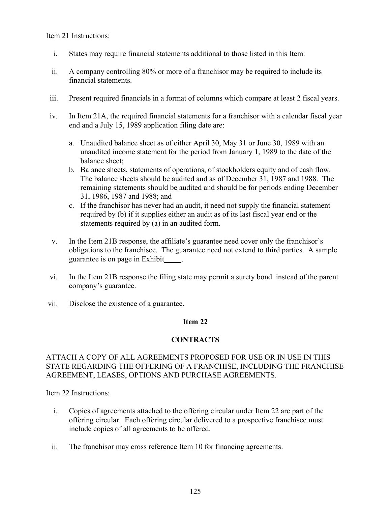Item 21 Instructions:

- i. States may require financial statements additional to those listed in this Item.
- ii. A company controlling 80% or more of a franchisor may be required to include its financial statements.
- iii. Present required financials in a format of columns which compare at least 2 fiscal years.
- iv. In Item 21A, the required financial statements for a franchisor with a calendar fiscal year end and a July 15, 1989 application filing date are:
	- a. Unaudited balance sheet as of either April 30, May 31 or June 30, 1989 with an unaudited income statement for the period from January 1, 1989 to the date of the balance sheet;
	- b. Balance sheets, statements of operations, of stockholders equity and of cash flow. The balance sheets should be audited and as of December 31, 1987 and 1988. The remaining statements should be audited and should be for periods ending December 31, 1986, 1987 and 1988; and
	- c. If the franchisor has never had an audit, it need not supply the financial statement required by (b) if it supplies either an audit as of its last fiscal year end or the statements required by (a) in an audited form.
- v. In the Item 21B response, the affiliate's guarantee need cover only the franchisor's obligations to the franchisee. The guarantee need not extend to third parties. A sample guarantee is on page in Exhibit .
- vi. In the Item 21B response the filing state may permit a surety bond instead of the parent company's guarantee.
- vii. Disclose the existence of a guarantee.

## **Item 22**

## **CONTRACTS**

## ATTACH A COPY OF ALL AGREEMENTS PROPOSED FOR USE OR IN USE IN THIS STATE REGARDING THE OFFERING OF A FRANCHISE, INCLUDING THE FRANCHISE AGREEMENT, LEASES, OPTIONS AND PURCHASE AGREEMENTS.

Item 22 Instructions:

- i. Copies of agreements attached to the offering circular under Item 22 are part of the offering circular. Each offering circular delivered to a prospective franchisee must include copies of all agreements to be offered.
- ii. The franchisor may cross reference Item 10 for financing agreements.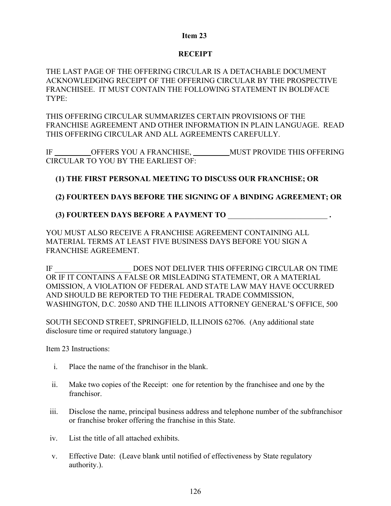#### **Item 23**

# **RECEIPT**

THE LAST PAGE OF THE OFFERING CIRCULAR IS A DETACHABLE DOCUMENT ACKNOWLEDGING RECEIPT OF THE OFFERING CIRCULAR BY THE PROSPECTIVE FRANCHISEE. IT MUST CONTAIN THE FOLLOWING STATEMENT IN BOLDFACE TYPE:

THIS OFFERING CIRCULAR SUMMARIZES CERTAIN PROVISIONS OF THE FRANCHISE AGREEMENT AND OTHER INFORMATION IN PLAIN LANGUAGE. READ THIS OFFERING CIRCULAR AND ALL AGREEMENTS CAREFULLY.

IF \_\_\_\_\_\_\_\_\_OFFERS YOU A FRANCHISE, \_\_\_\_\_\_\_\_\_MUST PROVIDE THIS OFFERING CIRCULAR TO YOU BY THE EARLIEST OF:

# **(1) THE FIRST PERSONAL MEETING TO DISCUSS OUR FRANCHISE; OR**

# **(2) FOURTEEN DAYS BEFORE THE SIGNING OF A BINDING AGREEMENT; OR**

# **(3) FOURTEEN DAYS BEFORE A PAYMENT TO** \_\_\_\_\_\_\_\_\_\_\_\_\_\_\_\_\_\_\_\_\_\_\_\_\_\_ **.**

YOU MUST ALSO RECEIVE A FRANCHISE AGREEMENT CONTAINING ALL MATERIAL TERMS AT LEAST FIVE BUSINESS DAYS BEFORE YOU SIGN A FRANCHISE AGREEMENT.

IF \_\_\_\_\_\_\_\_\_\_\_\_\_\_\_\_\_\_\_\_ DOES NOT DELIVER THIS OFFERING CIRCULAR ON TIME OR IF IT CONTAINS A FALSE OR MISLEADING STATEMENT, OR A MATERIAL OMISSION, A VIOLATION OF FEDERAL AND STATE LAW MAY HAVE OCCURRED AND SHOULD BE REPORTED TO THE FEDERAL TRADE COMMISSION, WASHINGTON, D.C. 20580 AND THE ILLINOIS ATTORNEY GENERAL'S OFFICE, 500

SOUTH SECOND STREET, SPRINGFIELD, ILLINOIS 62706. (Any additional state disclosure time or required statutory language.)

Item 23 Instructions:

- i. Place the name of the franchisor in the blank.
- ii. Make two copies of the Receipt: one for retention by the franchisee and one by the franchisor.
- iii. Disclose the name, principal business address and telephone number of the subfranchisor or franchise broker offering the franchise in this State.
- iv. List the title of all attached exhibits.
- v. Effective Date: (Leave blank until notified of effectiveness by State regulatory authority.).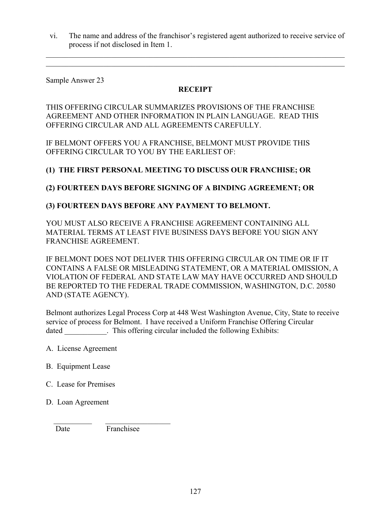vi. The name and address of the franchisor's registered agent authorized to receive service of process if not disclosed in Item 1.

 $\mathcal{L}_\mathcal{L} = \{ \mathcal{L}_\mathcal{L} = \{ \mathcal{L}_\mathcal{L} = \{ \mathcal{L}_\mathcal{L} = \{ \mathcal{L}_\mathcal{L} = \{ \mathcal{L}_\mathcal{L} = \{ \mathcal{L}_\mathcal{L} = \{ \mathcal{L}_\mathcal{L} = \{ \mathcal{L}_\mathcal{L} = \{ \mathcal{L}_\mathcal{L} = \{ \mathcal{L}_\mathcal{L} = \{ \mathcal{L}_\mathcal{L} = \{ \mathcal{L}_\mathcal{L} = \{ \mathcal{L}_\mathcal{L} = \{ \mathcal{L}_\mathcal{$  $\mathcal{L}_\mathcal{L} = \{ \mathcal{L}_\mathcal{L} = \{ \mathcal{L}_\mathcal{L} = \{ \mathcal{L}_\mathcal{L} = \{ \mathcal{L}_\mathcal{L} = \{ \mathcal{L}_\mathcal{L} = \{ \mathcal{L}_\mathcal{L} = \{ \mathcal{L}_\mathcal{L} = \{ \mathcal{L}_\mathcal{L} = \{ \mathcal{L}_\mathcal{L} = \{ \mathcal{L}_\mathcal{L} = \{ \mathcal{L}_\mathcal{L} = \{ \mathcal{L}_\mathcal{L} = \{ \mathcal{L}_\mathcal{L} = \{ \mathcal{L}_\mathcal{$ 

Sample Answer 23

# **RECEIPT**

THIS OFFERING CIRCULAR SUMMARIZES PROVISIONS OF THE FRANCHISE AGREEMENT AND OTHER INFORMATION IN PLAIN LANGUAGE. READ THIS OFFERING CIRCULAR AND ALL AGREEMENTS CAREFULLY.

IF BELMONT OFFERS YOU A FRANCHISE, BELMONT MUST PROVIDE THIS OFFERING CIRCULAR TO YOU BY THE EARLIEST OF:

# **(1) THE FIRST PERSONAL MEETING TO DISCUSS OUR FRANCHISE; OR**

**(2) FOURTEEN DAYS BEFORE SIGNING OF A BINDING AGREEMENT; OR**

# **(3) FOURTEEN DAYS BEFORE ANY PAYMENT TO BELMONT.**

YOU MUST ALSO RECEIVE A FRANCHISE AGREEMENT CONTAINING ALL MATERIAL TERMS AT LEAST FIVE BUSINESS DAYS BEFORE YOU SIGN ANY FRANCHISE AGREEMENT.

IF BELMONT DOES NOT DELIVER THIS OFFERING CIRCULAR ON TIME OR IF IT CONTAINS A FALSE OR MISLEADING STATEMENT, OR A MATERIAL OMISSION, A VIOLATION OF FEDERAL AND STATE LAW MAY HAVE OCCURRED AND SHOULD BE REPORTED TO THE FEDERAL TRADE COMMISSION, WASHINGTON, D.C. 20580 AND (STATE AGENCY).

Belmont authorizes Legal Process Corp at 448 West Washington Avenue, City, State to receive service of process for Belmont. I have received a Uniform Franchise Offering Circular dated This offering circular included the following Exhibits:

- A. License Agreement
- B. Equipment Lease
- C. Lease for Premises
- D. Loan Agreement

Date Franchisee

 $\mathcal{L}=\mathcal{L}=\mathcal{L}=\mathcal{L}=\mathcal{L}=\mathcal{L}=\mathcal{L}=\mathcal{L}=\mathcal{L}=\mathcal{L}=\mathcal{L}=\mathcal{L}=\mathcal{L}=\mathcal{L}=\mathcal{L}=\mathcal{L}=\mathcal{L}=\mathcal{L}=\mathcal{L}=\mathcal{L}=\mathcal{L}=\mathcal{L}=\mathcal{L}=\mathcal{L}=\mathcal{L}=\mathcal{L}=\mathcal{L}=\mathcal{L}=\mathcal{L}=\mathcal{L}=\mathcal{L}=\mathcal{L}=\mathcal{L}=\mathcal{L}=\mathcal{L}=\mathcal{L}=\mathcal{$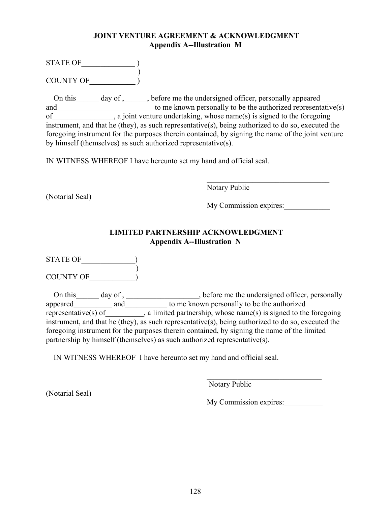#### **JOINT VENTURE AGREEMENT & ACKNOWLEDGMENT Appendix A--Illustration M**

| <b>STATE OF</b>  |  |
|------------------|--|
|                  |  |
| <b>COUNTY OF</b> |  |

On this day of , before me the undersigned officer, personally appeared and  $\frac{1}{\sqrt{1-\frac{1}{\sqrt{1-\frac{1}{\sqrt{1-\frac{1}{\sqrt{1-\frac{1}{\sqrt{1-\frac{1}{\sqrt{1-\frac{1}{\sqrt{1-\frac{1}{\sqrt{1-\frac{1}{\sqrt{1-\frac{1}{\sqrt{1-\frac{1}{\sqrt{1-\frac{1}{\sqrt{1-\frac{1}{\sqrt{1-\frac{1}{\sqrt{1-\frac{1}{\sqrt{1-\frac{1}{\sqrt{1-\frac{1}{\sqrt{1-\frac{1}{\sqrt{1-\frac{1}{\sqrt{1-\frac{1}{\sqrt{1-\frac{1}{\sqrt{1-\frac{1}{\sqrt{1-\frac{1}{\sqrt{1-\frac{1}{\sqrt{1$ of  $\overline{\hspace{1cm}}$ , a joint venture undertaking, whose name(s) is signed to the foregoing instrument, and that he (they), as such representative(s), being authorized to do so, executed the foregoing instrument for the purposes therein contained, by signing the name of the joint venture by himself (themselves) as such authorized representative(s).

 $\frac{1}{\sqrt{2}}$  ,  $\frac{1}{\sqrt{2}}$  ,  $\frac{1}{\sqrt{2}}$  ,  $\frac{1}{\sqrt{2}}$  ,  $\frac{1}{\sqrt{2}}$  ,  $\frac{1}{\sqrt{2}}$  ,  $\frac{1}{\sqrt{2}}$  ,  $\frac{1}{\sqrt{2}}$  ,  $\frac{1}{\sqrt{2}}$  ,  $\frac{1}{\sqrt{2}}$  ,  $\frac{1}{\sqrt{2}}$  ,  $\frac{1}{\sqrt{2}}$  ,  $\frac{1}{\sqrt{2}}$  ,  $\frac{1}{\sqrt{2}}$  ,  $\frac{1}{\sqrt{2}}$ 

IN WITNESS WHEREOF I have hereunto set my hand and official seal.

Notary Public

(Notarial Seal)

My Commission expires:

# **LIMITED PARTNERSHIP ACKNOWLEDGMENT Appendix A--Illustration N**

STATE OF\_\_\_\_\_\_\_\_\_\_\_\_\_\_)  $\overline{\phantom{a}}$ COUNTY OF\_\_\_\_\_\_\_\_\_\_\_\_)

On this day of , \_\_\_\_\_\_\_\_\_\_\_\_\_, before me the undersigned officer, personally appeared and and to me known personally to be the authorized representative(s) of  $\frac{1}{\sqrt{1-\frac{1}{\sqrt{1-\frac{1}{\sqrt{1-\frac{1}{\sqrt{1-\frac{1}{\sqrt{1-\frac{1}{\sqrt{1-\frac{1}{\sqrt{1-\frac{1}{\sqrt{1-\frac{1}{\sqrt{1-\frac{1}{\sqrt{1-\frac{1}{\sqrt{1-\frac{1}{\sqrt{1-\frac{1}{\sqrt{1-\frac{1}{\sqrt{1-\frac{1}{\sqrt{1-\frac{1}{\sqrt{1-\frac{1}{\sqrt{1-\frac{1}{\sqrt{1-\frac{1}{\sqrt{1-\frac{1}{\sqrt{1-\frac{1}{\sqrt{1-\frac{1}{\sqrt{1-\$ instrument, and that he (they), as such representative(s), being authorized to do so, executed the foregoing instrument for the purposes therein contained, by signing the name of the limited partnership by himself (themselves) as such authorized representative(s).

IN WITNESS WHEREOF I have hereunto set my hand and official seal.

 $\mathcal{L}_\mathcal{L} = \{ \mathcal{L}_\mathcal{L} \mid \mathcal{L}_\mathcal{L} \in \mathcal{L}_\mathcal{L} \}$ Notary Public

(Notarial Seal)

My Commission expires: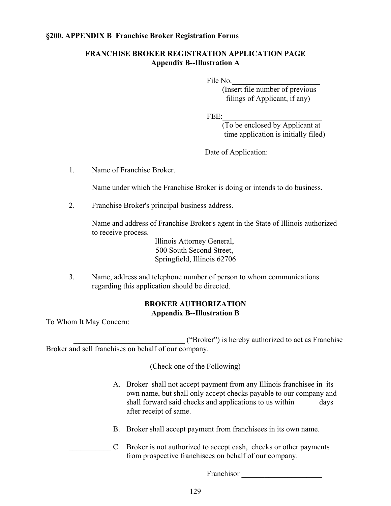#### **§200. APPENDIX B Franchise Broker Registration Forms**

#### **FRANCHISE BROKER REGISTRATION APPLICATION PAGE Appendix B--Illustration A**

File No.\_\_\_\_\_\_\_\_\_\_\_\_\_\_\_\_\_\_\_\_\_\_\_

 (Insert file number of previous filings of Applicant, if any)

FEE:

 (To be enclosed by Applicant at time application is initially filed)

Date of Application:

1. Name of Franchise Broker.

Name under which the Franchise Broker is doing or intends to do business.

2. Franchise Broker's principal business address.

Name and address of Franchise Broker's agent in the State of Illinois authorized to receive process.

> Illinois Attorney General, 500 South Second Street, Springfield, Illinois 62706

3. Name, address and telephone number of person to whom communications regarding this application should be directed.

## **BROKER AUTHORIZATION Appendix B--Illustration B**

To Whom It May Concern:

\_\_\_\_\_\_\_\_\_\_\_\_\_\_\_\_\_\_\_\_\_\_\_\_\_\_\_\_\_ ("Broker") is hereby authorized to act as Franchise Broker and sell franchises on behalf of our company.

(Check one of the Following)

- \_\_\_\_\_\_\_\_\_\_\_ A. Broker shall not accept payment from any Illinois franchisee in its own name, but shall only accept checks payable to our company and shall forward said checks and applications to us within days after receipt of same.
- \_\_\_\_\_\_\_\_\_\_\_ B. Broker shall accept payment from franchisees in its own name.
- \_\_\_\_\_\_\_\_\_\_\_ C. Broker is not authorized to accept cash, checks or other payments from prospective franchisees on behalf of our company.

Franchisor \_\_\_\_\_\_\_\_\_\_\_\_\_\_\_\_\_\_\_\_\_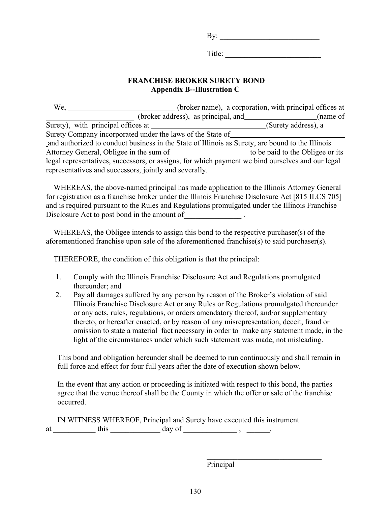By: \_\_\_\_\_\_\_\_\_\_\_\_\_\_\_\_\_\_\_\_\_\_\_\_\_\_

Title:

# **FRANCHISE BROKER SURETY BOND Appendix B--Illustration C**

We, with principal offices at (broker name), a corporation, with principal offices at \_\_\_\_\_\_\_\_\_\_\_\_\_\_\_\_\_\_\_\_\_\_\_ (broker address), as principal, and (name of Surety), with principal offices at \_\_\_\_\_\_\_\_\_\_\_\_\_\_\_\_\_\_\_\_\_\_\_\_\_\_\_\_\_\_\_(Surety address), a Surety Company incorporated under the laws of the State of and authorized to conduct business in the State of Illinois as Surety, are bound to the Illinois Attorney General, Obligee in the sum of the sum of the Obligee or its legal representatives, successors, or assigns, for which payment we bind ourselves and our legal representatives and successors, jointly and severally.

 WHEREAS, the above-named principal has made application to the Illinois Attorney General for registration as a franchise broker under the Illinois Franchise Disclosure Act [815 ILCS 705] and is required pursuant to the Rules and Regulations promulgated under the Illinois Franchise Disclosure Act to post bond in the amount of  $\qquad$ .

 WHEREAS, the Obligee intends to assign this bond to the respective purchaser(s) of the aforementioned franchise upon sale of the aforementioned franchise(s) to said purchaser(s).

THEREFORE, the condition of this obligation is that the principal:

- 1. Comply with the Illinois Franchise Disclosure Act and Regulations promulgated thereunder; and
- 2. Pay all damages suffered by any person by reason of the Broker's violation of said Illinois Franchise Disclosure Act or any Rules or Regulations promulgated thereunder or any acts, rules, regulations, or orders amendatory thereof, and/or supplementary thereto, or hereafter enacted, or by reason of any misrepresentation, deceit, fraud or omission to state a material fact necessary in order to make any statement made, in the light of the circumstances under which such statement was made, not misleading.

This bond and obligation hereunder shall be deemed to run continuously and shall remain in full force and effect for four full years after the date of execution shown below.

In the event that any action or proceeding is initiated with respect to this bond, the parties agree that the venue thereof shall be the County in which the offer or sale of the franchise occurred.

 IN WITNESS WHEREOF, Principal and Surety have executed this instrument at  $\frac{1}{\sqrt{2\pi}}$  this  $\frac{1}{\sqrt{2\pi}}$  day of  $\frac{1}{\sqrt{2\pi}}$ ,  $\frac{1}{\sqrt{2\pi}}$ .

 $\mathcal{L}_\mathcal{L} = \{ \mathcal{L}_\mathcal{L} \mid \mathcal{L}_\mathcal{L} \in \mathcal{L}_\mathcal{L} \}$ 

Principal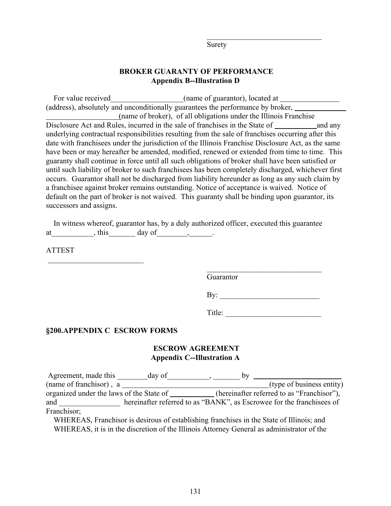Surety

#### **BROKER GUARANTY OF PERFORMANCE Appendix B--Illustration D**

 $\mathcal{L}_\text{max}$  and  $\mathcal{L}_\text{max}$  and  $\mathcal{L}_\text{max}$  and  $\mathcal{L}_\text{max}$  and  $\mathcal{L}_\text{max}$ 

For value received example the manner of guarantor), located at  $\alpha$ (address), absolutely and unconditionally guarantees the performance by broker, (name of broker), of all obligations under the Illinois Franchise Disclosure Act and Rules, incurred in the sale of franchises in the State of and any underlying contractual responsibilities resulting from the sale of franchises occurring after this date with franchisees under the jurisdiction of the Illinois Franchise Disclosure Act, as the same have been or may hereafter be amended, modified, renewed or extended from time to time. This guaranty shall continue in force until all such obligations of broker shall have been satisfied or until such liability of broker to such franchisees has been completely discharged, whichever first occurs. Guarantor shall not be discharged from liability hereunder as long as any such claim by a franchisee against broker remains outstanding. Notice of acceptance is waived. Notice of default on the part of broker is not waived. This guaranty shall be binding upon guarantor, its successors and assigns.

 In witness whereof, guarantor has, by a duly authorized officer, executed this guarantee at  $\qquad \qquad$ , this day of , ...

ATTEST

Guarantor

By: \_\_\_\_\_\_\_\_\_\_\_\_\_\_\_\_\_\_\_\_\_\_\_\_\_\_

 $\mathcal{L}_\text{max}$  , where  $\mathcal{L}_\text{max}$  and  $\mathcal{L}_\text{max}$ 

Title:

#### **§200.APPENDIX C ESCROW FORMS**

 $\frac{1}{2}$  ,  $\frac{1}{2}$  ,  $\frac{1}{2}$  ,  $\frac{1}{2}$  ,  $\frac{1}{2}$  ,  $\frac{1}{2}$  ,  $\frac{1}{2}$  ,  $\frac{1}{2}$  ,  $\frac{1}{2}$  ,  $\frac{1}{2}$  ,  $\frac{1}{2}$  ,  $\frac{1}{2}$  ,  $\frac{1}{2}$  ,  $\frac{1}{2}$  ,  $\frac{1}{2}$  ,  $\frac{1}{2}$  ,  $\frac{1}{2}$  ,  $\frac{1}{2}$  ,  $\frac{1$ 

#### **ESCROW AGREEMENT Appendix C--Illustration A**

Agreement, made this day of by (name of franchisor), a <u>(type</u> of business entity) organized under the laws of the State of (hereinafter referred to as "Franchisor"), and \_\_\_\_\_\_\_\_\_\_\_\_\_\_ hereinafter referred to as "BANK", as Escrowee for the franchisees of Franchisor;

 WHEREAS, Franchisor is desirous of establishing franchises in the State of Illinois; and WHEREAS, it is in the discretion of the Illinois Attorney General as administrator of the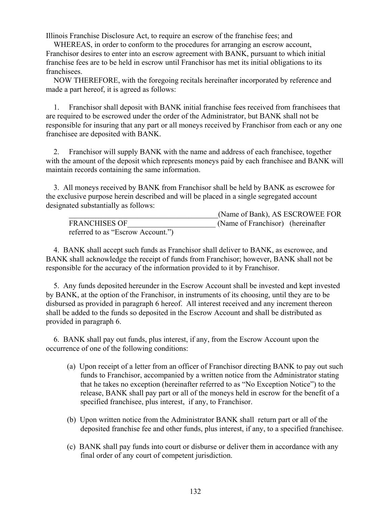Illinois Franchise Disclosure Act, to require an escrow of the franchise fees; and

 WHEREAS, in order to conform to the procedures for arranging an escrow account, Franchisor desires to enter into an escrow agreement with BANK, pursuant to which initial franchise fees are to be held in escrow until Franchisor has met its initial obligations to its franchisees.

 NOW THEREFORE, with the foregoing recitals hereinafter incorporated by reference and made a part hereof, it is agreed as follows:

 1. Franchisor shall deposit with BANK initial franchise fees received from franchisees that are required to be escrowed under the order of the Administrator, but BANK shall not be responsible for insuring that any part or all moneys received by Franchisor from each or any one franchisee are deposited with BANK.

 2. Franchisor will supply BANK with the name and address of each franchisee, together with the amount of the deposit which represents moneys paid by each franchisee and BANK will maintain records containing the same information.

 3. All moneys received by BANK from Franchisor shall be held by BANK as escrowee for the exclusive purpose herein described and will be placed in a single segregated account designated substantially as follows: \_\_\_\_\_\_\_\_\_\_\_\_\_\_\_\_\_\_\_\_\_\_\_\_\_\_\_\_\_\_\_\_\_\_\_\_\_\_\_(Name of Bank), AS ESCROWEE FOR

|                                   | (INAME OF BANK), AS ESCRUWEE FUR  |
|-----------------------------------|-----------------------------------|
| <b>FRANCHISES OF</b>              | (Name of Franchisor) (hereinafter |
| referred to as "Escrow Account.") |                                   |

 4. BANK shall accept such funds as Franchisor shall deliver to BANK, as escrowee, and BANK shall acknowledge the receipt of funds from Franchisor; however, BANK shall not be responsible for the accuracy of the information provided to it by Franchisor.

 5. Any funds deposited hereunder in the Escrow Account shall be invested and kept invested by BANK, at the option of the Franchisor, in instruments of its choosing, until they are to be disbursed as provided in paragraph 6 hereof. All interest received and any increment thereon shall be added to the funds so deposited in the Escrow Account and shall be distributed as provided in paragraph 6.

 6. BANK shall pay out funds, plus interest, if any, from the Escrow Account upon the occurrence of one of the following conditions:

- (a) Upon receipt of a letter from an officer of Franchisor directing BANK to pay out such funds to Franchisor, accompanied by a written notice from the Administrator stating that he takes no exception (hereinafter referred to as "No Exception Notice") to the release, BANK shall pay part or all of the moneys held in escrow for the benefit of a specified franchisee, plus interest, if any, to Franchisor.
- (b) Upon written notice from the Administrator BANK shall return part or all of the deposited franchise fee and other funds, plus interest, if any, to a specified franchisee.
- (c) BANK shall pay funds into court or disburse or deliver them in accordance with any final order of any court of competent jurisdiction.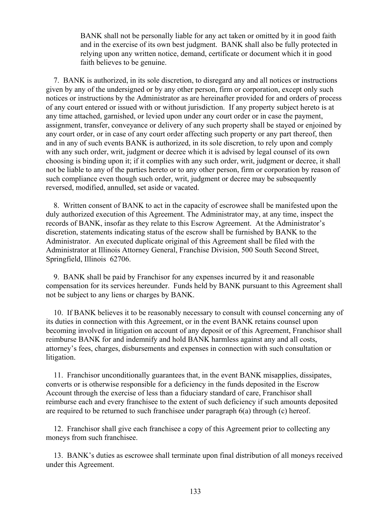BANK shall not be personally liable for any act taken or omitted by it in good faith and in the exercise of its own best judgment. BANK shall also be fully protected in relying upon any written notice, demand, certificate or document which it in good faith believes to be genuine.

 7. BANK is authorized, in its sole discretion, to disregard any and all notices or instructions given by any of the undersigned or by any other person, firm or corporation, except only such notices or instructions by the Administrator as are hereinafter provided for and orders of process of any court entered or issued with or without jurisdiction. If any property subject hereto is at any time attached, garnished, or levied upon under any court order or in case the payment, assignment, transfer, conveyance or delivery of any such property shall be stayed or enjoined by any court order, or in case of any court order affecting such property or any part thereof, then and in any of such events BANK is authorized, in its sole discretion, to rely upon and comply with any such order, writ, judgment or decree which it is advised by legal counsel of its own choosing is binding upon it; if it complies with any such order, writ, judgment or decree, it shall not be liable to any of the parties hereto or to any other person, firm or corporation by reason of such compliance even though such order, writ, judgment or decree may be subsequently reversed, modified, annulled, set aside or vacated.

 8. Written consent of BANK to act in the capacity of escrowee shall be manifested upon the duly authorized execution of this Agreement. The Administrator may, at any time, inspect the records of BANK, insofar as they relate to this Escrow Agreement. At the Administrator's discretion, statements indicating status of the escrow shall be furnished by BANK to the Administrator. An executed duplicate original of this Agreement shall be filed with the Administrator at Illinois Attorney General, Franchise Division, 500 South Second Street, Springfield, Illinois 62706.

 9. BANK shall be paid by Franchisor for any expenses incurred by it and reasonable compensation for its services hereunder. Funds held by BANK pursuant to this Agreement shall not be subject to any liens or charges by BANK.

 10. If BANK believes it to be reasonably necessary to consult with counsel concerning any of its duties in connection with this Agreement, or in the event BANK retains counsel upon becoming involved in litigation on account of any deposit or of this Agreement, Franchisor shall reimburse BANK for and indemnify and hold BANK harmless against any and all costs, attorney's fees, charges, disbursements and expenses in connection with such consultation or litigation.

 11. Franchisor unconditionally guarantees that, in the event BANK misapplies, dissipates, converts or is otherwise responsible for a deficiency in the funds deposited in the Escrow Account through the exercise of less than a fiduciary standard of care, Franchisor shall reimburse each and every franchisee to the extent of such deficiency if such amounts deposited are required to be returned to such franchisee under paragraph 6(a) through (c) hereof.

 12. Franchisor shall give each franchisee a copy of this Agreement prior to collecting any moneys from such franchisee.

 13. BANK's duties as escrowee shall terminate upon final distribution of all moneys received under this Agreement.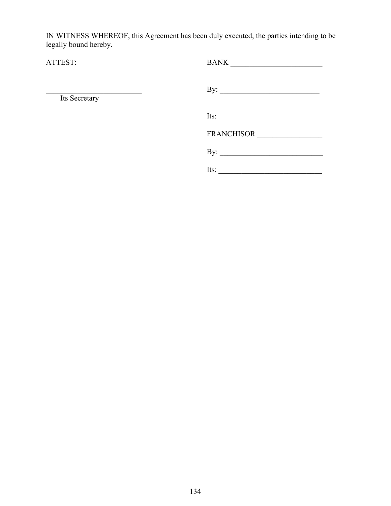IN WITNESS WHEREOF, this Agreement has been duly executed, the parties intending to be legally bound hereby.

ATTEST: B

Its Secretary

| <b>BANK</b> |  |
|-------------|--|
|             |  |

\_\_\_\_\_\_\_\_\_\_\_\_\_\_\_\_\_\_\_\_\_\_\_\_\_ By: \_\_\_\_\_\_\_\_\_\_\_\_\_\_\_\_\_\_\_\_\_\_\_\_\_\_

Its: \_\_\_\_\_\_\_\_\_\_\_\_\_\_\_\_\_\_\_\_\_\_\_\_\_\_\_

| <b>FRANCHISOR</b> |
|-------------------|
|                   |

By: \_\_\_\_\_\_\_\_\_\_\_\_\_\_\_\_\_\_\_\_\_\_\_\_\_\_\_

Its: \_\_\_\_\_\_\_\_\_\_\_\_\_\_\_\_\_\_\_\_\_\_\_\_\_\_\_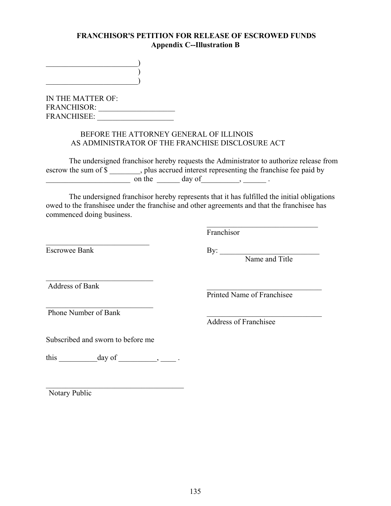# **FRANCHISOR'S PETITION FOR RELEASE OF ESCROWED FUNDS Appendix C--Illustration B**

 $\qquad \qquad \qquad \qquad$  $\hspace{0.6cm}$  $\qquad \qquad$ 

IN THE MATTER OF: FRANCHISOR: \_\_\_\_\_\_\_\_\_\_\_\_\_\_\_\_\_\_\_\_ FRANCHISEE:

# BEFORE THE ATTORNEY GENERAL OF ILLINOIS AS ADMINISTRATOR OF THE FRANCHISE DISCLOSURE ACT

The undersigned franchisor hereby requests the Administrator to authorize release from escrow the sum of  $\overline{\$}$  \_\_\_\_\_\_, plus accrued interest representing the franchise fee paid by  $\frac{1}{\sqrt{2}}$  on the  $\frac{1}{\sqrt{2}}$  day of  $\frac{1}{\sqrt{2}}$ .

The undersigned franchisor hereby represents that it has fulfilled the initial obligations owed to the franshisee under the franchise and other agreements and that the franchisee has commenced doing business.

Franchisor

Escrowee Bank By:

Name and Title

 $\mathcal{L}_\text{max}$  , where  $\mathcal{L}_\text{max}$  , we have the set of  $\mathcal{L}_\text{max}$ 

Address of Bank

Printed Name of Franchisee

Address of Franchisee

 $\mathcal{L}_\text{max}$ Phone Number of Bank

Subscribed and sworn to before me

 $\mathcal{L}_\text{max}$  , where  $\mathcal{L}_\text{max}$  , we have the set of  $\mathcal{L}_\text{max}$ 

 $\mathcal{L}_\text{max}$  , where  $\mathcal{L}_\text{max}$  , we have the set of the set of the set of the set of the set of the set of the set of the set of the set of the set of the set of the set of the set of the set of the set of the set of

this  $\_\_\_\_\_\_\$  day of  $\_\_\_\_\_\_\$ .

 $\mathcal{L}_\text{max}$  , and the set of the set of the set of the set of the set of the set of the set of the set of the set of the set of the set of the set of the set of the set of the set of the set of the set of the set of the

Notary Public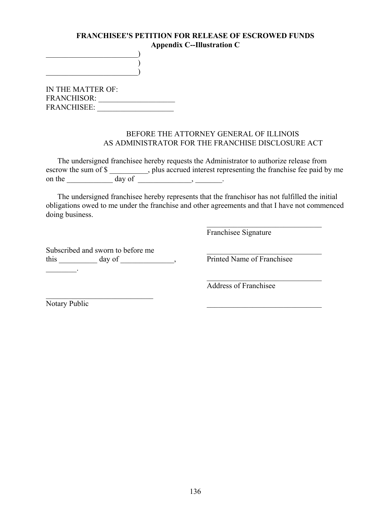# **FRANCHISEE'S PETITION FOR RELEASE OF ESCROWED FUNDS Appendix C--Illustration C**

IN THE MATTER OF: FRANCHISOR: \_\_\_\_\_\_\_\_\_\_\_\_\_\_\_\_\_\_\_\_ FRANCHISEE: \_\_\_\_\_\_\_\_\_\_\_\_\_\_\_\_\_\_\_\_

 $\qquad \qquad$  $\hspace{0.6cm}$  $\qquad \qquad \qquad \qquad$ 

#### BEFORE THE ATTORNEY GENERAL OF ILLINOIS AS ADMINISTRATOR FOR THE FRANCHISE DISCLOSURE ACT

The undersigned franchisee hereby requests the Administrator to authorize release from escrow the sum of \$ on the  $\Box$  day of  $\Box$ 

The undersigned franchisee hereby represents that the franchisor has not fulfilled the initial obligations owed to me under the franchise and other agreements and that I have not commenced doing business.

 $\mathcal{L}_\text{max}$  and  $\mathcal{L}_\text{max}$  and  $\mathcal{L}_\text{max}$  and  $\mathcal{L}_\text{max}$  and  $\mathcal{L}_\text{max}$  and  $\mathcal{L}_\text{max}$ 

Franchisee Signature

Subscribed and sworn to before me<br>
day of Trinted Name of Franchisee this  $\_\_\_\_\_\$  day of  $\_\_\_\_\_\$  $\mathcal{L}=\mathcal{L}^{\mathcal{L}}$ 

 $\mathcal{L}_\text{max}$  , where  $\mathcal{L}_\text{max}$  , we have the set of the set of the set of the set of the set of the set of the set of the set of the set of the set of the set of the set of the set of the set of the set of the set of

 $\mathcal{L}_\text{max}$ 

Address of Franchisee

Notary Public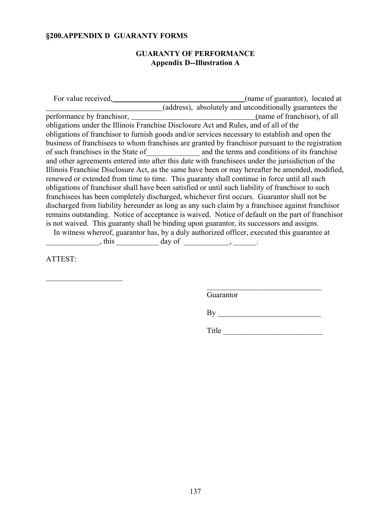#### **§200.APPENDIX D GUARANTY FORMS**

#### **GUARANTY OF PERFORMANCE Appendix D--Illustration A**

For value received,  $(name of guarantee)$ , located at (address), absolutely and unconditionally guarantees the performance by franchisor, (name of franchisor), of all obligations under the Illinois Franchise Disclosure Act and Rules, and of all of the obligations of franchisor to furnish goods and/or services necessary to establish and open the business of franchisees to whom franchises are granted by franchisor pursuant to the registration of such franchises in the State of\_\_\_\_\_\_\_\_\_\_\_\_\_\_ and the terms and conditions of its franchise and other agreements entered into after this date with franchisees under the jurisidiction of the Illinois Franchise Disclosure Act, as the same have been or may hereafter be amended, modified, renewed or extended from time to time. This guaranty shall continue in force until all such obligations of franchisor shall have been satisfied or until such liability of franchisor to such franchisees has been completely discharged, whichever first occurs. Guarantor shall not be discharged from liability hereunder as long as any such claim by a franchisee against franchisor remains outstanding. Notice of acceptance is waived. Notice of default on the part of franchisor is not waived. This guaranty shall be binding upon guarantor, its successors and assigns.

 In witness whereof, guarantor has, by a duly authorized officer, executed this guarantee at  $\lim_{x \to a} \frac{1}{x}$  this  $\lim_{x \to a} \frac{1}{x}$  day of  $\lim_{x \to a} \frac{1}{x}$ 

ATTEST:

 $\mathcal{L}_\text{max}$ 

Guarantor

 $\mathbf{B} \mathbf{y}$ 

 $\mathcal{L}_\text{max}$  , where  $\mathcal{L}_\text{max}$  and  $\mathcal{L}_\text{max}$  and  $\mathcal{L}_\text{max}$ 

Title  $\Box$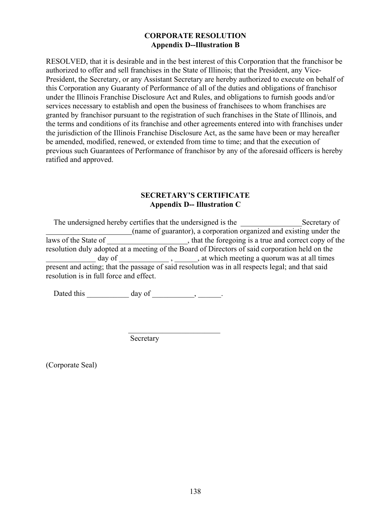# **CORPORATE RESOLUTION Appendix D--Illustration B**

RESOLVED, that it is desirable and in the best interest of this Corporation that the franchisor be authorized to offer and sell franchises in the State of Illinois; that the President, any Vice-President, the Secretary, or any Assistant Secretary are hereby authorized to execute on behalf of this Corporation any Guaranty of Performance of all of the duties and obligations of franchisor under the Illinois Franchise Disclosure Act and Rules, and obligations to furnish goods and/or services necessary to establish and open the business of franchisees to whom franchises are granted by franchisor pursuant to the registration of such franchises in the State of Illinois, and the terms and conditions of its franchise and other agreements entered into with franchises under the jurisdiction of the Illinois Franchise Disclosure Act, as the same have been or may hereafter be amended, modified, renewed, or extended from time to time; and that the execution of previous such Guarantees of Performance of franchisor by any of the aforesaid officers is hereby ratified and approved.

#### **SECRETARY'S CERTIFICATE Appendix D-- Illustration C**

 The undersigned hereby certifies that the undersigned is the \_\_\_\_\_\_\_\_\_\_\_\_\_\_\_\_Secretary of (name of guarantor), a corporation organized and existing under the laws of the State of the state of the state of  $\frac{1}{x}$ . , that the foregoing is a true and correct copy of the resolution duly adopted at a meeting of the Board of Directors of said corporation held on the \_\_\_\_\_\_\_\_\_\_\_\_\_ day of \_\_\_\_\_\_\_\_\_\_\_\_\_ , \_\_\_\_\_\_, at which meeting a quorum was at all times present and acting; that the passage of said resolution was in all respects legal; and that said resolution is in full force and effect.

Dated this  $\_\_\_\_\_\_\_\$  day of  $\_\_\_\_\_\_\_\_\_\_\_\_\_\_\_\_\_\_\_\_\_$ 

 $\mathcal{L}_\text{max}$  and  $\mathcal{L}_\text{max}$  and  $\mathcal{L}_\text{max}$  and  $\mathcal{L}_\text{max}$  and  $\mathcal{L}_\text{max}$ 

Secretary

(Corporate Seal)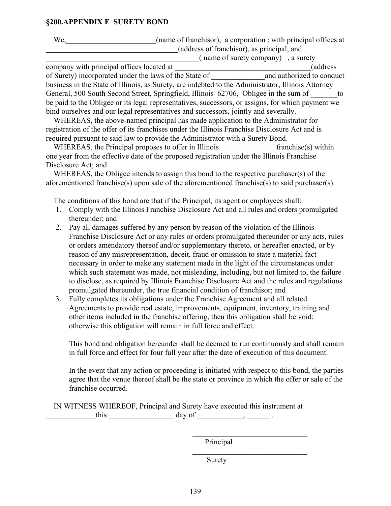#### **§200.APPENDIX E SURETY BOND**

We, <u>example and the corporation</u> (name of franchisor), a corporation <del>,</del> with principal offices at (address of franchisor), as principal, and

 ( name of surety company) , a surety company with principal offices located at (address of Surety) incorporated under the laws of the State of \_\_\_\_\_\_\_\_\_\_\_\_\_\_and authorized to conduct business in the State of Illinois, as Surety, are indebted to the Administrator, Illinois Attorney General, 500 South Second Street, Springfield, Illinois 62706, Obligee in the sum of to be paid to the Obligee or its legal representatives, successors, or assigns, for which payment we bind ourselves and our legal representatives and successors, jointly and severally.

 WHEREAS, the above-named principal has made application to the Administrator for registration of the offer of its franchises under the Illinois Franchise Disclosure Act and is required pursuant to said law to provide the Administrator with a Surety Bond.

WHEREAS, the Principal proposes to offer in Illinois franchise(s) within one year from the effective date of the proposed registration under the Illinois Franchise Disclosure Act; and

 WHEREAS, the Obligee intends to assign this bond to the respective purchaser(s) of the aforementioned franchise(s) upon sale of the aforementioned franchise(s) to said purchaser(s).

The conditions of this bond are that if the Principal, its agent or employees shall:

- 1. Comply with the Illinois Franchise Disclosure Act and all rules and orders promulgated thereunder; and
- 2. Pay all damages suffered by any person by reason of the violation of the Illinois Franchise Disclosure Act or any rules or orders promulgated thereunder or any acts, rules or orders amendatory thereof and/or supplementary thereto, or hereafter enacted, or by reason of any misrepresentation, deceit, fraud or omission to state a material fact necessary in order to make any statement made in the light of the circumstances under which such statement was made, not misleading, including, but not limited to, the failure to disclose, as required by Illinois Franchise Disclosure Act and the rules and regulations promulgated thereunder, the true financial condition of franchisor; and
- 3. Fully completes its obligations under the Franchise Agreement and all related Agreements to provide real estate, improvements, equipment, inventory, training and other items included in the franchise offering, then this obligation shall be void; otherwise this obligation will remain in full force and effect.

This bond and obligation hereunder shall be deemed to run continuously and shall remain in full force and effect for four full year after the date of execution of this document.

In the event that any action or proceeding is initiated with respect to this bond, the parties agree that the venue thereof shall be the state or province in which the offer or sale of the franchise occurred.

 IN WITNESS WHEREOF, Principal and Surety have executed this instrument at this day of , this this day of  $\sim$ 

 $\mathcal{L}_\text{max}$  and  $\mathcal{L}_\text{max}$  and  $\mathcal{L}_\text{max}$  and  $\mathcal{L}_\text{max}$  and  $\mathcal{L}_\text{max}$  and  $\mathcal{L}_\text{max}$ 

Principal

 $\mathcal{L}_\text{max}$  , where  $\mathcal{L}_\text{max}$  and  $\mathcal{L}_\text{max}$  and  $\mathcal{L}_\text{max}$ 

Surety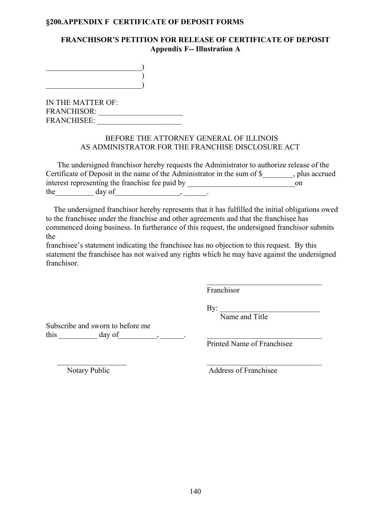# **§200.APPENDIX F CERTIFICATE OF DEPOSIT FORMS**

# **FRANCHISOR'S PETITION FOR RELEASE OF CERTIFICATE OF DEPOSIT Appendix F-- Illustration A**

 $\qquad \qquad \qquad \qquad$  $\hspace{0.6cm}$ 

 $\qquad \qquad$ 

| IN THE MATTER OF:  |  |
|--------------------|--|
| <b>FRANCHISOR:</b> |  |
| <b>FRANCHISEE:</b> |  |

#### BEFORE THE ATTORNEY GENERAL OF ILLINOIS AS ADMINISTRATOR FOR THE FRANCHISE DISCLOSURE ACT

|     | The undersigned franchisor hereby requests the Administrator to authorize release of the |                |
|-----|------------------------------------------------------------------------------------------|----------------|
|     | Certificate of Deposit in the name of the Administrator in the sum of \$                 | , plus accrued |
|     | interest representing the franchise fee paid by                                          | on             |
| the | day of                                                                                   |                |

 The undersigned franchisor hereby represents that it has fulfilled the initial obligations owed to the franchisee under the franchise and other agreements and that the franchisee has commenced doing business. In furtherance of this request, the undersigned franchisor submits the

franchisee's statement indicating the franchisee has no objection to this request. By this statement the franchisee has not waived any rights which he may have against the undersigned franchisor.

 $\mathcal{L}_\text{max}$  , and the contract of the contract of  $\mathcal{L}_\text{max}$  , and  $\mathcal{L}_\text{max}$ 

Franchisor

 $\mathbf{By:}$ 

Name and Title

Subscribe and sworn to before me this \_\_\_\_\_\_\_\_\_\_\_\_\_ day of \_\_\_\_\_\_\_\_\_\_, \_\_\_\_\_\_\_\_.

Printed Name of Franchisee

 $\mathcal{L}_\text{max}$ 

Notary Public Address of Franchisee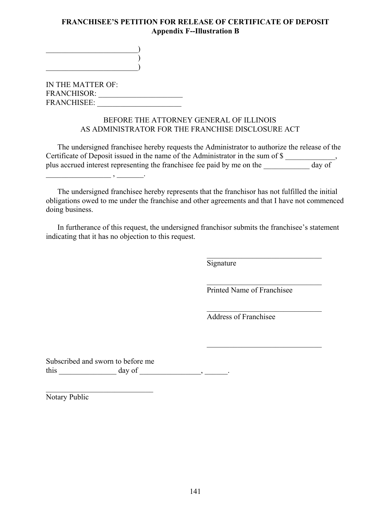# **FRANCHISEE'S PETITION FOR RELEASE OF CERTIFICATE OF DEPOSIT Appendix F--Illustration B**

 $\qquad \qquad \qquad \qquad$  $\hspace{0.6cm}$  $\qquad \qquad \qquad \qquad$ 

\_\_\_\_\_\_\_\_\_\_\_\_\_\_\_\_\_ , \_\_\_\_\_\_\_.

IN THE MATTER OF: FRANCHISOR: \_\_\_\_\_\_\_\_\_\_\_\_\_\_\_\_\_\_\_\_\_\_ FRANCHISEE:

#### BEFORE THE ATTORNEY GENERAL OF ILLINOIS AS ADMINISTRATOR FOR THE FRANCHISE DISCLOSURE ACT

The undersigned franchisee hereby requests the Administrator to authorize the release of the Certificate of Deposit issued in the name of the Administrator in the sum of \$ plus accrued interest representing the franchisee fee paid by me on the \_\_\_\_\_\_\_\_\_\_\_\_ day of

The undersigned franchisee hereby represents that the franchisor has not fulfilled the initial obligations owed to me under the franchise and other agreements and that I have not commenced doing business.

In furtherance of this request, the undersigned franchisor submits the franchisee's statement indicating that it has no objection to this request.

Signature

Printed Name of Franchisee

 $\mathcal{L}_\text{max}$ 

 $\mathcal{L}_\text{max}$ 

 $\mathcal{L}_\text{max}$  , where  $\mathcal{L}_\text{max}$  and  $\mathcal{L}_\text{max}$  and  $\mathcal{L}_\text{max}$ 

 $\mathcal{L}_\text{max}$  , where  $\mathcal{L}_\text{max}$  and  $\mathcal{L}_\text{max}$  and  $\mathcal{L}_\text{max}$ 

Address of Franchisee

Subscribed and sworn to before me this  $\_\_\_\_\_\_\_\_\$  day of  $\_\_\_\_\_\_\_\_\_\_\_\_\_\_\_\_\_\_\_\_\_\_$ 

Notary Public

 $\mathcal{L}_\text{max}$  , where  $\mathcal{L}_\text{max}$  , we have the set of the set of the set of the set of the set of the set of the set of the set of the set of the set of the set of the set of the set of the set of the set of the set of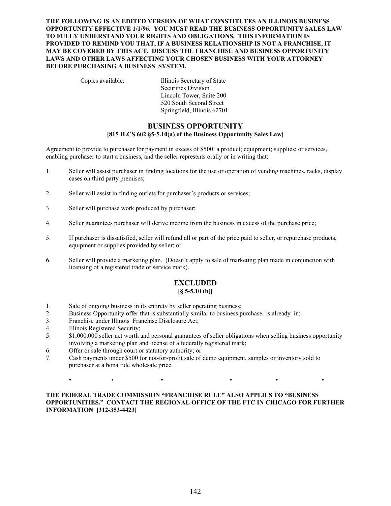**THE FOLLOWING IS AN EDITED VERSION OF WHAT CONSTITUTES AN ILLINOIS BUSINESS OPPORTUNITY EFFECTIVE 1/1/96. YOU MUST READ THE BUSINESS OPPORTUNITY SALES LAW TO FULLY UNDERSTAND YOUR RIGHTS AND OBLIGATIONS. THIS INFORMATION IS PROVIDED TO REMIND YOU THAT, IF A BUSINESS RELATIONSHIP IS NOT A FRANCHISE, IT MAY BE COVERED BY THIS ACT. DISCUSS THE FRANCHISE AND BUSINESS OPPORTUNITY LAWS AND OTHER LAWS AFFECTING YOUR CHOSEN BUSINESS WITH YOUR ATTORNEY BEFORE PURCHASING A BUSINESS SYSTEM.**

Copies available: Illinois Secretary of State Securities Division Lincoln Tower, Suite 200 520 South Second Street Springfield, Illinois 62701

#### **BUSINESS OPPORTUNITY [815 ILCS 602 §5-5.10(a) of the Business Opportunity Sales Law]**

Agreement to provide to purchaser for payment in excess of \$500: a product; equipment; supplies; or services, enabling purchaser to start a business, and the seller represents orally or in writing that:

- 1. Seller will assist purchaser in finding locations for the use or operation of vending machines, racks, display cases on third party premises;
- 2. Seller will assist in finding outlets for purchaser's products or services;
- 3. Seller will purchase work produced by purchaser;
- 4. Seller guarantees purchaser will derive income from the business in excess of the purchase price;
- 5. If purchaser is dissatisfied, seller will refund all or part of the price paid to seller, or repurchase products, equipment or supplies provided by seller; or
- 6. Seller will provide a marketing plan. (Doesn't apply to sale of marketing plan made in conjunction with licensing of a registered trade or service mark).

# **EXCLUDED**

#### **[§ 5-5.10 (b)]**

- 1. Sale of ongoing business in its entirety by seller operating business;
- 2. Business Opportunity offer that is substantially similar to business purchaser is already in;
- 3. Franchise under Illinois Franchise Disclosure Act;
- 4. Illinois Registered Security;
- 5. \$1,000,000 seller net worth and personal guarantees of seller obligations when selling business opportunity involving a marketing plan and license of a federally registered mark;
- 6. Offer or sale through court or statutory authority; or
- 7. Cash payments under \$500 for not-for-profit sale of demo equipment, samples or inventory sold to purchaser at a bona fide wholesale price.

#### **THE FEDERAL TRADE COMMISSION "FRANCHISE RULE" ALSO APPLIES TO "BUSINESS OPPORTUNITIES." CONTACT THE REGIONAL OFFICE OF THE FTC IN CHICAGO FOR FURTHER INFORMATION [312-353-4423]**

• • • • • •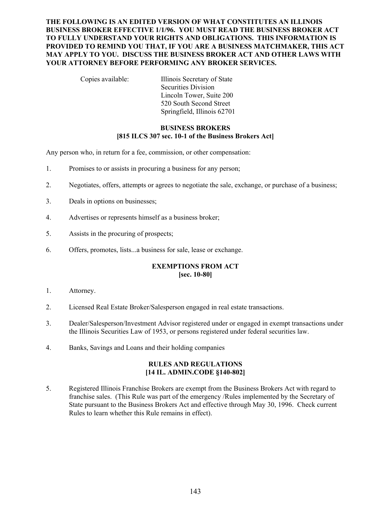**THE FOLLOWING IS AN EDITED VERSION OF WHAT CONSTITUTES AN ILLINOIS BUSINESS BROKER EFFECTIVE 1/1/96. YOU MUST READ THE BUSINESS BROKER ACT TO FULLY UNDERSTAND YOUR RIGHTS AND OBLIGATIONS. THIS INFORMATION IS PROVIDED TO REMIND YOU THAT, IF YOU ARE A BUSINESS MATCHMAKER, THIS ACT MAY APPLY TO YOU. DISCUSS THE BUSINESS BROKER ACT AND OTHER LAWS WITH YOUR ATTORNEY BEFORE PERFORMING ANY BROKER SERVICES.**

Copies available: Illinois Secretary of State Securities Division Lincoln Tower, Suite 200 520 South Second Street Springfield, Illinois 62701

#### **BUSINESS BROKERS [815 ILCS 307 sec. 10-1 of the Business Brokers Act]**

Any person who, in return for a fee, commission, or other compensation:

- 1. Promises to or assists in procuring a business for any person;
- 2. Negotiates, offers, attempts or agrees to negotiate the sale, exchange, or purchase of a business;
- 3. Deals in options on businesses;
- 4. Advertises or represents himself as a business broker;
- 5. Assists in the procuring of prospects;
- 6. Offers, promotes, lists...a business for sale, lease or exchange.

#### **EXEMPTIONS FROM ACT [sec. 10-80]**

- 1. Attorney.
- 2. Licensed Real Estate Broker/Salesperson engaged in real estate transactions.
- 3. Dealer/Salesperson/Investment Advisor registered under or engaged in exempt transactions under the Illinois Securities Law of 1953, or persons registered under federal securities law.
- 4. Banks, Savings and Loans and their holding companies

#### **RULES AND REGULATIONS [14 IL. ADMIN.CODE §140-802]**

5. Registered Illinois Franchise Brokers are exempt from the Business Brokers Act with regard to franchise sales. (This Rule was part of the emergency /Rules implemented by the Secretary of State pursuant to the Business Brokers Act and effective through May 30, 1996. Check current Rules to learn whether this Rule remains in effect).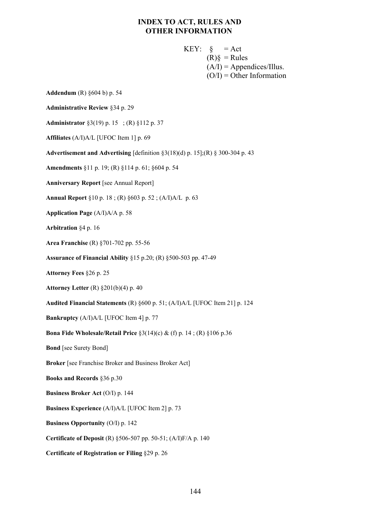## **INDEX TO ACT, RULES AND OTHER INFORMATION**

KEY:  $\&$  = Act  $(R)$ § = Rules  $(A/I)$  = Appendices/Illus.  $(O/I) = Other Information$ 

**Addendum** (R) §604 b) p. 54

**Administrative Review** §34 p. 29

**Administrator** §3(19) p. 15 ; (R) §112 p. 37

**Affiliates** (A/I)A/L [UFOC Item 1] p. 69

**Advertisement and Advertising** [definition §3(18)(d) p. 15];(R) § 300-304 p. 43

**Amendments** §11 p. 19; (R) §114 p. 61; §604 p. 54

**Anniversary Report** [see Annual Report]

**Annual Report** §10 p. 18 ; (R) §603 p. 52 ; (A/I)A/L p. 63

**Application Page** (A/I)A/A p. 58

**Arbitration** §4 p. 16

**Area Franchise** (R) §701-702 pp. 55-56

**Assurance of Financial Ability** §15 p.20; (R) §500-503 pp. 47-49

**Attorney Fees** §26 p. 25

**Attorney Letter** (R) §201(b)(4) p. 40

**Audited Financial Statements** (R) §600 p. 51; (A/I)A/L [UFOC Item 21] p. 124

**Bankruptcy** (A/I)A/L [UFOC Item 4] p. 77

**Bona Fide Wholesale/Retail Price** §3(14)(c) & (f) p. 14 ; (R) §106 p.36

**Bond** [see Surety Bond]

**Broker** [see Franchise Broker and Business Broker Act]

**Books and Records** §36 p.30

**Business Broker Act** (O/I) p. 144

**Business Experience** (A/I)A/L [UFOC Item 2] p. 73

**Business Opportunity** (O/I) p. 142

**Certificate of Deposit** (R) §506-507 pp. 50-51; (A/I)F/A p. 140

**Certificate of Registration or Filing** §29 p. 26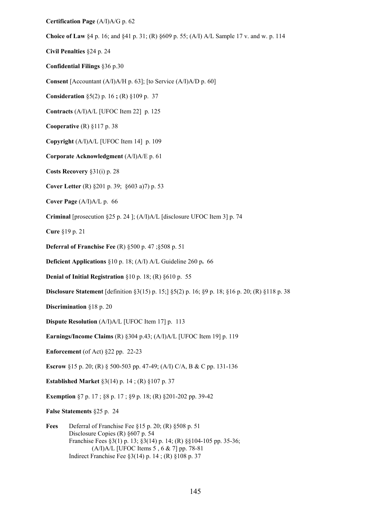**Certification Page** (A/I)A/G p. 62 **Choice of Law** §4 p. 16; and §41 p. 31; (R) §609 p. 55; (A/I) A/L Sample 17 v. and w. p. 114 **Civil Penalties** §24 p. 24 **Confidential Filings** §36 p.30 **Consent** [Accountant (A/I)A/H p. 63]; [to Service (A/I)A/D p. 60] **Consideration** §5(2) p. 16 **;** (R) §109 p. 37 **Contracts** (A/I)A/L [UFOC Item 22] p. 125 **Cooperative** (R) §117 p. 38 **Copyright** (A/I)A/L [UFOC Item 14] p. 109 **Corporate Acknowledgment** (A/I)A/E p. 61 **Costs Recovery** §31(i) p. 28 **Cover Letter** (R) §201 p. 39; §603 a)7) p. 53 **Cover Page** (A/I)A/L p. 66 **Criminal** [prosecution §25 p. 24 ]; (A/I)A/L [disclosure UFOC Item 3] p. 74 **Cure** §19 p. 21 **Deferral of Franchise Fee** (R) §500 p. 47 ;§508 p. 51 **Deficient Applications** §10 p. 18; (A/I) A/L Guideline 260 p**.** 66 **Denial of Initial Registration** §10 p. 18; (R) §610 p. 55 **Disclosure Statement** [definition §3(15) p. 15;] §5(2) p. 16; §9 p. 18; §16 p. 20; (R) §118 p. 38 **Discrimination** §18 p. 20 **Dispute Resolution** (A/I)A/L [UFOC Item 17] p. 113 **Earnings/Income Claims** (R) §304 p.43; (A/I)A/L [UFOC Item 19] p. 119 **Enforcement** (of Act) §22 pp. 22-23 **Escrow** §15 p. 20; (R) § 500-503 pp. 47-49; (A/I) C/A, B & C pp. 131-136 **Established Market** §3(14) p. 14 ; (R) §107 p. 37 **Exemption** §7 p. 17 ; §8 p. 17 ; §9 p. 18; (R) §201-202 pp. 39-42 **False Statements** §25 p. 24 **Fees** Deferral of Franchise Fee §15 p. 20; (R) §508 p. 51 Disclosure Copies (R) §607 p. 54 Franchise Fees §3(1) p. 13; §3(14) p. 14; (R) §§104-105 pp. 35-36; (A/I)A/L [UFOC Items 5 , 6 & 7] pp. 78-81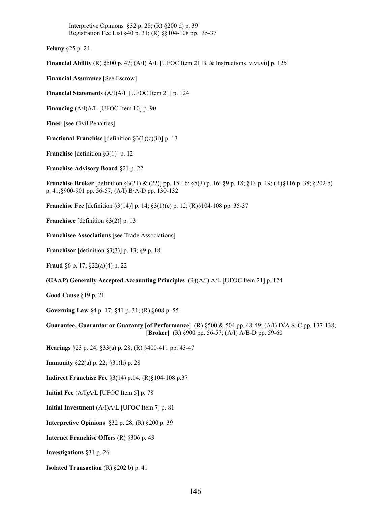Interpretive Opinions §32 p. 28; (R) §200 d) p. 39 Registration Fee List §40 p. 31; (R) §§104-108 pp. 35-37

**Felony** §25 p. 24

**Financial Ability** (R) §500 p. 47; (A/I) A/L [UFOC Item 21 B. & Instructions v,vi,vii] p. 125

**Financial Assurance [**See Escrow**]** 

**Financial Statements** (A/I)A/L [UFOC Item 21] p. 124

**Financing** (A/I)A/L [UFOC Item 10] p. 90

**Fines** [see Civil Penalties]

**Fractional Franchise** [definition §3(1)(c)(ii)] p. 13

**Franchise** [definition §3(1)] p. 12

**Franchise Advisory Board** §21 p. 22

**Franchise Broker** [definition §3(21) & (22)] pp. 15-16; §5(3) p. 16; §9 p. 18; §13 p. 19; (R)§116 p. 38; §202 b) p. 41;§900-901 pp. 56-57; (A/I) B/A-D pp. 130-132

**Franchise Fee** [definition §3(14)] p. 14; §3(1)(c) p. 12; (R)§104-108 pp. 35-37

**Franchisee** [definition §3(2)] p. 13

**Franchisee Associations** [see Trade Associations]

**Franchisor** [definition §3(3)] p. 13; §9 p. 18

**Fraud** §6 p. 17; §22(a)(4) p. 22

**(GAAP) Generally Accepted Accounting Principles** (R)(A/I) A/L [UFOC Item 21] p. 124

**Good Cause** §19 p. 21

**Governing Law** §4 p. 17; §41 p. 31; (R) §608 p. 55

**Guarantee, Guarantor or Guaranty [of Performance]** (R) §500 & 504 pp. 48-49; (A/I) D/A & C pp. 137-138; **[Broker]** (R) §900 pp. 56-57; (A/I) A/B-D pp. 59-60

**Hearings** §23 p. 24; §33(a) p. 28; (R) §400-411 pp. 43-47

**Immunity** §22(a) p. 22; §31(h) p. 28

**Indirect Franchise Fee** §3(14) p.14; (R)§104-108 p.37

**Initial Fee** (A/I)A/L [UFOC Item 5] p. 78

**Initial Investment** (A/I)A/L [UFOC Item 7] p. 81

**Interpretive Opinions** §32 p. 28; (R) §200 p. 39

**Internet Franchise Offers** (R) §306 p. 43

**Investigations** §31 p. 26

**Isolated Transaction** (R) §202 b) p. 41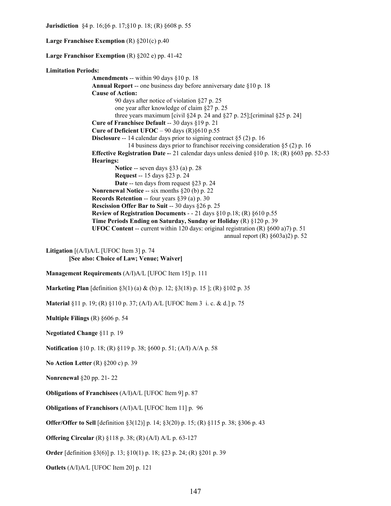**Jurisdiction** §4 p. 16;§6 p. 17;§10 p. 18; (R) §608 p. 55 **Large Franchisee Exemption** (R) §201(c) p.40 **Large Franchisor Exemption** (R) §202 e) pp. 41-42 **Limitation Periods: Amendments** -- within 90 days §10 p. 18 **Annual Report** -- one business day before anniversary date §10 p. 18 **Cause of Action:** 90 days after notice of violation §27 p. 25 one year after knowledge of claim §27 p. 25 three years maximum [civil  $\S 24$  p. 24 and  $\S 27$  p. 25];[criminal  $\S 25$  p. 24] **Cure of Franchisee Default** -- 30 days §19 p. 21 **Cure of Deficient UFOC** – 90 days  $(R)\$ §610 p.55 **Disclosure** -- 14 calendar days prior to signing contract §5 (2) p. 16 14 business days prior to franchisor receiving consideration §5 (2) p. 16 **Effective Registration Date -- 21 calendar days unless denied §10 p. 18; (R) §603 pp. 52-53 Hearings: Notice** -- seven days §33 (a) p. 28 **Request** -- 15 days §23 p. 24 **Date** -- ten days from request §23 p. 24 **Nonrenewal Notice** -- six months §20 (b) p. 22 **Records Retention** -- four years §39 (a) p. 30 **Rescission Offer Bar to Suit** -- 30 days §26 p. 25 **Review of Registration Documents** - - 21 days §10 p.18; (R) §610 p.55 **Time Periods Ending on Saturday, Sunday or Holiday** (R) §120 p. 39 **UFOC Content** -- current within 120 days: original registration (R) §600 a)7) p. 51 annual report (R) §603a)2) p. 52 **Litigation** [(A/I)A/L [UFOC Item 3] p. 74 **[See also: Choice of Law; Venue; Waiver] Management Requirements** (A/I)A/L [UFOC Item 15] p. 111 **Marketing Plan** [definition §3(1) (a) & (b) p. 12; §3(18) p. 15 ]; (R) §102 p. 35 **Material** §11 p. 19; (R) §110 p. 37; (A/I) A/L [UFOC Item 3 i. c. & d.] p. 75 **Multiple Filings** (R) §606 p. 54 **Negotiated Change** §11 p. 19 **Notification** §10 p. 18; (R) §119 p. 38; §600 p. 51; (A/I) A/A p. 58 **No Action Letter** (R) §200 c) p. 39 **Nonrenewal** §20 pp. 21- 22 **Obligations of Franchisees** (A/I)A/L [UFOC Item 9] p. 87 **Obligations of Franchisors** (A/I)A/L [UFOC Item 11] p. 96 **Offer/Offer to Sell** [definition  $\S3(12)$ ] p. 14;  $\S3(20)$  p. 15; (R)  $\S115$  p. 38;  $\S306$  p. 43 **Offering Circular** (R) §118 p. 38; (R) (A/I) A/L p. 63-127 **Order** [definition §3(6)] p. 13; §10(1) p. 18; §23 p. 24; (R) §201 p. 39 **Outlets** (A/I)A/L [UFOC Item 20] p. 121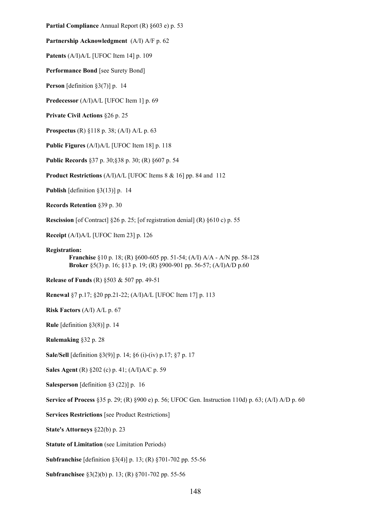**Partial Compliance** Annual Report (R) §603 e) p. 53

**Partnership Acknowledgment** (A/I) A/F p. 62

Patents (A/I)A/L [UFOC Item 14] p. 109

**Performance Bond** [see Surety Bond]

**Person** [definition §3(7)] p. 14

**Predecessor** (A/I)A/L [UFOC Item 1] p. 69

**Private Civil Actions** §26 p. 25

**Prospectus** (R) §118 p. 38; (A/I) A/L p. 63

**Public Figures** (A/I)A/L [UFOC Item 18] p. 118

**Public Records** §37 p. 30;§38 p. 30; (R) §607 p. 54

**Product Restrictions** (A/I)A/L [UFOC Items 8 & 16] pp. 84 and 112

**Publish** [definition §3(13)] p. 14

**Records Retention** §39 p. 30

**Rescission** [of Contract] §26 p. 25; [of registration denial] (R) §610 c) p. 55

**Receipt** (A/I)A/L [UFOC Item 23] p. 126

**Registration:** 

**Franchise** §10 p. 18; (R) §600-605 pp. 51-54; (A/I) A/A - A/N pp. 58-128 **Broker** §5(3) p. 16; §13 p. 19; (R) §900-901 pp. 56-57; (A/I)A/D p.60

**Release of Funds** (R) §503 & 507 pp. 49-51

**Renewal** §7 p.17; §20 pp.21-22; (A/I)A/L [UFOC Item 17] p. 113

**Risk Factors** (A/I) A/L p. 67

**Rule** [definition §3(8)] p. 14

**Rulemaking** §32 p. 28

**Sale/Sell** [definition §3(9)] p. 14; §6 (i)-(iv) p.17; §7 p. 17

**Sales Agent** (R) §202 (c) p. 41; (A/I)A/C p. 59

**Salesperson** [definition §3 (22)] p. 16

**Service of Process** §35 p. 29; (R) §900 e) p. 56; UFOC Gen. Instruction 110d) p. 63; (A/I) A/D p. 60

**Services Restrictions** [see Product Restrictions]

**State's Attorneys** §22(b) p. 23

**Statute of Limitation** (see Limitation Periods)

**Subfranchise** [definition §3(4)] p. 13; (R) §701-702 pp. 55-56

**Subfranchisee** §3(2)(b) p. 13; (R) §701-702 pp. 55-56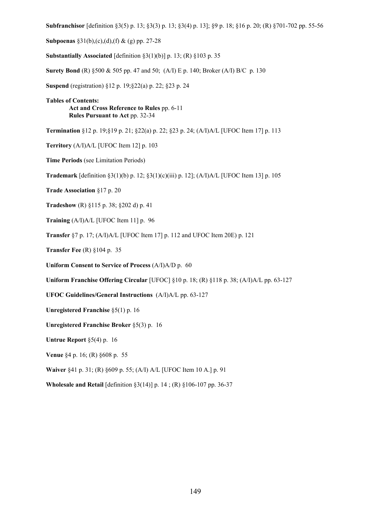**Subfranchisor** [definition §3(5) p. 13; §3(3) p. 13; §3(4) p. 13]; §9 p. 18; §16 p. 20; (R) §701-702 pp. 55-56

**Subpoenas** §31(b),(c),(d),(f) & (g) pp. 27-28

**Substantially Associated** [definition §3(1)(b)] p. 13; (R) §103 p. 35

**Surety Bond** (R) §500 & 505 pp. 47 and 50; (A/I) E p. 140; Broker (A/I) B/C p. 130

**Suspend** (registration) §12 p. 19;§22(a) p. 22; §23 p. 24

**Tables of Contents: Act and Cross Reference to Rules** pp. 6-11 **Rules Pursuant to Act** pp. 32-34

**Termination** §12 p. 19;§19 p. 21; §22(a) p. 22; §23 p. 24; (A/I)A/L [UFOC Item 17] p. 113

**Territory** (A/I)A/L [UFOC Item 12] p. 103

**Time Periods** (see Limitation Periods)

**Trademark** [definition §3(1)(b) p. 12; §3(1)(c)(iii) p. 12]; (A/I)A/L [UFOC Item 13] p. 105

**Trade Association** §17 p. 20

**Tradeshow** (R) §115 p. 38; §202 d) p. 41

**Training** (A/I)A/L [UFOC Item 11] p. 96

**Transfer** §7 p. 17; (A/I)A/L [UFOC Item 17] p. 112 and UFOC Item 20E) p. 121

**Transfer Fee** (R) §104 p. 35

**Uniform Consent to Service of Process** (A/I)A/D p. 60

**Uniform Franchise Offering Circular** [UFOC] §10 p. 18; (R) §118 p. 38; (A/I)A/L pp. 63-127

**UFOC Guidelines/General Instructions** (A/I)A/L pp. 63-127

**Unregistered Franchise** §5(1) p. 16

**Unregistered Franchise Broker** §5(3) p. 16

**Untrue Report** §5(4) p. 16

**Venue** §4 p. 16; (R) §608 p. 55

**Waiver** §41 p. 31; (R) §609 p. 55; (A/I) A/L [UFOC Item 10 A.] p. 91

**Wholesale and Retail** [definition §3(14)] p. 14 ; (R) §106-107 pp. 36-37